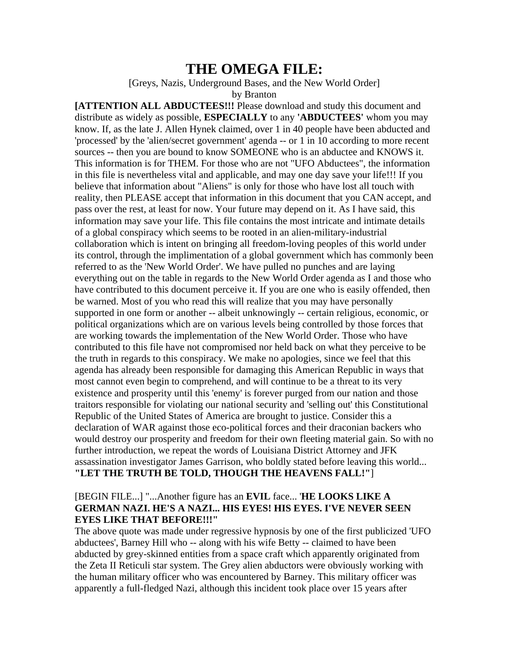# **THE OMEGA FILE:**

[Greys, Nazis, Underground Bases, and the New World Order]

by Branton

**[ATTENTION ALL ABDUCTEES!!!** Please download and study this document and distribute as widely as possible, **ESPECIALLY** to any **'ABDUCTEES'** whom you may know. If, as the late J. Allen Hynek claimed, over 1 in 40 people have been abducted and 'processed' by the 'alien/secret government' agenda -- or 1 in 10 according to more recent sources -- then you are bound to know SOMEONE who is an abductee and KNOWS it. This information is for THEM. For those who are not "UFO Abductees", the information in this file is nevertheless vital and applicable, and may one day save your life!!! If you believe that information about "Aliens" is only for those who have lost all touch with reality, then PLEASE accept that information in this document that you CAN accept, and pass over the rest, at least for now. Your future may depend on it. As I have said, this information may save your life. This file contains the most intricate and intimate details of a global conspiracy which seems to be rooted in an alien-military-industrial collaboration which is intent on bringing all freedom-loving peoples of this world under its control, through the implimentation of a global government which has commonly been referred to as the 'New World Order'. We have pulled no punches and are laying everything out on the table in regards to the New World Order agenda as I and those who have contributed to this document perceive it. If you are one who is easily offended, then be warned. Most of you who read this will realize that you may have personally supported in one form or another -- albeit unknowingly -- certain religious, economic, or political organizations which are on various levels being controlled by those forces that are working towards the implementation of the New World Order. Those who have contributed to this file have not compromised nor held back on what they perceive to be the truth in regards to this conspiracy. We make no apologies, since we feel that this agenda has already been responsible for damaging this American Republic in ways that most cannot even begin to comprehend, and will continue to be a threat to its very existence and prosperity until this 'enemy' is forever purged from our nation and those traitors responsible for violating our national security and 'selling out' this Constitutional Republic of the United States of America are brought to justice. Consider this a declaration of WAR against those eco-political forces and their draconian backers who would destroy our prosperity and freedom for their own fleeting material gain. So with no further introduction, we repeat the words of Louisiana District Attorney and JFK assassination investigator James Garrison, who boldly stated before leaving this world... **"LET THE TRUTH BE TOLD, THOUGH THE HEAVENS FALL!"**]

# [BEGIN FILE...] "...Another figure has an **EVIL** face... '**HE LOOKS LIKE A GERMAN NAZI. HE'S A NAZI... HIS EYES! HIS EYES. I'VE NEVER SEEN EYES LIKE THAT BEFORE!!!"**

The above quote was made under regressive hypnosis by one of the first publicized 'UFO abductees', Barney Hill who -- along with his wife Betty -- claimed to have been abducted by grey-skinned entities from a space craft which apparently originated from the Zeta II Reticuli star system. The Grey alien abductors were obviously working with the human military officer who was encountered by Barney. This military officer was apparently a full-fledged Nazi, although this incident took place over 15 years after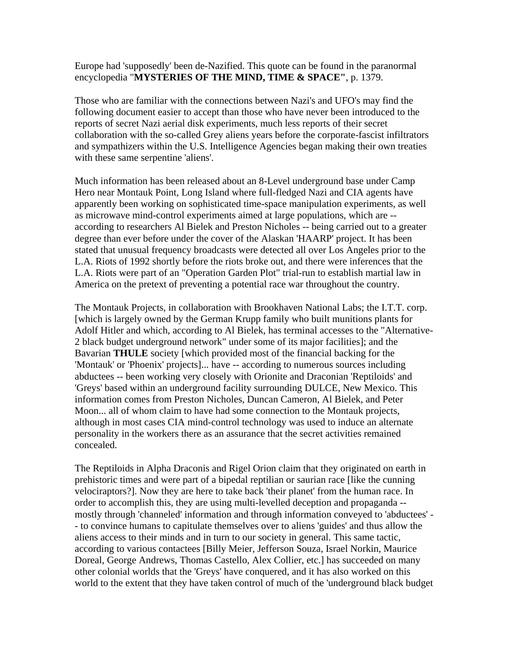Europe had 'supposedly' been de-Nazified. This quote can be found in the paranormal encyclopedia "**MYSTERIES OF THE MIND, TIME & SPACE"**, p. 1379.

Those who are familiar with the connections between Nazi's and UFO's may find the following document easier to accept than those who have never been introduced to the reports of secret Nazi aerial disk experiments, much less reports of their secret collaboration with the so-called Grey aliens years before the corporate-fascist infiltrators and sympathizers within the U.S. Intelligence Agencies began making their own treaties with these same serpentine 'aliens'.

Much information has been released about an 8-Level underground base under Camp Hero near Montauk Point, Long Island where full-fledged Nazi and CIA agents have apparently been working on sophisticated time-space manipulation experiments, as well as microwave mind-control experiments aimed at large populations, which are - according to researchers Al Bielek and Preston Nicholes -- being carried out to a greater degree than ever before under the cover of the Alaskan 'HAARP' project. It has been stated that unusual frequency broadcasts were detected all over Los Angeles prior to the L.A. Riots of 1992 shortly before the riots broke out, and there were inferences that the L.A. Riots were part of an "Operation Garden Plot" trial-run to establish martial law in America on the pretext of preventing a potential race war throughout the country.

The Montauk Projects, in collaboration with Brookhaven National Labs; the I.T.T. corp. [which is largely owned by the German Krupp family who built munitions plants for Adolf Hitler and which, according to Al Bielek, has terminal accesses to the "Alternative-2 black budget underground network" under some of its major facilities]; and the Bavarian **THULE** society [which provided most of the financial backing for the 'Montauk' or 'Phoenix' projects]... have -- according to numerous sources including abductees -- been working very closely with Orionite and Draconian 'Reptiloids' and 'Greys' based within an underground facility surrounding DULCE, New Mexico. This information comes from Preston Nicholes, Duncan Cameron, Al Bielek, and Peter Moon... all of whom claim to have had some connection to the Montauk projects, although in most cases CIA mind-control technology was used to induce an alternate personality in the workers there as an assurance that the secret activities remained concealed.

The Reptiloids in Alpha Draconis and Rigel Orion claim that they originated on earth in prehistoric times and were part of a bipedal reptilian or saurian race [like the cunning velociraptors?]. Now they are here to take back 'their planet' from the human race. In order to accomplish this, they are using multi-levelled deception and propaganda - mostly through 'channeled' information and through information conveyed to 'abductees' - - to convince humans to capitulate themselves over to aliens 'guides' and thus allow the aliens access to their minds and in turn to our society in general. This same tactic, according to various contactees [Billy Meier, Jefferson Souza, Israel Norkin, Maurice Doreal, George Andrews, Thomas Castello, Alex Collier, etc.] has succeeded on many other colonial worlds that the 'Greys' have conquered, and it has also worked on this world to the extent that they have taken control of much of the 'underground black budget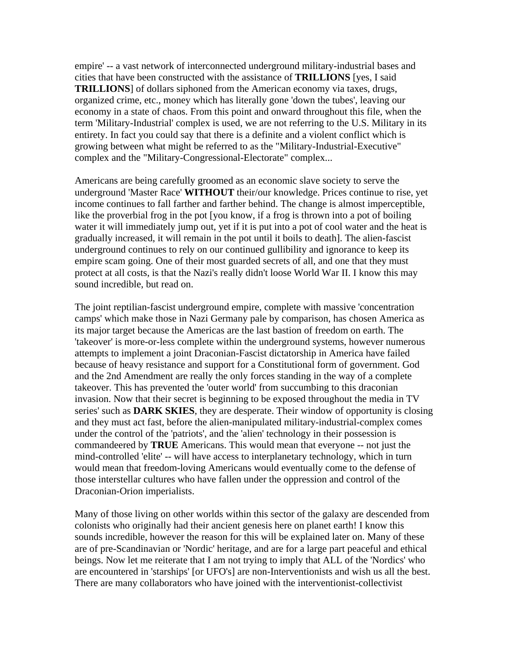empire' -- a vast network of interconnected underground military-industrial bases and cities that have been constructed with the assistance of **TRILLIONS** [yes, I said **TRILLIONS**] of dollars siphoned from the American economy via taxes, drugs, organized crime, etc., money which has literally gone 'down the tubes', leaving our economy in a state of chaos. From this point and onward throughout this file, when the term 'Military-Industrial' complex is used, we are not referring to the U.S. Military in its entirety. In fact you could say that there is a definite and a violent conflict which is growing between what might be referred to as the "Military-Industrial-Executive" complex and the "Military-Congressional-Electorate" complex...

Americans are being carefully groomed as an economic slave society to serve the underground 'Master Race' **WITHOUT** their/our knowledge. Prices continue to rise, yet income continues to fall farther and farther behind. The change is almost imperceptible, like the proverbial frog in the pot [you know, if a frog is thrown into a pot of boiling water it will immediately jump out, yet if it is put into a pot of cool water and the heat is gradually increased, it will remain in the pot until it boils to death]. The alien-fascist underground continues to rely on our continued gullibility and ignorance to keep its empire scam going. One of their most guarded secrets of all, and one that they must protect at all costs, is that the Nazi's really didn't loose World War II. I know this may sound incredible, but read on.

The joint reptilian-fascist underground empire, complete with massive 'concentration camps' which make those in Nazi Germany pale by comparison, has chosen America as its major target because the Americas are the last bastion of freedom on earth. The 'takeover' is more-or-less complete within the underground systems, however numerous attempts to implement a joint Draconian-Fascist dictatorship in America have failed because of heavy resistance and support for a Constitutional form of government. God and the 2nd Amendment are really the only forces standing in the way of a complete takeover. This has prevented the 'outer world' from succumbing to this draconian invasion. Now that their secret is beginning to be exposed throughout the media in TV series' such as **DARK SKIES**, they are desperate. Their window of opportunity is closing and they must act fast, before the alien-manipulated military-industrial-complex comes under the control of the 'patriots', and the 'alien' technology in their possession is commandeered by **TRUE** Americans. This would mean that everyone -- not just the mind-controlled 'elite' -- will have access to interplanetary technology, which in turn would mean that freedom-loving Americans would eventually come to the defense of those interstellar cultures who have fallen under the oppression and control of the Draconian-Orion imperialists.

Many of those living on other worlds within this sector of the galaxy are descended from colonists who originally had their ancient genesis here on planet earth! I know this sounds incredible, however the reason for this will be explained later on. Many of these are of pre-Scandinavian or 'Nordic' heritage, and are for a large part peaceful and ethical beings. Now let me reiterate that I am not trying to imply that ALL of the 'Nordics' who are encountered in 'starships' [or UFO's] are non-Interventionists and wish us all the best. There are many collaborators who have joined with the interventionist-collectivist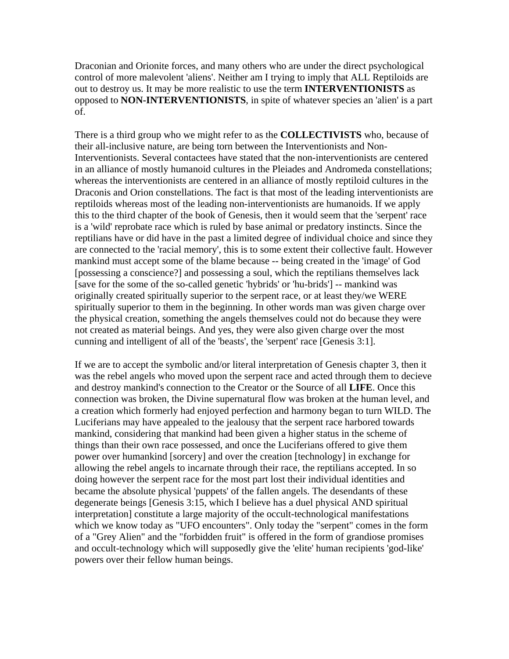Draconian and Orionite forces, and many others who are under the direct psychological control of more malevolent 'aliens'. Neither am I trying to imply that ALL Reptiloids are out to destroy us. It may be more realistic to use the term **INTERVENTIONISTS** as opposed to **NON-INTERVENTIONISTS**, in spite of whatever species an 'alien' is a part of.

There is a third group who we might refer to as the **COLLECTIVISTS** who, because of their all-inclusive nature, are being torn between the Interventionists and Non-Interventionists. Several contactees have stated that the non-interventionists are centered in an alliance of mostly humanoid cultures in the Pleiades and Andromeda constellations; whereas the interventionists are centered in an alliance of mostly reptiloid cultures in the Draconis and Orion constellations. The fact is that most of the leading interventionists are reptiloids whereas most of the leading non-interventionists are humanoids. If we apply this to the third chapter of the book of Genesis, then it would seem that the 'serpent' race is a 'wild' reprobate race which is ruled by base animal or predatory instincts. Since the reptilians have or did have in the past a limited degree of individual choice and since they are connected to the 'racial memory', this is to some extent their collective fault. However mankind must accept some of the blame because -- being created in the 'image' of God [possessing a conscience?] and possessing a soul, which the reptilians themselves lack [save for the some of the so-called genetic 'hybrids' or 'hu-brids'] -- mankind was originally created spiritually superior to the serpent race, or at least they/we WERE spiritually superior to them in the beginning. In other words man was given charge over the physical creation, something the angels themselves could not do because they were not created as material beings. And yes, they were also given charge over the most cunning and intelligent of all of the 'beasts', the 'serpent' race [Genesis 3:1].

If we are to accept the symbolic and/or literal interpretation of Genesis chapter 3, then it was the rebel angels who moved upon the serpent race and acted through them to decieve and destroy mankind's connection to the Creator or the Source of all **LIFE**. Once this connection was broken, the Divine supernatural flow was broken at the human level, and a creation which formerly had enjoyed perfection and harmony began to turn WILD. The Luciferians may have appealed to the jealousy that the serpent race harbored towards mankind, considering that mankind had been given a higher status in the scheme of things than their own race possessed, and once the Luciferians offered to give them power over humankind [sorcery] and over the creation [technology] in exchange for allowing the rebel angels to incarnate through their race, the reptilians accepted. In so doing however the serpent race for the most part lost their individual identities and became the absolute physical 'puppets' of the fallen angels. The desendants of these degenerate beings [Genesis 3:15, which I believe has a duel physical AND spiritual interpretation] constitute a large majority of the occult-technological manifestations which we know today as "UFO encounters". Only today the "serpent" comes in the form of a "Grey Alien" and the "forbidden fruit" is offered in the form of grandiose promises and occult-technology which will supposedly give the 'elite' human recipients 'god-like' powers over their fellow human beings.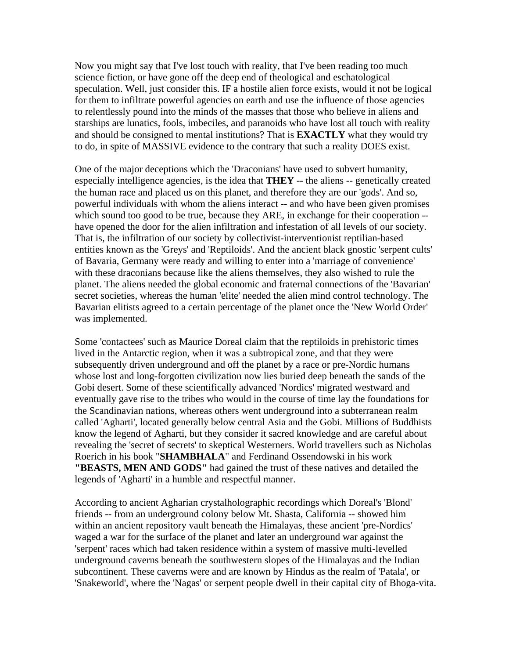Now you might say that I've lost touch with reality, that I've been reading too much science fiction, or have gone off the deep end of theological and eschatological speculation. Well, just consider this. IF a hostile alien force exists, would it not be logical for them to infiltrate powerful agencies on earth and use the influence of those agencies to relentlessly pound into the minds of the masses that those who believe in aliens and starships are lunatics, fools, imbeciles, and paranoids who have lost all touch with reality and should be consigned to mental institutions? That is **EXACTLY** what they would try to do, in spite of MASSIVE evidence to the contrary that such a reality DOES exist.

One of the major deceptions which the 'Draconians' have used to subvert humanity, especially intelligence agencies, is the idea that **THEY** -- the aliens -- genetically created the human race and placed us on this planet, and therefore they are our 'gods'. And so, powerful individuals with whom the aliens interact -- and who have been given promises which sound too good to be true, because they ARE, in exchange for their cooperation -have opened the door for the alien infiltration and infestation of all levels of our society. That is, the infiltration of our society by collectivist-interventionist reptilian-based entities known as the 'Greys' and 'Reptiloids'. And the ancient black gnostic 'serpent cults' of Bavaria, Germany were ready and willing to enter into a 'marriage of convenience' with these draconians because like the aliens themselves, they also wished to rule the planet. The aliens needed the global economic and fraternal connections of the 'Bavarian' secret societies, whereas the human 'elite' needed the alien mind control technology. The Bavarian elitists agreed to a certain percentage of the planet once the 'New World Order' was implemented.

Some 'contactees' such as Maurice Doreal claim that the reptiloids in prehistoric times lived in the Antarctic region, when it was a subtropical zone, and that they were subsequently driven underground and off the planet by a race or pre-Nordic humans whose lost and long-forgotten civilization now lies buried deep beneath the sands of the Gobi desert. Some of these scientifically advanced 'Nordics' migrated westward and eventually gave rise to the tribes who would in the course of time lay the foundations for the Scandinavian nations, whereas others went underground into a subterranean realm called 'Agharti', located generally below central Asia and the Gobi. Millions of Buddhists know the legend of Agharti, but they consider it sacred knowledge and are careful about revealing the 'secret of secrets' to skeptical Westerners. World travellers such as Nicholas Roerich in his book "**SHAMBHALA**" and Ferdinand Ossendowski in his work **"BEASTS, MEN AND GODS"** had gained the trust of these natives and detailed the legends of 'Agharti' in a humble and respectful manner.

According to ancient Agharian crystalholographic recordings which Doreal's 'Blond' friends -- from an underground colony below Mt. Shasta, California -- showed him within an ancient repository vault beneath the Himalayas, these ancient 'pre-Nordics' waged a war for the surface of the planet and later an underground war against the 'serpent' races which had taken residence within a system of massive multi-levelled underground caverns beneath the southwestern slopes of the Himalayas and the Indian subcontinent. These caverns were and are known by Hindus as the realm of 'Patala', or 'Snakeworld', where the 'Nagas' or serpent people dwell in their capital city of Bhoga-vita.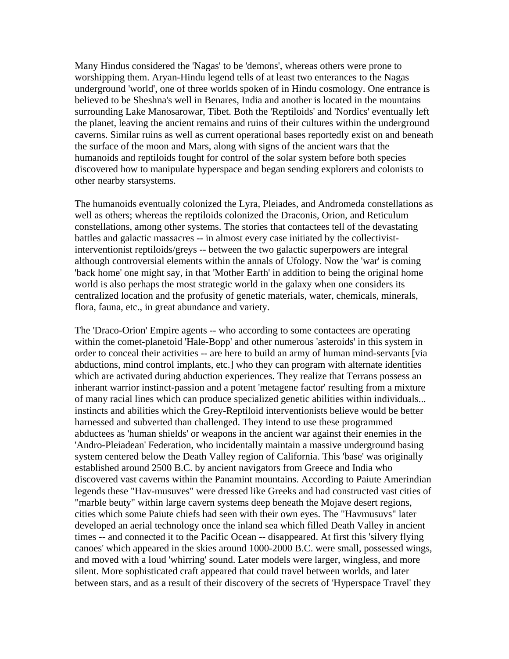Many Hindus considered the 'Nagas' to be 'demons', whereas others were prone to worshipping them. Aryan-Hindu legend tells of at least two enterances to the Nagas underground 'world', one of three worlds spoken of in Hindu cosmology. One entrance is believed to be Sheshna's well in Benares, India and another is located in the mountains surrounding Lake Manosarowar, Tibet. Both the 'Reptiloids' and 'Nordics' eventually left the planet, leaving the ancient remains and ruins of their cultures within the underground caverns. Similar ruins as well as current operational bases reportedly exist on and beneath the surface of the moon and Mars, along with signs of the ancient wars that the humanoids and reptiloids fought for control of the solar system before both species discovered how to manipulate hyperspace and began sending explorers and colonists to other nearby starsystems.

The humanoids eventually colonized the Lyra, Pleiades, and Andromeda constellations as well as others; whereas the reptiloids colonized the Draconis, Orion, and Reticulum constellations, among other systems. The stories that contactees tell of the devastating battles and galactic massacres -- in almost every case initiated by the collectivistinterventionist reptiloids/greys -- between the two galactic superpowers are integral although controversial elements within the annals of Ufology. Now the 'war' is coming 'back home' one might say, in that 'Mother Earth' in addition to being the original home world is also perhaps the most strategic world in the galaxy when one considers its centralized location and the profusity of genetic materials, water, chemicals, minerals, flora, fauna, etc., in great abundance and variety.

The 'Draco-Orion' Empire agents -- who according to some contactees are operating within the comet-planetoid 'Hale-Bopp' and other numerous 'asteroids' in this system in order to conceal their activities -- are here to build an army of human mind-servants [via abductions, mind control implants, etc.] who they can program with alternate identities which are activated during abduction experiences. They realize that Terrans possess an inherant warrior instinct-passion and a potent 'metagene factor' resulting from a mixture of many racial lines which can produce specialized genetic abilities within individuals... instincts and abilities which the Grey-Reptiloid interventionists believe would be better harnessed and subverted than challenged. They intend to use these programmed abductees as 'human shields' or weapons in the ancient war against their enemies in the 'Andro-Pleiadean' Federation, who incidentally maintain a massive underground basing system centered below the Death Valley region of California. This 'base' was originally established around 2500 B.C. by ancient navigators from Greece and India who discovered vast caverns within the Panamint mountains. According to Paiute Amerindian legends these "Hav-musuves" were dressed like Greeks and had constructed vast cities of "marble beuty" within large cavern systems deep beneath the Mojave desert regions, cities which some Paiute chiefs had seen with their own eyes. The "Havmusuvs" later developed an aerial technology once the inland sea which filled Death Valley in ancient times -- and connected it to the Pacific Ocean -- disappeared. At first this 'silvery flying canoes' which appeared in the skies around 1000-2000 B.C. were small, possessed wings, and moved with a loud 'whirring' sound. Later models were larger, wingless, and more silent. More sophisticated craft appeared that could travel between worlds, and later between stars, and as a result of their discovery of the secrets of 'Hyperspace Travel' they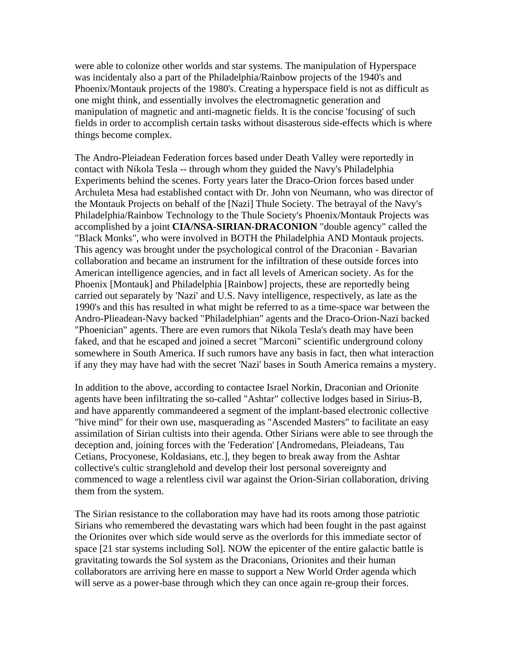were able to colonize other worlds and star systems. The manipulation of Hyperspace was incidentaly also a part of the Philadelphia/Rainbow projects of the 1940's and Phoenix/Montauk projects of the 1980's. Creating a hyperspace field is not as difficult as one might think, and essentially involves the electromagnetic generation and manipulation of magnetic and anti-magnetic fields. It is the concise 'focusing' of such fields in order to accomplish certain tasks without disasterous side-effects which is where things become complex.

The Andro-Pleiadean Federation forces based under Death Valley were reportedly in contact with Nikola Tesla -- through whom they guided the Navy's Philadelphia Experiments behind the scenes. Forty years later the Draco-Orion forces based under Archuleta Mesa had established contact with Dr. John von Neumann, who was director of the Montauk Projects on behalf of the [Nazi] Thule Society. The betrayal of the Navy's Philadelphia/Rainbow Technology to the Thule Society's Phoenix/Montauk Projects was accomplished by a joint **CIA/NSA-SIRIAN-DRACONION** "double agency" called the "Black Monks", who were involved in BOTH the Philadelphia AND Montauk projects. This agency was brought under the psychological control of the Draconian - Bavarian collaboration and became an instrument for the infiltration of these outside forces into American intelligence agencies, and in fact all levels of American society. As for the Phoenix [Montauk] and Philadelphia [Rainbow] projects, these are reportedly being carried out separately by 'Nazi' and U.S. Navy intelligence, respectively, as late as the 1990's and this has resulted in what might be referred to as a time-space war between the Andro-Plieadean-Navy backed "Philadelphian" agents and the Draco-Orion-Nazi backed "Phoenician" agents. There are even rumors that Nikola Tesla's death may have been faked, and that he escaped and joined a secret "Marconi" scientific underground colony somewhere in South America. If such rumors have any basis in fact, then what interaction if any they may have had with the secret 'Nazi' bases in South America remains a mystery.

In addition to the above, according to contactee Israel Norkin, Draconian and Orionite agents have been infiltrating the so-called "Ashtar" collective lodges based in Sirius-B, and have apparently commandeered a segment of the implant-based electronic collective "hive mind" for their own use, masquerading as "Ascended Masters" to facilitate an easy assimilation of Sirian cultists into their agenda. Other Sirians were able to see through the deception and, joining forces with the 'Federation' [Andromedans, Pleiadeans, Tau Cetians, Procyonese, Koldasians, etc.], they begen to break away from the Ashtar collective's cultic stranglehold and develop their lost personal sovereignty and commenced to wage a relentless civil war against the Orion-Sirian collaboration, driving them from the system.

The Sirian resistance to the collaboration may have had its roots among those patriotic Sirians who remembered the devastating wars which had been fought in the past against the Orionites over which side would serve as the overlords for this immediate sector of space [21 star systems including Sol]. NOW the epicenter of the entire galactic battle is gravitating towards the Sol system as the Draconians, Orionites and their human collaborators are arriving here en masse to support a New World Order agenda which will serve as a power-base through which they can once again re-group their forces.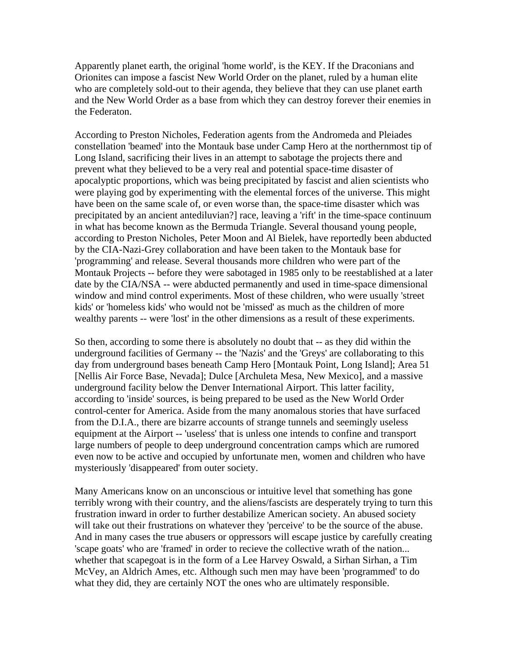Apparently planet earth, the original 'home world', is the KEY. If the Draconians and Orionites can impose a fascist New World Order on the planet, ruled by a human elite who are completely sold-out to their agenda, they believe that they can use planet earth and the New World Order as a base from which they can destroy forever their enemies in the Federaton.

According to Preston Nicholes, Federation agents from the Andromeda and Pleiades constellation 'beamed' into the Montauk base under Camp Hero at the northernmost tip of Long Island, sacrificing their lives in an attempt to sabotage the projects there and prevent what they believed to be a very real and potential space-time disaster of apocalyptic proportions, which was being precipitated by fascist and alien scientists who were playing god by experimenting with the elemental forces of the universe. This might have been on the same scale of, or even worse than, the space-time disaster which was precipitated by an ancient antediluvian?] race, leaving a 'rift' in the time-space continuum in what has become known as the Bermuda Triangle. Several thousand young people, according to Preston Nicholes, Peter Moon and Al Bielek, have reportedly been abducted by the CIA-Nazi-Grey collaboration and have been taken to the Montauk base for 'programming' and release. Several thousands more children who were part of the Montauk Projects -- before they were sabotaged in 1985 only to be reestablished at a later date by the CIA/NSA -- were abducted permanently and used in time-space dimensional window and mind control experiments. Most of these children, who were usually 'street kids' or 'homeless kids' who would not be 'missed' as much as the children of more wealthy parents -- were 'lost' in the other dimensions as a result of these experiments.

So then, according to some there is absolutely no doubt that -- as they did within the underground facilities of Germany -- the 'Nazis' and the 'Greys' are collaborating to this day from underground bases beneath Camp Hero [Montauk Point, Long Island]; Area 51 [Nellis Air Force Base, Nevada]; Dulce [Archuleta Mesa, New Mexico], and a massive underground facility below the Denver International Airport. This latter facility, according to 'inside' sources, is being prepared to be used as the New World Order control-center for America. Aside from the many anomalous stories that have surfaced from the D.I.A., there are bizarre accounts of strange tunnels and seemingly useless equipment at the Airport -- 'useless' that is unless one intends to confine and transport large numbers of people to deep underground concentration camps which are rumored even now to be active and occupied by unfortunate men, women and children who have mysteriously 'disappeared' from outer society.

Many Americans know on an unconscious or intuitive level that something has gone terribly wrong with their country, and the aliens/fascists are desperately trying to turn this frustration inward in order to further destabilize American society. An abused society will take out their frustrations on whatever they 'perceive' to be the source of the abuse. And in many cases the true abusers or oppressors will escape justice by carefully creating 'scape goats' who are 'framed' in order to recieve the collective wrath of the nation... whether that scapegoat is in the form of a Lee Harvey Oswald, a Sirhan Sirhan, a Tim McVey, an Aldrich Ames, etc. Although such men may have been 'programmed' to do what they did, they are certainly NOT the ones who are ultimately responsible.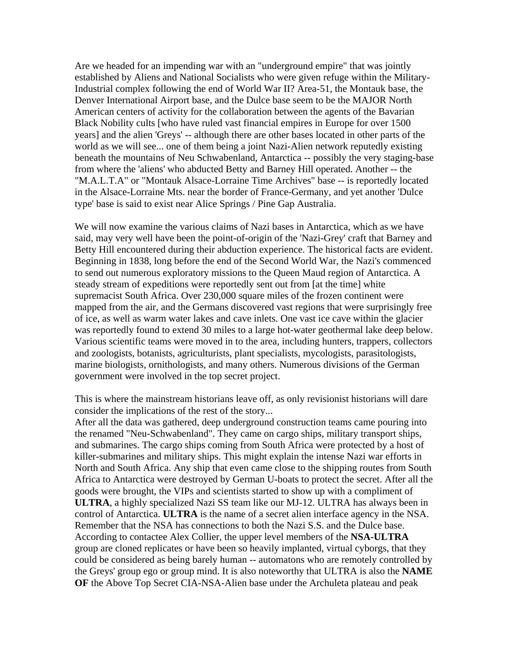Are we headed for an impending war with an "underground empire" that was jointly established by Aliens and National Socialists who were given refuge within the Military-Industrial complex following the end of World War II? Area-51, the Montauk base, the Denver International Airport base, and the Dulce base seem to be the MAJOR North American centers of activity for the collaboration between the agents of the Bavarian Black Nobility cults [who have ruled vast financial empires in Europe for over 1500 years] and the alien 'Greys' -- although there are other bases located in other parts of the world as we will see... one of them being a joint Nazi-Alien network reputedly existing beneath the mountains of Neu Schwabenland, Antarctica -- possibly the very staging-base from where the 'aliens' who abducted Betty and Barney Hill operated. Another -- the "M.A.L.T.A" or "Montauk Alsace-Lorraine Time Archives" base -- is reportedly located in the Alsace-Lorraine Mts. near the border of France-Germany, and yet another 'Dulce type' base is said to exist near Alice Springs / Pine Gap Australia.

We will now examine the various claims of Nazi bases in Antarctica, which as we have said, may very well have been the point-of-origin of the 'Nazi-Grey' craft that Barney and Betty Hill encountered during their abduction experience. The historical facts are evident. Beginning in 1838, long before the end of the Second World War, the Nazi's commenced to send out numerous exploratory missions to the Queen Maud region of Antarctica. A steady stream of expeditions were reportedly sent out from [at the time] white supremacist South Africa. Over 230,000 square miles of the frozen continent were mapped from the air, and the Germans discovered vast regions that were surprisingly free of ice, as well as warm water lakes and cave inlets. One vast ice cave within the glacier was reportedly found to extend 30 miles to a large hot-water geothermal lake deep below. Various scientific teams were moved in to the area, including hunters, trappers, collectors and zoologists, botanists, agriculturists, plant specialists, mycologists, parasitologists, marine biologists, ornithologists, and many others. Numerous divisions of the German government were involved in the top secret project.

This is where the mainstream historians leave off, as only revisionist historians will dare consider the implications of the rest of the story...

After all the data was gathered, deep underground construction teams came pouring into the renamed "Neu-Schwabenland". They came on cargo ships, military transport ships, and submarines. The cargo ships coming from South Africa were protected by a host of killer-submarines and military ships. This might explain the intense Nazi war efforts in North and South Africa. Any ship that even came close to the shipping routes from South Africa to Antarctica were destroyed by German U-boats to protect the secret. After all the goods were brought, the VIPs and scientists started to show up with a compliment of **ULTRA**, a highly specialized Nazi SS team like our MJ-12. ULTRA has always been in control of Antarctica. **ULTRA** is the name of a secret alien interface agency in the NSA. Remember that the NSA has connections to both the Nazi S.S. and the Dulce base. According to contactee Alex Collier, the upper level members of the **NSA-ULTRA** group are cloned replicates or have been so heavily implanted, virtual cyborgs, that they could be considered as being barely human -- automatons who are remotely controlled by the Greys' group ego or group mind. It is also noteworthy that ULTRA is also the **NAME OF** the Above Top Secret CIA-NSA-Alien base under the Archuleta plateau and peak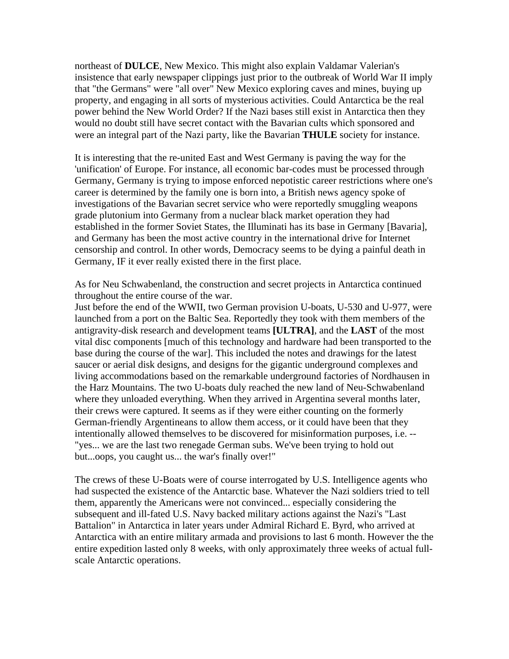northeast of **DULCE**, New Mexico. This might also explain Valdamar Valerian's insistence that early newspaper clippings just prior to the outbreak of World War II imply that "the Germans" were "all over" New Mexico exploring caves and mines, buying up property, and engaging in all sorts of mysterious activities. Could Antarctica be the real power behind the New World Order? If the Nazi bases still exist in Antarctica then they would no doubt still have secret contact with the Bavarian cults which sponsored and were an integral part of the Nazi party, like the Bavarian **THULE** society for instance.

It is interesting that the re-united East and West Germany is paving the way for the 'unification' of Europe. For instance, all economic bar-codes must be processed through Germany, Germany is trying to impose enforced nepotistic career restrictions where one's career is determined by the family one is born into, a British news agency spoke of investigations of the Bavarian secret service who were reportedly smuggling weapons grade plutonium into Germany from a nuclear black market operation they had established in the former Soviet States, the Illuminati has its base in Germany [Bavaria], and Germany has been the most active country in the international drive for Internet censorship and control. In other words, Democracy seems to be dying a painful death in Germany, IF it ever really existed there in the first place.

As for Neu Schwabenland, the construction and secret projects in Antarctica continued throughout the entire course of the war.

Just before the end of the WWII, two German provision U-boats, U-530 and U-977, were launched from a port on the Baltic Sea. Reportedly they took with them members of the antigravity-disk research and development teams **[ULTRA]**, and the **LAST** of the most vital disc components [much of this technology and hardware had been transported to the base during the course of the war]. This included the notes and drawings for the latest saucer or aerial disk designs, and designs for the gigantic underground complexes and living accommodations based on the remarkable underground factories of Nordhausen in the Harz Mountains. The two U-boats duly reached the new land of Neu-Schwabenland where they unloaded everything. When they arrived in Argentina several months later, their crews were captured. It seems as if they were either counting on the formerly German-friendly Argentineans to allow them access, or it could have been that they intentionally allowed themselves to be discovered for misinformation purposes, i.e. -- "yes... we are the last two renegade German subs. We've been trying to hold out but...oops, you caught us... the war's finally over!"

The crews of these U-Boats were of course interrogated by U.S. Intelligence agents who had suspected the existence of the Antarctic base. Whatever the Nazi soldiers tried to tell them, apparently the Americans were not convinced... especially considering the subsequent and ill-fated U.S. Navy backed military actions against the Nazi's "Last Battalion" in Antarctica in later years under Admiral Richard E. Byrd, who arrived at Antarctica with an entire military armada and provisions to last 6 month. However the the entire expedition lasted only 8 weeks, with only approximately three weeks of actual fullscale Antarctic operations.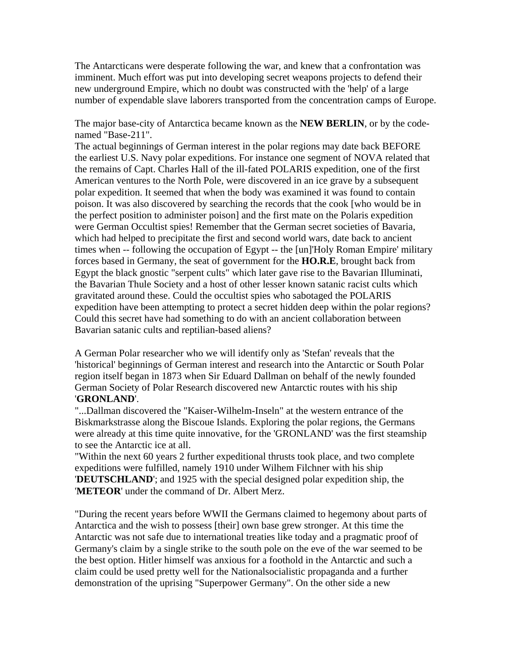The Antarcticans were desperate following the war, and knew that a confrontation was imminent. Much effort was put into developing secret weapons projects to defend their new underground Empire, which no doubt was constructed with the 'help' of a large number of expendable slave laborers transported from the concentration camps of Europe.

The major base-city of Antarctica became known as the **NEW BERLIN**, or by the codenamed "Base-211".

The actual beginnings of German interest in the polar regions may date back BEFORE the earliest U.S. Navy polar expeditions. For instance one segment of NOVA related that the remains of Capt. Charles Hall of the ill-fated POLARIS expedition, one of the first American ventures to the North Pole, were discovered in an ice grave by a subsequent polar expedition. It seemed that when the body was examined it was found to contain poison. It was also discovered by searching the records that the cook [who would be in the perfect position to administer poison] and the first mate on the Polaris expedition were German Occultist spies! Remember that the German secret societies of Bavaria, which had helped to precipitate the first and second world wars, date back to ancient times when -- following the occupation of Egypt -- the [un]'Holy Roman Empire' military forces based in Germany, the seat of government for the **HO.R.E**, brought back from Egypt the black gnostic "serpent cults" which later gave rise to the Bavarian Illuminati, the Bavarian Thule Society and a host of other lesser known satanic racist cults which gravitated around these. Could the occultist spies who sabotaged the POLARIS expedition have been attempting to protect a secret hidden deep within the polar regions? Could this secret have had something to do with an ancient collaboration between Bavarian satanic cults and reptilian-based aliens?

A German Polar researcher who we will identify only as 'Stefan' reveals that the 'historical' beginnings of German interest and research into the Antarctic or South Polar region itself began in 1873 when Sir Eduard Dallman on behalf of the newly founded German Society of Polar Research discovered new Antarctic routes with his ship '**GRONLAND**'.

"...Dallman discovered the "Kaiser-Wilhelm-Inseln" at the western entrance of the Biskmarkstrasse along the Biscoue Islands. Exploring the polar regions, the Germans were already at this time quite innovative, for the 'GRONLAND' was the first steamship to see the Antarctic ice at all.

"Within the next 60 years 2 further expeditional thrusts took place, and two complete expeditions were fulfilled, namely 1910 under Wilhem Filchner with his ship '**DEUTSCHLAND**'; and 1925 with the special designed polar expedition ship, the '**METEOR**' under the command of Dr. Albert Merz.

"During the recent years before WWII the Germans claimed to hegemony about parts of Antarctica and the wish to possess [their] own base grew stronger. At this time the Antarctic was not safe due to international treaties like today and a pragmatic proof of Germany's claim by a single strike to the south pole on the eve of the war seemed to be the best option. Hitler himself was anxious for a foothold in the Antarctic and such a claim could be used pretty well for the Nationalsocialistic propaganda and a further demonstration of the uprising "Superpower Germany". On the other side a new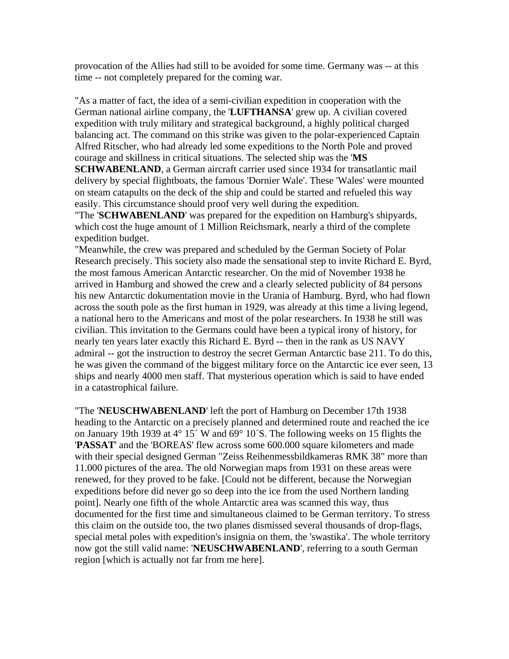provocation of the Allies had still to be avoided for some time. Germany was -- at this time -- not completely prepared for the coming war.

"As a matter of fact, the idea of a semi-civilian expedition in cooperation with the German national airline company, the '**LUFTHANSA**' grew up. A civilian covered expedition with truly military and strategical background, a highly political charged balancing act. The command on this strike was given to the polar-experienced Captain Alfred Ritscher, who had already led some expeditions to the North Pole and proved courage and skillness in critical situations. The selected ship was the '**MS SCHWABENLAND**, a German aircraft carrier used since 1934 for transatlantic mail delivery by special flightboats, the famous 'Dornier Wale'. These 'Wales' were mounted on steam catapults on the deck of the ship and could be started and refueled this way easily. This circumstance should proof very well during the expedition. "The '**SCHWABENLAND**' was prepared for the expedition on Hamburg's shipyards,

which cost the huge amount of 1 Million Reichsmark, nearly a third of the complete expedition budget.

"Meanwhile, the crew was prepared and scheduled by the German Society of Polar Research precisely. This society also made the sensational step to invite Richard E. Byrd, the most famous American Antarctic researcher. On the mid of November 1938 he arrived in Hamburg and showed the crew and a clearly selected publicity of 84 persons his new Antarctic dokumentation movie in the Urania of Hamburg. Byrd, who had flown across the south pole as the first human in 1929, was already at this time a living legend, a national hero to the Americans and most of the polar researchers. In 1938 he still was civilian. This invitation to the Germans could have been a typical irony of history, for nearly ten years later exactly this Richard E. Byrd -- then in the rank as US NAVY admiral -- got the instruction to destroy the secret German Antarctic base 211. To do this, he was given the command of the biggest military force on the Antarctic ice ever seen, 13 ships and nearly 4000 men staff. That mysterious operation which is said to have ended in a catastrophical failure.

"The '**NEUSCHWABENLAND**' left the port of Hamburg on December 17th 1938 heading to the Antarctic on a precisely planned and determined route and reached the ice on January 19th 1939 at 4° 15´ W and 69° 10´S. The following weeks on 15 flights the '**PASSAT**' and the 'BOREAS' flew across some 600.000 square kilometers and made with their special designed German "Zeiss Reihenmessbildkameras RMK 38" more than 11.000 pictures of the area. The old Norwegian maps from 1931 on these areas were renewed, for they proved to be fake. [Could not be different, because the Norwegian expeditions before did never go so deep into the ice from the used Northern landing point]. Nearly one fifth of the whole Antarctic area was scanned this way, thus documented for the first time and simultaneous claimed to be German territory. To stress this claim on the outside too, the two planes dismissed several thousands of drop-flags, special metal poles with expedition's insignia on them, the 'swastika'. The whole territory now got the still valid name: '**NEUSCHWABENLAND**', referring to a south German region [which is actually not far from me here].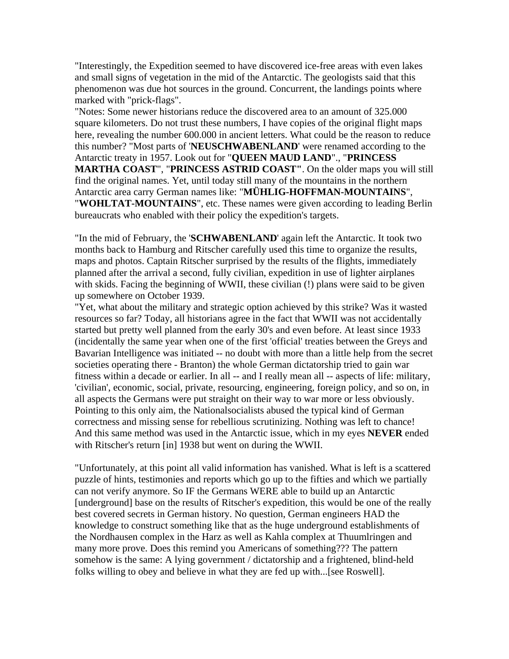"Interestingly, the Expedition seemed to have discovered ice-free areas with even lakes and small signs of vegetation in the mid of the Antarctic. The geologists said that this phenomenon was due hot sources in the ground. Concurrent, the landings points where marked with "prick-flags".

"Notes: Some newer historians reduce the discovered area to an amount of 325.000 square kilometers. Do not trust these numbers, I have copies of the original flight maps here, revealing the number 600.000 in ancient letters. What could be the reason to reduce this number? "Most parts of '**NEUSCHWABENLAND**' were renamed according to the Antarctic treaty in 1957. Look out for "**QUEEN MAUD LAND**"., "**PRINCESS MARTHA COAST**", "**PRINCESS ASTRID COAST"**. On the older maps you will still find the original names. Yet, until today still many of the mountains in the northern Antarctic area carry German names like: "**MÜHLIG-HOFFMAN-MOUNTAINS**", "**WOHLTAT-MOUNTAINS**", etc. These names were given according to leading Berlin bureaucrats who enabled with their policy the expedition's targets.

"In the mid of February, the '**SCHWABENLAND**' again left the Antarctic. It took two months back to Hamburg and Ritscher carefully used this time to organize the results, maps and photos. Captain Ritscher surprised by the results of the flights, immediately planned after the arrival a second, fully civilian, expedition in use of lighter airplanes with skids. Facing the beginning of WWII, these civilian (!) plans were said to be given up somewhere on October 1939.

"Yet, what about the military and strategic option achieved by this strike? Was it wasted resources so far? Today, all historians agree in the fact that WWII was not accidentally started but pretty well planned from the early 30's and even before. At least since 1933 (incidentally the same year when one of the first 'official' treaties between the Greys and Bavarian Intelligence was initiated -- no doubt with more than a little help from the secret societies operating there - Branton) the whole German dictatorship tried to gain war fitness within a decade or earlier. In all -- and I really mean all -- aspects of life: military, 'civilian', economic, social, private, resourcing, engineering, foreign policy, and so on, in all aspects the Germans were put straight on their way to war more or less obviously. Pointing to this only aim, the Nationalsocialists abused the typical kind of German correctness and missing sense for rebellious scrutinizing. Nothing was left to chance! And this same method was used in the Antarctic issue, which in my eyes **NEVER** ended with Ritscher's return [in] 1938 but went on during the WWII.

"Unfortunately, at this point all valid information has vanished. What is left is a scattered puzzle of hints, testimonies and reports which go up to the fifties and which we partially can not verify anymore. So IF the Germans WERE able to build up an Antarctic [underground] base on the results of Ritscher's expedition, this would be one of the really best covered secrets in German history. No question, German engineers HAD the knowledge to construct something like that as the huge underground establishments of the Nordhausen complex in the Harz as well as Kahla complex at Thuumlringen and many more prove. Does this remind you Americans of something??? The pattern somehow is the same: A lying government / dictatorship and a frightened, blind-held folks willing to obey and believe in what they are fed up with...[see Roswell].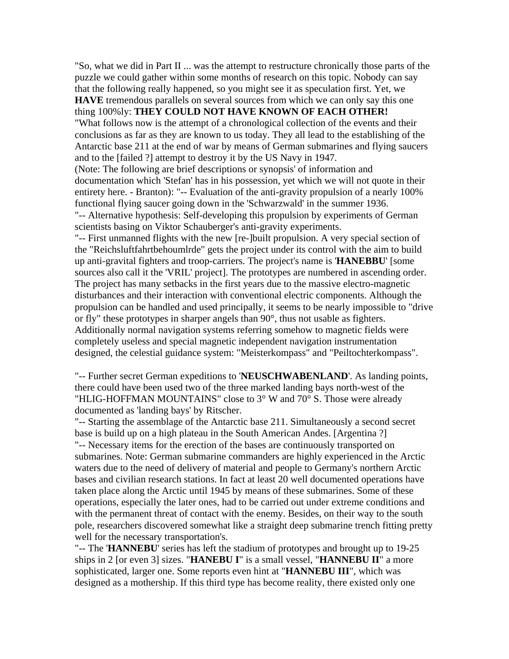"So, what we did in Part II ... was the attempt to restructure chronically those parts of the puzzle we could gather within some months of research on this topic. Nobody can say that the following really happened, so you might see it as speculation first. Yet, we **HAVE** tremendous parallels on several sources from which we can only say this one

thing 100%ly: **THEY COULD NOT HAVE KNOWN OF EACH OTHER!**

"What follows now is the attempt of a chronological collection of the events and their conclusions as far as they are known to us today. They all lead to the establishing of the Antarctic base 211 at the end of war by means of German submarines and flying saucers and to the [failed ?] attempt to destroy it by the US Navy in 1947.

(Note: The following are brief descriptions or synopsis' of information and documentation which 'Stefan' has in his possession, yet which we will not quote in their entirety here. - Branton): "-- Evaluation of the anti-gravity propulsion of a nearly 100% functional flying saucer going down in the 'Schwarzwald' in the summer 1936. "-- Alternative hypothesis: Self-developing this propulsion by experiments of German scientists basing on Viktor Schauberger's anti-gravity experiments.

"-- First unmanned flights with the new [re-]built propulsion. A very special section of the "Reichsluftfahrtbehoumlrde" gets the project under its control with the aim to build up anti-gravital fighters and troop-carriers. The project's name is '**HANEBBU**' [some sources also call it the 'VRIL' project]. The prototypes are numbered in ascending order. The project has many setbacks in the first years due to the massive electro-magnetic disturbances and their interaction with conventional electric components. Although the propulsion can be handled and used principally, it seems to be nearly impossible to "drive or fly" these prototypes in sharper angels than 90°, thus not usable as fighters. Additionally normal navigation systems referring somehow to magnetic fields were completely useless and special magnetic independent navigation instrumentation designed, the celestial guidance system: "Meisterkompass" and "Peiltochterkompass".

"-- Further secret German expeditions to '**NEUSCHWABENLAND**'. As landing points, there could have been used two of the three marked landing bays north-west of the "HLIG-HOFFMAN MOUNTAINS" close to 3° W and 70° S. Those were already documented as 'landing bays' by Ritscher.

"-- Starting the assemblage of the Antarctic base 211. Simultaneously a second secret base is build up on a high plateau in the South American Andes. [Argentina ?] "-- Necessary items for the erection of the bases are continuously transported on submarines. Note: German submarine commanders are highly experienced in the Arctic waters due to the need of delivery of material and people to Germany's northern Arctic bases and civilian research stations. In fact at least 20 well documented operations have taken place along the Arctic until 1945 by means of these submarines. Some of these operations, especially the later ones, had to be carried out under extreme conditions and with the permanent threat of contact with the enemy. Besides, on their way to the south pole, researchers discovered somewhat like a straight deep submarine trench fitting pretty well for the necessary transportation's.

"-- The '**HANNEBU**' series has left the stadium of prototypes and brought up to 19-25 ships in 2 [or even 3] sizes. "**HANEBU I**" is a small vessel, "**HANNEBU II**" a more sophisticated, larger one. Some reports even hint at "**HANNEBU III**", which was designed as a mothership. If this third type has become reality, there existed only one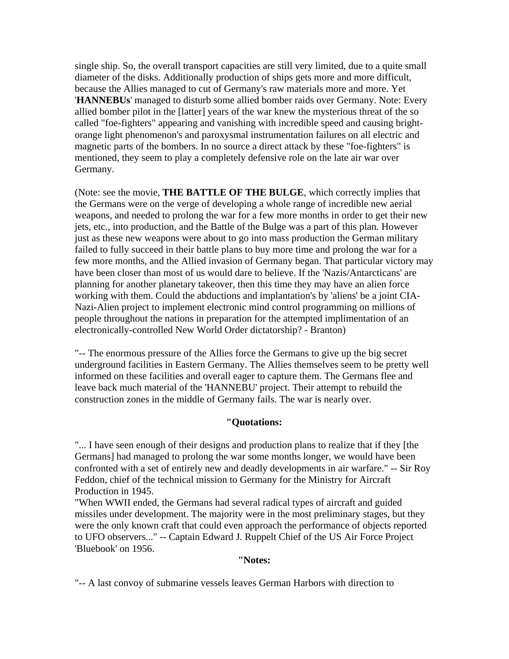single ship. So, the overall transport capacities are still very limited, due to a quite small diameter of the disks. Additionally production of ships gets more and more difficult, because the Allies managed to cut of Germany's raw materials more and more. Yet '**HANNEBUs**' managed to disturb some allied bomber raids over Germany. Note: Every allied bomber pilot in the [latter] years of the war knew the mysterious threat of the so called "foe-fighters" appearing and vanishing with incredible speed and causing brightorange light phenomenon's and paroxysmal instrumentation failures on all electric and magnetic parts of the bombers. In no source a direct attack by these "foe-fighters" is mentioned, they seem to play a completely defensive role on the late air war over Germany.

(Note: see the movie, **THE BATTLE OF THE BULGE**, which correctly implies that the Germans were on the verge of developing a whole range of incredible new aerial weapons, and needed to prolong the war for a few more months in order to get their new jets, etc., into production, and the Battle of the Bulge was a part of this plan. However just as these new weapons were about to go into mass production the German military failed to fully succeed in their battle plans to buy more time and prolong the war for a few more months, and the Allied invasion of Germany began. That particular victory may have been closer than most of us would dare to believe. If the 'Nazis/Antarcticans' are planning for another planetary takeover, then this time they may have an alien force working with them. Could the abductions and implantation's by 'aliens' be a joint CIA-Nazi-Alien project to implement electronic mind control programming on millions of people throughout the nations in preparation for the attempted implimentation of an electronically-controlled New World Order dictatorship? - Branton)

"-- The enormous pressure of the Allies force the Germans to give up the big secret underground facilities in Eastern Germany. The Allies themselves seem to be pretty well informed on these facilities and overall eager to capture them. The Germans flee and leave back much material of the 'HANNEBU' project. Their attempt to rebuild the construction zones in the middle of Germany fails. The war is nearly over.

#### **"Quotations:**

"... I have seen enough of their designs and production plans to realize that if they [the Germans] had managed to prolong the war some months longer, we would have been confronted with a set of entirely new and deadly developments in air warfare." -- Sir Roy Feddon, chief of the technical mission to Germany for the Ministry for Aircraft Production in 1945.

"When WWII ended, the Germans had several radical types of aircraft and guided missiles under development. The majority were in the most preliminary stages, but they were the only known craft that could even approach the performance of objects reported to UFO observers..." -- Captain Edward J. Ruppelt Chief of the US Air Force Project 'Bluebook' on 1956.

#### **"Notes:**

"-- A last convoy of submarine vessels leaves German Harbors with direction to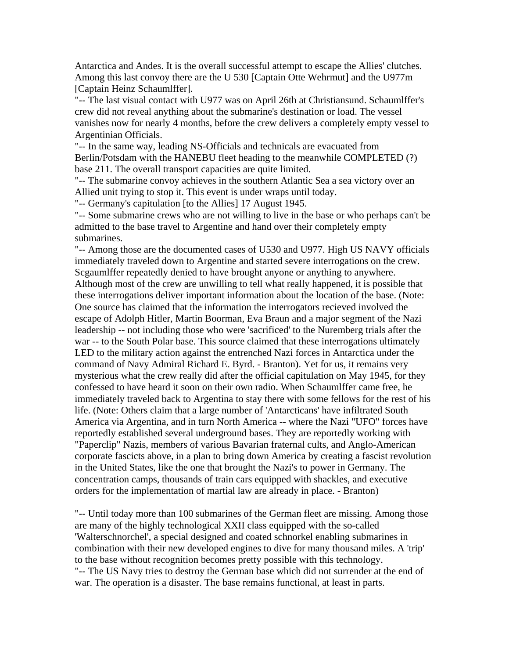Antarctica and Andes. It is the overall successful attempt to escape the Allies' clutches. Among this last convoy there are the U 530 [Captain Otte Wehrmut] and the U977m [Captain Heinz Schaumlffer].

"-- The last visual contact with U977 was on April 26th at Christiansund. Schaumlffer's crew did not reveal anything about the submarine's destination or load. The vessel vanishes now for nearly 4 months, before the crew delivers a completely empty vessel to Argentinian Officials.

"-- In the same way, leading NS-Officials and technicals are evacuated from Berlin/Potsdam with the HANEBU fleet heading to the meanwhile COMPLETED (?) base 211. The overall transport capacities are quite limited.

"-- The submarine convoy achieves in the southern Atlantic Sea a sea victory over an Allied unit trying to stop it. This event is under wraps until today.

"-- Germany's capitulation [to the Allies] 17 August 1945.

"-- Some submarine crews who are not willing to live in the base or who perhaps can't be admitted to the base travel to Argentine and hand over their completely empty submarines.

"-- Among those are the documented cases of U530 and U977. High US NAVY officials immediately traveled down to Argentine and started severe interrogations on the crew. Scgaumlffer repeatedly denied to have brought anyone or anything to anywhere. Although most of the crew are unwilling to tell what really happened, it is possible that these interrogations deliver important information about the location of the base. (Note: One source has claimed that the information the interrogators recieved involved the escape of Adolph Hitler, Martin Boorman, Eva Braun and a major segment of the Nazi leadership -- not including those who were 'sacrificed' to the Nuremberg trials after the war -- to the South Polar base. This source claimed that these interrogations ultimately LED to the military action against the entrenched Nazi forces in Antarctica under the command of Navy Admiral Richard E. Byrd. - Branton). Yet for us, it remains very mysterious what the crew really did after the official capitulation on May 1945, for they confessed to have heard it soon on their own radio. When Schaumlffer came free, he immediately traveled back to Argentina to stay there with some fellows for the rest of his life. (Note: Others claim that a large number of 'Antarcticans' have infiltrated South America via Argentina, and in turn North America -- where the Nazi "UFO" forces have reportedly established several underground bases. They are reportedly working with "Paperclip" Nazis, members of various Bavarian fraternal cults, and Anglo-American corporate fascicts above, in a plan to bring down America by creating a fascist revolution in the United States, like the one that brought the Nazi's to power in Germany. The concentration camps, thousands of train cars equipped with shackles, and executive orders for the implementation of martial law are already in place. - Branton)

"-- Until today more than 100 submarines of the German fleet are missing. Among those are many of the highly technological XXII class equipped with the so-called 'Walterschnorchel', a special designed and coated schnorkel enabling submarines in combination with their new developed engines to dive for many thousand miles. A 'trip' to the base without recognition becomes pretty possible with this technology. "-- The US Navy tries to destroy the German base which did not surrender at the end of war. The operation is a disaster. The base remains functional, at least in parts.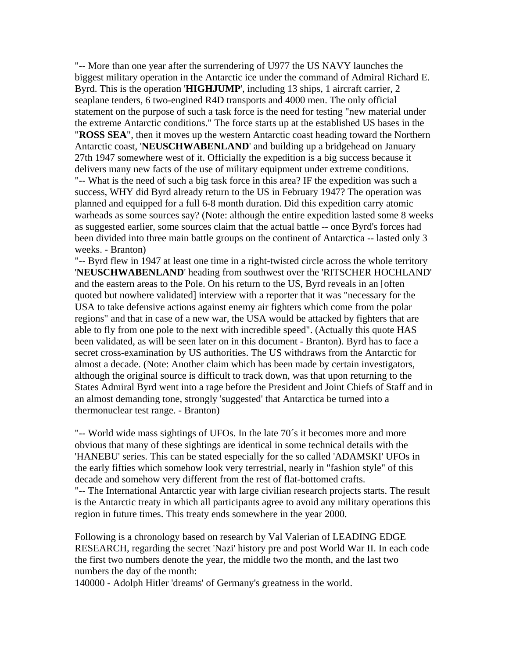"-- More than one year after the surrendering of U977 the US NAVY launches the biggest military operation in the Antarctic ice under the command of Admiral Richard E. Byrd. This is the operation '**HIGHJUMP**', including 13 ships, 1 aircraft carrier, 2 seaplane tenders, 6 two-engined R4D transports and 4000 men. The only official statement on the purpose of such a task force is the need for testing "new material under the extreme Antarctic conditions." The force starts up at the established US bases in the "**ROSS SEA**", then it moves up the western Antarctic coast heading toward the Northern Antarctic coast, '**NEUSCHWABENLAND**' and building up a bridgehead on January 27th 1947 somewhere west of it. Officially the expedition is a big success because it delivers many new facts of the use of military equipment under extreme conditions. "-- What is the need of such a big task force in this area? IF the expedition was such a success, WHY did Byrd already return to the US in February 1947? The operation was planned and equipped for a full 6-8 month duration. Did this expedition carry atomic warheads as some sources say? (Note: although the entire expedition lasted some 8 weeks as suggested earlier, some sources claim that the actual battle -- once Byrd's forces had been divided into three main battle groups on the continent of Antarctica -- lasted only 3 weeks. - Branton)

"-- Byrd flew in 1947 at least one time in a right-twisted circle across the whole territory '**NEUSCHWABENLAND**' heading from southwest over the 'RITSCHER HOCHLAND' and the eastern areas to the Pole. On his return to the US, Byrd reveals in an [often quoted but nowhere validated] interview with a reporter that it was "necessary for the USA to take defensive actions against enemy air fighters which come from the polar regions" and that in case of a new war, the USA would be attacked by fighters that are able to fly from one pole to the next with incredible speed". (Actually this quote HAS been validated, as will be seen later on in this document - Branton). Byrd has to face a secret cross-examination by US authorities. The US withdraws from the Antarctic for almost a decade. (Note: Another claim which has been made by certain investigators, although the original source is difficult to track down, was that upon returning to the States Admiral Byrd went into a rage before the President and Joint Chiefs of Staff and in an almost demanding tone, strongly 'suggested' that Antarctica be turned into a thermonuclear test range. - Branton)

"-- World wide mass sightings of UFOs. In the late 70´s it becomes more and more obvious that many of these sightings are identical in some technical details with the 'HANEBU' series. This can be stated especially for the so called 'ADAMSKI' UFOs in the early fifties which somehow look very terrestrial, nearly in "fashion style" of this decade and somehow very different from the rest of flat-bottomed crafts. "-- The International Antarctic year with large civilian research projects starts. The result

is the Antarctic treaty in which all participants agree to avoid any military operations this region in future times. This treaty ends somewhere in the year 2000.

Following is a chronology based on research by Val Valerian of LEADING EDGE RESEARCH, regarding the secret 'Nazi' history pre and post World War II. In each code the first two numbers denote the year, the middle two the month, and the last two numbers the day of the month:

140000 - Adolph Hitler 'dreams' of Germany's greatness in the world.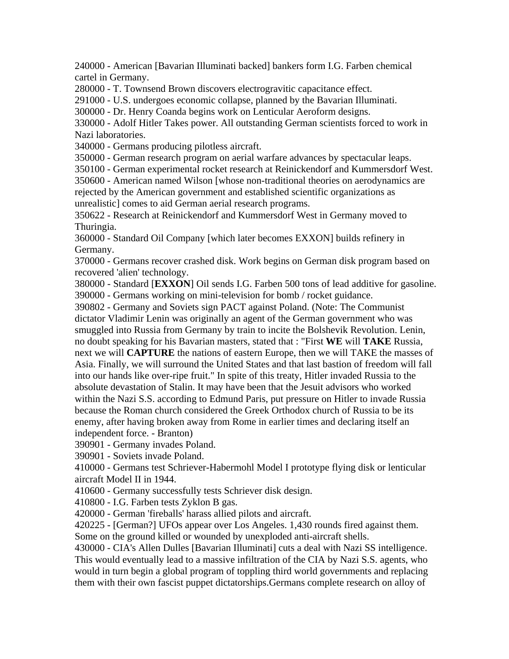240000 - American [Bavarian Illuminati backed] bankers form I.G. Farben chemical cartel in Germany.

280000 - T. Townsend Brown discovers electrogravitic capacitance effect.

291000 - U.S. undergoes economic collapse, planned by the Bavarian Illuminati.

300000 - Dr. Henry Coanda begins work on Lenticular Aeroform designs.

330000 - Adolf Hitler Takes power. All outstanding German scientists forced to work in Nazi laboratories.

340000 - Germans producing pilotless aircraft.

350000 - German research program on aerial warfare advances by spectacular leaps.

350100 - German experimental rocket research at Reinickendorf and Kummersdorf West.

350600 - American named Wilson [whose non-traditional theories on aerodynamics are rejected by the American government and established scientific organizations as unrealistic] comes to aid German aerial research programs.

350622 - Research at Reinickendorf and Kummersdorf West in Germany moved to Thuringia.

360000 - Standard Oil Company [which later becomes EXXON] builds refinery in Germany.

370000 - Germans recover crashed disk. Work begins on German disk program based on recovered 'alien' technology.

380000 - Standard [**EXXON**] Oil sends I.G. Farben 500 tons of lead additive for gasoline. 390000 - Germans working on mini-television for bomb / rocket guidance.

390802 - Germany and Soviets sign PACT against Poland. (Note: The Communist dictator Vladimir Lenin was originally an agent of the German government who was smuggled into Russia from Germany by train to incite the Bolshevik Revolution. Lenin, no doubt speaking for his Bavarian masters, stated that : "First **WE** will **TAKE** Russia, next we will **CAPTURE** the nations of eastern Europe, then we will TAKE the masses of Asia. Finally, we will surround the United States and that last bastion of freedom will fall into our hands like over-ripe fruit." In spite of this treaty, Hitler invaded Russia to the absolute devastation of Stalin. It may have been that the Jesuit advisors who worked within the Nazi S.S. according to Edmund Paris, put pressure on Hitler to invade Russia because the Roman church considered the Greek Orthodox church of Russia to be its enemy, after having broken away from Rome in earlier times and declaring itself an independent force. - Branton)

390901 - Germany invades Poland.

390901 - Soviets invade Poland.

410000 - Germans test Schriever-Habermohl Model I prototype flying disk or lenticular aircraft Model II in 1944.

410600 - Germany successfully tests Schriever disk design.

410800 - I.G. Farben tests Zyklon B gas.

420000 - German 'fireballs' harass allied pilots and aircraft.

420225 - [German?] UFOs appear over Los Angeles. 1,430 rounds fired against them. Some on the ground killed or wounded by unexploded anti-aircraft shells.

430000 - CIA's Allen Dulles [Bavarian Illuminati] cuts a deal with Nazi SS intelligence. This would eventually lead to a massive infiltration of the CIA by Nazi S.S. agents, who would in turn begin a global program of toppling third world governments and replacing them with their own fascist puppet dictatorships.Germans complete research on alloy of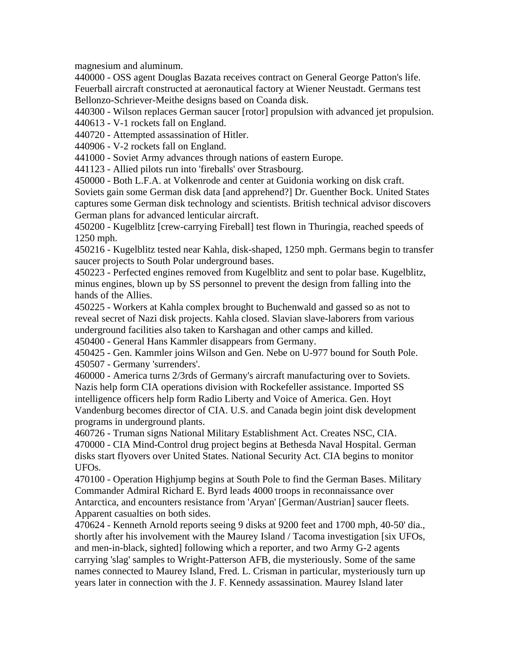magnesium and aluminum.

440000 - OSS agent Douglas Bazata receives contract on General George Patton's life. Feuerball aircraft constructed at aeronautical factory at Wiener Neustadt. Germans test Bellonzo-Schriever-Meithe designs based on Coanda disk.

440300 - Wilson replaces German saucer [rotor] propulsion with advanced jet propulsion.

440613 - V-1 rockets fall on England.

440720 - Attempted assassination of Hitler.

440906 - V-2 rockets fall on England.

441000 - Soviet Army advances through nations of eastern Europe.

441123 - Allied pilots run into 'fireballs' over Strasbourg.

450000 - Both L.F.A. at Volkenrode and center at Guidonia working on disk craft.

Soviets gain some German disk data [and apprehend?] Dr. Guenther Bock. United States captures some German disk technology and scientists. British technical advisor discovers German plans for advanced lenticular aircraft.

450200 - Kugelblitz [crew-carrying Fireball] test flown in Thuringia, reached speeds of 1250 mph.

450216 - Kugelblitz tested near Kahla, disk-shaped, 1250 mph. Germans begin to transfer saucer projects to South Polar underground bases.

450223 - Perfected engines removed from Kugelblitz and sent to polar base. Kugelblitz, minus engines, blown up by SS personnel to prevent the design from falling into the hands of the Allies.

450225 - Workers at Kahla complex brought to Buchenwald and gassed so as not to reveal secret of Nazi disk projects. Kahla closed. Slavian slave-laborers from various underground facilities also taken to Karshagan and other camps and killed.

450400 - General Hans Kammler disappears from Germany.

450425 - Gen. Kammler joins Wilson and Gen. Nebe on U-977 bound for South Pole. 450507 - Germany 'surrenders'.

460000 - America turns 2/3rds of Germany's aircraft manufacturing over to Soviets. Nazis help form CIA operations division with Rockefeller assistance. Imported SS intelligence officers help form Radio Liberty and Voice of America. Gen. Hoyt Vandenburg becomes director of CIA. U.S. and Canada begin joint disk development programs in underground plants.

460726 - Truman signs National Military Establishment Act. Creates NSC, CIA. 470000 - CIA Mind-Control drug project begins at Bethesda Naval Hospital. German disks start flyovers over United States. National Security Act. CIA begins to monitor

UFOs. 470100 - Operation Highjump begins at South Pole to find the German Bases. Military Commander Admiral Richard E. Byrd leads 4000 troops in reconnaissance over Antarctica, and encounters resistance from 'Aryan' [German/Austrian] saucer fleets.

Apparent casualties on both sides.

470624 - Kenneth Arnold reports seeing 9 disks at 9200 feet and 1700 mph, 40-50' dia., shortly after his involvement with the Maurey Island / Tacoma investigation [six UFOs, and men-in-black, sighted] following which a reporter, and two Army G-2 agents carrying 'slag' samples to Wright-Patterson AFB, die mysteriously. Some of the same names connected to Maurey Island, Fred. L. Crisman in particular, mysteriously turn up years later in connection with the J. F. Kennedy assassination. Maurey Island later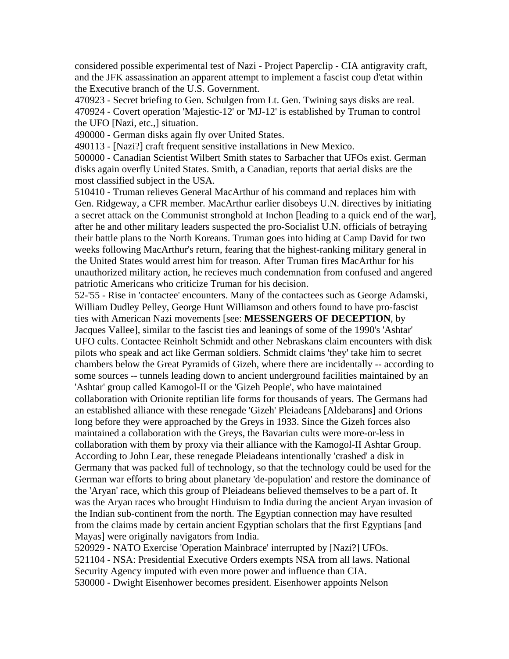considered possible experimental test of Nazi - Project Paperclip - CIA antigravity craft, and the JFK assassination an apparent attempt to implement a fascist coup d'etat within the Executive branch of the U.S. Government.

470923 - Secret briefing to Gen. Schulgen from Lt. Gen. Twining says disks are real. 470924 - Covert operation 'Majestic-12' or 'MJ-12' is established by Truman to control the UFO [Nazi, etc.,] situation.

490000 - German disks again fly over United States.

490113 - [Nazi?] craft frequent sensitive installations in New Mexico.

500000 - Canadian Scientist Wilbert Smith states to Sarbacher that UFOs exist. German disks again overfly United States. Smith, a Canadian, reports that aerial disks are the most classified subject in the USA.

510410 - Truman relieves General MacArthur of his command and replaces him with Gen. Ridgeway, a CFR member. MacArthur earlier disobeys U.N. directives by initiating a secret attack on the Communist stronghold at Inchon [leading to a quick end of the war], after he and other military leaders suspected the pro-Socialist U.N. officials of betraying their battle plans to the North Koreans. Truman goes into hiding at Camp David for two weeks following MacArthur's return, fearing that the highest-ranking military general in the United States would arrest him for treason. After Truman fires MacArthur for his unauthorized military action, he recieves much condemnation from confused and angered patriotic Americans who criticize Truman for his decision.

52-'55 - Rise in 'contactee' encounters. Many of the contactees such as George Adamski, William Dudley Pelley, George Hunt Williamson and others found to have pro-fascist ties with American Nazi movements [see: **MESSENGERS OF DECEPTION**, by Jacques Vallee], similar to the fascist ties and leanings of some of the 1990's 'Ashtar' UFO cults. Contactee Reinholt Schmidt and other Nebraskans claim encounters with disk pilots who speak and act like German soldiers. Schmidt claims 'they' take him to secret chambers below the Great Pyramids of Gizeh, where there are incidentally -- according to some sources -- tunnels leading down to ancient underground facilities maintained by an 'Ashtar' group called Kamogol-II or the 'Gizeh People', who have maintained collaboration with Orionite reptilian life forms for thousands of years. The Germans had an established alliance with these renegade 'Gizeh' Pleiadeans [Aldebarans] and Orions long before they were approached by the Greys in 1933. Since the Gizeh forces also maintained a collaboration with the Greys, the Bavarian cults were more-or-less in collaboration with them by proxy via their alliance with the Kamogol-II Ashtar Group. According to John Lear, these renegade Pleiadeans intentionally 'crashed' a disk in Germany that was packed full of technology, so that the technology could be used for the German war efforts to bring about planetary 'de-population' and restore the dominance of the 'Aryan' race, which this group of Pleiadeans believed themselves to be a part of. It was the Aryan races who brought Hinduism to India during the ancient Aryan invasion of the Indian sub-continent from the north. The Egyptian connection may have resulted from the claims made by certain ancient Egyptian scholars that the first Egyptians [and Mayas] were originally navigators from India.

520929 - NATO Exercise 'Operation Mainbrace' interrupted by [Nazi?] UFOs.

521104 - NSA: Presidential Executive Orders exempts NSA from all laws. National Security Agency imputed with even more power and influence than CIA.

530000 - Dwight Eisenhower becomes president. Eisenhower appoints Nelson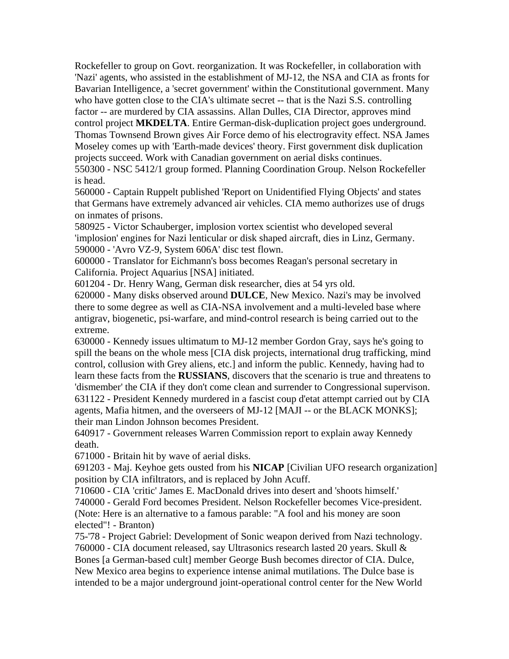Rockefeller to group on Govt. reorganization. It was Rockefeller, in collaboration with 'Nazi' agents, who assisted in the establishment of MJ-12, the NSA and CIA as fronts for Bavarian Intelligence, a 'secret government' within the Constitutional government. Many who have gotten close to the CIA's ultimate secret -- that is the Nazi S.S. controlling factor -- are murdered by CIA assassins. Allan Dulles, CIA Director, approves mind control project **MKDELTA**. Entire German-disk-duplication project goes underground. Thomas Townsend Brown gives Air Force demo of his electrogravity effect. NSA James Moseley comes up with 'Earth-made devices' theory. First government disk duplication projects succeed. Work with Canadian government on aerial disks continues.

550300 - NSC 5412/1 group formed. Planning Coordination Group. Nelson Rockefeller is head.

560000 - Captain Ruppelt published 'Report on Unidentified Flying Objects' and states that Germans have extremely advanced air vehicles. CIA memo authorizes use of drugs on inmates of prisons.

580925 - Victor Schauberger, implosion vortex scientist who developed several 'implosion' engines for Nazi lenticular or disk shaped aircraft, dies in Linz, Germany. 590000 - 'Avro VZ-9, System 606A' disc test flown.

600000 - Translator for Eichmann's boss becomes Reagan's personal secretary in California. Project Aquarius [NSA] initiated.

601204 - Dr. Henry Wang, German disk researcher, dies at 54 yrs old.

620000 - Many disks observed around **DULCE**, New Mexico. Nazi's may be involved there to some degree as well as CIA-NSA involvement and a multi-leveled base where antigrav, biogenetic, psi-warfare, and mind-control research is being carried out to the extreme.

630000 - Kennedy issues ultimatum to MJ-12 member Gordon Gray, says he's going to spill the beans on the whole mess [CIA disk projects, international drug trafficking, mind control, collusion with Grey aliens, etc.] and inform the public. Kennedy, having had to learn these facts from the **RUSSIANS**, discovers that the scenario is true and threatens to 'dismember' the CIA if they don't come clean and surrender to Congressional supervison. 631122 - President Kennedy murdered in a fascist coup d'etat attempt carried out by CIA agents, Mafia hitmen, and the overseers of MJ-12 [MAJI -- or the BLACK MONKS]; their man Lindon Johnson becomes President.

640917 - Government releases Warren Commission report to explain away Kennedy death.

671000 - Britain hit by wave of aerial disks.

691203 - Maj. Keyhoe gets ousted from his **NICAP** [Civilian UFO research organization] position by CIA infiltrators, and is replaced by John Acuff.

710600 - CIA 'critic' James E. MacDonald drives into desert and 'shoots himself.'

740000 - Gerald Ford becomes President. Nelson Rockefeller becomes Vice-president. (Note: Here is an alternative to a famous parable: "A fool and his money are soon elected"! - Branton)

75-'78 - Project Gabriel: Development of Sonic weapon derived from Nazi technology. 760000 - CIA document released, say Ultrasonics research lasted 20 years. Skull &

Bones [a German-based cult] member George Bush becomes director of CIA. Dulce, New Mexico area begins to experience intense animal mutilations. The Dulce base is intended to be a major underground joint-operational control center for the New World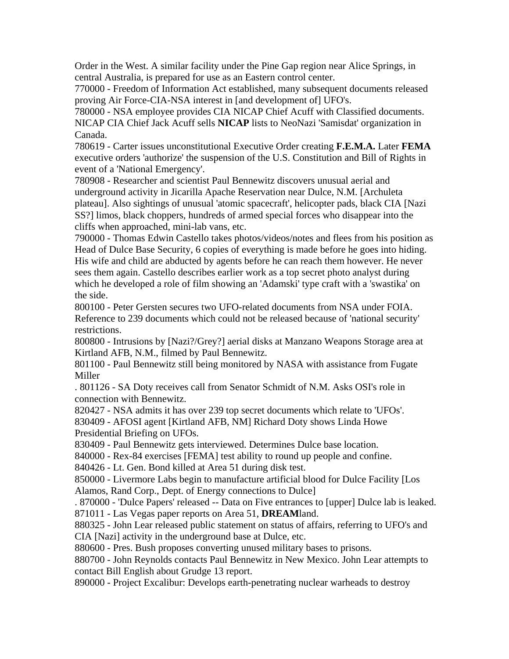Order in the West. A similar facility under the Pine Gap region near Alice Springs, in central Australia, is prepared for use as an Eastern control center.

770000 - Freedom of Information Act established, many subsequent documents released proving Air Force-CIA-NSA interest in [and development of] UFO's.

780000 - NSA employee provides CIA NICAP Chief Acuff with Classified documents. NICAP CIA Chief Jack Acuff sells **NICAP** lists to NeoNazi 'Samisdat' organization in Canada.

780619 - Carter issues unconstitutional Executive Order creating **F.E.M.A.** Later **FEMA**  executive orders 'authorize' the suspension of the U.S. Constitution and Bill of Rights in event of a 'National Emergency'.

780908 - Researcher and scientist Paul Bennewitz discovers unusual aerial and underground activity in Jicarilla Apache Reservation near Dulce, N.M. [Archuleta plateau]. Also sightings of unusual 'atomic spacecraft', helicopter pads, black CIA [Nazi SS?] limos, black choppers, hundreds of armed special forces who disappear into the cliffs when approached, mini-lab vans, etc.

790000 - Thomas Edwin Castello takes photos/videos/notes and flees from his position as Head of Dulce Base Security, 6 copies of everything is made before he goes into hiding. His wife and child are abducted by agents before he can reach them however. He never sees them again. Castello describes earlier work as a top secret photo analyst during which he developed a role of film showing an 'Adamski' type craft with a 'swastika' on the side.

800100 - Peter Gersten secures two UFO-related documents from NSA under FOIA. Reference to 239 documents which could not be released because of 'national security' restrictions.

800800 - Intrusions by [Nazi?/Grey?] aerial disks at Manzano Weapons Storage area at Kirtland AFB, N.M., filmed by Paul Bennewitz.

801100 - Paul Bennewitz still being monitored by NASA with assistance from Fugate Miller

. 801126 - SA Doty receives call from Senator Schmidt of N.M. Asks OSI's role in connection with Bennewitz.

820427 - NSA admits it has over 239 top secret documents which relate to 'UFOs'.

830409 - AFOSI agent [Kirtland AFB, NM] Richard Doty shows Linda Howe Presidential Briefing on UFOs.

830409 - Paul Bennewitz gets interviewed. Determines Dulce base location.

840000 - Rex-84 exercises [FEMA] test ability to round up people and confine.

840426 - Lt. Gen. Bond killed at Area 51 during disk test.

850000 - Livermore Labs begin to manufacture artificial blood for Dulce Facility [Los Alamos, Rand Corp., Dept. of Energy connections to Dulce]

. 870000 - 'Dulce Papers' released -- Data on Five entrances to [upper] Dulce lab is leaked.

871011 - Las Vegas paper reports on Area 51, **DREAM**land.

880325 - John Lear released public statement on status of affairs, referring to UFO's and CIA [Nazi] activity in the underground base at Dulce, etc.

880600 - Pres. Bush proposes converting unused military bases to prisons.

880700 - John Reynolds contacts Paul Bennewitz in New Mexico. John Lear attempts to contact Bill English about Grudge 13 report.

890000 - Project Excalibur: Develops earth-penetrating nuclear warheads to destroy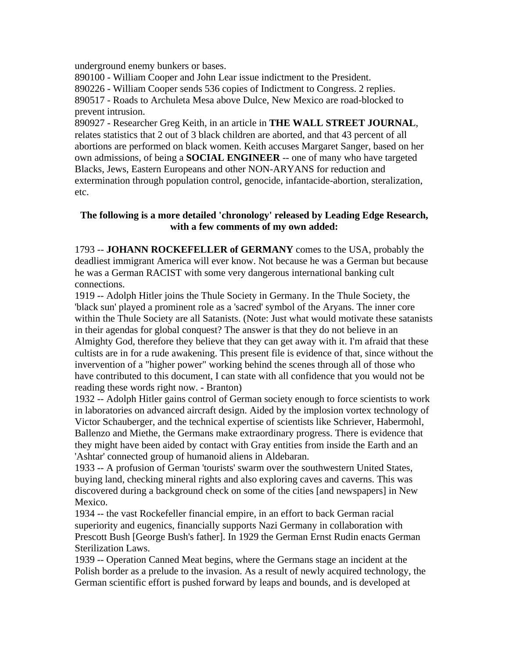underground enemy bunkers or bases.

890100 - William Cooper and John Lear issue indictment to the President. 890226 - William Cooper sends 536 copies of Indictment to Congress. 2 replies. 890517 - Roads to Archuleta Mesa above Dulce, New Mexico are road-blocked to prevent intrusion.

890927 - Researcher Greg Keith, in an article in **THE WALL STREET JOURNAL**, relates statistics that 2 out of 3 black children are aborted, and that 43 percent of all abortions are performed on black women. Keith accuses Margaret Sanger, based on her own admissions, of being a **SOCIAL ENGINEER** -- one of many who have targeted Blacks, Jews, Eastern Europeans and other NON-ARYANS for reduction and extermination through population control, genocide, infantacide-abortion, steralization, etc.

# **The following is a more detailed 'chronology' released by Leading Edge Research, with a few comments of my own added:**

1793 -- **JOHANN ROCKEFELLER of GERMANY** comes to the USA, probably the deadliest immigrant America will ever know. Not because he was a German but because he was a German RACIST with some very dangerous international banking cult connections.

1919 -- Adolph Hitler joins the Thule Society in Germany. In the Thule Society, the 'black sun' played a prominent role as a 'sacred' symbol of the Aryans. The inner core within the Thule Society are all Satanists. (Note: Just what would motivate these satanists in their agendas for global conquest? The answer is that they do not believe in an Almighty God, therefore they believe that they can get away with it. I'm afraid that these cultists are in for a rude awakening. This present file is evidence of that, since without the invervention of a "higher power" working behind the scenes through all of those who have contributed to this document, I can state with all confidence that you would not be reading these words right now. - Branton)

1932 -- Adolph Hitler gains control of German society enough to force scientists to work in laboratories on advanced aircraft design. Aided by the implosion vortex technology of Victor Schauberger, and the technical expertise of scientists like Schriever, Habermohl, Ballenzo and Miethe, the Germans make extraordinary progress. There is evidence that they might have been aided by contact with Gray entities from inside the Earth and an 'Ashtar' connected group of humanoid aliens in Aldebaran.

1933 -- A profusion of German 'tourists' swarm over the southwestern United States, buying land, checking mineral rights and also exploring caves and caverns. This was discovered during a background check on some of the cities [and newspapers] in New Mexico.

1934 -- the vast Rockefeller financial empire, in an effort to back German racial superiority and eugenics, financially supports Nazi Germany in collaboration with Prescott Bush [George Bush's father]. In 1929 the German Ernst Rudin enacts German Sterilization Laws.

1939 -- Operation Canned Meat begins, where the Germans stage an incident at the Polish border as a prelude to the invasion. As a result of newly acquired technology, the German scientific effort is pushed forward by leaps and bounds, and is developed at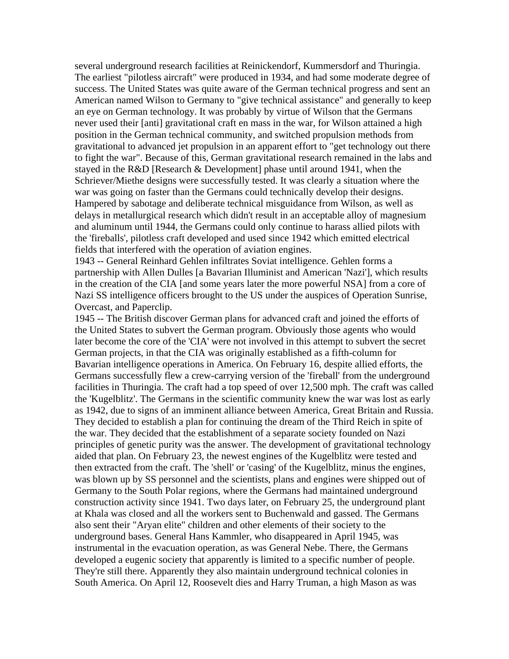several underground research facilities at Reinickendorf, Kummersdorf and Thuringia. The earliest "pilotless aircraft" were produced in 1934, and had some moderate degree of success. The United States was quite aware of the German technical progress and sent an American named Wilson to Germany to "give technical assistance" and generally to keep an eye on German technology. It was probably by virtue of Wilson that the Germans never used their [anti] gravitational craft en mass in the war, for Wilson attained a high position in the German technical community, and switched propulsion methods from gravitational to advanced jet propulsion in an apparent effort to "get technology out there to fight the war". Because of this, German gravitational research remained in the labs and stayed in the R&D [Research & Development] phase until around 1941, when the Schriever/Miethe designs were successfully tested. It was clearly a situation where the war was going on faster than the Germans could technically develop their designs. Hampered by sabotage and deliberate technical misguidance from Wilson, as well as delays in metallurgical research which didn't result in an acceptable alloy of magnesium and aluminum until 1944, the Germans could only continue to harass allied pilots with the 'fireballs', pilotless craft developed and used since 1942 which emitted electrical fields that interfered with the operation of aviation engines.

1943 -- General Reinhard Gehlen infiltrates Soviat intelligence. Gehlen forms a partnership with Allen Dulles [a Bavarian Illuminist and American 'Nazi'], which results in the creation of the CIA [and some years later the more powerful NSA] from a core of Nazi SS intelligence officers brought to the US under the auspices of Operation Sunrise, Overcast, and Paperclip.

1945 -- The British discover German plans for advanced craft and joined the efforts of the United States to subvert the German program. Obviously those agents who would later become the core of the 'CIA' were not involved in this attempt to subvert the secret German projects, in that the CIA was originally established as a fifth-column for Bavarian intelligence operations in America. On February 16, despite allied efforts, the Germans successfully flew a crew-carrying version of the 'fireball' from the underground facilities in Thuringia. The craft had a top speed of over 12,500 mph. The craft was called the 'Kugelblitz'. The Germans in the scientific community knew the war was lost as early as 1942, due to signs of an imminent alliance between America, Great Britain and Russia. They decided to establish a plan for continuing the dream of the Third Reich in spite of the war. They decided that the establishment of a separate society founded on Nazi principles of genetic purity was the answer. The development of gravitational technology aided that plan. On February 23, the newest engines of the Kugelblitz were tested and then extracted from the craft. The 'shell' or 'casing' of the Kugelblitz, minus the engines, was blown up by SS personnel and the scientists, plans and engines were shipped out of Germany to the South Polar regions, where the Germans had maintained underground construction activity since 1941. Two days later, on February 25, the underground plant at Khala was closed and all the workers sent to Buchenwald and gassed. The Germans also sent their "Aryan elite" children and other elements of their society to the underground bases. General Hans Kammler, who disappeared in April 1945, was instrumental in the evacuation operation, as was General Nebe. There, the Germans developed a eugenic society that apparently is limited to a specific number of people. They're still there. Apparently they also maintain underground technical colonies in South America. On April 12, Roosevelt dies and Harry Truman, a high Mason as was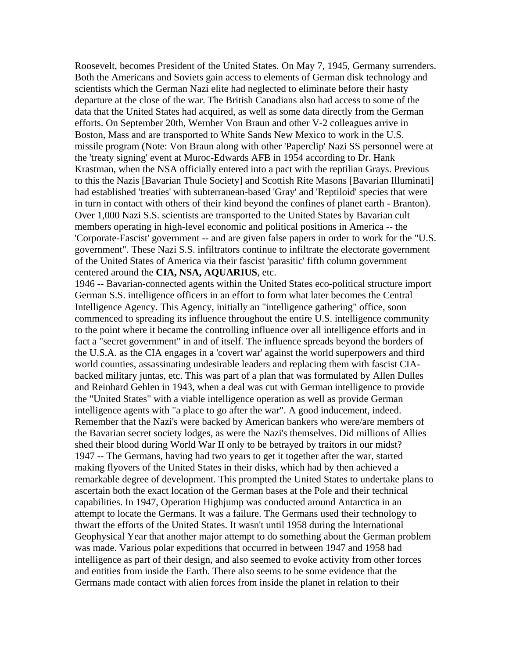Roosevelt, becomes President of the United States. On May 7, 1945, Germany surrenders. Both the Americans and Soviets gain access to elements of German disk technology and scientists which the German Nazi elite had neglected to eliminate before their hasty departure at the close of the war. The British Canadians also had access to some of the data that the United States had acquired, as well as some data directly from the German efforts. On September 20th, Wernher Von Braun and other V-2 colleagues arrive in Boston, Mass and are transported to White Sands New Mexico to work in the U.S. missile program (Note: Von Braun along with other 'Paperclip' Nazi SS personnel were at the 'treaty signing' event at Muroc-Edwards AFB in 1954 according to Dr. Hank Krastman, when the NSA officially entered into a pact with the reptilian Grays. Previous to this the Nazis [Bavarian Thule Society] and Scottish Rite Masons [Bavarian Illuminati] had established 'treaties' with subterranean-based 'Gray' and 'Reptiloid' species that were in turn in contact with others of their kind beyond the confines of planet earth - Branton). Over 1,000 Nazi S.S. scientists are transported to the United States by Bavarian cult members operating in high-level economic and political positions in America -- the 'Corporate-Fascist' government -- and are given false papers in order to work for the "U.S. government". These Nazi S.S. infiltrators continue to infiltrate the electorate government of the United States of America via their fascist 'parasitic' fifth column government centered around the **CIA, NSA, AQUARIUS**, etc.

1946 -- Bavarian-connected agents within the United States eco-political structure import German S.S. intelligence officers in an effort to form what later becomes the Central Intelligence Agency. This Agency, initially an "intelligence gathering" office, soon commenced to spreading its influence throughout the entire U.S. intelligence community to the point where it became the controlling influence over all intelligence efforts and in fact a "secret government" in and of itself. The influence spreads beyond the borders of the U.S.A. as the CIA engages in a 'covert war' against the world superpowers and third world counties, assassinating undesirable leaders and replacing them with fascist CIAbacked military juntas, etc. This was part of a plan that was formulated by Allen Dulles and Reinhard Gehlen in 1943, when a deal was cut with German intelligence to provide the "United States" with a viable intelligence operation as well as provide German intelligence agents with "a place to go after the war". A good inducement, indeed. Remember that the Nazi's were backed by American bankers who were/are members of the Bavarian secret society lodges, as were the Nazi's themselves. Did millions of Allies shed their blood during World War II only to be betrayed by traitors in our midst? 1947 -- The Germans, having had two years to get it together after the war, started making flyovers of the United States in their disks, which had by then achieved a remarkable degree of development. This prompted the United States to undertake plans to ascertain both the exact location of the German bases at the Pole and their technical capabilities. In 1947, Operation Highjump was conducted around Antarctica in an attempt to locate the Germans. It was a failure. The Germans used their technology to thwart the efforts of the United States. It wasn't until 1958 during the International Geophysical Year that another major attempt to do something about the German problem was made. Various polar expeditions that occurred in between 1947 and 1958 had intelligence as part of their design, and also seemed to evoke activity from other forces and entities from inside the Earth. There also seems to be some evidence that the Germans made contact with alien forces from inside the planet in relation to their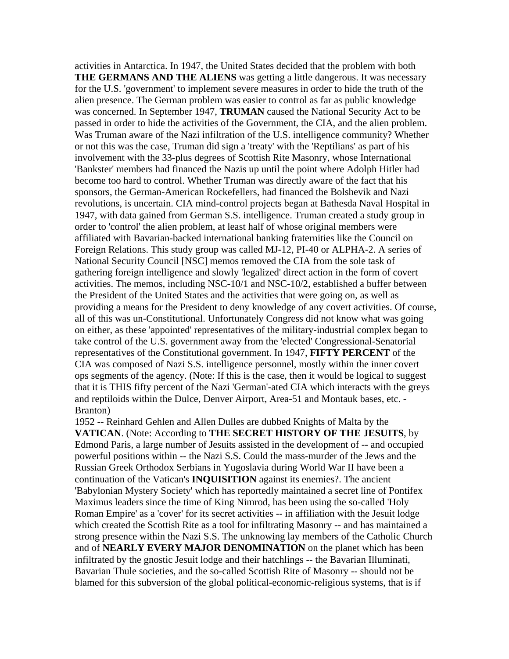activities in Antarctica. In 1947, the United States decided that the problem with both **THE GERMANS AND THE ALIENS** was getting a little dangerous. It was necessary for the U.S. 'government' to implement severe measures in order to hide the truth of the alien presence. The German problem was easier to control as far as public knowledge was concerned. In September 1947, **TRUMAN** caused the National Security Act to be passed in order to hide the activities of the Government, the CIA, and the alien problem. Was Truman aware of the Nazi infiltration of the U.S. intelligence community? Whether or not this was the case, Truman did sign a 'treaty' with the 'Reptilians' as part of his involvement with the 33-plus degrees of Scottish Rite Masonry, whose International 'Bankster' members had financed the Nazis up until the point where Adolph Hitler had become too hard to control. Whether Truman was directly aware of the fact that his sponsors, the German-American Rockefellers, had financed the Bolshevik and Nazi revolutions, is uncertain. CIA mind-control projects began at Bathesda Naval Hospital in 1947, with data gained from German S.S. intelligence. Truman created a study group in order to 'control' the alien problem, at least half of whose original members were affiliated with Bavarian-backed international banking fraternities like the Council on Foreign Relations. This study group was called MJ-12, PI-40 or ALPHA-2. A series of National Security Council [NSC] memos removed the CIA from the sole task of gathering foreign intelligence and slowly 'legalized' direct action in the form of covert activities. The memos, including NSC-10/1 and NSC-10/2, established a buffer between the President of the United States and the activities that were going on, as well as providing a means for the President to deny knowledge of any covert activities. Of course, all of this was un-Constitutional. Unfortunately Congress did not know what was going on either, as these 'appointed' representatives of the military-industrial complex began to take control of the U.S. government away from the 'elected' Congressional-Senatorial representatives of the Constitutional government. In 1947, **FIFTY PERCENT** of the CIA was composed of Nazi S.S. intelligence personnel, mostly within the inner covert ops segments of the agency. (Note: If this is the case, then it would be logical to suggest that it is THIS fifty percent of the Nazi 'German'-ated CIA which interacts with the greys and reptiloids within the Dulce, Denver Airport, Area-51 and Montauk bases, etc. - Branton)

1952 -- Reinhard Gehlen and Allen Dulles are dubbed Knights of Malta by the **VATICAN**. (Note: According to **THE SECRET HISTORY OF THE JESUITS**, by Edmond Paris, a large number of Jesuits assisted in the development of -- and occupied powerful positions within -- the Nazi S.S. Could the mass-murder of the Jews and the Russian Greek Orthodox Serbians in Yugoslavia during World War II have been a continuation of the Vatican's **INQUISITION** against its enemies?. The ancient 'Babylonian Mystery Society' which has reportedly maintained a secret line of Pontifex Maximus leaders since the time of King Nimrod, has been using the so-called 'Holy Roman Empire' as a 'cover' for its secret activities -- in affiliation with the Jesuit lodge which created the Scottish Rite as a tool for infiltrating Masonry -- and has maintained a strong presence within the Nazi S.S. The unknowing lay members of the Catholic Church and of **NEARLY EVERY MAJOR DENOMINATION** on the planet which has been infiltrated by the gnostic Jesuit lodge and their hatchlings -- the Bavarian Illuminati, Bavarian Thule societies, and the so-called Scottish Rite of Masonry -- should not be blamed for this subversion of the global political-economic-religious systems, that is if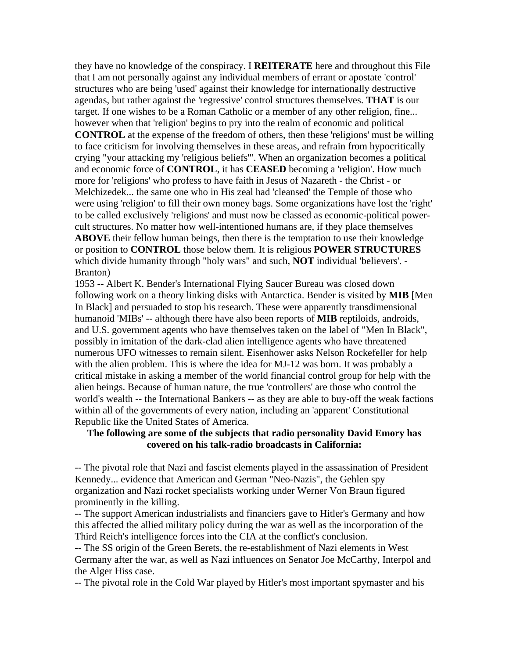they have no knowledge of the conspiracy. I **REITERATE** here and throughout this File that I am not personally against any individual members of errant or apostate 'control' structures who are being 'used' against their knowledge for internationally destructive agendas, but rather against the 'regressive' control structures themselves. **THAT** is our target. If one wishes to be a Roman Catholic or a member of any other religion, fine... however when that 'religion' begins to pry into the realm of economic and political **CONTROL** at the expense of the freedom of others, then these 'religions' must be willing to face criticism for involving themselves in these areas, and refrain from hypocritically crying "your attacking my 'religious beliefs'". When an organization becomes a political and economic force of **CONTROL**, it has **CEASED** becoming a 'religion'. How much more for 'religions' who profess to have faith in Jesus of Nazareth - the Christ - or Melchizedek... the same one who in His zeal had 'cleansed' the Temple of those who were using 'religion' to fill their own money bags. Some organizations have lost the 'right' to be called exclusively 'religions' and must now be classed as economic-political powercult structures. No matter how well-intentioned humans are, if they place themselves **ABOVE** their fellow human beings, then there is the temptation to use their knowledge or position to **CONTROL** those below them. It is religious **POWER STRUCTURES** which divide humanity through "holy wars" and such, **NOT** individual 'believers'. - Branton)

1953 -- Albert K. Bender's International Flying Saucer Bureau was closed down following work on a theory linking disks with Antarctica. Bender is visited by **MIB** [Men In Black] and persuaded to stop his research. These were apparently transdimensional humanoid 'MIBs' -- although there have also been reports of **MIB** reptiloids, androids, and U.S. government agents who have themselves taken on the label of "Men In Black", possibly in imitation of the dark-clad alien intelligence agents who have threatened numerous UFO witnesses to remain silent. Eisenhower asks Nelson Rockefeller for help with the alien problem. This is where the idea for MJ-12 was born. It was probably a critical mistake in asking a member of the world financial control group for help with the alien beings. Because of human nature, the true 'controllers' are those who control the world's wealth -- the International Bankers -- as they are able to buy-off the weak factions within all of the governments of every nation, including an 'apparent' Constitutional Republic like the United States of America.

### **The following are some of the subjects that radio personality David Emory has covered on his talk-radio broadcasts in California:**

-- The pivotal role that Nazi and fascist elements played in the assassination of President Kennedy... evidence that American and German "Neo-Nazis", the Gehlen spy organization and Nazi rocket specialists working under Werner Von Braun figured prominently in the killing.

-- The support American industrialists and financiers gave to Hitler's Germany and how this affected the allied military policy during the war as well as the incorporation of the Third Reich's intelligence forces into the CIA at the conflict's conclusion.

-- The SS origin of the Green Berets, the re-establishment of Nazi elements in West Germany after the war, as well as Nazi influences on Senator Joe McCarthy, Interpol and the Alger Hiss case.

-- The pivotal role in the Cold War played by Hitler's most important spymaster and his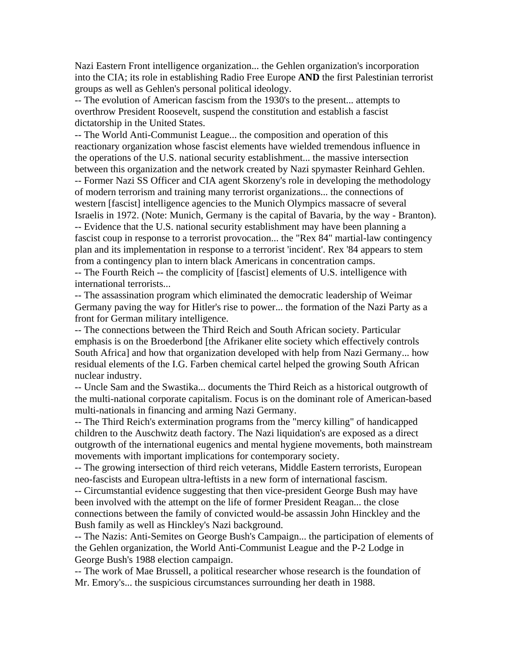Nazi Eastern Front intelligence organization... the Gehlen organization's incorporation into the CIA; its role in establishing Radio Free Europe **AND** the first Palestinian terrorist groups as well as Gehlen's personal political ideology.

-- The evolution of American fascism from the 1930's to the present... attempts to overthrow President Roosevelt, suspend the constitution and establish a fascist dictatorship in the United States.

-- The World Anti-Communist League... the composition and operation of this reactionary organization whose fascist elements have wielded tremendous influence in the operations of the U.S. national security establishment... the massive intersection between this organization and the network created by Nazi spymaster Reinhard Gehlen. -- Former Nazi SS Officer and CIA agent Skorzeny's role in developing the methodology of modern terrorism and training many terrorist organizations... the connections of western [fascist] intelligence agencies to the Munich Olympics massacre of several Israelis in 1972. (Note: Munich, Germany is the capital of Bavaria, by the way - Branton). -- Evidence that the U.S. national security establishment may have been planning a fascist coup in response to a terrorist provocation... the "Rex 84" martial-law contingency plan and its implementation in response to a terrorist 'incident'. Rex '84 appears to stem from a contingency plan to intern black Americans in concentration camps. -- The Fourth Reich -- the complicity of [fascist] elements of U.S. intelligence with

international terrorists...

-- The assassination program which eliminated the democratic leadership of Weimar Germany paving the way for Hitler's rise to power... the formation of the Nazi Party as a front for German military intelligence.

-- The connections between the Third Reich and South African society. Particular emphasis is on the Broederbond [the Afrikaner elite society which effectively controls South Africa] and how that organization developed with help from Nazi Germany... how residual elements of the I.G. Farben chemical cartel helped the growing South African nuclear industry.

-- Uncle Sam and the Swastika... documents the Third Reich as a historical outgrowth of the multi-national corporate capitalism. Focus is on the dominant role of American-based multi-nationals in financing and arming Nazi Germany.

-- The Third Reich's extermination programs from the "mercy killing" of handicapped children to the Auschwitz death factory. The Nazi liquidation's are exposed as a direct outgrowth of the international eugenics and mental hygiene movements, both mainstream movements with important implications for contemporary society.

-- The growing intersection of third reich veterans, Middle Eastern terrorists, European neo-fascists and European ultra-leftists in a new form of international fascism.

-- Circumstantial evidence suggesting that then vice-president George Bush may have been involved with the attempt on the life of former President Reagan... the close connections between the family of convicted would-be assassin John Hinckley and the Bush family as well as Hinckley's Nazi background.

-- The Nazis: Anti-Semites on George Bush's Campaign... the participation of elements of the Gehlen organization, the World Anti-Communist League and the P-2 Lodge in George Bush's 1988 election campaign.

-- The work of Mae Brussell, a political researcher whose research is the foundation of Mr. Emory's... the suspicious circumstances surrounding her death in 1988.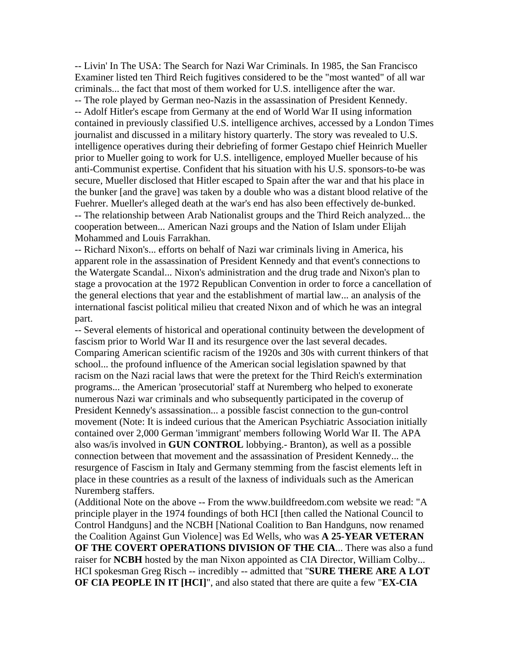-- Livin' In The USA: The Search for Nazi War Criminals. In 1985, the San Francisco Examiner listed ten Third Reich fugitives considered to be the "most wanted" of all war criminals... the fact that most of them worked for U.S. intelligence after the war. -- The role played by German neo-Nazis in the assassination of President Kennedy. -- Adolf Hitler's escape from Germany at the end of World War II using information contained in previously classified U.S. intelligence archives, accessed by a London Times journalist and discussed in a military history quarterly. The story was revealed to U.S. intelligence operatives during their debriefing of former Gestapo chief Heinrich Mueller prior to Mueller going to work for U.S. intelligence, employed Mueller because of his anti-Communist expertise. Confident that his situation with his U.S. sponsors-to-be was secure, Mueller disclosed that Hitler escaped to Spain after the war and that his place in the bunker [and the grave] was taken by a double who was a distant blood relative of the Fuehrer. Mueller's alleged death at the war's end has also been effectively de-bunked. -- The relationship between Arab Nationalist groups and the Third Reich analyzed... the cooperation between... American Nazi groups and the Nation of Islam under Elijah Mohammed and Louis Farrakhan.

-- Richard Nixon's... efforts on behalf of Nazi war criminals living in America, his apparent role in the assassination of President Kennedy and that event's connections to the Watergate Scandal... Nixon's administration and the drug trade and Nixon's plan to stage a provocation at the 1972 Republican Convention in order to force a cancellation of the general elections that year and the establishment of martial law... an analysis of the international fascist political milieu that created Nixon and of which he was an integral part.

-- Several elements of historical and operational continuity between the development of fascism prior to World War II and its resurgence over the last several decades. Comparing American scientific racism of the 1920s and 30s with current thinkers of that school... the profound influence of the American social legislation spawned by that racism on the Nazi racial laws that were the pretext for the Third Reich's extermination programs... the American 'prosecutorial' staff at Nuremberg who helped to exonerate numerous Nazi war criminals and who subsequently participated in the coverup of President Kennedy's assassination... a possible fascist connection to the gun-control movement (Note: It is indeed curious that the American Psychiatric Association initially contained over 2,000 German 'immigrant' members following World War II. The APA also was/is involved in **GUN CONTROL** lobbying.- Branton), as well as a possible connection between that movement and the assassination of President Kennedy... the resurgence of Fascism in Italy and Germany stemming from the fascist elements left in place in these countries as a result of the laxness of individuals such as the American Nuremberg staffers.

(Additional Note on the above -- From the www.buildfreedom.com website we read: "A principle player in the 1974 foundings of both HCI [then called the National Council to Control Handguns] and the NCBH [National Coalition to Ban Handguns, now renamed the Coalition Against Gun Violence] was Ed Wells, who was **A 25-YEAR VETERAN OF THE COVERT OPERATIONS DIVISION OF THE CIA**... There was also a fund raiser for **NCBH** hosted by the man Nixon appointed as CIA Director, William Colby... HCI spokesman Greg Risch -- incredibly -- admitted that "**SURE THERE ARE A LOT OF CIA PEOPLE IN IT [HCI]**", and also stated that there are quite a few "**EX-CIA**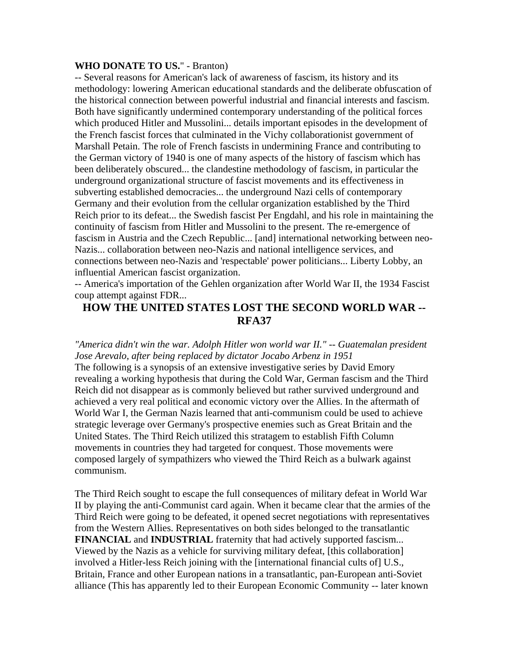#### **WHO DONATE TO US.**" - Branton)

-- Several reasons for American's lack of awareness of fascism, its history and its methodology: lowering American educational standards and the deliberate obfuscation of the historical connection between powerful industrial and financial interests and fascism. Both have significantly undermined contemporary understanding of the political forces which produced Hitler and Mussolini... details important episodes in the development of the French fascist forces that culminated in the Vichy collaborationist government of Marshall Petain. The role of French fascists in undermining France and contributing to the German victory of 1940 is one of many aspects of the history of fascism which has been deliberately obscured... the clandestine methodology of fascism, in particular the underground organizational structure of fascist movements and its effectiveness in subverting established democracies... the underground Nazi cells of contemporary Germany and their evolution from the cellular organization established by the Third Reich prior to its defeat... the Swedish fascist Per Engdahl, and his role in maintaining the continuity of fascism from Hitler and Mussolini to the present. The re-emergence of fascism in Austria and the Czech Republic... [and] international networking between neo-Nazis... collaboration between neo-Nazis and national intelligence services, and connections between neo-Nazis and 'respectable' power politicians... Liberty Lobby, an influential American fascist organization.

-- America's importation of the Gehlen organization after World War II, the 1934 Fascist coup attempt against FDR...

# **HOW THE UNITED STATES LOST THE SECOND WORLD WAR -- RFA37**

# *"America didn't win the war. Adolph Hitler won world war II." -- Guatemalan president Jose Arevalo, after being replaced by dictator Jocabo Arbenz in 1951*  The following is a synopsis of an extensive investigative series by David Emory revealing a working hypothesis that during the Cold War, German fascism and the Third

Reich did not disappear as is commonly believed but rather survived underground and achieved a very real political and economic victory over the Allies. In the aftermath of World War I, the German Nazis learned that anti-communism could be used to achieve strategic leverage over Germany's prospective enemies such as Great Britain and the United States. The Third Reich utilized this stratagem to establish Fifth Column movements in countries they had targeted for conquest. Those movements were composed largely of sympathizers who viewed the Third Reich as a bulwark against communism.

The Third Reich sought to escape the full consequences of military defeat in World War II by playing the anti-Communist card again. When it became clear that the armies of the Third Reich were going to be defeated, it opened secret negotiations with representatives from the Western Allies. Representatives on both sides belonged to the transatlantic **FINANCIAL** and **INDUSTRIAL** fraternity that had actively supported fascism... Viewed by the Nazis as a vehicle for surviving military defeat, [this collaboration] involved a Hitler-less Reich joining with the [international financial cults of] U.S., Britain, France and other European nations in a transatlantic, pan-European anti-Soviet alliance (This has apparently led to their European Economic Community -- later known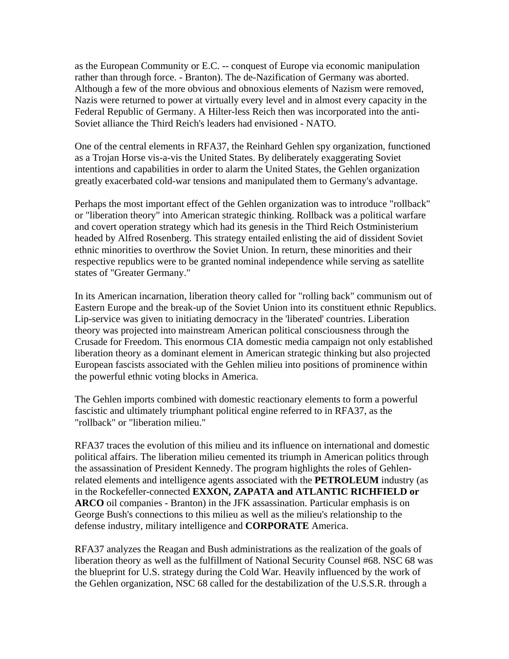as the European Community or E.C. -- conquest of Europe via economic manipulation rather than through force. - Branton). The de-Nazification of Germany was aborted. Although a few of the more obvious and obnoxious elements of Nazism were removed, Nazis were returned to power at virtually every level and in almost every capacity in the Federal Republic of Germany. A Hilter-less Reich then was incorporated into the anti-Soviet alliance the Third Reich's leaders had envisioned - NATO.

One of the central elements in RFA37, the Reinhard Gehlen spy organization, functioned as a Trojan Horse vis-a-vis the United States. By deliberately exaggerating Soviet intentions and capabilities in order to alarm the United States, the Gehlen organization greatly exacerbated cold-war tensions and manipulated them to Germany's advantage.

Perhaps the most important effect of the Gehlen organization was to introduce "rollback" or "liberation theory" into American strategic thinking. Rollback was a political warfare and covert operation strategy which had its genesis in the Third Reich Ostministerium headed by Alfred Rosenberg. This strategy entailed enlisting the aid of dissident Soviet ethnic minorities to overthrow the Soviet Union. In return, these minorities and their respective republics were to be granted nominal independence while serving as satellite states of "Greater Germany."

In its American incarnation, liberation theory called for "rolling back" communism out of Eastern Europe and the break-up of the Soviet Union into its constituent ethnic Republics. Lip-service was given to initiating democracy in the 'liberated' countries. Liberation theory was projected into mainstream American political consciousness through the Crusade for Freedom. This enormous CIA domestic media campaign not only established liberation theory as a dominant element in American strategic thinking but also projected European fascists associated with the Gehlen milieu into positions of prominence within the powerful ethnic voting blocks in America.

The Gehlen imports combined with domestic reactionary elements to form a powerful fascistic and ultimately triumphant political engine referred to in RFA37, as the "rollback" or "liberation milieu."

RFA37 traces the evolution of this milieu and its influence on international and domestic political affairs. The liberation milieu cemented its triumph in American politics through the assassination of President Kennedy. The program highlights the roles of Gehlenrelated elements and intelligence agents associated with the **PETROLEUM** industry (as in the Rockefeller-connected **EXXON, ZAPATA and ATLANTIC RICHFIELD or ARCO** oil companies - Branton) in the JFK assassination. Particular emphasis is on George Bush's connections to this milieu as well as the milieu's relationship to the defense industry, military intelligence and **CORPORATE** America.

RFA37 analyzes the Reagan and Bush administrations as the realization of the goals of liberation theory as well as the fulfillment of National Security Counsel #68. NSC 68 was the blueprint for U.S. strategy during the Cold War. Heavily influenced by the work of the Gehlen organization, NSC 68 called for the destabilization of the U.S.S.R. through a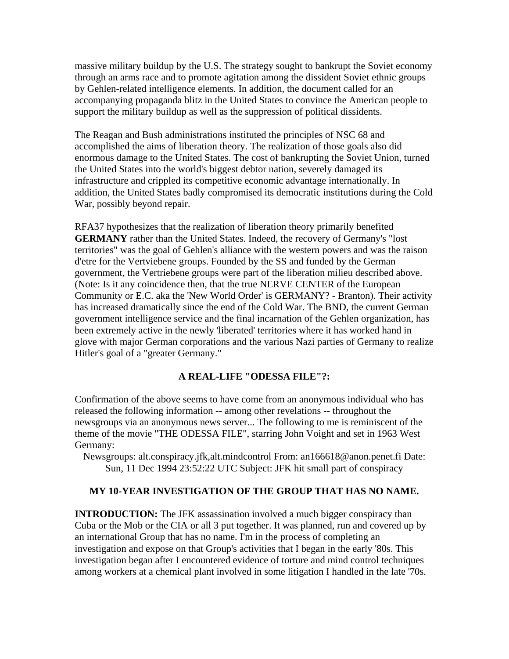massive military buildup by the U.S. The strategy sought to bankrupt the Soviet economy through an arms race and to promote agitation among the dissident Soviet ethnic groups by Gehlen-related intelligence elements. In addition, the document called for an accompanying propaganda blitz in the United States to convince the American people to support the military buildup as well as the suppression of political dissidents.

The Reagan and Bush administrations instituted the principles of NSC 68 and accomplished the aims of liberation theory. The realization of those goals also did enormous damage to the United States. The cost of bankrupting the Soviet Union, turned the United States into the world's biggest debtor nation, severely damaged its infrastructure and crippled its competitive economic advantage internationally. In addition, the United States badly compromised its democratic institutions during the Cold War, possibly beyond repair.

RFA37 hypothesizes that the realization of liberation theory primarily benefited **GERMANY** rather than the United States. Indeed, the recovery of Germany's "lost territories" was the goal of Gehlen's alliance with the western powers and was the raison d'etre for the Vertviebene groups. Founded by the SS and funded by the German government, the Vertriebene groups were part of the liberation milieu described above. (Note: Is it any coincidence then, that the true NERVE CENTER of the European Community or E.C. aka the 'New World Order' is GERMANY? - Branton). Their activity has increased dramatically since the end of the Cold War. The BND, the current German government intelligence service and the final incarnation of the Gehlen organization, has been extremely active in the newly 'liberated' territories where it has worked hand in glove with major German corporations and the various Nazi parties of Germany to realize Hitler's goal of a "greater Germany."

#### **A REAL-LIFE "ODESSA FILE"?:**

Confirmation of the above seems to have come from an anonymous individual who has released the following information -- among other revelations -- throughout the newsgroups via an anonymous news server... The following to me is reminiscent of the theme of the movie "THE ODESSA FILE", starring John Voight and set in 1963 West Germany:

Newsgroups: alt.conspiracy.jfk,alt.mindcontrol From: an166618@anon.penet.fi Date: Sun, 11 Dec 1994 23:52:22 UTC Subject: JFK hit small part of conspiracy

### **MY 10-YEAR INVESTIGATION OF THE GROUP THAT HAS NO NAME.**

**INTRODUCTION:** The JFK assassination involved a much bigger conspiracy than Cuba or the Mob or the CIA or all 3 put together. It was planned, run and covered up by an international Group that has no name. I'm in the process of completing an investigation and expose on that Group's activities that I began in the early '80s. This investigation began after I encountered evidence of torture and mind control techniques among workers at a chemical plant involved in some litigation I handled in the late '70s.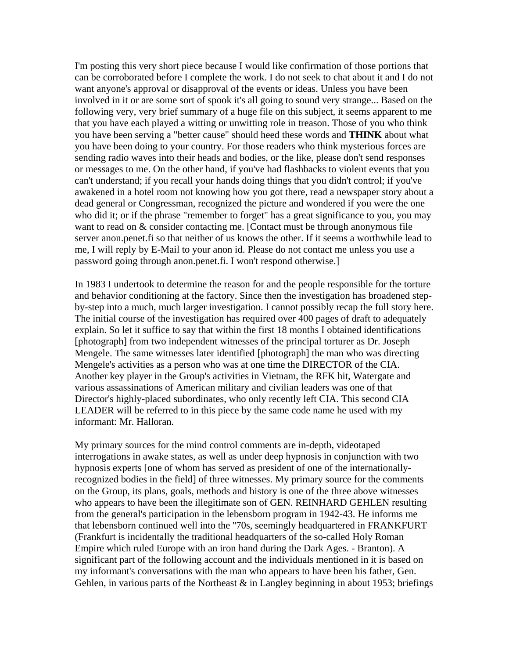I'm posting this very short piece because I would like confirmation of those portions that can be corroborated before I complete the work. I do not seek to chat about it and I do not want anyone's approval or disapproval of the events or ideas. Unless you have been involved in it or are some sort of spook it's all going to sound very strange... Based on the following very, very brief summary of a huge file on this subject, it seems apparent to me that you have each played a witting or unwitting role in treason. Those of you who think you have been serving a "better cause" should heed these words and **THINK** about what you have been doing to your country. For those readers who think mysterious forces are sending radio waves into their heads and bodies, or the like, please don't send responses or messages to me. On the other hand, if you've had flashbacks to violent events that you can't understand; if you recall your hands doing things that you didn't control; if you've awakened in a hotel room not knowing how you got there, read a newspaper story about a dead general or Congressman, recognized the picture and wondered if you were the one who did it; or if the phrase "remember to forget" has a great significance to you, you may want to read on & consider contacting me. [Contact must be through anonymous file server anon.penet.fi so that neither of us knows the other. If it seems a worthwhile lead to me, I will reply by E-Mail to your anon id. Please do not contact me unless you use a password going through anon.penet.fi. I won't respond otherwise.]

In 1983 I undertook to determine the reason for and the people responsible for the torture and behavior conditioning at the factory. Since then the investigation has broadened stepby-step into a much, much larger investigation. I cannot possibly recap the full story here. The initial course of the investigation has required over 400 pages of draft to adequately explain. So let it suffice to say that within the first 18 months I obtained identifications [photograph] from two independent witnesses of the principal torturer as Dr. Joseph Mengele. The same witnesses later identified [photograph] the man who was directing Mengele's activities as a person who was at one time the DIRECTOR of the CIA. Another key player in the Group's activities in Vietnam, the RFK hit, Watergate and various assassinations of American military and civilian leaders was one of that Director's highly-placed subordinates, who only recently left CIA. This second CIA LEADER will be referred to in this piece by the same code name he used with my informant: Mr. Halloran.

My primary sources for the mind control comments are in-depth, videotaped interrogations in awake states, as well as under deep hypnosis in conjunction with two hypnosis experts [one of whom has served as president of one of the internationallyrecognized bodies in the field] of three witnesses. My primary source for the comments on the Group, its plans, goals, methods and history is one of the three above witnesses who appears to have been the illegitimate son of GEN. REINHARD GEHLEN resulting from the general's participation in the lebensborn program in 1942-43. He informs me that lebensborn continued well into the ''70s, seemingly headquartered in FRANKFURT (Frankfurt is incidentally the traditional headquarters of the so-called Holy Roman Empire which ruled Europe with an iron hand during the Dark Ages. - Branton). A significant part of the following account and the individuals mentioned in it is based on my informant's conversations with the man who appears to have been his father, Gen. Gehlen, in various parts of the Northeast  $\&$  in Langley beginning in about 1953; briefings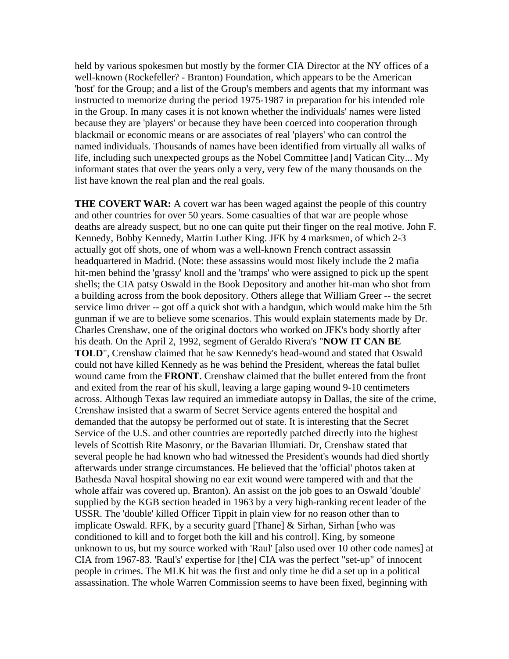held by various spokesmen but mostly by the former CIA Director at the NY offices of a well-known (Rockefeller? - Branton) Foundation, which appears to be the American 'host' for the Group; and a list of the Group's members and agents that my informant was instructed to memorize during the period 1975-1987 in preparation for his intended role in the Group. In many cases it is not known whether the individuals' names were listed because they are 'players' or because they have been coerced into cooperation through blackmail or economic means or are associates of real 'players' who can control the named individuals. Thousands of names have been identified from virtually all walks of life, including such unexpected groups as the Nobel Committee [and] Vatican City... My informant states that over the years only a very, very few of the many thousands on the list have known the real plan and the real goals.

**THE COVERT WAR:** A covert war has been waged against the people of this country and other countries for over 50 years. Some casualties of that war are people whose deaths are already suspect, but no one can quite put their finger on the real motive. John F. Kennedy, Bobby Kennedy, Martin Luther King. JFK by 4 marksmen, of which 2-3 actually got off shots, one of whom was a well-known French contract assassin headquartered in Madrid. (Note: these assassins would most likely include the 2 mafia hit-men behind the 'grassy' knoll and the 'tramps' who were assigned to pick up the spent shells; the CIA patsy Oswald in the Book Depository and another hit-man who shot from a building across from the book depository. Others allege that William Greer -- the secret service limo driver -- got off a quick shot with a handgun, which would make him the 5th gunman if we are to believe some scenarios. This would explain statements made by Dr. Charles Crenshaw, one of the original doctors who worked on JFK's body shortly after his death. On the April 2, 1992, segment of Geraldo Rivera's "**NOW IT CAN BE TOLD**", Crenshaw claimed that he saw Kennedy's head-wound and stated that Oswald could not have killed Kennedy as he was behind the President, whereas the fatal bullet wound came from the **FRONT**. Crenshaw claimed that the bullet entered from the front and exited from the rear of his skull, leaving a large gaping wound 9-10 centimeters across. Although Texas law required an immediate autopsy in Dallas, the site of the crime, Crenshaw insisted that a swarm of Secret Service agents entered the hospital and demanded that the autopsy be performed out of state. It is interesting that the Secret Service of the U.S. and other countries are reportedly patched directly into the highest levels of Scottish Rite Masonry, or the Bavarian Illumiati. Dr, Crenshaw stated that several people he had known who had witnessed the President's wounds had died shortly afterwards under strange circumstances. He believed that the 'official' photos taken at Bathesda Naval hospital showing no ear exit wound were tampered with and that the whole affair was covered up. Branton). An assist on the job goes to an Oswald 'double' supplied by the KGB section headed in 1963 by a very high-ranking recent leader of the USSR. The 'double' killed Officer Tippit in plain view for no reason other than to implicate Oswald. RFK, by a security guard [Thane] & Sirhan, Sirhan [who was conditioned to kill and to forget both the kill and his control]. King, by someone unknown to us, but my source worked with 'Raul' [also used over 10 other code names] at CIA from 1967-83. 'Raul's' expertise for [the] CIA was the perfect "set-up" of innocent people in crimes. The MLK hit was the first and only time he did a set up in a political assassination. The whole Warren Commission seems to have been fixed, beginning with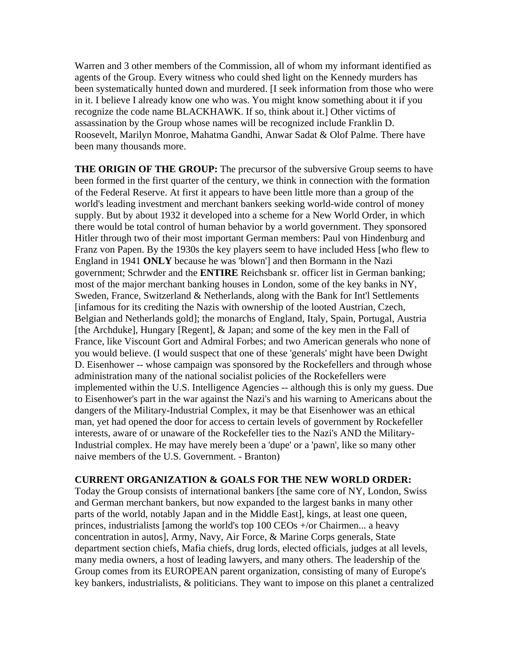Warren and 3 other members of the Commission, all of whom my informant identified as agents of the Group. Every witness who could shed light on the Kennedy murders has been systematically hunted down and murdered. [I seek information from those who were in it. I believe I already know one who was. You might know something about it if you recognize the code name BLACKHAWK. If so, think about it.] Other victims of assassination by the Group whose names will be recognized include Franklin D. Roosevelt, Marilyn Monroe, Mahatma Gandhi, Anwar Sadat & Olof Palme. There have been many thousands more.

**THE ORIGIN OF THE GROUP:** The precursor of the subversive Group seems to have been formed in the first quarter of the century, we think in connection with the formation of the Federal Reserve. At first it appears to have been little more than a group of the world's leading investment and merchant bankers seeking world-wide control of money supply. But by about 1932 it developed into a scheme for a New World Order, in which there would be total control of human behavior by a world government. They sponsored Hitler through two of their most important German members: Paul von Hindenburg and Franz von Papen. By the 1930s the key players seem to have included Hess [who flew to England in 1941 **ONLY** because he was 'blown'] and then Bormann in the Nazi government; Schrwder and the **ENTIRE** Reichsbank sr. officer list in German banking; most of the major merchant banking houses in London, some of the key banks in NY, Sweden, France, Switzerland & Netherlands, along with the Bank for Int'l Settlements [infamous for its crediting the Nazis with ownership of the looted Austrian, Czech, Belgian and Netherlands gold]; the monarchs of England, Italy, Spain, Portugal, Austria [the Archduke], Hungary [Regent], & Japan; and some of the key men in the Fall of France, like Viscount Gort and Admiral Forbes; and two American generals who none of you would believe. (I would suspect that one of these 'generals' might have been Dwight D. Eisenhower -- whose campaign was sponsored by the Rockefellers and through whose administration many of the national socialist policies of the Rockefellers were implemented within the U.S. Intelligence Agencies -- although this is only my guess. Due to Eisenhower's part in the war against the Nazi's and his warning to Americans about the dangers of the Military-Industrial Complex, it may be that Eisenhower was an ethical man, yet had opened the door for access to certain levels of government by Rockefeller interests, aware of or unaware of the Rockefeller ties to the Nazi's AND the Military-Industrial complex. He may have merely been a 'dupe' or a 'pawn', like so many other naive members of the U.S. Government. - Branton)

#### **CURRENT ORGANIZATION & GOALS FOR THE NEW WORLD ORDER:**

Today the Group consists of international bankers [the same core of NY, London, Swiss and German merchant bankers, but now expanded to the largest banks in many other parts of the world, notably Japan and in the Middle East], kings, at least one queen, princes, industrialists [among the world's top 100 CEOs +/or Chairmen... a heavy concentration in autos], Army, Navy, Air Force, & Marine Corps generals, State department section chiefs, Mafia chiefs, drug lords, elected officials, judges at all levels, many media owners, a host of leading lawyers, and many others. The leadership of the Group comes from its EUROPEAN parent organization, consisting of many of Europe's key bankers, industrialists, & politicians. They want to impose on this planet a centralized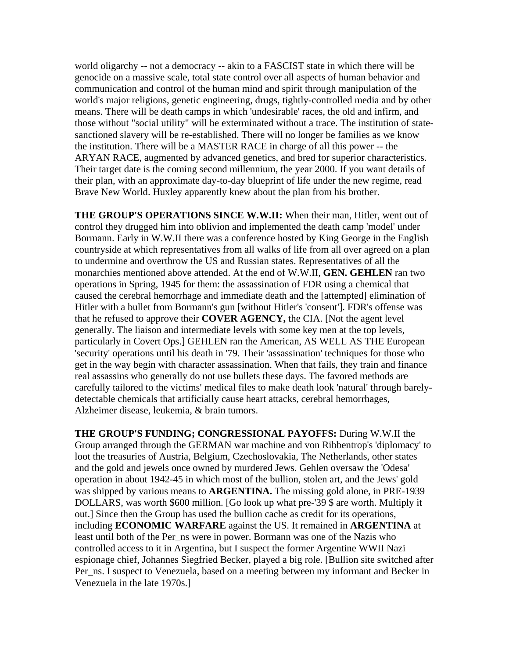world oligarchy -- not a democracy -- akin to a FASCIST state in which there will be genocide on a massive scale, total state control over all aspects of human behavior and communication and control of the human mind and spirit through manipulation of the world's major religions, genetic engineering, drugs, tightly-controlled media and by other means. There will be death camps in which 'undesirable' races, the old and infirm, and those without "social utility" will be exterminated without a trace. The institution of statesanctioned slavery will be re-established. There will no longer be families as we know the institution. There will be a MASTER RACE in charge of all this power -- the ARYAN RACE, augmented by advanced genetics, and bred for superior characteristics. Their target date is the coming second millennium, the year 2000. If you want details of their plan, with an approximate day-to-day blueprint of life under the new regime, read Brave New World. Huxley apparently knew about the plan from his brother.

**THE GROUP'S OPERATIONS SINCE W.W.II:** When their man, Hitler, went out of control they drugged him into oblivion and implemented the death camp 'model' under Bormann. Early in W.W.II there was a conference hosted by King George in the English countryside at which representatives from all walks of life from all over agreed on a plan to undermine and overthrow the US and Russian states. Representatives of all the monarchies mentioned above attended. At the end of W.W.II, **GEN. GEHLEN** ran two operations in Spring, 1945 for them: the assassination of FDR using a chemical that caused the cerebral hemorrhage and immediate death and the [attempted] elimination of Hitler with a bullet from Bormann's gun [without Hitler's 'consent']. FDR's offense was that he refused to approve their **COVER AGENCY,** the CIA. [Not the agent level generally. The liaison and intermediate levels with some key men at the top levels, particularly in Covert Ops.] GEHLEN ran the American, AS WELL AS THE European 'security' operations until his death in '79. Their 'assassination' techniques for those who get in the way begin with character assassination. When that fails, they train and finance real assassins who generally do not use bullets these days. The favored methods are carefully tailored to the victims' medical files to make death look 'natural' through barelydetectable chemicals that artificially cause heart attacks, cerebral hemorrhages, Alzheimer disease, leukemia, & brain tumors.

**THE GROUP'S FUNDING; CONGRESSIONAL PAYOFFS:** During W.W.II the Group arranged through the GERMAN war machine and von Ribbentrop's 'diplomacy' to loot the treasuries of Austria, Belgium, Czechoslovakia, The Netherlands, other states and the gold and jewels once owned by murdered Jews. Gehlen oversaw the 'Odesa' operation in about 1942-45 in which most of the bullion, stolen art, and the Jews' gold was shipped by various means to **ARGENTINA.** The missing gold alone, in PRE-1939 DOLLARS, was worth \$600 million. [Go look up what pre-'39 \$ are worth. Multiply it out.] Since then the Group has used the bullion cache as credit for its operations, including **ECONOMIC WARFARE** against the US. It remained in **ARGENTINA** at least until both of the Per\_ns were in power. Bormann was one of the Nazis who controlled access to it in Argentina, but I suspect the former Argentine WWII Nazi espionage chief, Johannes Siegfried Becker, played a big role. [Bullion site switched after Per\_ns. I suspect to Venezuela, based on a meeting between my informant and Becker in Venezuela in the late 1970s.]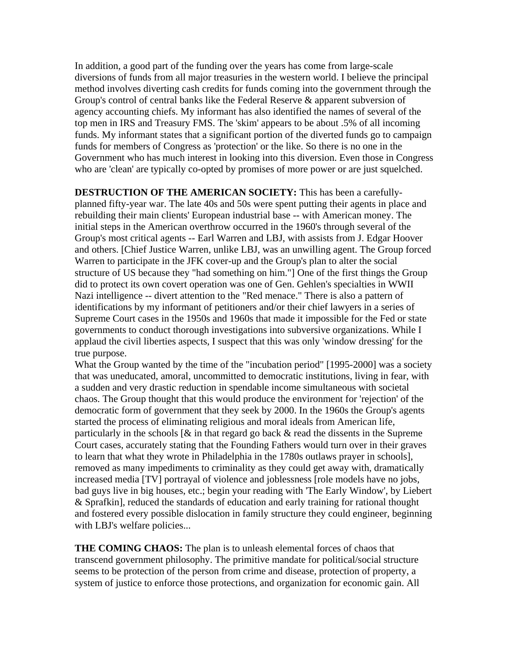In addition, a good part of the funding over the years has come from large-scale diversions of funds from all major treasuries in the western world. I believe the principal method involves diverting cash credits for funds coming into the government through the Group's control of central banks like the Federal Reserve & apparent subversion of agency accounting chiefs. My informant has also identified the names of several of the top men in IRS and Treasury FMS. The 'skim' appears to be about .5% of all incoming funds. My informant states that a significant portion of the diverted funds go to campaign funds for members of Congress as 'protection' or the like. So there is no one in the Government who has much interest in looking into this diversion. Even those in Congress who are 'clean' are typically co-opted by promises of more power or are just squelched.

**DESTRUCTION OF THE AMERICAN SOCIETY:** This has been a carefullyplanned fifty-year war. The late 40s and 50s were spent putting their agents in place and rebuilding their main clients' European industrial base -- with American money. The initial steps in the American overthrow occurred in the 1960's through several of the Group's most critical agents -- Earl Warren and LBJ, with assists from J. Edgar Hoover and others. [Chief Justice Warren, unlike LBJ, was an unwilling agent. The Group forced Warren to participate in the JFK cover-up and the Group's plan to alter the social structure of US because they "had something on him."] One of the first things the Group did to protect its own covert operation was one of Gen. Gehlen's specialties in WWII Nazi intelligence -- divert attention to the "Red menace." There is also a pattern of identifications by my informant of petitioners and/or their chief lawyers in a series of Supreme Court cases in the 1950s and 1960s that made it impossible for the Fed or state governments to conduct thorough investigations into subversive organizations. While I applaud the civil liberties aspects, I suspect that this was only 'window dressing' for the true purpose.

What the Group wanted by the time of the "incubation period" [1995-2000] was a society that was uneducated, amoral, uncommitted to democratic institutions, living in fear, with a sudden and very drastic reduction in spendable income simultaneous with societal chaos. The Group thought that this would produce the environment for 'rejection' of the democratic form of government that they seek by 2000. In the 1960s the Group's agents started the process of eliminating religious and moral ideals from American life, particularly in the schools  $\lceil \alpha \rceil$  in that regard go back  $\alpha$  read the dissents in the Supreme Court cases, accurately stating that the Founding Fathers would turn over in their graves to learn that what they wrote in Philadelphia in the 1780s outlaws prayer in schools], removed as many impediments to criminality as they could get away with, dramatically increased media [TV] portrayal of violence and joblessness [role models have no jobs, bad guys live in big houses, etc.; begin your reading with 'The Early Window', by Liebert & Sprafkin], reduced the standards of education and early training for rational thought and fostered every possible dislocation in family structure they could engineer, beginning with LBJ's welfare policies...

**THE COMING CHAOS:** The plan is to unleash elemental forces of chaos that transcend government philosophy. The primitive mandate for political/social structure seems to be protection of the person from crime and disease, protection of property, a system of justice to enforce those protections, and organization for economic gain. All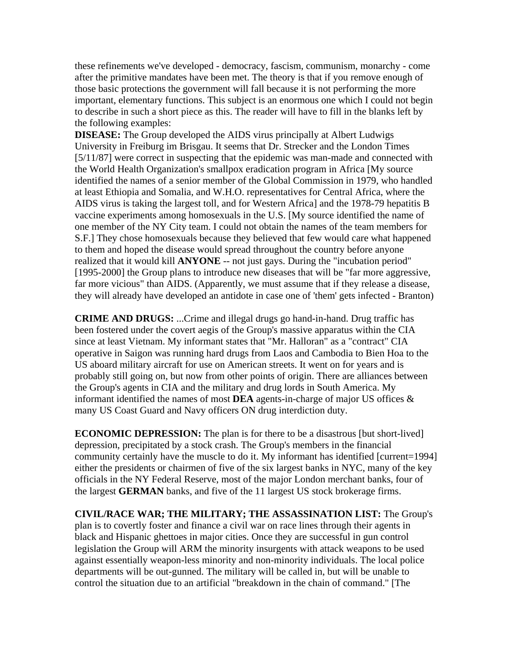these refinements we've developed - democracy, fascism, communism, monarchy - come after the primitive mandates have been met. The theory is that if you remove enough of those basic protections the government will fall because it is not performing the more important, elementary functions. This subject is an enormous one which I could not begin to describe in such a short piece as this. The reader will have to fill in the blanks left by the following examples:

**DISEASE:** The Group developed the AIDS virus principally at Albert Ludwigs University in Freiburg im Brisgau. It seems that Dr. Strecker and the London Times [5/11/87] were correct in suspecting that the epidemic was man-made and connected with the World Health Organization's smallpox eradication program in Africa [My source identified the names of a senior member of the Global Commission in 1979, who handled at least Ethiopia and Somalia, and W.H.O. representatives for Central Africa, where the AIDS virus is taking the largest toll, and for Western Africa] and the 1978-79 hepatitis B vaccine experiments among homosexuals in the U.S. [My source identified the name of one member of the NY City team. I could not obtain the names of the team members for S.F.] They chose homosexuals because they believed that few would care what happened to them and hoped the disease would spread throughout the country before anyone realized that it would kill **ANYONE** -- not just gays. During the "incubation period" [1995-2000] the Group plans to introduce new diseases that will be "far more aggressive, far more vicious" than AIDS. (Apparently, we must assume that if they release a disease, they will already have developed an antidote in case one of 'them' gets infected - Branton)

**CRIME AND DRUGS:** ...Crime and illegal drugs go hand-in-hand. Drug traffic has been fostered under the covert aegis of the Group's massive apparatus within the CIA since at least Vietnam. My informant states that "Mr. Halloran" as a "contract" CIA operative in Saigon was running hard drugs from Laos and Cambodia to Bien Hoa to the US aboard military aircraft for use on American streets. It went on for years and is probably still going on, but now from other points of origin. There are alliances between the Group's agents in CIA and the military and drug lords in South America. My informant identified the names of most **DEA** agents-in-charge of major US offices  $\&$ many US Coast Guard and Navy officers ON drug interdiction duty.

**ECONOMIC DEPRESSION:** The plan is for there to be a disastrous [but short-lived] depression, precipitated by a stock crash. The Group's members in the financial community certainly have the muscle to do it. My informant has identified [current=1994] either the presidents or chairmen of five of the six largest banks in NYC, many of the key officials in the NY Federal Reserve, most of the major London merchant banks, four of the largest **GERMAN** banks, and five of the 11 largest US stock brokerage firms.

**CIVIL/RACE WAR; THE MILITARY; THE ASSASSINATION LIST:** The Group's plan is to covertly foster and finance a civil war on race lines through their agents in black and Hispanic ghettoes in major cities. Once they are successful in gun control legislation the Group will ARM the minority insurgents with attack weapons to be used against essentially weapon-less minority and non-minority individuals. The local police departments will be out-gunned. The military will be called in, but will be unable to control the situation due to an artificial "breakdown in the chain of command." [The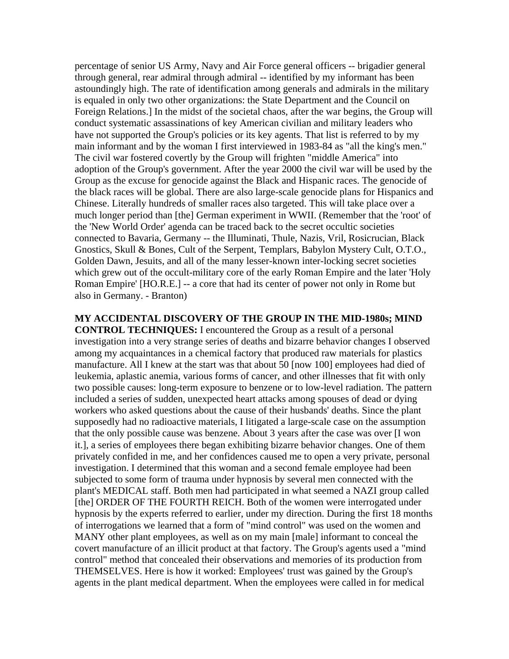percentage of senior US Army, Navy and Air Force general officers -- brigadier general through general, rear admiral through admiral -- identified by my informant has been astoundingly high. The rate of identification among generals and admirals in the military is equaled in only two other organizations: the State Department and the Council on Foreign Relations.] In the midst of the societal chaos, after the war begins, the Group will conduct systematic assassinations of key American civilian and military leaders who have not supported the Group's policies or its key agents. That list is referred to by my main informant and by the woman I first interviewed in 1983-84 as "all the king's men." The civil war fostered covertly by the Group will frighten "middle America" into adoption of the Group's government. After the year 2000 the civil war will be used by the Group as the excuse for genocide against the Black and Hispanic races. The genocide of the black races will be global. There are also large-scale genocide plans for Hispanics and Chinese. Literally hundreds of smaller races also targeted. This will take place over a much longer period than [the] German experiment in WWII. (Remember that the 'root' of the 'New World Order' agenda can be traced back to the secret occultic societies connected to Bavaria, Germany -- the Illuminati, Thule, Nazis, Vril, Rosicrucian, Black Gnostics, Skull & Bones, Cult of the Serpent, Templars, Babylon Mystery Cult, O.T.O., Golden Dawn, Jesuits, and all of the many lesser-known inter-locking secret societies which grew out of the occult-military core of the early Roman Empire and the later 'Holy Roman Empire' [HO.R.E.] -- a core that had its center of power not only in Rome but also in Germany. - Branton)

**MY ACCIDENTAL DISCOVERY OF THE GROUP IN THE MID-1980s; MIND CONTROL TECHNIQUES:** I encountered the Group as a result of a personal investigation into a very strange series of deaths and bizarre behavior changes I observed among my acquaintances in a chemical factory that produced raw materials for plastics manufacture. All I knew at the start was that about 50 [now 100] employees had died of leukemia, aplastic anemia, various forms of cancer, and other illnesses that fit with only two possible causes: long-term exposure to benzene or to low-level radiation. The pattern included a series of sudden, unexpected heart attacks among spouses of dead or dying workers who asked questions about the cause of their husbands' deaths. Since the plant supposedly had no radioactive materials, I litigated a large-scale case on the assumption that the only possible cause was benzene. About 3 years after the case was over [I won it.], a series of employees there began exhibiting bizarre behavior changes. One of them privately confided in me, and her confidences caused me to open a very private, personal investigation. I determined that this woman and a second female employee had been subjected to some form of trauma under hypnosis by several men connected with the plant's MEDICAL staff. Both men had participated in what seemed a NAZI group called [the] ORDER OF THE FOURTH REICH. Both of the women were interrogated under hypnosis by the experts referred to earlier, under my direction. During the first 18 months of interrogations we learned that a form of "mind control" was used on the women and MANY other plant employees, as well as on my main [male] informant to conceal the covert manufacture of an illicit product at that factory. The Group's agents used a "mind control" method that concealed their observations and memories of its production from THEMSELVES. Here is how it worked: Employees' trust was gained by the Group's agents in the plant medical department. When the employees were called in for medical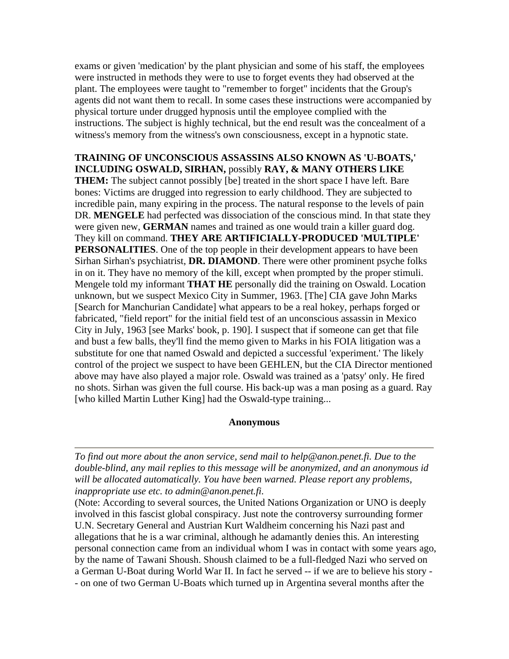exams or given 'medication' by the plant physician and some of his staff, the employees were instructed in methods they were to use to forget events they had observed at the plant. The employees were taught to "remember to forget" incidents that the Group's agents did not want them to recall. In some cases these instructions were accompanied by physical torture under drugged hypnosis until the employee complied with the instructions. The subject is highly technical, but the end result was the concealment of a witness's memory from the witness's own consciousness, except in a hypnotic state.

### **TRAINING OF UNCONSCIOUS ASSASSINS ALSO KNOWN AS 'U-BOATS,' INCLUDING OSWALD, SIRHAN,** possibly **RAY, & MANY OTHERS LIKE**

**THEM:** The subject cannot possibly [be] treated in the short space I have left. Bare bones: Victims are drugged into regression to early childhood. They are subjected to incredible pain, many expiring in the process. The natural response to the levels of pain DR. **MENGELE** had perfected was dissociation of the conscious mind. In that state they were given new, **GERMAN** names and trained as one would train a killer guard dog. They kill on command. **THEY ARE ARTIFICIALLY-PRODUCED 'MULTIPLE' PERSONALITIES**. One of the top people in their development appears to have been Sirhan Sirhan's psychiatrist, **DR. DIAMOND**. There were other prominent psyche folks in on it. They have no memory of the kill, except when prompted by the proper stimuli. Mengele told my informant **THAT HE** personally did the training on Oswald. Location unknown, but we suspect Mexico City in Summer, 1963. [The] CIA gave John Marks [Search for Manchurian Candidate] what appears to be a real hokey, perhaps forged or fabricated, "field report" for the initial field test of an unconscious assassin in Mexico City in July, 1963 [see Marks' book, p. 190]. I suspect that if someone can get that file and bust a few balls, they'll find the memo given to Marks in his FOIA litigation was a substitute for one that named Oswald and depicted a successful 'experiment.' The likely control of the project we suspect to have been GEHLEN, but the CIA Director mentioned above may have also played a major role. Oswald was trained as a 'patsy' only. He fired no shots. Sirhan was given the full course. His back-up was a man posing as a guard. Ray [who killed Martin Luther King] had the Oswald-type training...

#### **Anonymous**

(Note: According to several sources, the United Nations Organization or UNO is deeply involved in this fascist global conspiracy. Just note the controversy surrounding former U.N. Secretary General and Austrian Kurt Waldheim concerning his Nazi past and allegations that he is a war criminal, although he adamantly denies this. An interesting personal connection came from an individual whom I was in contact with some years ago, by the name of Tawani Shoush. Shoush claimed to be a full-fledged Nazi who served on a German U-Boat during World War II. In fact he served -- if we are to believe his story - - on one of two German U-Boats which turned up in Argentina several months after the

*To find out more about the anon service, send mail to help@anon.penet.fi. Due to the double-blind, any mail replies to this message will be anonymized, and an anonymous id will be allocated automatically. You have been warned. Please report any problems, inappropriate use etc. to admin@anon.penet.fi.*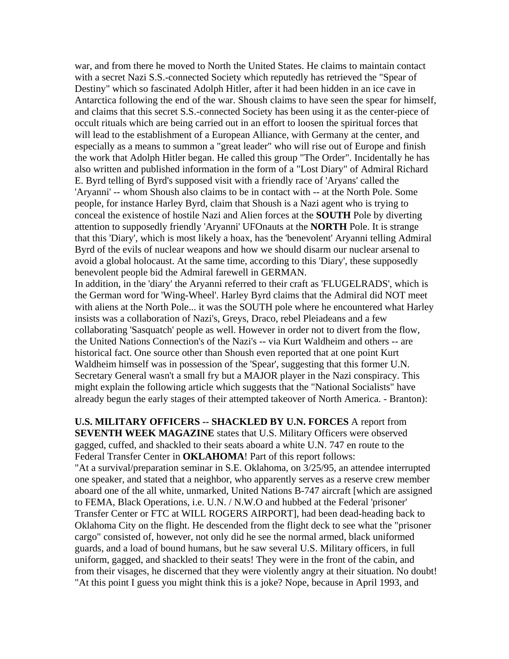war, and from there he moved to North the United States. He claims to maintain contact with a secret Nazi S.S.-connected Society which reputedly has retrieved the "Spear of Destiny" which so fascinated Adolph Hitler, after it had been hidden in an ice cave in Antarctica following the end of the war. Shoush claims to have seen the spear for himself, and claims that this secret S.S.-connected Society has been using it as the center-piece of occult rituals which are being carried out in an effort to loosen the spiritual forces that will lead to the establishment of a European Alliance, with Germany at the center, and especially as a means to summon a "great leader" who will rise out of Europe and finish the work that Adolph Hitler began. He called this group "The Order". Incidentally he has also written and published information in the form of a "Lost Diary" of Admiral Richard E. Byrd telling of Byrd's supposed visit with a friendly race of 'Aryans' called the 'Aryanni' -- whom Shoush also claims to be in contact with -- at the North Pole. Some people, for instance Harley Byrd, claim that Shoush is a Nazi agent who is trying to conceal the existence of hostile Nazi and Alien forces at the **SOUTH** Pole by diverting attention to supposedly friendly 'Aryanni' UFOnauts at the **NORTH** Pole. It is strange that this 'Diary', which is most likely a hoax, has the 'benevolent' Aryanni telling Admiral Byrd of the evils of nuclear weapons and how we should disarm our nuclear arsenal to avoid a global holocaust. At the same time, according to this 'Diary', these supposedly benevolent people bid the Admiral farewell in GERMAN.

In addition, in the 'diary' the Aryanni referred to their craft as 'FLUGELRADS', which is the German word for 'Wing-Wheel'. Harley Byrd claims that the Admiral did NOT meet with aliens at the North Pole... it was the SOUTH pole where he encountered what Harley insists was a collaboration of Nazi's, Greys, Draco, rebel Pleiadeans and a few collaborating 'Sasquatch' people as well. However in order not to divert from the flow, the United Nations Connection's of the Nazi's -- via Kurt Waldheim and others -- are historical fact. One source other than Shoush even reported that at one point Kurt Waldheim himself was in possession of the 'Spear', suggesting that this former U.N. Secretary General wasn't a small fry but a MAJOR player in the Nazi conspiracy. This might explain the following article which suggests that the "National Socialists" have already begun the early stages of their attempted takeover of North America. - Branton):

**U.S. MILITARY OFFICERS -- SHACKLED BY U.N. FORCES** A report from **SEVENTH WEEK MAGAZINE** states that U.S. Military Officers were observed gagged, cuffed, and shackled to their seats aboard a white U.N. 747 en route to the Federal Transfer Center in **OKLAHOMA**! Part of this report follows:

"At a survival/preparation seminar in S.E. Oklahoma, on 3/25/95, an attendee interrupted one speaker, and stated that a neighbor, who apparently serves as a reserve crew member aboard one of the all white, unmarked, United Nations B-747 aircraft [which are assigned to FEMA, Black Operations, i.e. U.N. / N.W.O and hubbed at the Federal 'prisoner' Transfer Center or FTC at WILL ROGERS AIRPORT], had been dead-heading back to Oklahoma City on the flight. He descended from the flight deck to see what the "prisoner cargo" consisted of, however, not only did he see the normal armed, black uniformed guards, and a load of bound humans, but he saw several U.S. Military officers, in full uniform, gagged, and shackled to their seats! They were in the front of the cabin, and from their visages, he discerned that they were violently angry at their situation. No doubt! "At this point I guess you might think this is a joke? Nope, because in April 1993, and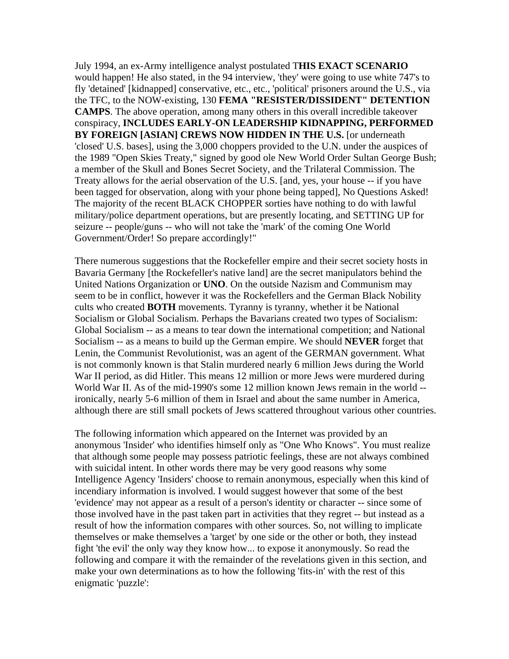July 1994, an ex-Army intelligence analyst postulated T**HIS EXACT SCENARIO** would happen! He also stated, in the 94 interview, 'they' were going to use white 747's to fly 'detained' [kidnapped] conservative, etc., etc., 'political' prisoners around the U.S., via the TFC, to the NOW-existing, 130 **FEMA "RESISTER/DISSIDENT" DETENTION CAMPS**. The above operation, among many others in this overall incredible takeover conspiracy, **INCLUDES EARLY-ON LEADERSHIP KIDNAPPING, PERFORMED BY FOREIGN [ASIAN] CREWS NOW HIDDEN IN THE U.S.** [or underneath 'closed' U.S. bases], using the 3,000 choppers provided to the U.N. under the auspices of the 1989 "Open Skies Treaty," signed by good ole New World Order Sultan George Bush; a member of the Skull and Bones Secret Society, and the Trilateral Commission. The Treaty allows for the aerial observation of the U.S. [and, yes, your house -- if you have been tagged for observation, along with your phone being tapped], No Questions Asked! The majority of the recent BLACK CHOPPER sorties have nothing to do with lawful military/police department operations, but are presently locating, and SETTING UP for seizure -- people/guns -- who will not take the 'mark' of the coming One World Government/Order! So prepare accordingly!"

There numerous suggestions that the Rockefeller empire and their secret society hosts in Bavaria Germany [the Rockefeller's native land] are the secret manipulators behind the United Nations Organization or **UNO**. On the outside Nazism and Communism may seem to be in conflict, however it was the Rockefellers and the German Black Nobility cults who created **BOTH** movements. Tyranny is tyranny, whether it be National Socialism or Global Socialism. Perhaps the Bavarians created two types of Socialism: Global Socialism -- as a means to tear down the international competition; and National Socialism -- as a means to build up the German empire. We should **NEVER** forget that Lenin, the Communist Revolutionist, was an agent of the GERMAN government. What is not commonly known is that Stalin murdered nearly 6 million Jews during the World War II period, as did Hitler. This means 12 million or more Jews were murdered during World War II. As of the mid-1990's some 12 million known Jews remain in the world - ironically, nearly 5-6 million of them in Israel and about the same number in America, although there are still small pockets of Jews scattered throughout various other countries.

The following information which appeared on the Internet was provided by an anonymous 'Insider' who identifies himself only as "One Who Knows". You must realize that although some people may possess patriotic feelings, these are not always combined with suicidal intent. In other words there may be very good reasons why some Intelligence Agency 'Insiders' choose to remain anonymous, especially when this kind of incendiary information is involved. I would suggest however that some of the best 'evidence' may not appear as a result of a person's identity or character -- since some of those involved have in the past taken part in activities that they regret -- but instead as a result of how the information compares with other sources. So, not willing to implicate themselves or make themselves a 'target' by one side or the other or both, they instead fight 'the evil' the only way they know how... to expose it anonymously. So read the following and compare it with the remainder of the revelations given in this section, and make your own determinations as to how the following 'fits-in' with the rest of this enigmatic 'puzzle':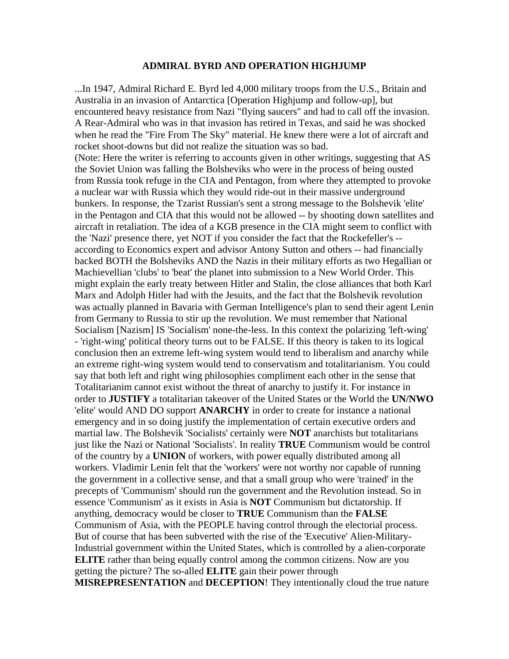#### **ADMIRAL BYRD AND OPERATION HIGHJUMP**

...In 1947, Admiral Richard E. Byrd led 4,000 military troops from the U.S., Britain and Australia in an invasion of Antarctica [Operation Highjump and follow-up], but encountered heavy resistance from Nazi "flying saucers" and had to call off the invasion. A Rear-Admiral who was in that invasion has retired in Texas, and said he was shocked when he read the "Fire From The Sky" material. He knew there were a lot of aircraft and rocket shoot-downs but did not realize the situation was so bad. (Note: Here the writer is referring to accounts given in other writings, suggesting that AS the Soviet Union was falling the Bolsheviks who were in the process of being ousted from Russia took refuge in the CIA and Pentagon, from where they attempted to provoke a nuclear war with Russia which they would ride-out in their massive underground bunkers. In response, the Tzarist Russian's sent a strong message to the Bolshevik 'elite' in the Pentagon and CIA that this would not be allowed -- by shooting down satellites and aircraft in retaliation. The idea of a KGB presence in the CIA might seem to conflict with the 'Nazi' presence there, yet NOT if you consider the fact that the Rockefeller's - according to Economics expert and advisor Antony Sutton and others -- had financially backed BOTH the Bolsheviks AND the Nazis in their military efforts as two Hegallian or Machievellian 'clubs' to 'beat' the planet into submission to a New World Order. This might explain the early treaty between Hitler and Stalin, the close alliances that both Karl Marx and Adolph Hitler had with the Jesuits, and the fact that the Bolshevik revolution was actually planned in Bavaria with German Intelligence's plan to send their agent Lenin from Germany to Russia to stir up the revolution. We must remember that National Socialism [Nazism] IS 'Socialism' none-the-less. In this context the polarizing 'left-wing' - 'right-wing' political theory turns out to be FALSE. If this theory is taken to its logical conclusion then an extreme left-wing system would tend to liberalism and anarchy while an extreme right-wing system would tend to conservatism and totalitarianism. You could say that both left and right wing philosophies compliment each other in the sense that Totalitarianim cannot exist without the threat of anarchy to justify it. For instance in order to **JUSTIFY** a totalitarian takeover of the United States or the World the **UN/NWO** 'elite' would AND DO support **ANARCHY** in order to create for instance a national emergency and in so doing justify the implementation of certain executive orders and martial law. The Bolshevik 'Socialists' certainly were **NOT** anarchists but totalitarians just like the Nazi or National 'Socialists'. In reality **TRUE** Communism would be control of the country by a **UNION** of workers, with power equally distributed among all workers. Vladimir Lenin felt that the 'workers' were not worthy nor capable of running the government in a collective sense, and that a small group who were 'trained' in the precepts of 'Communism' should run the government and the Revolution instead. So in essence 'Communism' as it exists in Asia is **NOT** Communism but dictatorship. If anything, democracy would be closer to **TRUE** Communism than the **FALSE** Communism of Asia, with the PEOPLE having control through the electorial process. But of course that has been subverted with the rise of the 'Executive' Alien-Military-Industrial government within the United States, which is controlled by a alien-corporate **ELITE** rather than being equally control among the common citizens. Now are you getting the picture? The so-alled **ELITE** gain their power through

**MISREPRESENTATION** and **DECEPTION**! They intentionally cloud the true nature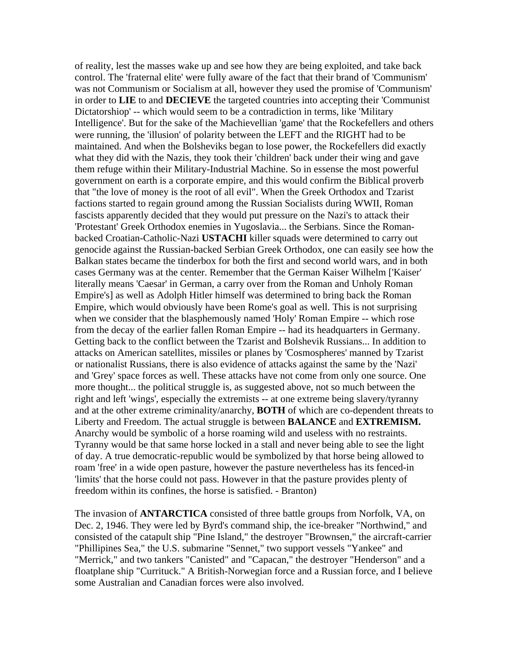of reality, lest the masses wake up and see how they are being exploited, and take back control. The 'fraternal elite' were fully aware of the fact that their brand of 'Communism' was not Communism or Socialism at all, however they used the promise of 'Communism' in order to **LIE** to and **DECIEVE** the targeted countries into accepting their 'Communist Dictatorshiop' -- which would seem to be a contradiction in terms, like 'Military Intelligence'. But for the sake of the Machievellian 'game' that the Rockefellers and others were running, the 'illusion' of polarity between the LEFT and the RIGHT had to be maintained. And when the Bolsheviks began to lose power, the Rockefellers did exactly what they did with the Nazis, they took their 'children' back under their wing and gave them refuge within their Military-Industrial Machine. So in essense the most powerful government on earth is a corporate empire, and this would confirm the Biblical proverb that "the love of money is the root of all evil". When the Greek Orthodox and Tzarist factions started to regain ground among the Russian Socialists during WWII, Roman fascists apparently decided that they would put pressure on the Nazi's to attack their 'Protestant' Greek Orthodox enemies in Yugoslavia... the Serbians. Since the Romanbacked Croatian-Catholic-Nazi **USTACHI** killer squads were determined to carry out genocide against the Russian-backed Serbian Greek Orthodox, one can easily see how the Balkan states became the tinderbox for both the first and second world wars, and in both cases Germany was at the center. Remember that the German Kaiser Wilhelm ['Kaiser' literally means 'Caesar' in German, a carry over from the Roman and Unholy Roman Empire's] as well as Adolph Hitler himself was determined to bring back the Roman Empire, which would obviously have been Rome's goal as well. This is not surprising when we consider that the blasphemously named 'Holy' Roman Empire -- which rose from the decay of the earlier fallen Roman Empire -- had its headquarters in Germany. Getting back to the conflict between the Tzarist and Bolshevik Russians... In addition to attacks on American satellites, missiles or planes by 'Cosmospheres' manned by Tzarist or nationalist Russians, there is also evidence of attacks against the same by the 'Nazi' and 'Grey' space forces as well. These attacks have not come from only one source. One more thought... the political struggle is, as suggested above, not so much between the right and left 'wings', especially the extremists -- at one extreme being slavery/tyranny and at the other extreme criminality/anarchy, **BOTH** of which are co-dependent threats to Liberty and Freedom. The actual struggle is between **BALANCE** and **EXTREMISM.** Anarchy would be symbolic of a horse roaming wild and useless with no restraints. Tyranny would be that same horse locked in a stall and never being able to see the light of day. A true democratic-republic would be symbolized by that horse being allowed to roam 'free' in a wide open pasture, however the pasture nevertheless has its fenced-in 'limits' that the horse could not pass. However in that the pasture provides plenty of freedom within its confines, the horse is satisfied. - Branton)

The invasion of **ANTARCTICA** consisted of three battle groups from Norfolk, VA, on Dec. 2, 1946. They were led by Byrd's command ship, the ice-breaker "Northwind," and consisted of the catapult ship "Pine Island," the destroyer "Brownsen," the aircraft-carrier "Phillipines Sea," the U.S. submarine "Sennet," two support vessels "Yankee" and "Merrick," and two tankers "Canisted" and "Capacan," the destroyer "Henderson" and a floatplane ship "Currituck." A British-Norwegian force and a Russian force, and I believe some Australian and Canadian forces were also involved.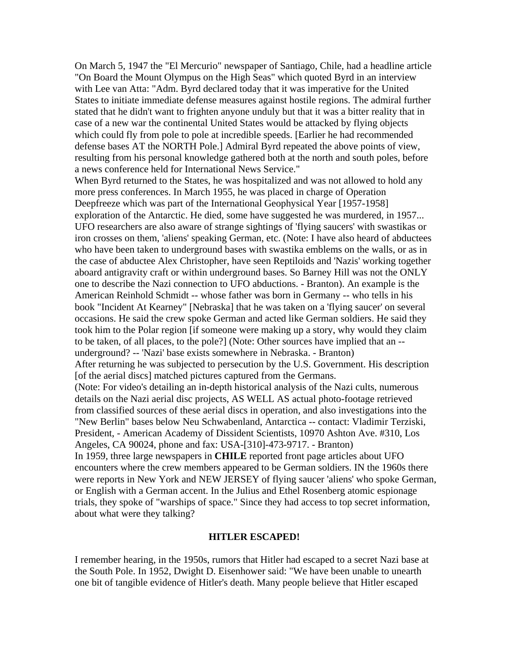On March 5, 1947 the "El Mercurio" newspaper of Santiago, Chile, had a headline article "On Board the Mount Olympus on the High Seas" which quoted Byrd in an interview with Lee van Atta: "Adm. Byrd declared today that it was imperative for the United States to initiate immediate defense measures against hostile regions. The admiral further stated that he didn't want to frighten anyone unduly but that it was a bitter reality that in case of a new war the continental United States would be attacked by flying objects which could fly from pole to pole at incredible speeds. [Earlier he had recommended defense bases AT the NORTH Pole.] Admiral Byrd repeated the above points of view, resulting from his personal knowledge gathered both at the north and south poles, before a news conference held for International News Service."

When Byrd returned to the States, he was hospitalized and was not allowed to hold any more press conferences. In March 1955, he was placed in charge of Operation Deepfreeze which was part of the International Geophysical Year [1957-1958] exploration of the Antarctic. He died, some have suggested he was murdered, in 1957... UFO researchers are also aware of strange sightings of 'flying saucers' with swastikas or iron crosses on them, 'aliens' speaking German, etc. (Note: I have also heard of abductees who have been taken to underground bases with swastika emblems on the walls, or as in the case of abductee Alex Christopher, have seen Reptiloids and 'Nazis' working together aboard antigravity craft or within underground bases. So Barney Hill was not the ONLY one to describe the Nazi connection to UFO abductions. - Branton). An example is the American Reinhold Schmidt -- whose father was born in Germany -- who tells in his book "Incident At Kearney" [Nebraska] that he was taken on a 'flying saucer' on several occasions. He said the crew spoke German and acted like German soldiers. He said they took him to the Polar region [if someone were making up a story, why would they claim to be taken, of all places, to the pole?] (Note: Other sources have implied that an - underground? -- 'Nazi' base exists somewhere in Nebraska. - Branton) After returning he was subjected to persecution by the U.S. Government. His description [of the aerial discs] matched pictures captured from the Germans. (Note: For video's detailing an in-depth historical analysis of the Nazi cults, numerous details on the Nazi aerial disc projects, AS WELL AS actual photo-footage retrieved from classified sources of these aerial discs in operation, and also investigations into the "New Berlin" bases below Neu Schwabenland, Antarctica -- contact: Vladimir Terziski, President, - American Academy of Dissident Scientists, 10970 Ashton Ave. #310, Los Angeles, CA 90024, phone and fax: USA-[310]-473-9717. - Branton) In 1959, three large newspapers in **CHILE** reported front page articles about UFO encounters where the crew members appeared to be German soldiers. IN the 1960s there were reports in New York and NEW JERSEY of flying saucer 'aliens' who spoke German, or English with a German accent. In the Julius and Ethel Rosenberg atomic espionage trials, they spoke of "warships of space." Since they had access to top secret information, about what were they talking?

#### **HITLER ESCAPED!**

I remember hearing, in the 1950s, rumors that Hitler had escaped to a secret Nazi base at the South Pole. In 1952, Dwight D. Eisenhower said: "We have been unable to unearth one bit of tangible evidence of Hitler's death. Many people believe that Hitler escaped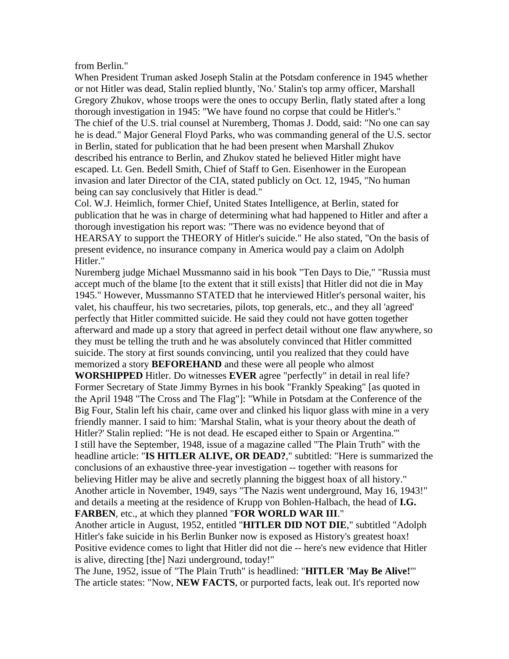#### from Berlin."

When President Truman asked Joseph Stalin at the Potsdam conference in 1945 whether or not Hitler was dead, Stalin replied bluntly, 'No.' Stalin's top army officer, Marshall Gregory Zhukov, whose troops were the ones to occupy Berlin, flatly stated after a long thorough investigation in 1945: "We have found no corpse that could be Hitler's." The chief of the U.S. trial counsel at Nuremberg, Thomas J. Dodd, said: "No one can say he is dead." Major General Floyd Parks, who was commanding general of the U.S. sector in Berlin, stated for publication that he had been present when Marshall Zhukov described his entrance to Berlin, and Zhukov stated he believed Hitler might have escaped. Lt. Gen. Bedell Smith, Chief of Staff to Gen. Eisenhower in the European invasion and later Director of the CIA, stated publicly on Oct. 12, 1945, "No human being can say conclusively that Hitler is dead."

Col. W.J. Heimlich, former Chief, United States Intelligence, at Berlin, stated for publication that he was in charge of determining what had happened to Hitler and after a thorough investigation his report was: "There was no evidence beyond that of HEARSAY to support the THEORY of Hitler's suicide." He also stated, "On the basis of present evidence, no insurance company in America would pay a claim on Adolph Hitler."

Nuremberg judge Michael Mussmanno said in his book "Ten Days to Die," "Russia must accept much of the blame [to the extent that it still exists] that Hitler did not die in May 1945." However, Mussmanno STATED that he interviewed Hitler's personal waiter, his valet, his chauffeur, his two secretaries, pilots, top generals, etc., and they all 'agreed' perfectly that Hitler committed suicide. He said they could not have gotten together afterward and made up a story that agreed in perfect detail without one flaw anywhere, so they must be telling the truth and he was absolutely convinced that Hitler committed suicide. The story at first sounds convincing, until you realized that they could have memorized a story **BEFOREHAND** and these were all people who almost

**WORSHIPPED** Hitler. Do witnesses **EVER** agree "perfectly" in detail in real life? Former Secretary of State Jimmy Byrnes in his book "Frankly Speaking" [as quoted in the April 1948 "The Cross and The Flag"]: "While in Potsdam at the Conference of the Big Four, Stalin left his chair, came over and clinked his liquor glass with mine in a very friendly manner. I said to him: 'Marshal Stalin, what is your theory about the death of Hitler?' Stalin replied: "He is not dead. He escaped either to Spain or Argentina.'" I still have the September, 1948, issue of a magazine called "The Plain Truth" with the headline article: "**IS HITLER ALIVE, OR DEAD?**," subtitled: "Here is summarized the conclusions of an exhaustive three-year investigation -- together with reasons for believing Hitler may be alive and secretly planning the biggest hoax of all history." Another article in November, 1949, says "The Nazis went underground, May 16, 1943!" and details a meeting at the residence of Krupp von Bohlen-Halbach, the head of **I.G. FARBEN**, etc., at which they planned "**FOR WORLD WAR III**." Another article in August, 1952, entitled "**HITLER DID NOT DIE**," subtitled "Adolph

Hitler's fake suicide in his Berlin Bunker now is exposed as History's greatest hoax! Positive evidence comes to light that Hitler did not die -- here's new evidence that Hitler is alive, directing [the] Nazi underground, today!"

The June, 1952, issue of "The Plain Truth" is headlined: "**HITLER 'May Be Alive!**'" The article states: "Now, **NEW FACTS**, or purported facts, leak out. It's reported now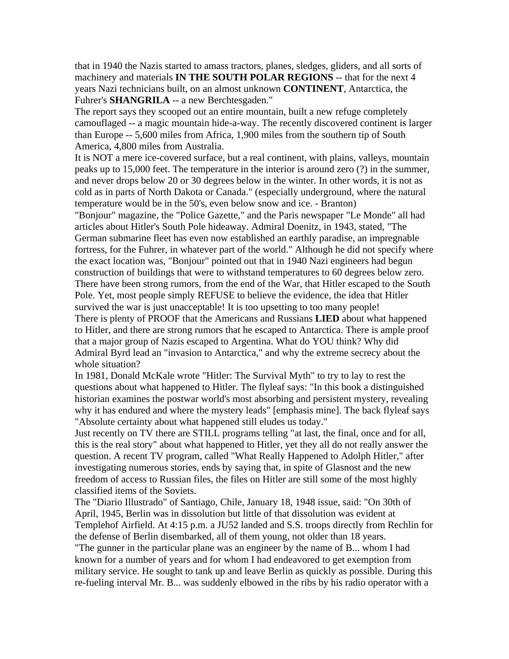that in 1940 the Nazis started to amass tractors, planes, sledges, gliders, and all sorts of machinery and materials **IN THE SOUTH POLAR REGIONS** -- that for the next 4 years Nazi technicians built, on an almost unknown **CONTINENT**, Antarctica, the Fuhrer's **SHANGRILA** -- a new Berchtesgaden."

The report says they scooped out an entire mountain, built a new refuge completely camouflaged -- a magic mountain hide-a-way. The recently discovered continent is larger than Europe -- 5,600 miles from Africa, 1,900 miles from the southern tip of South America, 4,800 miles from Australia.

It is NOT a mere ice-covered surface, but a real continent, with plains, valleys, mountain peaks up to 15,000 feet. The temperature in the interior is around zero (?) in the summer, and never drops below 20 or 30 degrees below in the winter. In other words, it is not as cold as in parts of North Dakota or Canada." (especially underground, where the natural temperature would be in the 50's, even below snow and ice. - Branton)

"Bonjour" magazine, the "Police Gazette," and the Paris newspaper "Le Monde" all had articles about Hitler's South Pole hideaway. Admiral Doenitz, in 1943, stated, "The German submarine fleet has even now established an earthly paradise, an impregnable fortress, for the Fuhrer, in whatever part of the world." Although he did not specify where the exact location was, "Bonjour" pointed out that in 1940 Nazi engineers had begun construction of buildings that were to withstand temperatures to 60 degrees below zero. There have been strong rumors, from the end of the War, that Hitler escaped to the South Pole. Yet, most people simply REFUSE to believe the evidence, the idea that Hitler survived the war is just unacceptable! It is too upsetting to too many people!

There is plenty of PROOF that the Americans and Russians **LIED** about what happened to Hitler, and there are strong rumors that he escaped to Antarctica. There is ample proof that a major group of Nazis escaped to Argentina. What do YOU think? Why did Admiral Byrd lead an "invasion to Antarctica," and why the extreme secrecy about the whole situation?

In 1981, Donald McKale wrote "Hitler: The Survival Myth" to try to lay to rest the questions about what happened to Hitler. The flyleaf says: "In this book a distinguished historian examines the postwar world's most absorbing and persistent mystery, revealing why it has endured and where the mystery leads" [emphasis mine]. The back flyleaf says "Absolute certainty about what happened still eludes us today."

Just recently on TV there are STILL programs telling "at last, the final, once and for all, this is the real story" about what happened to Hitler, yet they all do not really answer the question. A recent TV program, called "What Really Happened to Adolph Hitler," after investigating numerous stories, ends by saying that, in spite of Glasnost and the new freedom of access to Russian files, the files on Hitler are still some of the most highly classified items of the Soviets.

The "Diario Illustrado" of Santiago, Chile, January 18, 1948 issue, said: "On 30th of April, 1945, Berlin was in dissolution but little of that dissolution was evident at Templehof Airfield. At 4:15 p.m. a JU52 landed and S.S. troops directly from Rechlin for the defense of Berlin disembarked, all of them young, not older than 18 years.

"The gunner in the particular plane was an engineer by the name of B... whom I had known for a number of years and for whom I had endeavored to get exemption from military service. He sought to tank up and leave Berlin as quickly as possible. During this re-fueling interval Mr. B... was suddenly elbowed in the ribs by his radio operator with a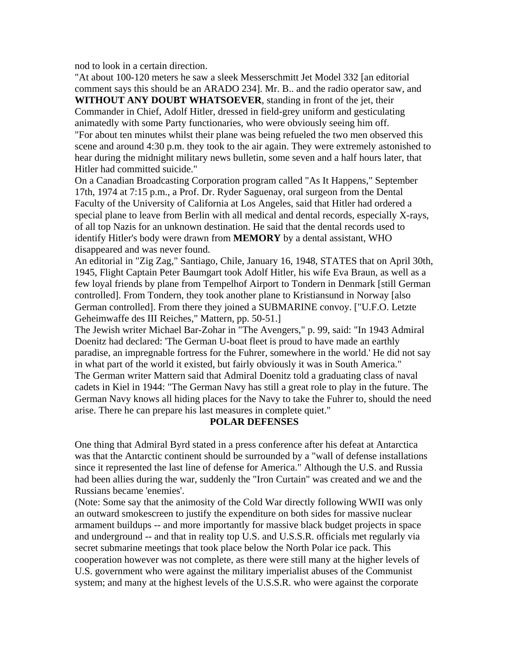nod to look in a certain direction.

"At about 100-120 meters he saw a sleek Messerschmitt Jet Model 332 [an editorial comment says this should be an ARADO 234]. Mr. B.. and the radio operator saw, and **WITHOUT ANY DOUBT WHATSOEVER**, standing in front of the jet, their Commander in Chief, Adolf Hitler, dressed in field-grey uniform and gesticulating animatedly with some Party functionaries, who were obviously seeing him off. "For about ten minutes whilst their plane was being refueled the two men observed this scene and around 4:30 p.m. they took to the air again. They were extremely astonished to hear during the midnight military news bulletin, some seven and a half hours later, that Hitler had committed suicide."

On a Canadian Broadcasting Corporation program called "As It Happens," September 17th, 1974 at 7:15 p.m., a Prof. Dr. Ryder Saguenay, oral surgeon from the Dental Faculty of the University of California at Los Angeles, said that Hitler had ordered a special plane to leave from Berlin with all medical and dental records, especially X-rays, of all top Nazis for an unknown destination. He said that the dental records used to identify Hitler's body were drawn from **MEMORY** by a dental assistant, WHO disappeared and was never found.

An editorial in "Zig Zag," Santiago, Chile, January 16, 1948, STATES that on April 30th, 1945, Flight Captain Peter Baumgart took Adolf Hitler, his wife Eva Braun, as well as a few loyal friends by plane from Tempelhof Airport to Tondern in Denmark [still German controlled]. From Tondern, they took another plane to Kristiansund in Norway [also German controlled]. From there they joined a SUBMARINE convoy. ["U.F.O. Letzte Geheimwaffe des III Reiches," Mattern, pp. 50-51.]

The Jewish writer Michael Bar-Zohar in "The Avengers," p. 99, said: "In 1943 Admiral Doenitz had declared: 'The German U-boat fleet is proud to have made an earthly paradise, an impregnable fortress for the Fuhrer, somewhere in the world.' He did not say in what part of the world it existed, but fairly obviously it was in South America." The German writer Mattern said that Admiral Doenitz told a graduating class of naval cadets in Kiel in 1944: "The German Navy has still a great role to play in the future. The German Navy knows all hiding places for the Navy to take the Fuhrer to, should the need arise. There he can prepare his last measures in complete quiet."

#### **POLAR DEFENSES**

One thing that Admiral Byrd stated in a press conference after his defeat at Antarctica was that the Antarctic continent should be surrounded by a "wall of defense installations since it represented the last line of defense for America." Although the U.S. and Russia had been allies during the war, suddenly the "Iron Curtain" was created and we and the Russians became 'enemies'.

(Note: Some say that the animosity of the Cold War directly following WWII was only an outward smokescreen to justify the expenditure on both sides for massive nuclear armament buildups -- and more importantly for massive black budget projects in space and underground -- and that in reality top U.S. and U.S.S.R. officials met regularly via secret submarine meetings that took place below the North Polar ice pack. This cooperation however was not complete, as there were still many at the higher levels of U.S. government who were against the military imperialist abuses of the Communist system; and many at the highest levels of the U.S.S.R. who were against the corporate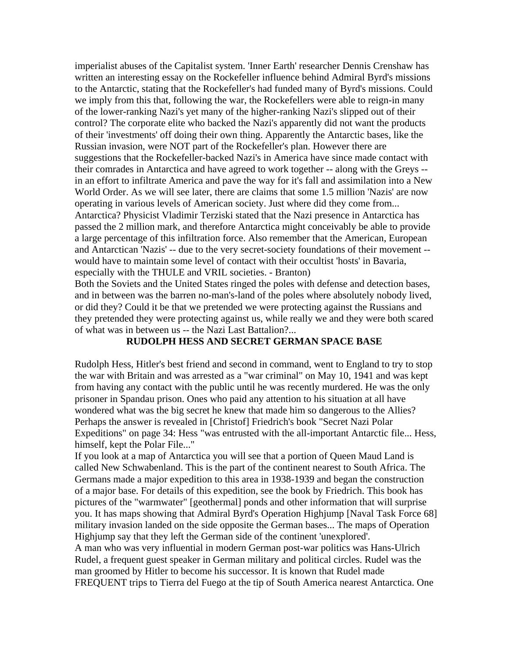imperialist abuses of the Capitalist system. 'Inner Earth' researcher Dennis Crenshaw has written an interesting essay on the Rockefeller influence behind Admiral Byrd's missions to the Antarctic, stating that the Rockefeller's had funded many of Byrd's missions. Could we imply from this that, following the war, the Rockefellers were able to reign-in many of the lower-ranking Nazi's yet many of the higher-ranking Nazi's slipped out of their control? The corporate elite who backed the Nazi's apparently did not want the products of their 'investments' off doing their own thing. Apparently the Antarctic bases, like the Russian invasion, were NOT part of the Rockefeller's plan. However there are suggestions that the Rockefeller-backed Nazi's in America have since made contact with their comrades in Antarctica and have agreed to work together -- along with the Greys - in an effort to infiltrate America and pave the way for it's fall and assimilation into a New World Order. As we will see later, there are claims that some 1.5 million 'Nazis' are now operating in various levels of American society. Just where did they come from... Antarctica? Physicist Vladimir Terziski stated that the Nazi presence in Antarctica has passed the 2 million mark, and therefore Antarctica might conceivably be able to provide a large percentage of this infiltration force. Also remember that the American, European and Antarctican 'Nazis' -- due to the very secret-society foundations of their movement - would have to maintain some level of contact with their occultist 'hosts' in Bavaria, especially with the THULE and VRIL societies. - Branton)

Both the Soviets and the United States ringed the poles with defense and detection bases, and in between was the barren no-man's-land of the poles where absolutely nobody lived, or did they? Could it be that we pretended we were protecting against the Russians and they pretended they were protecting against us, while really we and they were both scared of what was in between us -- the Nazi Last Battalion?...

### **RUDOLPH HESS AND SECRET GERMAN SPACE BASE**

Rudolph Hess, Hitler's best friend and second in command, went to England to try to stop the war with Britain and was arrested as a "war criminal" on May 10, 1941 and was kept from having any contact with the public until he was recently murdered. He was the only prisoner in Spandau prison. Ones who paid any attention to his situation at all have wondered what was the big secret he knew that made him so dangerous to the Allies? Perhaps the answer is revealed in [Christof] Friedrich's book "Secret Nazi Polar Expeditions" on page 34: Hess "was entrusted with the all-important Antarctic file... Hess, himself, kept the Polar File..."

If you look at a map of Antarctica you will see that a portion of Queen Maud Land is called New Schwabenland. This is the part of the continent nearest to South Africa. The Germans made a major expedition to this area in 1938-1939 and began the construction of a major base. For details of this expedition, see the book by Friedrich. This book has pictures of the "warmwater" [geothermal] ponds and other information that will surprise you. It has maps showing that Admiral Byrd's Operation Highjump [Naval Task Force 68] military invasion landed on the side opposite the German bases... The maps of Operation Highjump say that they left the German side of the continent 'unexplored'.

A man who was very influential in modern German post-war politics was Hans-Ulrich Rudel, a frequent guest speaker in German military and political circles. Rudel was the man groomed by Hitler to become his successor. It is known that Rudel made FREQUENT trips to Tierra del Fuego at the tip of South America nearest Antarctica. One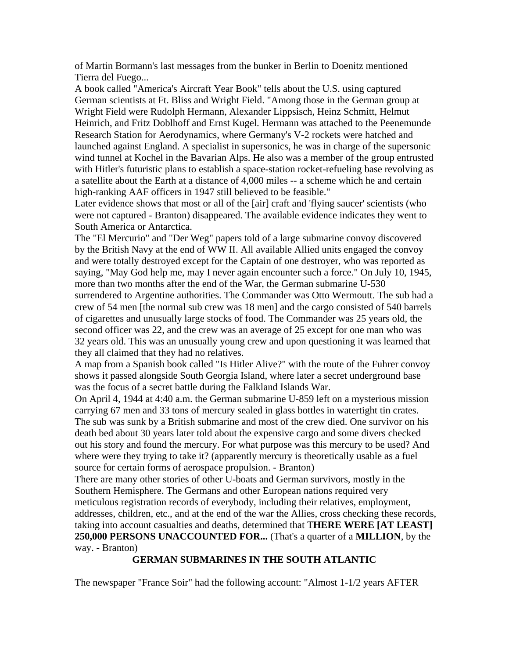of Martin Bormann's last messages from the bunker in Berlin to Doenitz mentioned Tierra del Fuego...

A book called "America's Aircraft Year Book" tells about the U.S. using captured German scientists at Ft. Bliss and Wright Field. "Among those in the German group at Wright Field were Rudolph Hermann, Alexander Lippsisch, Heinz Schmitt, Helmut Heinrich, and Fritz Doblhoff and Ernst Kugel. Hermann was attached to the Peenemunde Research Station for Aerodynamics, where Germany's V-2 rockets were hatched and launched against England. A specialist in supersonics, he was in charge of the supersonic wind tunnel at Kochel in the Bavarian Alps. He also was a member of the group entrusted with Hitler's futuristic plans to establish a space-station rocket-refueling base revolving as a satellite about the Earth at a distance of 4,000 miles -- a scheme which he and certain high-ranking AAF officers in 1947 still believed to be feasible."

Later evidence shows that most or all of the [air] craft and 'flying saucer' scientists (who were not captured - Branton) disappeared. The available evidence indicates they went to South America or Antarctica.

The "El Mercurio" and "Der Weg" papers told of a large submarine convoy discovered by the British Navy at the end of WW II. All available Allied units engaged the convoy and were totally destroyed except for the Captain of one destroyer, who was reported as saying, "May God help me, may I never again encounter such a force." On July 10, 1945, more than two months after the end of the War, the German submarine U-530 surrendered to Argentine authorities. The Commander was Otto Wermoutt. The sub had a

crew of 54 men [the normal sub crew was 18 men] and the cargo consisted of 540 barrels of cigarettes and unusually large stocks of food. The Commander was 25 years old, the second officer was 22, and the crew was an average of 25 except for one man who was 32 years old. This was an unusually young crew and upon questioning it was learned that they all claimed that they had no relatives.

A map from a Spanish book called "Is Hitler Alive?" with the route of the Fuhrer convoy shows it passed alongside South Georgia Island, where later a secret underground base was the focus of a secret battle during the Falkland Islands War.

On April 4, 1944 at 4:40 a.m. the German submarine U-859 left on a mysterious mission carrying 67 men and 33 tons of mercury sealed in glass bottles in watertight tin crates. The sub was sunk by a British submarine and most of the crew died. One survivor on his death bed about 30 years later told about the expensive cargo and some divers checked out his story and found the mercury. For what purpose was this mercury to be used? And where were they trying to take it? (apparently mercury is theoretically usable as a fuel source for certain forms of aerospace propulsion. - Branton)

There are many other stories of other U-boats and German survivors, mostly in the Southern Hemisphere. The Germans and other European nations required very meticulous registration records of everybody, including their relatives, employment, addresses, children, etc., and at the end of the war the Allies, cross checking these records, taking into account casualties and deaths, determined that T**HERE WERE [AT LEAST] 250,000 PERSONS UNACCOUNTED FOR...** (That's a quarter of a **MILLION**, by the way. - Branton)

### **GERMAN SUBMARINES IN THE SOUTH ATLANTIC**

The newspaper "France Soir" had the following account: "Almost 1-1/2 years AFTER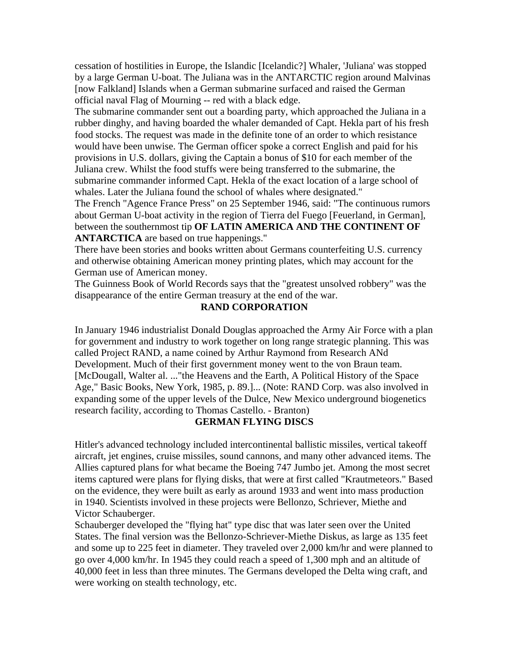cessation of hostilities in Europe, the Islandic [Icelandic?] Whaler, 'Juliana' was stopped by a large German U-boat. The Juliana was in the ANTARCTIC region around Malvinas [now Falkland] Islands when a German submarine surfaced and raised the German official naval Flag of Mourning -- red with a black edge.

The submarine commander sent out a boarding party, which approached the Juliana in a rubber dinghy, and having boarded the whaler demanded of Capt. Hekla part of his fresh food stocks. The request was made in the definite tone of an order to which resistance would have been unwise. The German officer spoke a correct English and paid for his provisions in U.S. dollars, giving the Captain a bonus of \$10 for each member of the Juliana crew. Whilst the food stuffs were being transferred to the submarine, the submarine commander informed Capt. Hekla of the exact location of a large school of whales. Later the Juliana found the school of whales where designated."

The French "Agence France Press" on 25 September 1946, said: "The continuous rumors about German U-boat activity in the region of Tierra del Fuego [Feuerland, in German], between the southernmost tip **OF LATIN AMERICA AND THE CONTINENT OF ANTARCTICA** are based on true happenings."

There have been stories and books written about Germans counterfeiting U.S. currency and otherwise obtaining American money printing plates, which may account for the German use of American money.

The Guinness Book of World Records says that the "greatest unsolved robbery" was the disappearance of the entire German treasury at the end of the war.

### **RAND CORPORATION**

In January 1946 industrialist Donald Douglas approached the Army Air Force with a plan for government and industry to work together on long range strategic planning. This was called Project RAND, a name coined by Arthur Raymond from Research ANd Development. Much of their first government money went to the von Braun team. [McDougall, Walter al. ..."the Heavens and the Earth, A Political History of the Space Age," Basic Books, New York, 1985, p. 89.]... (Note: RAND Corp. was also involved in expanding some of the upper levels of the Dulce, New Mexico underground biogenetics research facility, according to Thomas Castello. - Branton)

#### **GERMAN FLYING DISCS**

Hitler's advanced technology included intercontinental ballistic missiles, vertical takeoff aircraft, jet engines, cruise missiles, sound cannons, and many other advanced items. The Allies captured plans for what became the Boeing 747 Jumbo jet. Among the most secret items captured were plans for flying disks, that were at first called "Krautmeteors." Based on the evidence, they were built as early as around 1933 and went into mass production in 1940. Scientists involved in these projects were Bellonzo, Schriever, Miethe and Victor Schauberger.

Schauberger developed the "flying hat" type disc that was later seen over the United States. The final version was the Bellonzo-Schriever-Miethe Diskus, as large as 135 feet and some up to 225 feet in diameter. They traveled over 2,000 km/hr and were planned to go over 4,000 km/hr. In 1945 they could reach a speed of 1,300 mph and an altitude of 40,000 feet in less than three minutes. The Germans developed the Delta wing craft, and were working on stealth technology, etc.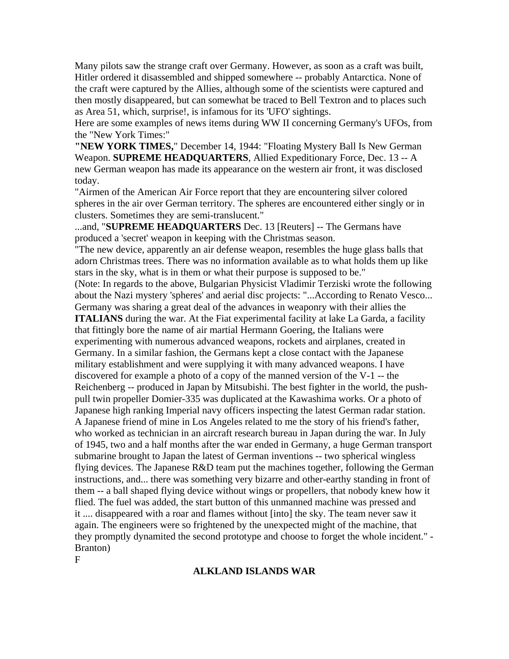Many pilots saw the strange craft over Germany. However, as soon as a craft was built, Hitler ordered it disassembled and shipped somewhere -- probably Antarctica. None of the craft were captured by the Allies, although some of the scientists were captured and then mostly disappeared, but can somewhat be traced to Bell Textron and to places such as Area 51, which, surprise!, is infamous for its 'UFO' sightings.

Here are some examples of news items during WW II concerning Germany's UFOs, from the "New York Times:"

**"NEW YORK TIMES,**" December 14, 1944: "Floating Mystery Ball Is New German Weapon. **SUPREME HEADQUARTERS**, Allied Expeditionary Force, Dec. 13 -- A new German weapon has made its appearance on the western air front, it was disclosed today.

"Airmen of the American Air Force report that they are encountering silver colored spheres in the air over German territory. The spheres are encountered either singly or in clusters. Sometimes they are semi-translucent."

...and, "**SUPREME HEADQUARTERS** Dec. 13 [Reuters] -- The Germans have produced a 'secret' weapon in keeping with the Christmas season.

"The new device, apparently an air defense weapon, resembles the huge glass balls that adorn Christmas trees. There was no information available as to what holds them up like stars in the sky, what is in them or what their purpose is supposed to be." (Note: In regards to the above, Bulgarian Physicist Vladimir Terziski wrote the following

about the Nazi mystery 'spheres' and aerial disc projects: "...According to Renato Vesco... Germany was sharing a great deal of the advances in weaponry with their allies the **ITALIANS** during the war. At the Fiat experimental facility at lake La Garda, a facility

that fittingly bore the name of air martial Hermann Goering, the Italians were experimenting with numerous advanced weapons, rockets and airplanes, created in Germany. In a similar fashion, the Germans kept a close contact with the Japanese military establishment and were supplying it with many advanced weapons. I have discovered for example a photo of a copy of the manned version of the V-1 -- the Reichenberg -- produced in Japan by Mitsubishi. The best fighter in the world, the pushpull twin propeller Domier-335 was duplicated at the Kawashima works. Or a photo of Japanese high ranking Imperial navy officers inspecting the latest German radar station. A Japanese friend of mine in Los Angeles related to me the story of his friend's father, who worked as technician in an aircraft research bureau in Japan during the war. In July of 1945, two and a half months after the war ended in Germany, a huge German transport submarine brought to Japan the latest of German inventions -- two spherical wingless flying devices. The Japanese  $R\&D$  team put the machines together, following the German instructions, and... there was something very bizarre and other-earthy standing in front of them -- a ball shaped flying device without wings or propellers, that nobody knew how it flied. The fuel was added, the start button of this unmanned machine was pressed and it .... disappeared with a roar and flames without [into] the sky. The team never saw it again. The engineers were so frightened by the unexpected might of the machine, that they promptly dynamited the second prototype and choose to forget the whole incident." - Branton)

F

# **ALKLAND ISLANDS WAR**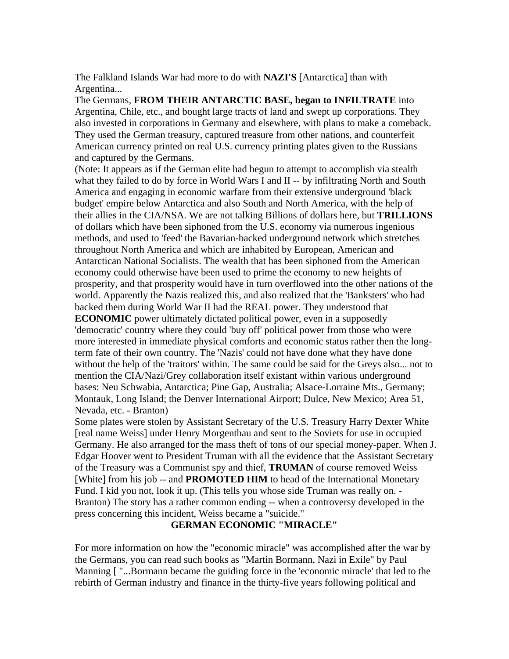The Falkland Islands War had more to do with **NAZI'S** [Antarctica] than with Argentina...

The Germans, **FROM THEIR ANTARCTIC BASE, began to INFILTRATE** into Argentina, Chile, etc., and bought large tracts of land and swept up corporations. They also invested in corporations in Germany and elsewhere, with plans to make a comeback. They used the German treasury, captured treasure from other nations, and counterfeit American currency printed on real U.S. currency printing plates given to the Russians and captured by the Germans.

(Note: It appears as if the German elite had begun to attempt to accomplish via stealth what they failed to do by force in World Wars I and II -- by infiltrating North and South America and engaging in economic warfare from their extensive underground 'black budget' empire below Antarctica and also South and North America, with the help of their allies in the CIA/NSA. We are not talking Billions of dollars here, but **TRILLIONS**  of dollars which have been siphoned from the U.S. economy via numerous ingenious methods, and used to 'feed' the Bavarian-backed underground network which stretches throughout North America and which are inhabited by European, American and Antarctican National Socialists. The wealth that has been siphoned from the American economy could otherwise have been used to prime the economy to new heights of prosperity, and that prosperity would have in turn overflowed into the other nations of the world. Apparently the Nazis realized this, and also realized that the 'Banksters' who had backed them during World War II had the REAL power. They understood that **ECONOMIC** power ultimately dictated political power, even in a supposedly 'democratic' country where they could 'buy off' political power from those who were

more interested in immediate physical comforts and economic status rather then the longterm fate of their own country. The 'Nazis' could not have done what they have done without the help of the 'traitors' within. The same could be said for the Greys also... not to mention the CIA/Nazi/Grey collaboration itself existant within various underground bases: Neu Schwabia, Antarctica; Pine Gap, Australia; Alsace-Lorraine Mts., Germany; Montauk, Long Island; the Denver International Airport; Dulce, New Mexico; Area 51, Nevada, etc. - Branton)

Some plates were stolen by Assistant Secretary of the U.S. Treasury Harry Dexter White [real name Weiss] under Henry Morgenthau and sent to the Soviets for use in occupied Germany. He also arranged for the mass theft of tons of our special money-paper. When J. Edgar Hoover went to President Truman with all the evidence that the Assistant Secretary of the Treasury was a Communist spy and thief, **TRUMAN** of course removed Weiss [White] from his job -- and **PROMOTED HIM** to head of the International Monetary Fund. I kid you not, look it up. (This tells you whose side Truman was really on. - Branton) The story has a rather common ending -- when a controversy developed in the press concerning this incident, Weiss became a "suicide."

### **GERMAN ECONOMIC "MIRACLE"**

For more information on how the "economic miracle" was accomplished after the war by the Germans, you can read such books as "Martin Bormann, Nazi in Exile" by Paul Manning [ "...Bormann became the guiding force in the 'economic miracle' that led to the rebirth of German industry and finance in the thirty-five years following political and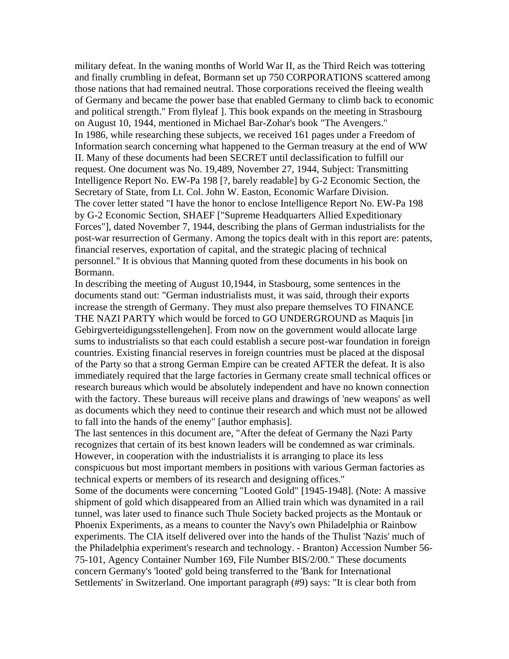military defeat. In the waning months of World War II, as the Third Reich was tottering and finally crumbling in defeat, Bormann set up 750 CORPORATIONS scattered among those nations that had remained neutral. Those corporations received the fleeing wealth of Germany and became the power base that enabled Germany to climb back to economic and political strength." From flyleaf ]. This book expands on the meeting in Strasbourg on August 10, 1944, mentioned in Michael Bar-Zohar's book "The Avengers." In 1986, while researching these subjects, we received 161 pages under a Freedom of Information search concerning what happened to the German treasury at the end of WW II. Many of these documents had been SECRET until declassification to fulfill our request. One document was No. 19,489, November 27, 1944, Subject: Transmitting Intelligence Report No. EW-Pa 198 [?, barely readable] by G-2 Economic Section, the Secretary of State, from Lt. Col. John W. Easton, Economic Warfare Division. The cover letter stated "I have the honor to enclose Intelligence Report No. EW-Pa 198 by G-2 Economic Section, SHAEF ["Supreme Headquarters Allied Expeditionary Forces"], dated November 7, 1944, describing the plans of German industrialists for the post-war resurrection of Germany. Among the topics dealt with in this report are: patents, financial reserves, exportation of capital, and the strategic placing of technical personnel." It is obvious that Manning quoted from these documents in his book on Bormann.

In describing the meeting of August 10,1944, in Stasbourg, some sentences in the documents stand out: "German industrialists must, it was said, through their exports increase the strength of Germany. They must also prepare themselves TO FINANCE THE NAZI PARTY which would be forced to GO UNDERGROUND as Maquis [in Gebirgverteidigungsstellengehen]. From now on the government would allocate large sums to industrialists so that each could establish a secure post-war foundation in foreign countries. Existing financial reserves in foreign countries must be placed at the disposal of the Party so that a strong German Empire can be created AFTER the defeat. It is also immediately required that the large factories in Germany create small technical offices or research bureaus which would be absolutely independent and have no known connection with the factory. These bureaus will receive plans and drawings of 'new weapons' as well as documents which they need to continue their research and which must not be allowed to fall into the hands of the enemy" [author emphasis].

The last sentences in this document are, "After the defeat of Germany the Nazi Party recognizes that certain of its best known leaders will be condemned as war criminals. However, in cooperation with the industrialists it is arranging to place its less conspicuous but most important members in positions with various German factories as technical experts or members of its research and designing offices."

Some of the documents were concerning "Looted Gold" [1945-1948]. (Note: A massive shipment of gold which disappeared from an Allied train which was dynamited in a rail tunnel, was later used to finance such Thule Society backed projects as the Montauk or Phoenix Experiments, as a means to counter the Navy's own Philadelphia or Rainbow experiments. The CIA itself delivered over into the hands of the Thulist 'Nazis' much of the Philadelphia experiment's research and technology. - Branton) Accession Number 56- 75-101, Agency Container Number 169, File Number BIS/2/00." These documents concern Germany's 'looted' gold being transferred to the 'Bank for International Settlements' in Switzerland. One important paragraph (#9) says: "It is clear both from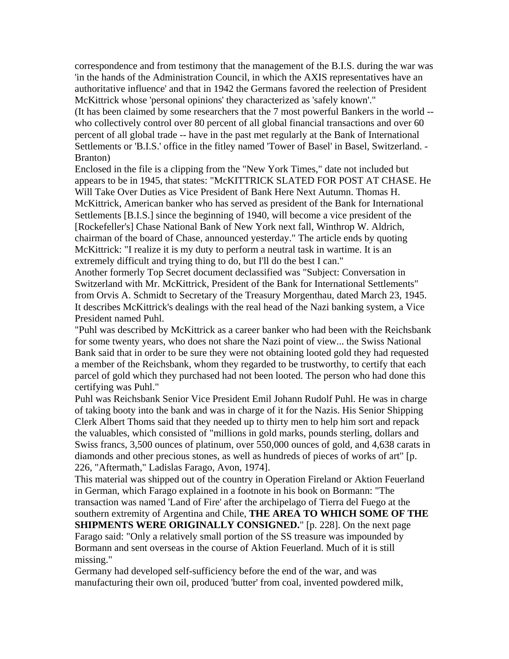correspondence and from testimony that the management of the B.I.S. during the war was 'in the hands of the Administration Council, in which the AXIS representatives have an authoritative influence' and that in 1942 the Germans favored the reelection of President McKittrick whose 'personal opinions' they characterized as 'safely known'."

(It has been claimed by some researchers that the 7 most powerful Bankers in the world - who collectively control over 80 percent of all global financial transactions and over 60 percent of all global trade -- have in the past met regularly at the Bank of International Settlements or 'B.I.S.' office in the fitley named 'Tower of Basel' in Basel, Switzerland. - Branton)

Enclosed in the file is a clipping from the "New York Times," date not included but appears to be in 1945, that states: "McKITTRICK SLATED FOR POST AT CHASE. He Will Take Over Duties as Vice President of Bank Here Next Autumn. Thomas H. McKittrick, American banker who has served as president of the Bank for International Settlements [B.I.S.] since the beginning of 1940, will become a vice president of the [Rockefeller's] Chase National Bank of New York next fall, Winthrop W. Aldrich, chairman of the board of Chase, announced yesterday." The article ends by quoting McKittrick: "I realize it is my duty to perform a neutral task in wartime. It is an extremely difficult and trying thing to do, but I'll do the best I can."

Another formerly Top Secret document declassified was "Subject: Conversation in Switzerland with Mr. McKittrick, President of the Bank for International Settlements" from Orvis A. Schmidt to Secretary of the Treasury Morgenthau, dated March 23, 1945. It describes McKittrick's dealings with the real head of the Nazi banking system, a Vice President named Puhl.

"Puhl was described by McKittrick as a career banker who had been with the Reichsbank for some twenty years, who does not share the Nazi point of view... the Swiss National Bank said that in order to be sure they were not obtaining looted gold they had requested a member of the Reichsbank, whom they regarded to be trustworthy, to certify that each parcel of gold which they purchased had not been looted. The person who had done this certifying was Puhl."

Puhl was Reichsbank Senior Vice President Emil Johann Rudolf Puhl. He was in charge of taking booty into the bank and was in charge of it for the Nazis. His Senior Shipping Clerk Albert Thoms said that they needed up to thirty men to help him sort and repack the valuables, which consisted of "millions in gold marks, pounds sterling, dollars and Swiss francs, 3,500 ounces of platinum, over 550,000 ounces of gold, and 4,638 carats in diamonds and other precious stones, as well as hundreds of pieces of works of art" [p. 226, "Aftermath," Ladislas Farago, Avon, 1974].

This material was shipped out of the country in Operation Fireland or Aktion Feuerland in German, which Farago explained in a footnote in his book on Bormann: "The transaction was named 'Land of Fire' after the archipelago of Tierra del Fuego at the southern extremity of Argentina and Chile, **THE AREA TO WHICH SOME OF THE SHIPMENTS WERE ORIGINALLY CONSIGNED.**" [p. 228]. On the next page Farago said: "Only a relatively small portion of the SS treasure was impounded by Bormann and sent overseas in the course of Aktion Feuerland. Much of it is still missing."

Germany had developed self-sufficiency before the end of the war, and was manufacturing their own oil, produced 'butter' from coal, invented powdered milk,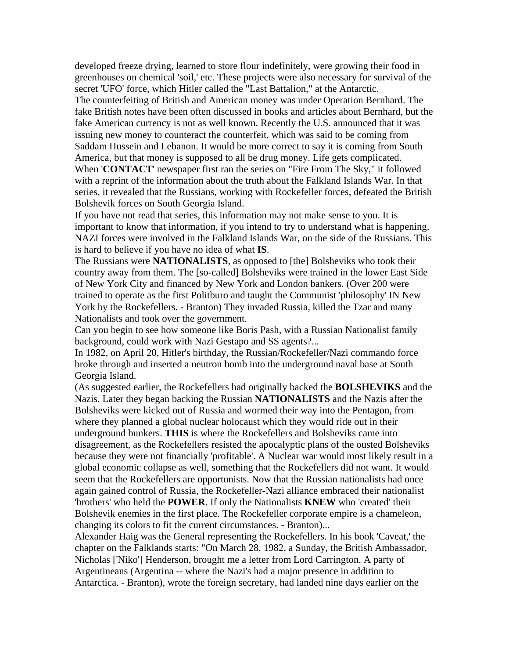developed freeze drying, learned to store flour indefinitely, were growing their food in greenhouses on chemical 'soil,' etc. These projects were also necessary for survival of the secret 'UFO' force, which Hitler called the "Last Battalion," at the Antarctic.

The counterfeiting of British and American money was under Operation Bernhard. The fake British notes have been often discussed in books and articles about Bernhard, but the fake American currency is not as well known. Recently the U.S. announced that it was issuing new money to counteract the counterfeit, which was said to be coming from Saddam Hussein and Lebanon. It would be more correct to say it is coming from South America, but that money is supposed to all be drug money. Life gets complicated.

When '**CONTACT**' newspaper first ran the series on "Fire From The Sky," it followed with a reprint of the information about the truth about the Falkland Islands War. In that series, it revealed that the Russians, working with Rockefeller forces, defeated the British Bolshevik forces on South Georgia Island.

If you have not read that series, this information may not make sense to you. It is important to know that information, if you intend to try to understand what is happening. NAZI forces were involved in the Falkland Islands War, on the side of the Russians. This is hard to believe if you have no idea of what **IS**.

The Russians were **NATIONALISTS**, as opposed to [the] Bolsheviks who took their country away from them. The [so-called] Bolsheviks were trained in the lower East Side of New York City and financed by New York and London bankers. (Over 200 were trained to operate as the first Politburo and taught the Communist 'philosophy' IN New York by the Rockefellers. - Branton) They invaded Russia, killed the Tzar and many Nationalists and took over the government.

Can you begin to see how someone like Boris Pash, with a Russian Nationalist family background, could work with Nazi Gestapo and SS agents?...

In 1982, on April 20, Hitler's birthday, the Russian/Rockefeller/Nazi commando force broke through and inserted a neutron bomb into the underground naval base at South Georgia Island.

(As suggested earlier, the Rockefellers had originally backed the **BOLSHEVIKS** and the Nazis. Later they began backing the Russian **NATIONALISTS** and the Nazis after the Bolsheviks were kicked out of Russia and wormed their way into the Pentagon, from where they planned a global nuclear holocaust which they would ride out in their underground bunkers. **THIS** is where the Rockefellers and Bolsheviks came into disagreement, as the Rockefellers resisted the apocalyptic plans of the ousted Bolsheviks because they were not financially 'profitable'. A Nuclear war would most likely result in a global economic collapse as well, something that the Rockefellers did not want. It would seem that the Rockefellers are opportunists. Now that the Russian nationalists had once again gained control of Russia, the Rockefeller-Nazi alliance embraced their nationalist 'brothers' who held the **POWER**. If only the Nationalists **KNEW** who 'created' their Bolshevik enemies in the first place. The Rockefeller corporate empire is a chameleon, changing its colors to fit the current circumstances. - Branton)...

Alexander Haig was the General representing the Rockefellers. In his book 'Caveat,' the chapter on the Falklands starts: "On March 28, 1982, a Sunday, the British Ambassador, Nicholas ['Niko'] Henderson, brought me a letter from Lord Carrington. A party of Argentineans (Argentina -- where the Nazi's had a major presence in addition to Antarctica. - Branton), wrote the foreign secretary, had landed nine days earlier on the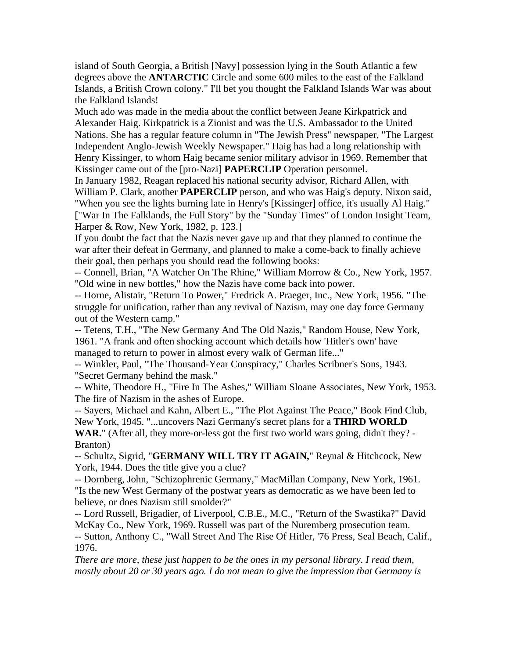island of South Georgia, a British [Navy] possession lying in the South Atlantic a few degrees above the **ANTARCTIC** Circle and some 600 miles to the east of the Falkland Islands, a British Crown colony." I'll bet you thought the Falkland Islands War was about the Falkland Islands!

Much ado was made in the media about the conflict between Jeane Kirkpatrick and Alexander Haig. Kirkpatrick is a Zionist and was the U.S. Ambassador to the United Nations. She has a regular feature column in "The Jewish Press" newspaper, "The Largest Independent Anglo-Jewish Weekly Newspaper." Haig has had a long relationship with Henry Kissinger, to whom Haig became senior military advisor in 1969. Remember that Kissinger came out of the [pro-Nazi] **PAPERCLIP** Operation personnel.

In January 1982, Reagan replaced his national security advisor, Richard Allen, with William P. Clark, another **PAPERCLIP** person, and who was Haig's deputy. Nixon said, "When you see the lights burning late in Henry's [Kissinger] office, it's usually Al Haig." ["War In The Falklands, the Full Story" by the "Sunday Times" of London Insight Team, Harper & Row, New York, 1982, p. 123.]

If you doubt the fact that the Nazis never gave up and that they planned to continue the war after their defeat in Germany, and planned to make a come-back to finally achieve their goal, then perhaps you should read the following books:

-- Connell, Brian, "A Watcher On The Rhine," William Morrow & Co., New York, 1957. "Old wine in new bottles," how the Nazis have come back into power.

-- Horne, Alistair, "Return To Power," Fredrick A. Praeger, Inc., New York, 1956. "The struggle for unification, rather than any revival of Nazism, may one day force Germany out of the Western camp."

-- Tetens, T.H., "The New Germany And The Old Nazis," Random House, New York, 1961. "A frank and often shocking account which details how 'Hitler's own' have managed to return to power in almost every walk of German life..."

-- Winkler, Paul, "The Thousand-Year Conspiracy," Charles Scribner's Sons, 1943. "Secret Germany behind the mask."

-- White, Theodore H., "Fire In The Ashes," William Sloane Associates, New York, 1953. The fire of Nazism in the ashes of Europe.

-- Sayers, Michael and Kahn, Albert E., "The Plot Against The Peace," Book Find Club, New York, 1945. "...uncovers Nazi Germany's secret plans for a **THIRD WORLD**  WAR." (After all, they more-or-less got the first two world wars going, didn't they? -Branton)

-- Schultz, Sigrid, "**GERMANY WILL TRY IT AGAIN,**" Reynal & Hitchcock, New York, 1944. Does the title give you a clue?

-- Dornberg, John, "Schizophrenic Germany," MacMillan Company, New York, 1961. "Is the new West Germany of the postwar years as democratic as we have been led to believe, or does Nazism still smolder?"

-- Lord Russell, Brigadier, of Liverpool, C.B.E., M.C., "Return of the Swastika?" David McKay Co., New York, 1969. Russell was part of the Nuremberg prosecution team. -- Sutton, Anthony C., "Wall Street And The Rise Of Hitler, '76 Press, Seal Beach, Calif., 1976.

*There are more, these just happen to be the ones in my personal library. I read them, mostly about 20 or 30 years ago. I do not mean to give the impression that Germany is*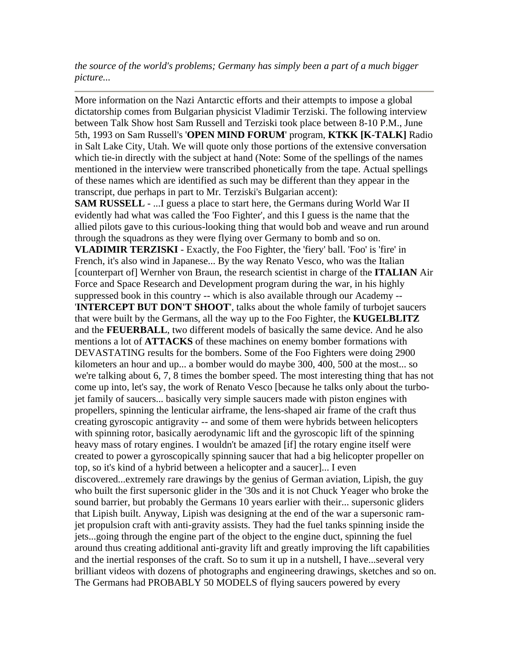## *the source of the world's problems; Germany has simply been a part of a much bigger picture...*

More information on the Nazi Antarctic efforts and their attempts to impose a global dictatorship comes from Bulgarian physicist Vladimir Terziski. The following interview between Talk Show host Sam Russell and Terziski took place between 8-10 P.M., June 5th, 1993 on Sam Russell's '**OPEN MIND FORUM**' program, **KTKK [K-TALK]** Radio in Salt Lake City, Utah. We will quote only those portions of the extensive conversation which tie-in directly with the subject at hand (Note: Some of the spellings of the names mentioned in the interview were transcribed phonetically from the tape. Actual spellings of these names which are identified as such may be different than they appear in the transcript, due perhaps in part to Mr. Terziski's Bulgarian accent): **SAM RUSSELL** - ...I guess a place to start here, the Germans during World War II evidently had what was called the 'Foo Fighter', and this I guess is the name that the allied pilots gave to this curious-looking thing that would bob and weave and run around through the squadrons as they were flying over Germany to bomb and so on. **VLADIMIR TERZISKI** - Exactly, the Foo Fighter, the 'fiery' ball. 'Foo' is 'fire' in French, it's also wind in Japanese... By the way Renato Vesco, who was the Italian [counterpart of] Wernher von Braun, the research scientist in charge of the **ITALIAN** Air Force and Space Research and Development program during the war, in his highly suppressed book in this country -- which is also available through our Academy -- '**INTERCEPT BUT DON'T SHOOT**', talks about the whole family of turbojet saucers that were built by the Germans, all the way up to the Foo Fighter, the **KUGELBLITZ** and the **FEUERBALL**, two different models of basically the same device. And he also mentions a lot of **ATTACKS** of these machines on enemy bomber formations with DEVASTATING results for the bombers. Some of the Foo Fighters were doing 2900 kilometers an hour and up... a bomber would do maybe 300, 400, 500 at the most... so we're talking about 6, 7, 8 times the bomber speed. The most interesting thing that has not come up into, let's say, the work of Renato Vesco [because he talks only about the turbojet family of saucers... basically very simple saucers made with piston engines with propellers, spinning the lenticular airframe, the lens-shaped air frame of the craft thus creating gyroscopic antigravity -- and some of them were hybrids between helicopters with spinning rotor, basically aerodynamic lift and the gyroscopic lift of the spinning heavy mass of rotary engines. I wouldn't be amazed [if] the rotary engine itself were created to power a gyroscopically spinning saucer that had a big helicopter propeller on top, so it's kind of a hybrid between a helicopter and a saucer]... I even discovered...extremely rare drawings by the genius of German aviation, Lipish, the guy who built the first supersonic glider in the '30s and it is not Chuck Yeager who broke the sound barrier, but probably the Germans 10 years earlier with their... supersonic gliders that Lipish built. Anyway, Lipish was designing at the end of the war a supersonic ramjet propulsion craft with anti-gravity assists. They had the fuel tanks spinning inside the jets...going through the engine part of the object to the engine duct, spinning the fuel around thus creating additional anti-gravity lift and greatly improving the lift capabilities and the inertial responses of the craft. So to sum it up in a nutshell, I have...several very brilliant videos with dozens of photographs and engineering drawings, sketches and so on. The Germans had PROBABLY 50 MODELS of flying saucers powered by every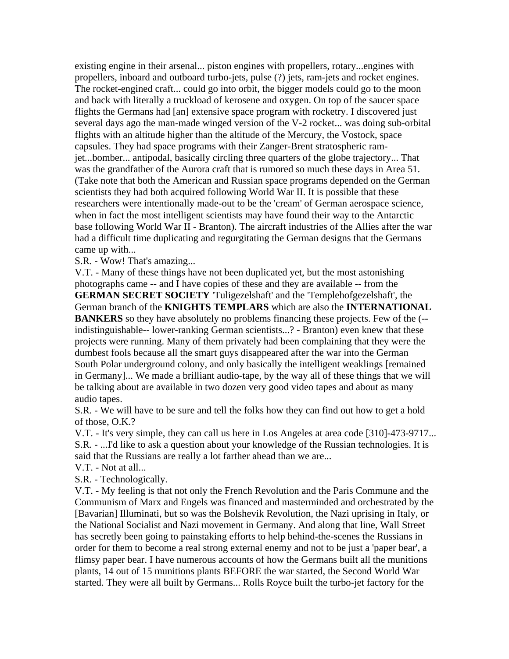existing engine in their arsenal... piston engines with propellers, rotary...engines with propellers, inboard and outboard turbo-jets, pulse (?) jets, ram-jets and rocket engines. The rocket-engined craft... could go into orbit, the bigger models could go to the moon and back with literally a truckload of kerosene and oxygen. On top of the saucer space flights the Germans had [an] extensive space program with rocketry. I discovered just several days ago the man-made winged version of the V-2 rocket... was doing sub-orbital flights with an altitude higher than the altitude of the Mercury, the Vostock, space capsules. They had space programs with their Zanger-Brent stratospheric ramjet...bomber... antipodal, basically circling three quarters of the globe trajectory... That was the grandfather of the Aurora craft that is rumored so much these days in Area 51. (Take note that both the American and Russian space programs depended on the German scientists they had both acquired following World War II. It is possible that these researchers were intentionally made-out to be the 'cream' of German aerospace science, when in fact the most intelligent scientists may have found their way to the Antarctic base following World War II - Branton). The aircraft industries of the Allies after the war had a difficult time duplicating and regurgitating the German designs that the Germans came up with...

S.R. - Wow! That's amazing...

V.T. - Many of these things have not been duplicated yet, but the most astonishing photographs came -- and I have copies of these and they are available -- from the **GERMAN SECRET SOCIETY** 'Tuligezelshaft' and the 'Templehofgezelshaft', the German branch of the **KNIGHTS TEMPLARS** which are also the **INTERNATIONAL BANKERS** so they have absolutely no problems financing these projects. Few of the  $($ indistinguishable-- lower-ranking German scientists...? - Branton) even knew that these projects were running. Many of them privately had been complaining that they were the dumbest fools because all the smart guys disappeared after the war into the German South Polar underground colony, and only basically the intelligent weaklings [remained in Germany]... We made a brilliant audio-tape, by the way all of these things that we will be talking about are available in two dozen very good video tapes and about as many audio tapes.

S.R. - We will have to be sure and tell the folks how they can find out how to get a hold of those, O.K.?

V.T. - It's very simple, they can call us here in Los Angeles at area code [310]-473-9717... S.R. - ...I'd like to ask a question about your knowledge of the Russian technologies. It is said that the Russians are really a lot farther ahead than we are...

V.T. - Not at all...

S.R. - Technologically.

V.T. - My feeling is that not only the French Revolution and the Paris Commune and the Communism of Marx and Engels was financed and masterminded and orchestrated by the [Bavarian] Illuminati, but so was the Bolshevik Revolution, the Nazi uprising in Italy, or the National Socialist and Nazi movement in Germany. And along that line, Wall Street has secretly been going to painstaking efforts to help behind-the-scenes the Russians in order for them to become a real strong external enemy and not to be just a 'paper bear', a flimsy paper bear. I have numerous accounts of how the Germans built all the munitions plants, 14 out of 15 munitions plants BEFORE the war started, the Second World War started. They were all built by Germans... Rolls Royce built the turbo-jet factory for the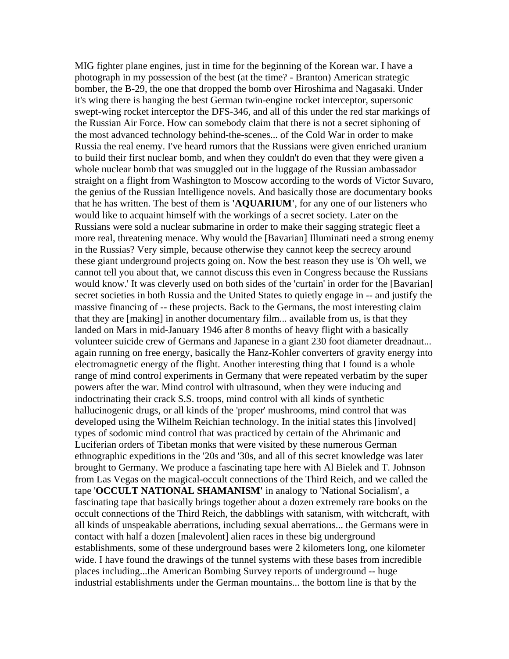MIG fighter plane engines, just in time for the beginning of the Korean war. I have a photograph in my possession of the best (at the time? - Branton) American strategic bomber, the B-29, the one that dropped the bomb over Hiroshima and Nagasaki. Under it's wing there is hanging the best German twin-engine rocket interceptor, supersonic swept-wing rocket interceptor the DFS-346, and all of this under the red star markings of the Russian Air Force. How can somebody claim that there is not a secret siphoning of the most advanced technology behind-the-scenes... of the Cold War in order to make Russia the real enemy. I've heard rumors that the Russians were given enriched uranium to build their first nuclear bomb, and when they couldn't do even that they were given a whole nuclear bomb that was smuggled out in the luggage of the Russian ambassador straight on a flight from Washington to Moscow according to the words of Victor Suvaro, the genius of the Russian Intelligence novels. And basically those are documentary books that he has written. The best of them is **'AQUARIUM'**, for any one of our listeners who would like to acquaint himself with the workings of a secret society. Later on the Russians were sold a nuclear submarine in order to make their sagging strategic fleet a more real, threatening menace. Why would the [Bavarian] Illuminati need a strong enemy in the Russias? Very simple, because otherwise they cannot keep the secrecy around these giant underground projects going on. Now the best reason they use is 'Oh well, we cannot tell you about that, we cannot discuss this even in Congress because the Russians would know.' It was cleverly used on both sides of the 'curtain' in order for the [Bavarian] secret societies in both Russia and the United States to quietly engage in -- and justify the massive financing of -- these projects. Back to the Germans, the most interesting claim that they are [making] in another documentary film... available from us, is that they landed on Mars in mid-January 1946 after 8 months of heavy flight with a basically volunteer suicide crew of Germans and Japanese in a giant 230 foot diameter dreadnaut... again running on free energy, basically the Hanz-Kohler converters of gravity energy into electromagnetic energy of the flight. Another interesting thing that I found is a whole range of mind control experiments in Germany that were repeated verbatim by the super powers after the war. Mind control with ultrasound, when they were inducing and indoctrinating their crack S.S. troops, mind control with all kinds of synthetic hallucinogenic drugs, or all kinds of the 'proper' mushrooms, mind control that was developed using the Wilhelm Reichian technology. In the initial states this [involved] types of sodomic mind control that was practiced by certain of the Ahrimanic and Luciferian orders of Tibetan monks that were visited by these numerous German ethnographic expeditions in the '20s and '30s, and all of this secret knowledge was later brought to Germany. We produce a fascinating tape here with Al Bielek and T. Johnson from Las Vegas on the magical-occult connections of the Third Reich, and we called the tape '**OCCULT NATIONAL SHAMANISM'** in analogy to 'National Socialism', a fascinating tape that basically brings together about a dozen extremely rare books on the occult connections of the Third Reich, the dabblings with satanism, with witchcraft, with all kinds of unspeakable aberrations, including sexual aberrations... the Germans were in contact with half a dozen [malevolent] alien races in these big underground establishments, some of these underground bases were 2 kilometers long, one kilometer wide. I have found the drawings of the tunnel systems with these bases from incredible places including...the American Bombing Survey reports of underground -- huge industrial establishments under the German mountains... the bottom line is that by the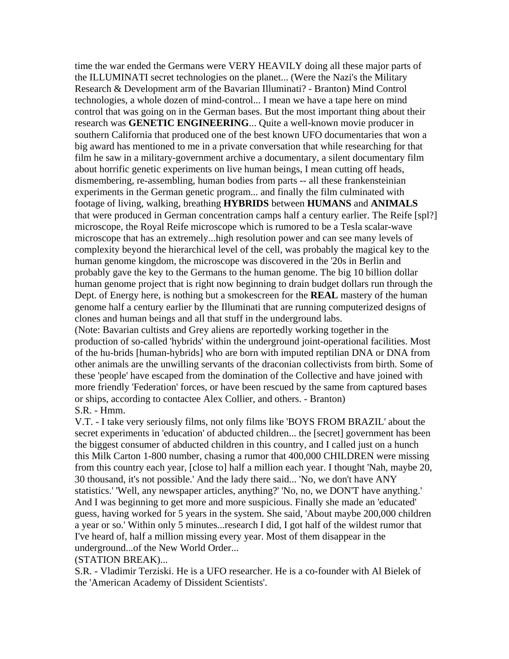time the war ended the Germans were VERY HEAVILY doing all these major parts of the ILLUMINATI secret technologies on the planet... (Were the Nazi's the Military Research & Development arm of the Bavarian Illuminati? - Branton) Mind Control technologies, a whole dozen of mind-control... I mean we have a tape here on mind control that was going on in the German bases. But the most important thing about their research was **GENETIC ENGINEERING**... Quite a well-known movie producer in southern California that produced one of the best known UFO documentaries that won a big award has mentioned to me in a private conversation that while researching for that film he saw in a military-government archive a documentary, a silent documentary film about horrific genetic experiments on live human beings, I mean cutting off heads, dismembering, re-assembling, human bodies from parts -- all these frankensteinian experiments in the German genetic program... and finally the film culminated with footage of living, walking, breathing **HYBRIDS** between **HUMANS** and **ANIMALS** that were produced in German concentration camps half a century earlier. The Reife [spl?] microscope, the Royal Reife microscope which is rumored to be a Tesla scalar-wave microscope that has an extremely...high resolution power and can see many levels of complexity beyond the hierarchical level of the cell, was probably the magical key to the human genome kingdom, the microscope was discovered in the '20s in Berlin and probably gave the key to the Germans to the human genome. The big 10 billion dollar human genome project that is right now beginning to drain budget dollars run through the Dept. of Energy here, is nothing but a smokescreen for the **REAL** mastery of the human genome half a century earlier by the Illuminati that are running computerized designs of clones and human beings and all that stuff in the underground labs. (Note: Bavarian cultists and Grey aliens are reportedly working together in the production of so-called 'hybrids' within the underground joint-operational facilities. Most of the hu-brids [human-hybrids] who are born with imputed reptilian DNA or DNA from

other animals are the unwilling servants of the draconian collectivists from birth. Some of these 'people' have escaped from the domination of the Collective and have joined with more friendly 'Federation' forces, or have been rescued by the same from captured bases or ships, according to contactee Alex Collier, and others. - Branton)

## S.R. - Hmm.

V.T. - I take very seriously films, not only films like 'BOYS FROM BRAZIL' about the secret experiments in 'education' of abducted children... the [secret] government has been the biggest consumer of abducted children in this country, and I called just on a hunch this Milk Carton 1-800 number, chasing a rumor that 400,000 CHILDREN were missing from this country each year, [close to] half a million each year. I thought 'Nah, maybe 20, 30 thousand, it's not possible.' And the lady there said... 'No, we don't have ANY statistics.' 'Well, any newspaper articles, anything?' 'No, no, we DON'T have anything.' And I was beginning to get more and more suspicious. Finally she made an 'educated' guess, having worked for 5 years in the system. She said, 'About maybe 200,000 children a year or so.' Within only 5 minutes...research I did, I got half of the wildest rumor that I've heard of, half a million missing every year. Most of them disappear in the underground...of the New World Order...

(STATION BREAK)...

S.R. - Vladimir Terziski. He is a UFO researcher. He is a co-founder with Al Bielek of the 'American Academy of Dissident Scientists'.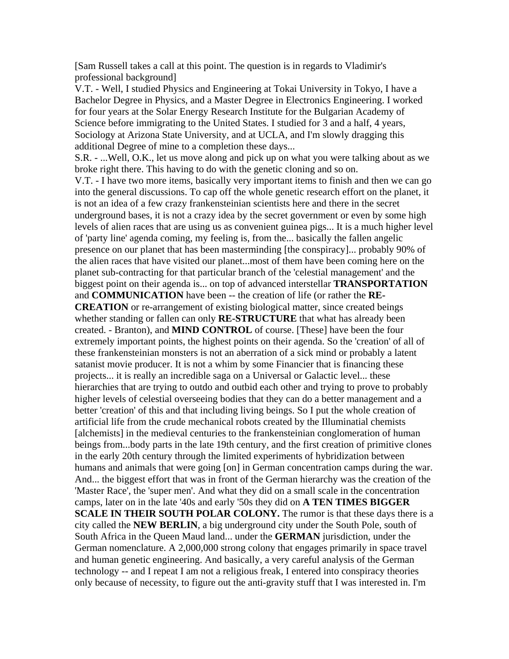[Sam Russell takes a call at this point. The question is in regards to Vladimir's professional background]

V.T. - Well, I studied Physics and Engineering at Tokai University in Tokyo, I have a Bachelor Degree in Physics, and a Master Degree in Electronics Engineering. I worked for four years at the Solar Energy Research Institute for the Bulgarian Academy of Science before immigrating to the United States. I studied for 3 and a half, 4 years, Sociology at Arizona State University, and at UCLA, and I'm slowly dragging this additional Degree of mine to a completion these days...

S.R. - ...Well, O.K., let us move along and pick up on what you were talking about as we broke right there. This having to do with the genetic cloning and so on.

V.T. - I have two more items, basically very important items to finish and then we can go into the general discussions. To cap off the whole genetic research effort on the planet, it is not an idea of a few crazy frankensteinian scientists here and there in the secret underground bases, it is not a crazy idea by the secret government or even by some high levels of alien races that are using us as convenient guinea pigs... It is a much higher level of 'party line' agenda coming, my feeling is, from the... basically the fallen angelic presence on our planet that has been masterminding [the conspiracy]... probably 90% of the alien races that have visited our planet...most of them have been coming here on the planet sub-contracting for that particular branch of the 'celestial management' and the biggest point on their agenda is... on top of advanced interstellar **TRANSPORTATION** and **COMMUNICATION** have been -- the creation of life (or rather the **RE-CREATION** or re-arrangement of existing biological matter, since created beings whether standing or fallen can only **RE-STRUCTURE** that what has already been created. - Branton), and **MIND CONTROL** of course. [These] have been the four extremely important points, the highest points on their agenda. So the 'creation' of all of these frankensteinian monsters is not an aberration of a sick mind or probably a latent satanist movie producer. It is not a whim by some Financier that is financing these projects... it is really an incredible saga on a Universal or Galactic level... these hierarchies that are trying to outdo and outbid each other and trying to prove to probably higher levels of celestial overseeing bodies that they can do a better management and a better 'creation' of this and that including living beings. So I put the whole creation of artificial life from the crude mechanical robots created by the Illuminatial chemists [alchemists] in the medieval centuries to the frankensteinian conglomeration of human beings from...body parts in the late 19th century, and the first creation of primitive clones in the early 20th century through the limited experiments of hybridization between humans and animals that were going [on] in German concentration camps during the war. And... the biggest effort that was in front of the German hierarchy was the creation of the 'Master Race', the 'super men'. And what they did on a small scale in the concentration camps, later on in the late '40s and early '50s they did on **A TEN TIMES BIGGER SCALE IN THEIR SOUTH POLAR COLONY.** The rumor is that these days there is a city called the **NEW BERLIN**, a big underground city under the South Pole, south of South Africa in the Queen Maud land... under the **GERMAN** jurisdiction, under the German nomenclature. A 2,000,000 strong colony that engages primarily in space travel and human genetic engineering. And basically, a very careful analysis of the German technology -- and I repeat I am not a religious freak, I entered into conspiracy theories only because of necessity, to figure out the anti-gravity stuff that I was interested in. I'm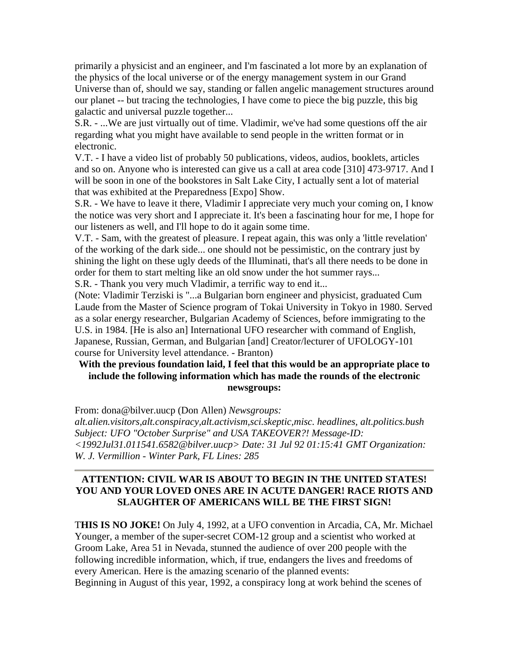primarily a physicist and an engineer, and I'm fascinated a lot more by an explanation of the physics of the local universe or of the energy management system in our Grand Universe than of, should we say, standing or fallen angelic management structures around our planet -- but tracing the technologies, I have come to piece the big puzzle, this big galactic and universal puzzle together...

S.R. - ...We are just virtually out of time. Vladimir, we've had some questions off the air regarding what you might have available to send people in the written format or in electronic.

V.T. - I have a video list of probably 50 publications, videos, audios, booklets, articles and so on. Anyone who is interested can give us a call at area code [310] 473-9717. And I will be soon in one of the bookstores in Salt Lake City, I actually sent a lot of material that was exhibited at the Preparedness [Expo] Show.

S.R. - We have to leave it there, Vladimir I appreciate very much your coming on, I know the notice was very short and I appreciate it. It's been a fascinating hour for me, I hope for our listeners as well, and I'll hope to do it again some time.

V.T. - Sam, with the greatest of pleasure. I repeat again, this was only a 'little revelation' of the working of the dark side... one should not be pessimistic, on the contrary just by shining the light on these ugly deeds of the Illuminati, that's all there needs to be done in order for them to start melting like an old snow under the hot summer rays... S.R. - Thank you very much Vladimir, a terrific way to end it...

(Note: Vladimir Terziski is "...a Bulgarian born engineer and physicist, graduated Cum Laude from the Master of Science program of Tokai University in Tokyo in 1980. Served as a solar energy researcher, Bulgarian Academy of Sciences, before immigrating to the U.S. in 1984. [He is also an] International UFO researcher with command of English, Japanese, Russian, German, and Bulgarian [and] Creator/lecturer of UFOLOGY-101 course for University level attendance. - Branton)

# **With the previous foundation laid, I feel that this would be an appropriate place to include the following information which has made the rounds of the electronic newsgroups:**

From: dona@bilver.uucp (Don Allen) *Newsgroups: alt.alien.visitors,alt.conspiracy,alt.activism,sci.skeptic,misc. headlines, alt.politics.bush Subject: UFO "October Surprise" and USA TAKEOVER?! Message-ID: <1992Jul31.011541.6582@bilver.uucp> Date: 31 Jul 92 01:15:41 GMT Organization: W. J. Vermillion - Winter Park, FL Lines: 285* 

## **ATTENTION: CIVIL WAR IS ABOUT TO BEGIN IN THE UNITED STATES! YOU AND YOUR LOVED ONES ARE IN ACUTE DANGER! RACE RIOTS AND SLAUGHTER OF AMERICANS WILL BE THE FIRST SIGN!**

T**HIS IS NO JOKE!** On July 4, 1992, at a UFO convention in Arcadia, CA, Mr. Michael Younger, a member of the super-secret COM-12 group and a scientist who worked at Groom Lake, Area 51 in Nevada, stunned the audience of over 200 people with the following incredible information, which, if true, endangers the lives and freedoms of every American. Here is the amazing scenario of the planned events: Beginning in August of this year, 1992, a conspiracy long at work behind the scenes of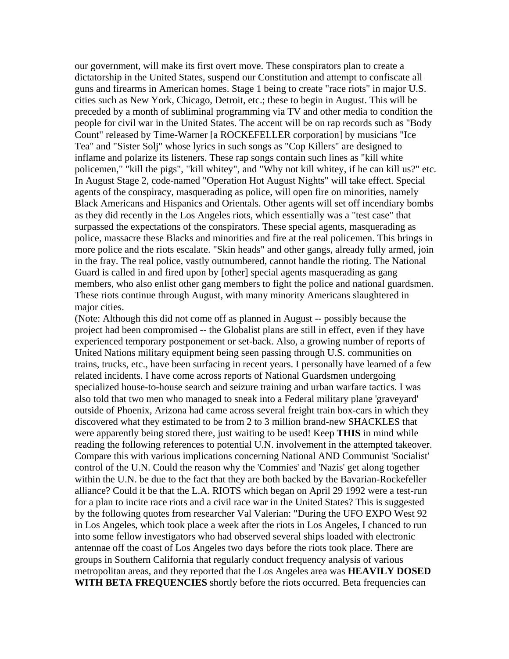our government, will make its first overt move. These conspirators plan to create a dictatorship in the United States, suspend our Constitution and attempt to confiscate all guns and firearms in American homes. Stage 1 being to create "race riots" in major U.S. cities such as New York, Chicago, Detroit, etc.; these to begin in August. This will be preceded by a month of subliminal programming via TV and other media to condition the people for civil war in the United States. The accent will be on rap records such as "Body Count" released by Time-Warner [a ROCKEFELLER corporation] by musicians "Ice Tea" and "Sister Solj" whose lyrics in such songs as "Cop Killers" are designed to inflame and polarize its listeners. These rap songs contain such lines as "kill white policemen," "kill the pigs", "kill whitey", and "Why not kill whitey, if he can kill us?" etc. In August Stage 2, code-named "Operation Hot August Nights" will take effect. Special agents of the conspiracy, masquerading as police, will open fire on minorities, namely Black Americans and Hispanics and Orientals. Other agents will set off incendiary bombs as they did recently in the Los Angeles riots, which essentially was a "test case" that surpassed the expectations of the conspirators. These special agents, masquerading as police, massacre these Blacks and minorities and fire at the real policemen. This brings in more police and the riots escalate. "Skin heads" and other gangs, already fully armed, join in the fray. The real police, vastly outnumbered, cannot handle the rioting. The National Guard is called in and fired upon by [other] special agents masquerading as gang members, who also enlist other gang members to fight the police and national guardsmen. These riots continue through August, with many minority Americans slaughtered in major cities.

(Note: Although this did not come off as planned in August -- possibly because the project had been compromised -- the Globalist plans are still in effect, even if they have experienced temporary postponement or set-back. Also, a growing number of reports of United Nations military equipment being seen passing through U.S. communities on trains, trucks, etc., have been surfacing in recent years. I personally have learned of a few related incidents. I have come across reports of National Guardsmen undergoing specialized house-to-house search and seizure training and urban warfare tactics. I was also told that two men who managed to sneak into a Federal military plane 'graveyard' outside of Phoenix, Arizona had came across several freight train box-cars in which they discovered what they estimated to be from 2 to 3 million brand-new SHACKLES that were apparently being stored there, just waiting to be used! Keep **THIS** in mind while reading the following references to potential U.N. involvement in the attempted takeover. Compare this with various implications concerning National AND Communist 'Socialist' control of the U.N. Could the reason why the 'Commies' and 'Nazis' get along together within the U.N. be due to the fact that they are both backed by the Bavarian-Rockefeller alliance? Could it be that the L.A. RIOTS which began on April 29 1992 were a test-run for a plan to incite race riots and a civil race war in the United States? This is suggested by the following quotes from researcher Val Valerian: "During the UFO EXPO West 92 in Los Angeles, which took place a week after the riots in Los Angeles, I chanced to run into some fellow investigators who had observed several ships loaded with electronic antennae off the coast of Los Angeles two days before the riots took place. There are groups in Southern California that regularly conduct frequency analysis of various metropolitan areas, and they reported that the Los Angeles area was **HEAVILY DOSED WITH BETA FREQUENCIES** shortly before the riots occurred. Beta frequencies can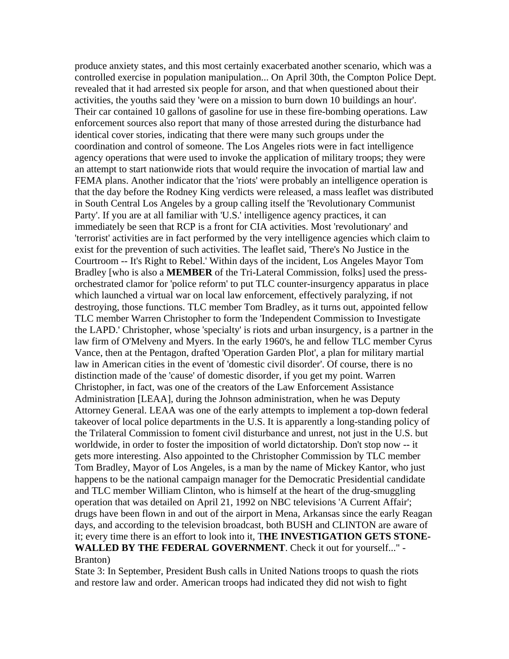produce anxiety states, and this most certainly exacerbated another scenario, which was a controlled exercise in population manipulation... On April 30th, the Compton Police Dept. revealed that it had arrested six people for arson, and that when questioned about their activities, the youths said they 'were on a mission to burn down 10 buildings an hour'. Their car contained 10 gallons of gasoline for use in these fire-bombing operations. Law enforcement sources also report that many of those arrested during the disturbance had identical cover stories, indicating that there were many such groups under the coordination and control of someone. The Los Angeles riots were in fact intelligence agency operations that were used to invoke the application of military troops; they were an attempt to start nationwide riots that would require the invocation of martial law and FEMA plans. Another indicator that the 'riots' were probably an intelligence operation is that the day before the Rodney King verdicts were released, a mass leaflet was distributed in South Central Los Angeles by a group calling itself the 'Revolutionary Communist Party'. If you are at all familiar with 'U.S.' intelligence agency practices, it can immediately be seen that RCP is a front for CIA activities. Most 'revolutionary' and 'terrorist' activities are in fact performed by the very intelligence agencies which claim to exist for the prevention of such activities. The leaflet said, 'There's No Justice in the Courtroom -- It's Right to Rebel.' Within days of the incident, Los Angeles Mayor Tom Bradley [who is also a **MEMBER** of the Tri-Lateral Commission, folks] used the pressorchestrated clamor for 'police reform' to put TLC counter-insurgency apparatus in place which launched a virtual war on local law enforcement, effectively paralyzing, if not destroying, those functions. TLC member Tom Bradley, as it turns out, appointed fellow TLC member Warren Christopher to form the 'Independent Commission to Investigate the LAPD.' Christopher, whose 'specialty' is riots and urban insurgency, is a partner in the law firm of O'Melveny and Myers. In the early 1960's, he and fellow TLC member Cyrus Vance, then at the Pentagon, drafted 'Operation Garden Plot', a plan for military martial law in American cities in the event of 'domestic civil disorder'. Of course, there is no distinction made of the 'cause' of domestic disorder, if you get my point. Warren Christopher, in fact, was one of the creators of the Law Enforcement Assistance Administration [LEAA], during the Johnson administration, when he was Deputy Attorney General. LEAA was one of the early attempts to implement a top-down federal takeover of local police departments in the U.S. It is apparently a long-standing policy of the Trilateral Commission to foment civil disturbance and unrest, not just in the U.S. but worldwide, in order to foster the imposition of world dictatorship. Don't stop now -- it gets more interesting. Also appointed to the Christopher Commission by TLC member Tom Bradley, Mayor of Los Angeles, is a man by the name of Mickey Kantor, who just happens to be the national campaign manager for the Democratic Presidential candidate and TLC member William Clinton, who is himself at the heart of the drug-smuggling operation that was detailed on April 21, 1992 on NBC televisions 'A Current Affair'; drugs have been flown in and out of the airport in Mena, Arkansas since the early Reagan days, and according to the television broadcast, both BUSH and CLINTON are aware of it; every time there is an effort to look into it, T**HE INVESTIGATION GETS STONE-WALLED BY THE FEDERAL GOVERNMENT**. Check it out for yourself..." - Branton)

State 3: In September, President Bush calls in United Nations troops to quash the riots and restore law and order. American troops had indicated they did not wish to fight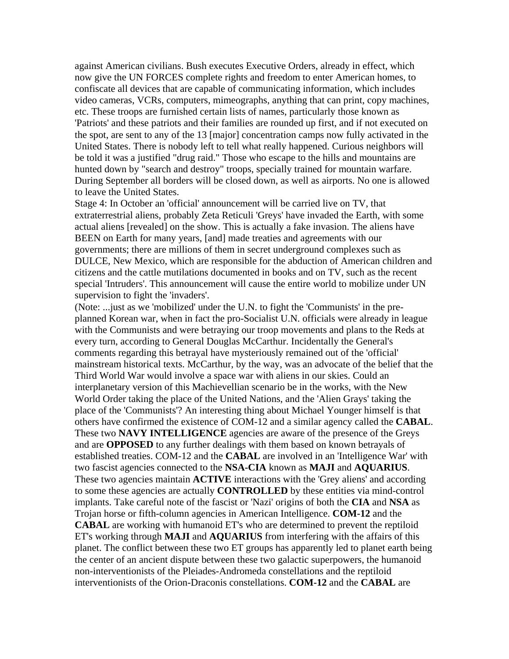against American civilians. Bush executes Executive Orders, already in effect, which now give the UN FORCES complete rights and freedom to enter American homes, to confiscate all devices that are capable of communicating information, which includes video cameras, VCRs, computers, mimeographs, anything that can print, copy machines, etc. These troops are furnished certain lists of names, particularly those known as 'Patriots' and these patriots and their families are rounded up first, and if not executed on the spot, are sent to any of the 13 [major] concentration camps now fully activated in the United States. There is nobody left to tell what really happened. Curious neighbors will be told it was a justified "drug raid." Those who escape to the hills and mountains are hunted down by "search and destroy" troops, specially trained for mountain warfare. During September all borders will be closed down, as well as airports. No one is allowed to leave the United States.

Stage 4: In October an 'official' announcement will be carried live on TV, that extraterrestrial aliens, probably Zeta Reticuli 'Greys' have invaded the Earth, with some actual aliens [revealed] on the show. This is actually a fake invasion. The aliens have BEEN on Earth for many years, [and] made treaties and agreements with our governments; there are millions of them in secret underground complexes such as DULCE, New Mexico, which are responsible for the abduction of American children and citizens and the cattle mutilations documented in books and on TV, such as the recent special 'Intruders'. This announcement will cause the entire world to mobilize under UN supervision to fight the 'invaders'.

(Note: ...just as we 'mobilized' under the U.N. to fight the 'Communists' in the preplanned Korean war, when in fact the pro-Socialist U.N. officials were already in league with the Communists and were betraying our troop movements and plans to the Reds at every turn, according to General Douglas McCarthur. Incidentally the General's comments regarding this betrayal have mysteriously remained out of the 'official' mainstream historical texts. McCarthur, by the way, was an advocate of the belief that the Third World War would involve a space war with aliens in our skies. Could an interplanetary version of this Machievellian scenario be in the works, with the New World Order taking the place of the United Nations, and the 'Alien Grays' taking the place of the 'Communists'? An interesting thing about Michael Younger himself is that others have confirmed the existence of COM-12 and a similar agency called the **CABAL**. These two **NAVY INTELLIGENCE** agencies are aware of the presence of the Greys and are **OPPOSED** to any further dealings with them based on known betrayals of established treaties. COM-12 and the **CABAL** are involved in an 'Intelligence War' with two fascist agencies connected to the **NSA-CIA** known as **MAJI** and **AQUARIUS**. These two agencies maintain **ACTIVE** interactions with the 'Grey aliens' and according to some these agencies are actually **CONTROLLED** by these entities via mind-control implants. Take careful note of the fascist or 'Nazi' origins of both the **CIA** and **NSA** as Trojan horse or fifth-column agencies in American Intelligence. **COM-12** and the **CABAL** are working with humanoid ET's who are determined to prevent the reptiloid ET's working through **MAJI** and **AQUARIUS** from interfering with the affairs of this planet. The conflict between these two ET groups has apparently led to planet earth being the center of an ancient dispute between these two galactic superpowers, the humanoid non-interventionists of the Pleiades-Andromeda constellations and the reptiloid interventionists of the Orion-Draconis constellations. **COM-12** and the **CABAL** are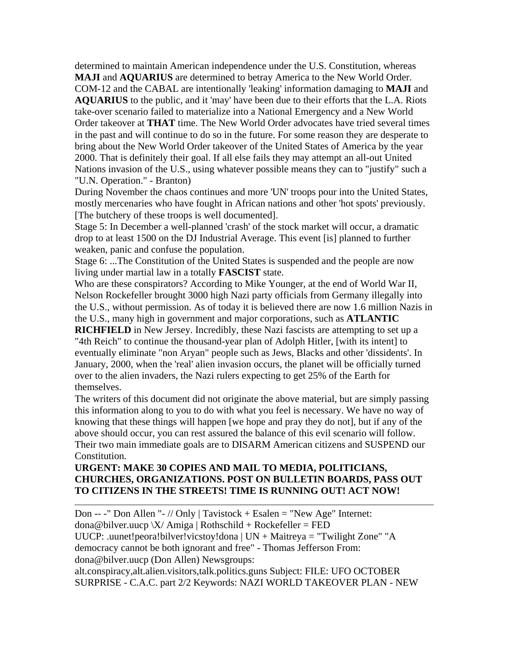determined to maintain American independence under the U.S. Constitution, whereas **MAJI** and **AQUARIUS** are determined to betray America to the New World Order. COM-12 and the CABAL are intentionally 'leaking' information damaging to **MAJI** and **AQUARIUS** to the public, and it 'may' have been due to their efforts that the L.A. Riots take-over scenario failed to materialize into a National Emergency and a New World Order takeover at **THAT** time. The New World Order advocates have tried several times in the past and will continue to do so in the future. For some reason they are desperate to bring about the New World Order takeover of the United States of America by the year 2000. That is definitely their goal. If all else fails they may attempt an all-out United Nations invasion of the U.S., using whatever possible means they can to "justify" such a "U.N. Operation." - Branton)

During November the chaos continues and more 'UN' troops pour into the United States, mostly mercenaries who have fought in African nations and other 'hot spots' previously. [The butchery of these troops is well documented].

Stage 5: In December a well-planned 'crash' of the stock market will occur, a dramatic drop to at least 1500 on the DJ Industrial Average. This event [is] planned to further weaken, panic and confuse the population.

Stage 6: ...The Constitution of the United States is suspended and the people are now living under martial law in a totally **FASCIST** state.

Who are these conspirators? According to Mike Younger, at the end of World War II, Nelson Rockefeller brought 3000 high Nazi party officials from Germany illegally into the U.S., without permission. As of today it is believed there are now 1.6 million Nazis in the U.S., many high in government and major corporations, such as **ATLANTIC** 

**RICHFIELD** in New Jersey. Incredibly, these Nazi fascists are attempting to set up a "4th Reich" to continue the thousand-year plan of Adolph Hitler, [with its intent] to eventually eliminate "non Aryan" people such as Jews, Blacks and other 'dissidents'. In January, 2000, when the 'real' alien invasion occurs, the planet will be officially turned over to the alien invaders, the Nazi rulers expecting to get 25% of the Earth for themselves.

The writers of this document did not originate the above material, but are simply passing this information along to you to do with what you feel is necessary. We have no way of knowing that these things will happen [we hope and pray they do not], but if any of the above should occur, you can rest assured the balance of this evil scenario will follow. Their two main immediate goals are to DISARM American citizens and SUSPEND our Constitution.

## **URGENT: MAKE 30 COPIES AND MAIL TO MEDIA, POLITICIANS, CHURCHES, ORGANIZATIONS. POST ON BULLETIN BOARDS, PASS OUT TO CITIZENS IN THE STREETS! TIME IS RUNNING OUT! ACT NOW!**

Don -- -" Don Allen "- // Only | Tavistock + Esalen = "New Age" Internet:  $\text{dona@bilver.uucp } \{X/\text{Amiga } | \text{Rothschild } + \text{Rockefeller} = \text{FED} \}$ UUCP: .uunet!peora!bilver!vicstoy!dona | UN + Maitreya = "Twilight Zone" "A democracy cannot be both ignorant and free" - Thomas Jefferson From: dona@bilver.uucp (Don Allen) Newsgroups:

alt.conspiracy,alt.alien.visitors,talk.politics.guns Subject: FILE: UFO OCTOBER SURPRISE - C.A.C. part 2/2 Keywords: NAZI WORLD TAKEOVER PLAN - NEW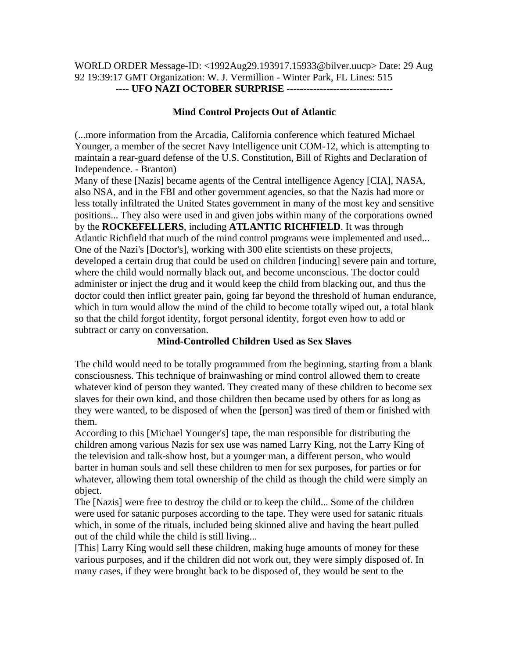WORLD ORDER Message-ID: <1992Aug29.193917.15933@bilver.uucp> Date: 29 Aug 92 19:39:17 GMT Organization: W. J. Vermillion - Winter Park, FL Lines: 515 **---- UFO NAZI OCTOBER SURPRISE --------------------------------** 

## **Mind Control Projects Out of Atlantic**

(...more information from the Arcadia, California conference which featured Michael Younger, a member of the secret Navy Intelligence unit COM-12, which is attempting to maintain a rear-guard defense of the U.S. Constitution, Bill of Rights and Declaration of Independence. - Branton)

Many of these [Nazis] became agents of the Central intelligence Agency [CIA], NASA, also NSA, and in the FBI and other government agencies, so that the Nazis had more or less totally infiltrated the United States government in many of the most key and sensitive positions... They also were used in and given jobs within many of the corporations owned by the **ROCKEFELLERS**, including **ATLANTIC RICHFIELD**. It was through Atlantic Richfield that much of the mind control programs were implemented and used... One of the Nazi's [Doctor's], working with 300 elite scientists on these projects, developed a certain drug that could be used on children [inducing] severe pain and torture, where the child would normally black out, and become unconscious. The doctor could administer or inject the drug and it would keep the child from blacking out, and thus the doctor could then inflict greater pain, going far beyond the threshold of human endurance, which in turn would allow the mind of the child to become totally wiped out, a total blank so that the child forgot identity, forgot personal identity, forgot even how to add or subtract or carry on conversation.

# **Mind-Controlled Children Used as Sex Slaves**

The child would need to be totally programmed from the beginning, starting from a blank consciousness. This technique of brainwashing or mind control allowed them to create whatever kind of person they wanted. They created many of these children to become sex slaves for their own kind, and those children then became used by others for as long as they were wanted, to be disposed of when the [person] was tired of them or finished with them.

According to this [Michael Younger's] tape, the man responsible for distributing the children among various Nazis for sex use was named Larry King, not the Larry King of the television and talk-show host, but a younger man, a different person, who would barter in human souls and sell these children to men for sex purposes, for parties or for whatever, allowing them total ownership of the child as though the child were simply an object.

The [Nazis] were free to destroy the child or to keep the child... Some of the children were used for satanic purposes according to the tape. They were used for satanic rituals which, in some of the rituals, included being skinned alive and having the heart pulled out of the child while the child is still living...

[This] Larry King would sell these children, making huge amounts of money for these various purposes, and if the children did not work out, they were simply disposed of. In many cases, if they were brought back to be disposed of, they would be sent to the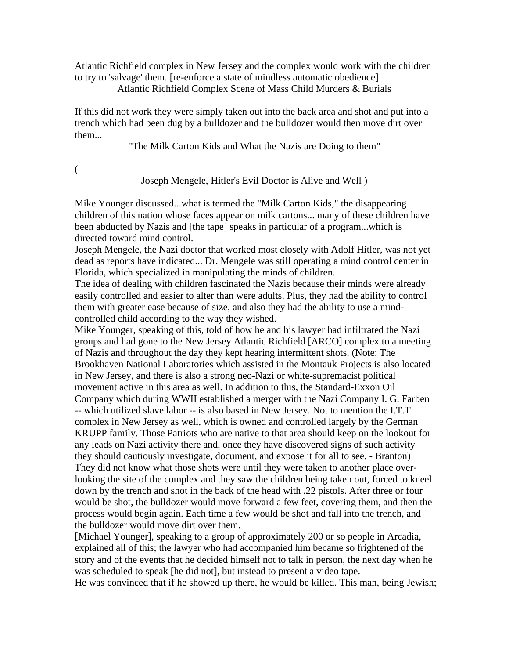Atlantic Richfield complex in New Jersey and the complex would work with the children to try to 'salvage' them. [re-enforce a state of mindless automatic obedience] Atlantic Richfield Complex Scene of Mass Child Murders & Burials

If this did not work they were simply taken out into the back area and shot and put into a trench which had been dug by a bulldozer and the bulldozer would then move dirt over them...

"The Milk Carton Kids and What the Nazis are Doing to them"

(

Joseph Mengele, Hitler's Evil Doctor is Alive and Well )

Mike Younger discussed...what is termed the "Milk Carton Kids," the disappearing children of this nation whose faces appear on milk cartons... many of these children have been abducted by Nazis and [the tape] speaks in particular of a program...which is directed toward mind control.

Joseph Mengele, the Nazi doctor that worked most closely with Adolf Hitler, was not yet dead as reports have indicated... Dr. Mengele was still operating a mind control center in Florida, which specialized in manipulating the minds of children.

The idea of dealing with children fascinated the Nazis because their minds were already easily controlled and easier to alter than were adults. Plus, they had the ability to control them with greater ease because of size, and also they had the ability to use a mindcontrolled child according to the way they wished.

Mike Younger, speaking of this, told of how he and his lawyer had infiltrated the Nazi groups and had gone to the New Jersey Atlantic Richfield [ARCO] complex to a meeting of Nazis and throughout the day they kept hearing intermittent shots. (Note: The Brookhaven National Laboratories which assisted in the Montauk Projects is also located in New Jersey, and there is also a strong neo-Nazi or white-supremacist political movement active in this area as well. In addition to this, the Standard-Exxon Oil Company which during WWII established a merger with the Nazi Company I. G. Farben -- which utilized slave labor -- is also based in New Jersey. Not to mention the I.T.T. complex in New Jersey as well, which is owned and controlled largely by the German KRUPP family. Those Patriots who are native to that area should keep on the lookout for any leads on Nazi activity there and, once they have discovered signs of such activity they should cautiously investigate, document, and expose it for all to see. - Branton) They did not know what those shots were until they were taken to another place overlooking the site of the complex and they saw the children being taken out, forced to kneel down by the trench and shot in the back of the head with .22 pistols. After three or four would be shot, the bulldozer would move forward a few feet, covering them, and then the process would begin again. Each time a few would be shot and fall into the trench, and the bulldozer would move dirt over them.

[Michael Younger], speaking to a group of approximately 200 or so people in Arcadia, explained all of this; the lawyer who had accompanied him became so frightened of the story and of the events that he decided himself not to talk in person, the next day when he was scheduled to speak [he did not], but instead to present a video tape.

He was convinced that if he showed up there, he would be killed. This man, being Jewish;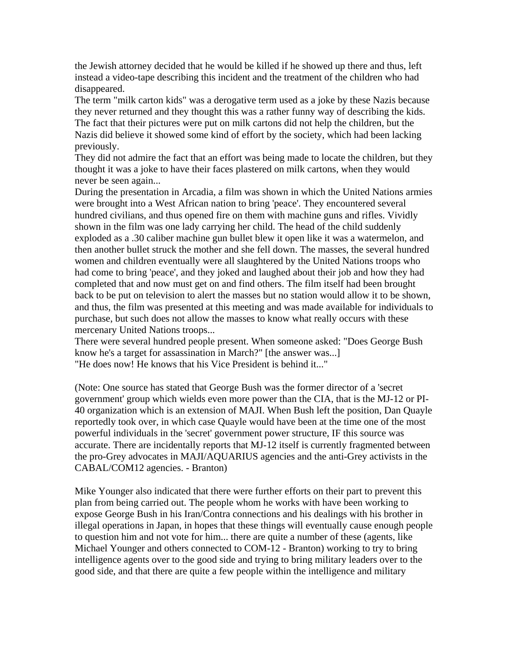the Jewish attorney decided that he would be killed if he showed up there and thus, left instead a video-tape describing this incident and the treatment of the children who had disappeared.

The term "milk carton kids" was a derogative term used as a joke by these Nazis because they never returned and they thought this was a rather funny way of describing the kids. The fact that their pictures were put on milk cartons did not help the children, but the Nazis did believe it showed some kind of effort by the society, which had been lacking previously.

They did not admire the fact that an effort was being made to locate the children, but they thought it was a joke to have their faces plastered on milk cartons, when they would never be seen again...

During the presentation in Arcadia, a film was shown in which the United Nations armies were brought into a West African nation to bring 'peace'. They encountered several hundred civilians, and thus opened fire on them with machine guns and rifles. Vividly shown in the film was one lady carrying her child. The head of the child suddenly exploded as a .30 caliber machine gun bullet blew it open like it was a watermelon, and then another bullet struck the mother and she fell down. The masses, the several hundred women and children eventually were all slaughtered by the United Nations troops who had come to bring 'peace', and they joked and laughed about their job and how they had completed that and now must get on and find others. The film itself had been brought back to be put on television to alert the masses but no station would allow it to be shown, and thus, the film was presented at this meeting and was made available for individuals to purchase, but such does not allow the masses to know what really occurs with these mercenary United Nations troops...

There were several hundred people present. When someone asked: "Does George Bush know he's a target for assassination in March?" [the answer was...] "He does now! He knows that his Vice President is behind it..."

(Note: One source has stated that George Bush was the former director of a 'secret government' group which wields even more power than the CIA, that is the MJ-12 or PI-40 organization which is an extension of MAJI. When Bush left the position, Dan Quayle reportedly took over, in which case Quayle would have been at the time one of the most powerful individuals in the 'secret' government power structure, IF this source was accurate. There are incidentally reports that MJ-12 itself is currently fragmented between the pro-Grey advocates in MAJI/AQUARIUS agencies and the anti-Grey activists in the CABAL/COM12 agencies. - Branton)

Mike Younger also indicated that there were further efforts on their part to prevent this plan from being carried out. The people whom he works with have been working to expose George Bush in his Iran/Contra connections and his dealings with his brother in illegal operations in Japan, in hopes that these things will eventually cause enough people to question him and not vote for him... there are quite a number of these (agents, like Michael Younger and others connected to COM-12 - Branton) working to try to bring intelligence agents over to the good side and trying to bring military leaders over to the good side, and that there are quite a few people within the intelligence and military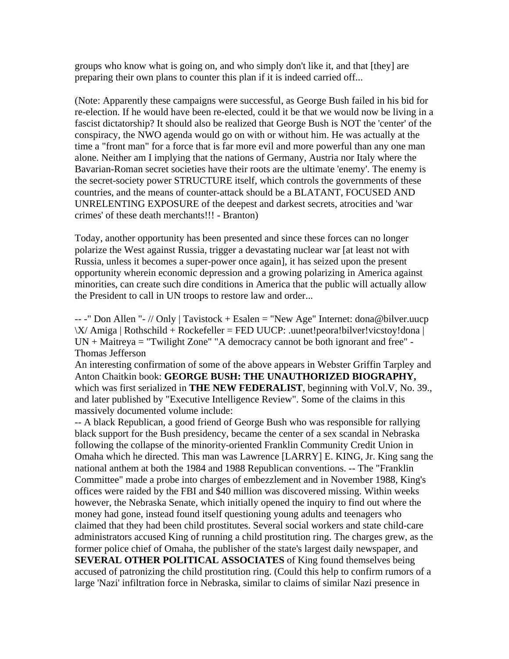groups who know what is going on, and who simply don't like it, and that [they] are preparing their own plans to counter this plan if it is indeed carried off...

(Note: Apparently these campaigns were successful, as George Bush failed in his bid for re-election. If he would have been re-elected, could it be that we would now be living in a fascist dictatorship? It should also be realized that George Bush is NOT the 'center' of the conspiracy, the NWO agenda would go on with or without him. He was actually at the time a "front man" for a force that is far more evil and more powerful than any one man alone. Neither am I implying that the nations of Germany, Austria nor Italy where the Bavarian-Roman secret societies have their roots are the ultimate 'enemy'. The enemy is the secret-society power STRUCTURE itself, which controls the governments of these countries, and the means of counter-attack should be a BLATANT, FOCUSED AND UNRELENTING EXPOSURE of the deepest and darkest secrets, atrocities and 'war crimes' of these death merchants!!! - Branton)

Today, another opportunity has been presented and since these forces can no longer polarize the West against Russia, trigger a devastating nuclear war [at least not with Russia, unless it becomes a super-power once again], it has seized upon the present opportunity wherein economic depression and a growing polarizing in America against minorities, can create such dire conditions in America that the public will actually allow the President to call in UN troops to restore law and order...

 $-$  -" Don Allen "- // Only | Tavistock + Esalen = "New Age" Internet: dona@bilver.uucp \X/ Amiga | Rothschild + Rockefeller = FED UUCP: .uunet!peora!bilver!vicstoy!dona |  $UN + Maitreya = "Twilight Zone" "A demoracy cannot be both ignorant and free" -$ Thomas Jefferson

An interesting confirmation of some of the above appears in Webster Griffin Tarpley and Anton Chaitkin book: **GEORGE BUSH: THE UNAUTHORIZED BIOGRAPHY,** which was first serialized in **THE NEW FEDERALIST**, beginning with Vol.V, No. 39., and later published by "Executive Intelligence Review". Some of the claims in this massively documented volume include:

-- A black Republican, a good friend of George Bush who was responsible for rallying black support for the Bush presidency, became the center of a sex scandal in Nebraska following the collapse of the minority-oriented Franklin Community Credit Union in Omaha which he directed. This man was Lawrence [LARRY] E. KING, Jr. King sang the national anthem at both the 1984 and 1988 Republican conventions. -- The "Franklin Committee" made a probe into charges of embezzlement and in November 1988, King's offices were raided by the FBI and \$40 million was discovered missing. Within weeks however, the Nebraska Senate, which initially opened the inquiry to find out where the money had gone, instead found itself questioning young adults and teenagers who claimed that they had been child prostitutes. Several social workers and state child-care administrators accused King of running a child prostitution ring. The charges grew, as the former police chief of Omaha, the publisher of the state's largest daily newspaper, and **SEVERAL OTHER POLITICAL ASSOCIATES** of King found themselves being accused of patronizing the child prostitution ring. (Could this help to confirm rumors of a large 'Nazi' infiltration force in Nebraska, similar to claims of similar Nazi presence in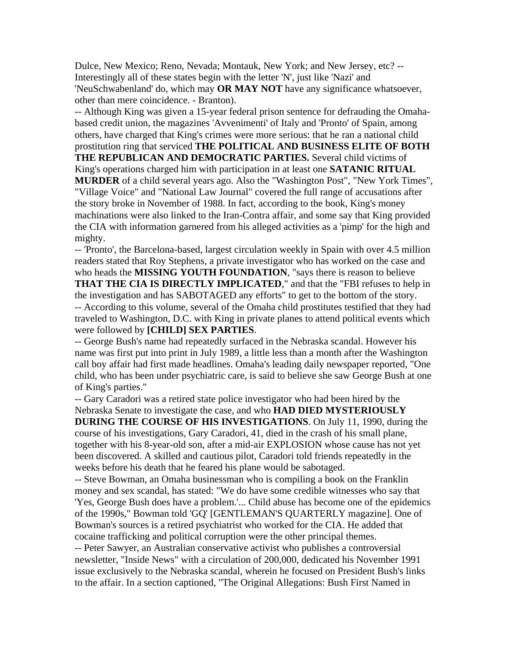Dulce, New Mexico; Reno, Nevada; Montauk, New York; and New Jersey, etc? -- Interestingly all of these states begin with the letter 'N', just like 'Nazi' and 'NeuSchwabenland' do, which may **OR MAY NOT** have any significance whatsoever, other than mere coincidence. - Branton).

-- Although King was given a 15-year federal prison sentence for defrauding the Omahabased credit union, the magazines 'Avvenimenti' of Italy and 'Pronto' of Spain, among others, have charged that King's crimes were more serious: that he ran a national child prostitution ring that serviced **THE POLITICAL AND BUSINESS ELITE OF BOTH THE REPUBLICAN AND DEMOCRATIC PARTIES.** Several child victims of King's operations charged him with participation in at least one **SATANIC RITUAL** 

**MURDER** of a child several years ago. Also the "Washington Post", "New York Times", "Village Voice" and "National Law Journal" covered the full range of accusations after the story broke in November of 1988. In fact, according to the book, King's money machinations were also linked to the Iran-Contra affair, and some say that King provided the CIA with information garnered from his alleged activities as a 'pimp' for the high and mighty.

-- 'Pronto', the Barcelona-based, largest circulation weekly in Spain with over 4.5 million readers stated that Roy Stephens, a private investigator who has worked on the case and who heads the **MISSING YOUTH FOUNDATION**, "says there is reason to believe **THAT THE CIA IS DIRECTLY IMPLICATED**," and that the "FBI refuses to help in the investigation and has SABOTAGED any efforts" to get to the bottom of the story. -- According to this volume, several of the Omaha child prostitutes testified that they had traveled to Washington, D.C. with King in private planes to attend political events which were followed by **[CHILD] SEX PARTIES**.

-- George Bush's name had repeatedly surfaced in the Nebraska scandal. However his name was first put into print in July 1989, a little less than a month after the Washington call boy affair had first made headlines. Omaha's leading daily newspaper reported, "One child, who has been under psychiatric care, is said to believe she saw George Bush at one of King's parties."

-- Gary Caradori was a retired state police investigator who had been hired by the Nebraska Senate to investigate the case, and who **HAD DIED MYSTERIOUSLY** 

**DURING THE COURSE OF HIS INVESTIGATIONS**. On July 11, 1990, during the course of his investigations, Gary Caradori, 41, died in the crash of his small plane, together with his 8-year-old son, after a mid-air EXPLOSION whose cause has not yet been discovered. A skilled and cautious pilot, Caradori told friends repeatedly in the weeks before his death that he feared his plane would be sabotaged.

-- Steve Bowman, an Omaha businessman who is compiling a book on the Franklin money and sex scandal, has stated: "We do have some credible witnesses who say that 'Yes, George Bush does have a problem.'... Child abuse has become one of the epidemics of the 1990s," Bowman told 'GQ' [GENTLEMAN'S QUARTERLY magazine]. One of Bowman's sources is a retired psychiatrist who worked for the CIA. He added that cocaine trafficking and political corruption were the other principal themes.

-- Peter Sawyer, an Australian conservative activist who publishes a controversial newsletter, "Inside News" with a circulation of 200,000, dedicated his November 1991 issue exclusively to the Nebraska scandal, wherein he focused on President Bush's links to the affair. In a section captioned, "The Original Allegations: Bush First Named in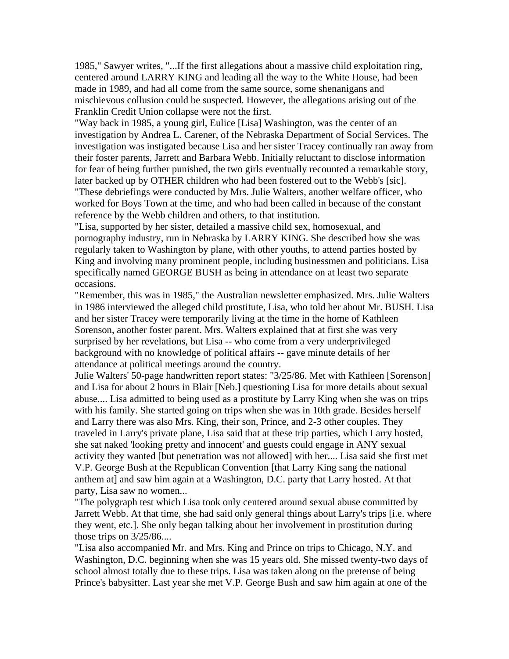1985," Sawyer writes, "...If the first allegations about a massive child exploitation ring, centered around LARRY KING and leading all the way to the White House, had been made in 1989, and had all come from the same source, some shenanigans and mischievous collusion could be suspected. However, the allegations arising out of the Franklin Credit Union collapse were not the first.

"Way back in 1985, a young girl, Eulice [Lisa] Washington, was the center of an investigation by Andrea L. Carener, of the Nebraska Department of Social Services. The investigation was instigated because Lisa and her sister Tracey continually ran away from their foster parents, Jarrett and Barbara Webb. Initially reluctant to disclose information for fear of being further punished, the two girls eventually recounted a remarkable story, later backed up by OTHER children who had been fostered out to the Webb's [sic]. "These debriefings were conducted by Mrs. Julie Walters, another welfare officer, who

worked for Boys Town at the time, and who had been called in because of the constant reference by the Webb children and others, to that institution.

"Lisa, supported by her sister, detailed a massive child sex, homosexual, and pornography industry, run in Nebraska by LARRY KING. She described how she was regularly taken to Washington by plane, with other youths, to attend parties hosted by King and involving many prominent people, including businessmen and politicians. Lisa specifically named GEORGE BUSH as being in attendance on at least two separate occasions.

"Remember, this was in 1985," the Australian newsletter emphasized. Mrs. Julie Walters in 1986 interviewed the alleged child prostitute, Lisa, who told her about Mr. BUSH. Lisa and her sister Tracey were temporarily living at the time in the home of Kathleen Sorenson, another foster parent. Mrs. Walters explained that at first she was very surprised by her revelations, but Lisa -- who come from a very underprivileged background with no knowledge of political affairs -- gave minute details of her attendance at political meetings around the country.

Julie Walters' 50-page handwritten report states: "3/25/86. Met with Kathleen [Sorenson] and Lisa for about 2 hours in Blair [Neb.] questioning Lisa for more details about sexual abuse.... Lisa admitted to being used as a prostitute by Larry King when she was on trips with his family. She started going on trips when she was in 10th grade. Besides herself and Larry there was also Mrs. King, their son, Prince, and 2-3 other couples. They traveled in Larry's private plane, Lisa said that at these trip parties, which Larry hosted, she sat naked 'looking pretty and innocent' and guests could engage in ANY sexual activity they wanted [but penetration was not allowed] with her.... Lisa said she first met V.P. George Bush at the Republican Convention [that Larry King sang the national anthem at] and saw him again at a Washington, D.C. party that Larry hosted. At that party, Lisa saw no women...

"The polygraph test which Lisa took only centered around sexual abuse committed by Jarrett Webb. At that time, she had said only general things about Larry's trips [i.e. where they went, etc.]. She only began talking about her involvement in prostitution during those trips on 3/25/86....

"Lisa also accompanied Mr. and Mrs. King and Prince on trips to Chicago, N.Y. and Washington, D.C. beginning when she was 15 years old. She missed twenty-two days of school almost totally due to these trips. Lisa was taken along on the pretense of being Prince's babysitter. Last year she met V.P. George Bush and saw him again at one of the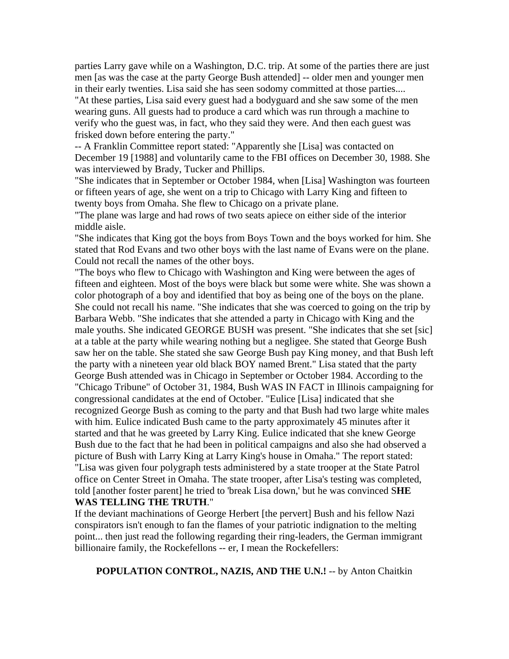parties Larry gave while on a Washington, D.C. trip. At some of the parties there are just men [as was the case at the party George Bush attended] -- older men and younger men in their early twenties. Lisa said she has seen sodomy committed at those parties....

"At these parties, Lisa said every guest had a bodyguard and she saw some of the men wearing guns. All guests had to produce a card which was run through a machine to verify who the guest was, in fact, who they said they were. And then each guest was frisked down before entering the party."

-- A Franklin Committee report stated: "Apparently she [Lisa] was contacted on December 19 [1988] and voluntarily came to the FBI offices on December 30, 1988. She was interviewed by Brady, Tucker and Phillips.

"She indicates that in September or October 1984, when [Lisa] Washington was fourteen or fifteen years of age, she went on a trip to Chicago with Larry King and fifteen to twenty boys from Omaha. She flew to Chicago on a private plane.

"The plane was large and had rows of two seats apiece on either side of the interior middle aisle.

"She indicates that King got the boys from Boys Town and the boys worked for him. She stated that Rod Evans and two other boys with the last name of Evans were on the plane. Could not recall the names of the other boys.

"The boys who flew to Chicago with Washington and King were between the ages of fifteen and eighteen. Most of the boys were black but some were white. She was shown a color photograph of a boy and identified that boy as being one of the boys on the plane. She could not recall his name. "She indicates that she was coerced to going on the trip by Barbara Webb. "She indicates that she attended a party in Chicago with King and the male youths. She indicated GEORGE BUSH was present. "She indicates that she set [sic] at a table at the party while wearing nothing but a negligee. She stated that George Bush saw her on the table. She stated she saw George Bush pay King money, and that Bush left the party with a nineteen year old black BOY named Brent." Lisa stated that the party George Bush attended was in Chicago in September or October 1984. According to the "Chicago Tribune" of October 31, 1984, Bush WAS IN FACT in Illinois campaigning for congressional candidates at the end of October. "Eulice [Lisa] indicated that she recognized George Bush as coming to the party and that Bush had two large white males with him. Eulice indicated Bush came to the party approximately 45 minutes after it started and that he was greeted by Larry King. Eulice indicated that she knew George Bush due to the fact that he had been in political campaigns and also she had observed a picture of Bush with Larry King at Larry King's house in Omaha." The report stated: "Lisa was given four polygraph tests administered by a state trooper at the State Patrol office on Center Street in Omaha. The state trooper, after Lisa's testing was completed, told [another foster parent] he tried to 'break Lisa down,' but he was convinced S**HE WAS TELLING THE TRUTH**."

If the deviant machinations of George Herbert [the pervert] Bush and his fellow Nazi conspirators isn't enough to fan the flames of your patriotic indignation to the melting point... then just read the following regarding their ring-leaders, the German immigrant billionaire family, the Rockefellons -- er, I mean the Rockefellers:

**POPULATION CONTROL, NAZIS, AND THE U.N.!** -- by Anton Chaitkin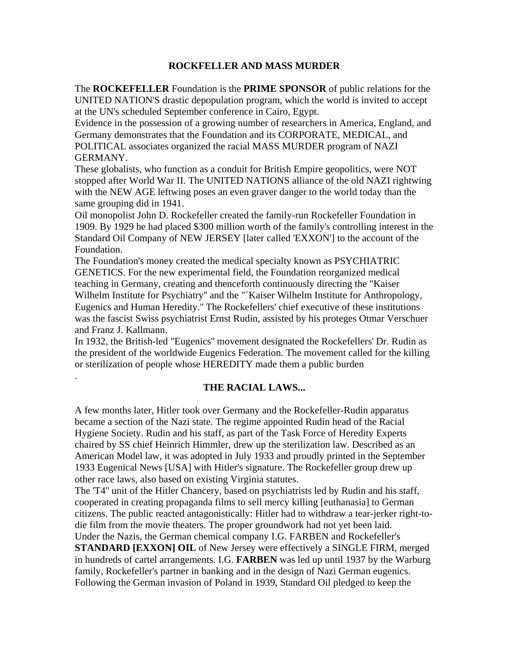## **ROCKFELLER AND MASS MURDER**

The **ROCKEFELLER** Foundation is the **PRIME SPONSOR** of public relations for the UNITED NATION'S drastic depopulation program, which the world is invited to accept at the UN's scheduled September conference in Cairo, Egypt.

Evidence in the possession of a growing number of researchers in America, England, and Germany demonstrates that the Foundation and its CORPORATE, MEDICAL, and POLITICAL associates organized the racial MASS MURDER program of NAZI GERMANY.

These globalists, who function as a conduit for British Empire geopolitics, were NOT stopped after World War II. The UNITED NATIONS alliance of the old NAZI rightwing with the NEW AGE leftwing poses an even graver danger to the world today than the same grouping did in 1941.

Oil monopolist John D. Rockefeller created the family-run Rockefeller Foundation in 1909. By 1929 he had placed \$300 million worth of the family's controlling interest in the Standard Oil Company of NEW JERSEY [later called 'EXXON'] to the account of the Foundation.

The Foundation's money created the medical specialty known as PSYCHIATRIC GENETICS. For the new experimental field, the Foundation reorganized medical teaching in Germany, creating and thenceforth continuously directing the "Kaiser Wilhelm Institute for Psychiatry'' and the "`Kaiser Wilhelm Institute for Anthropology, Eugenics and Human Heredity.'' The Rockefellers' chief executive of these institutions was the fascist Swiss psychiatrist Ernst Rudin, assisted by his proteges Otmar Verschuer and Franz J. Kallmann.

In 1932, the British-led "Eugenics'' movement designated the Rockefellers' Dr. Rudin as the president of the worldwide Eugenics Federation. The movement called for the killing or sterilization of people whose HEREDITY made them a public burden

#### **THE RACIAL LAWS...**

.

A few months later, Hitler took over Germany and the Rockefeller-Rudin apparatus became a section of the Nazi state. The regime appointed Rudin head of the Racial Hygiene Society. Rudin and his staff, as part of the Task Force of Heredity Experts chaired by SS chief Heinrich Himmler, drew up the sterilization law. Described as an American Model law, it was adopted in July 1933 and proudly printed in the September 1933 Eugenical News [USA] with Hitler's signature. The Rockefeller group drew up other race laws, also based on existing Virginia statutes.

The 'T4'' unit of the Hitler Chancery, based on psychiatrists led by Rudin and his staff, cooperated in creating propaganda films to sell mercy killing [euthanasia] to German citizens. The public reacted antagonistically: Hitler had to withdraw a tear-jerker right-todie film from the movie theaters. The proper groundwork had not yet been laid. Under the Nazis, the German chemical company I.G. FARBEN and Rockefeller's **STANDARD [EXXON] OIL** of New Jersey were effectively a SINGLE FIRM, merged in hundreds of cartel arrangements. I.G. **FARBEN** was led up until 1937 by the Warburg family, Rockefeller's partner in banking and in the design of Nazi German eugenics. Following the German invasion of Poland in 1939, Standard Oil pledged to keep the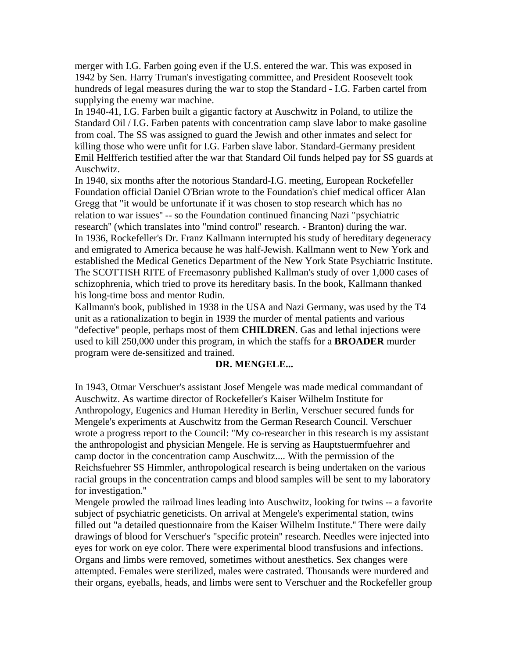merger with I.G. Farben going even if the U.S. entered the war. This was exposed in 1942 by Sen. Harry Truman's investigating committee, and President Roosevelt took hundreds of legal measures during the war to stop the Standard - I.G. Farben cartel from supplying the enemy war machine.

In 1940-41, I.G. Farben built a gigantic factory at Auschwitz in Poland, to utilize the Standard Oil / I.G. Farben patents with concentration camp slave labor to make gasoline from coal. The SS was assigned to guard the Jewish and other inmates and select for killing those who were unfit for I.G. Farben slave labor. Standard-Germany president Emil Helfferich testified after the war that Standard Oil funds helped pay for SS guards at Auschwitz.

In 1940, six months after the notorious Standard-I.G. meeting, European Rockefeller Foundation official Daniel O'Brian wrote to the Foundation's chief medical officer Alan Gregg that "it would be unfortunate if it was chosen to stop research which has no relation to war issues'' -- so the Foundation continued financing Nazi "psychiatric research'' (which translates into "mind control" research. - Branton) during the war. In 1936, Rockefeller's Dr. Franz Kallmann interrupted his study of hereditary degeneracy and emigrated to America because he was half-Jewish. Kallmann went to New York and established the Medical Genetics Department of the New York State Psychiatric Institute. The SCOTTISH RITE of Freemasonry published Kallman's study of over 1,000 cases of schizophrenia, which tried to prove its hereditary basis. In the book, Kallmann thanked his long-time boss and mentor Rudin.

Kallmann's book, published in 1938 in the USA and Nazi Germany, was used by the T4 unit as a rationalization to begin in 1939 the murder of mental patients and various "defective'' people, perhaps most of them **CHILDREN**. Gas and lethal injections were used to kill 250,000 under this program, in which the staffs for a **BROADER** murder program were de-sensitized and trained.

#### **DR. MENGELE...**

In 1943, Otmar Verschuer's assistant Josef Mengele was made medical commandant of Auschwitz. As wartime director of Rockefeller's Kaiser Wilhelm Institute for Anthropology, Eugenics and Human Heredity in Berlin, Verschuer secured funds for Mengele's experiments at Auschwitz from the German Research Council. Verschuer wrote a progress report to the Council: "My co-researcher in this research is my assistant the anthropologist and physician Mengele. He is serving as Hauptstuermfuehrer and camp doctor in the concentration camp Auschwitz.... With the permission of the Reichsfuehrer SS Himmler, anthropological research is being undertaken on the various racial groups in the concentration camps and blood samples will be sent to my laboratory for investigation.''

Mengele prowled the railroad lines leading into Auschwitz, looking for twins -- a favorite subject of psychiatric geneticists. On arrival at Mengele's experimental station, twins filled out "a detailed questionnaire from the Kaiser Wilhelm Institute.'' There were daily drawings of blood for Verschuer's "specific protein'' research. Needles were injected into eyes for work on eye color. There were experimental blood transfusions and infections. Organs and limbs were removed, sometimes without anesthetics. Sex changes were attempted. Females were sterilized, males were castrated. Thousands were murdered and their organs, eyeballs, heads, and limbs were sent to Verschuer and the Rockefeller group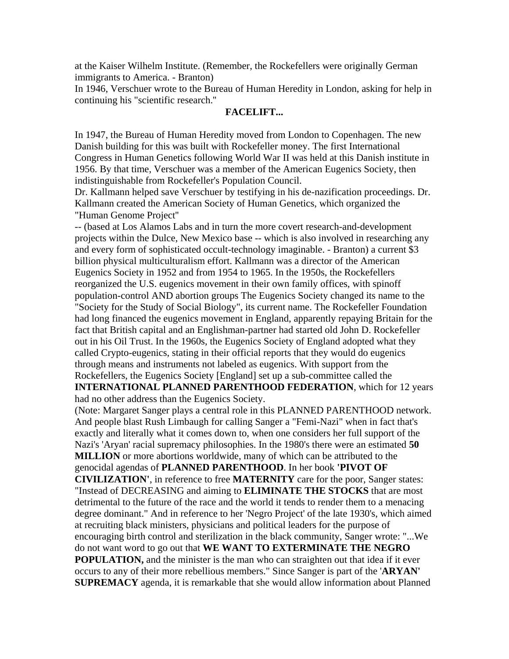at the Kaiser Wilhelm Institute. (Remember, the Rockefellers were originally German immigrants to America. - Branton)

In 1946, Verschuer wrote to the Bureau of Human Heredity in London, asking for help in continuing his "scientific research.''

#### **FACELIFT...**

In 1947, the Bureau of Human Heredity moved from London to Copenhagen. The new Danish building for this was built with Rockefeller money. The first International Congress in Human Genetics following World War II was held at this Danish institute in 1956. By that time, Verschuer was a member of the American Eugenics Society, then indistinguishable from Rockefeller's Population Council.

Dr. Kallmann helped save Verschuer by testifying in his de-nazification proceedings. Dr. Kallmann created the American Society of Human Genetics, which organized the "Human Genome Project''

-- (based at Los Alamos Labs and in turn the more covert research-and-development projects within the Dulce, New Mexico base -- which is also involved in researching any and every form of sophisticated occult-technology imaginable. - Branton) a current \$3 billion physical multiculturalism effort. Kallmann was a director of the American Eugenics Society in 1952 and from 1954 to 1965. In the 1950s, the Rockefellers reorganized the U.S. eugenics movement in their own family offices, with spinoff population-control AND abortion groups The Eugenics Society changed its name to the "Society for the Study of Social Biology", its current name. The Rockefeller Foundation had long financed the eugenics movement in England, apparently repaying Britain for the fact that British capital and an Englishman-partner had started old John D. Rockefeller out in his Oil Trust. In the 1960s, the Eugenics Society of England adopted what they called Crypto-eugenics, stating in their official reports that they would do eugenics through means and instruments not labeled as eugenics. With support from the Rockefellers, the Eugenics Society [England] set up a sub-committee called the **INTERNATIONAL PLANNED PARENTHOOD FEDERATION**, which for 12 years had no other address than the Eugenics Society.

(Note: Margaret Sanger plays a central role in this PLANNED PARENTHOOD network. And people blast Rush Limbaugh for calling Sanger a "Femi-Nazi" when in fact that's exactly and literally what it comes down to, when one considers her full support of the Nazi's 'Aryan' racial supremacy philosophies. In the 1980's there were an estimated **50 MILLION** or more abortions worldwide, many of which can be attributed to the genocidal agendas of **PLANNED PARENTHOOD**. In her book **'PIVOT OF CIVILIZATION'**, in reference to free **MATERNITY** care for the poor, Sanger states: "Instead of DECREASING and aiming to **ELIMINATE THE STOCKS** that are most detrimental to the future of the race and the world it tends to render them to a menacing degree dominant." And in reference to her 'Negro Project' of the late 1930's, which aimed at recruiting black ministers, physicians and political leaders for the purpose of encouraging birth control and sterilization in the black community, Sanger wrote: "...We do not want word to go out that **WE WANT TO EXTERMINATE THE NEGRO POPULATION,** and the minister is the man who can straighten out that idea if it ever occurs to any of their more rebellious members." Since Sanger is part of the '**ARYAN' SUPREMACY** agenda, it is remarkable that she would allow information about Planned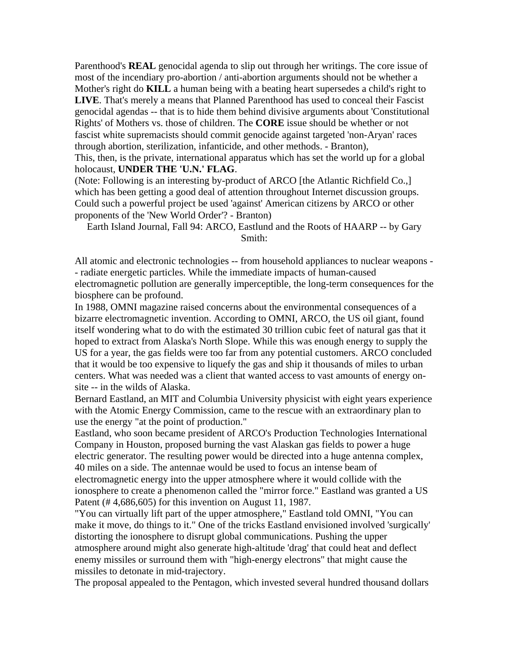Parenthood's **REAL** genocidal agenda to slip out through her writings. The core issue of most of the incendiary pro-abortion / anti-abortion arguments should not be whether a Mother's right do **KILL** a human being with a beating heart supersedes a child's right to **LIVE**. That's merely a means that Planned Parenthood has used to conceal their Fascist genocidal agendas -- that is to hide them behind divisive arguments about 'Constitutional Rights' of Mothers vs. those of children. The **CORE** issue should be whether or not fascist white supremacists should commit genocide against targeted 'non-Aryan' races through abortion, sterilization, infanticide, and other methods. - Branton),

This, then, is the private, international apparatus which has set the world up for a global holocaust, **UNDER THE 'U.N.' FLAG**.

(Note: Following is an interesting by-product of ARCO [the Atlantic Richfield Co.,] which has been getting a good deal of attention throughout Internet discussion groups. Could such a powerful project be used 'against' American citizens by ARCO or other proponents of the 'New World Order'? - Branton)

Earth Island Journal, Fall 94: ARCO, Eastlund and the Roots of HAARP -- by Gary Smith:

All atomic and electronic technologies -- from household appliances to nuclear weapons - - radiate energetic particles. While the immediate impacts of human-caused electromagnetic pollution are generally imperceptible, the long-term consequences for the biosphere can be profound.

In 1988, OMNI magazine raised concerns about the environmental consequences of a bizarre electromagnetic invention. According to OMNI, ARCO, the US oil giant, found itself wondering what to do with the estimated 30 trillion cubic feet of natural gas that it hoped to extract from Alaska's North Slope. While this was enough energy to supply the US for a year, the gas fields were too far from any potential customers. ARCO concluded that it would be too expensive to liquefy the gas and ship it thousands of miles to urban centers. What was needed was a client that wanted access to vast amounts of energy onsite -- in the wilds of Alaska.

Bernard Eastland, an MIT and Columbia University physicist with eight years experience with the Atomic Energy Commission, came to the rescue with an extraordinary plan to use the energy "at the point of production."

Eastland, who soon became president of ARCO's Production Technologies International Company in Houston, proposed burning the vast Alaskan gas fields to power a huge electric generator. The resulting power would be directed into a huge antenna complex, 40 miles on a side. The antennae would be used to focus an intense beam of electromagnetic energy into the upper atmosphere where it would collide with the ionosphere to create a phenomenon called the "mirror force." Eastland was granted a US Patent (# 4,686,605) for this invention on August 11, 1987.

"You can virtually lift part of the upper atmosphere," Eastland told OMNI, "You can make it move, do things to it." One of the tricks Eastland envisioned involved 'surgically' distorting the ionosphere to disrupt global communications. Pushing the upper atmosphere around might also generate high-altitude 'drag' that could heat and deflect enemy missiles or surround them with "high-energy electrons" that might cause the missiles to detonate in mid-trajectory.

The proposal appealed to the Pentagon, which invested several hundred thousand dollars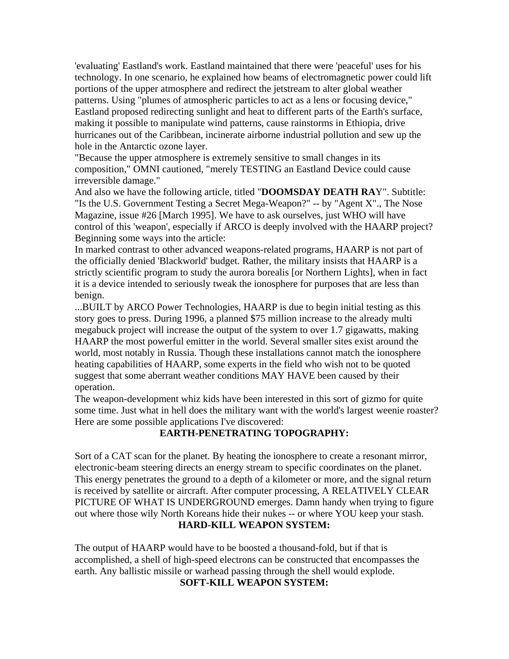'evaluating' Eastland's work. Eastland maintained that there were 'peaceful' uses for his technology. In one scenario, he explained how beams of electromagnetic power could lift portions of the upper atmosphere and redirect the jetstream to alter global weather patterns. Using "plumes of atmospheric particles to act as a lens or focusing device," Eastland proposed redirecting sunlight and heat to different parts of the Earth's surface, making it possible to manipulate wind patterns, cause rainstorms in Ethiopia, drive hurricanes out of the Caribbean, incinerate airborne industrial pollution and sew up the hole in the Antarctic ozone layer.

"Because the upper atmosphere is extremely sensitive to small changes in its composition," OMNI cautioned, "merely TESTING an Eastland Device could cause irreversible damage."

And also we have the following article, titled "**DOOMSDAY DEATH RA**Y". Subtitle: "Is the U.S. Government Testing a Secret Mega-Weapon?" -- by "Agent X"., The Nose Magazine, issue #26 [March 1995]. We have to ask ourselves, just WHO will have control of this 'weapon', especially if ARCO is deeply involved with the HAARP project? Beginning some ways into the article:

In marked contrast to other advanced weapons-related programs, HAARP is not part of the officially denied 'Blackworld' budget. Rather, the military insists that HAARP is a strictly scientific program to study the aurora borealis [or Northern Lights], when in fact it is a device intended to seriously tweak the ionosphere for purposes that are less than benign.

...BUILT by ARCO Power Technologies, HAARP is due to begin initial testing as this story goes to press. During 1996, a planned \$75 million increase to the already multi megabuck project will increase the output of the system to over 1.7 gigawatts, making HAARP the most powerful emitter in the world. Several smaller sites exist around the world, most notably in Russia. Though these installations cannot match the ionosphere heating capabilities of HAARP, some experts in the field who wish not to be quoted suggest that some aberrant weather conditions MAY HAVE been caused by their operation.

The weapon-development whiz kids have been interested in this sort of gizmo for quite some time. Just what in hell does the military want with the world's largest weenie roaster? Here are some possible applications I've discovered:

# **EARTH-PENETRATING TOPOGRAPHY:**

Sort of a CAT scan for the planet. By heating the ionosphere to create a resonant mirror, electronic-beam steering directs an energy stream to specific coordinates on the planet. This energy penetrates the ground to a depth of a kilometer or more, and the signal return is received by satellite or aircraft. After computer processing, A RELATIVELY CLEAR PICTURE OF WHAT IS UNDERGROUND emerges. Damn handy when trying to figure out where those wily North Koreans hide their nukes -- or where YOU keep your stash. **HARD-KILL WEAPON SYSTEM:**

The output of HAARP would have to be boosted a thousand-fold, but if that is accomplished, a shell of high-speed electrons can be constructed that encompasses the earth. Any ballistic missile or warhead passing through the shell would explode.

**SOFT-KILL WEAPON SYSTEM:**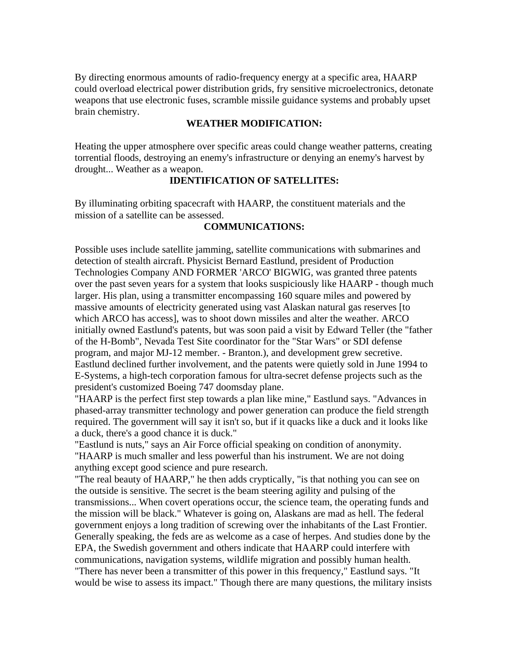By directing enormous amounts of radio-frequency energy at a specific area, HAARP could overload electrical power distribution grids, fry sensitive microelectronics, detonate weapons that use electronic fuses, scramble missile guidance systems and probably upset brain chemistry.

## **WEATHER MODIFICATION:**

Heating the upper atmosphere over specific areas could change weather patterns, creating torrential floods, destroying an enemy's infrastructure or denying an enemy's harvest by drought... Weather as a weapon.

#### **IDENTIFICATION OF SATELLITES:**

By illuminating orbiting spacecraft with HAARP, the constituent materials and the mission of a satellite can be assessed.

#### **COMMUNICATIONS:**

Possible uses include satellite jamming, satellite communications with submarines and detection of stealth aircraft. Physicist Bernard Eastlund, president of Production Technologies Company AND FORMER 'ARCO' BIGWIG, was granted three patents over the past seven years for a system that looks suspiciously like HAARP - though much larger. His plan, using a transmitter encompassing 160 square miles and powered by massive amounts of electricity generated using vast Alaskan natural gas reserves [to which ARCO has access], was to shoot down missiles and alter the weather. ARCO initially owned Eastlund's patents, but was soon paid a visit by Edward Teller (the "father of the H-Bomb", Nevada Test Site coordinator for the "Star Wars" or SDI defense program, and major MJ-12 member. - Branton.), and development grew secretive. Eastlund declined further involvement, and the patents were quietly sold in June 1994 to E-Systems, a high-tech corporation famous for ultra-secret defense projects such as the president's customized Boeing 747 doomsday plane.

"HAARP is the perfect first step towards a plan like mine," Eastlund says. "Advances in phased-array transmitter technology and power generation can produce the field strength required. The government will say it isn't so, but if it quacks like a duck and it looks like a duck, there's a good chance it is duck."

"Eastlund is nuts," says an Air Force official speaking on condition of anonymity. "HAARP is much smaller and less powerful than his instrument. We are not doing anything except good science and pure research.

"The real beauty of HAARP," he then adds cryptically, "is that nothing you can see on the outside is sensitive. The secret is the beam steering agility and pulsing of the transmissions... When covert operations occur, the science team, the operating funds and the mission will be black." Whatever is going on, Alaskans are mad as hell. The federal government enjoys a long tradition of screwing over the inhabitants of the Last Frontier. Generally speaking, the feds are as welcome as a case of herpes. And studies done by the EPA, the Swedish government and others indicate that HAARP could interfere with communications, navigation systems, wildlife migration and possibly human health. "There has never been a transmitter of this power in this frequency," Eastlund says. "It

would be wise to assess its impact." Though there are many questions, the military insists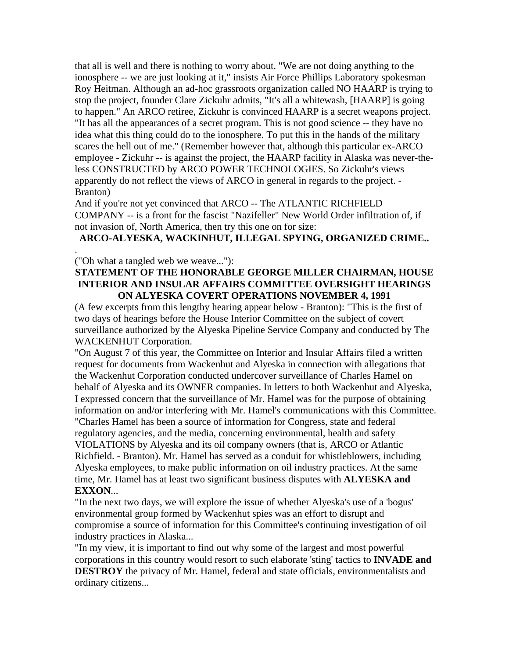that all is well and there is nothing to worry about. "We are not doing anything to the ionosphere -- we are just looking at it," insists Air Force Phillips Laboratory spokesman Roy Heitman. Although an ad-hoc grassroots organization called NO HAARP is trying to stop the project, founder Clare Zickuhr admits, "It's all a whitewash, [HAARP] is going to happen." An ARCO retiree, Zickuhr is convinced HAARP is a secret weapons project. "It has all the appearances of a secret program. This is not good science -- they have no idea what this thing could do to the ionosphere. To put this in the hands of the military scares the hell out of me." (Remember however that, although this particular ex-ARCO employee - Zickuhr -- is against the project, the HAARP facility in Alaska was never-theless CONSTRUCTED by ARCO POWER TECHNOLOGIES. So Zickuhr's views apparently do not reflect the views of ARCO in general in regards to the project. - Branton)

And if you're not yet convinced that ARCO -- The ATLANTIC RICHFIELD COMPANY -- is a front for the fascist "Nazifeller" New World Order infiltration of, if not invasion of, North America, then try this one on for size:

**ARCO-ALYESKA, WACKINHUT, ILLEGAL SPYING, ORGANIZED CRIME..**

("Oh what a tangled web we weave..."):

.

## **STATEMENT OF THE HONORABLE GEORGE MILLER CHAIRMAN, HOUSE INTERIOR AND INSULAR AFFAIRS COMMITTEE OVERSIGHT HEARINGS ON ALYESKA COVERT OPERATIONS NOVEMBER 4, 1991**

(A few excerpts from this lengthy hearing appear below - Branton): "This is the first of two days of hearings before the House Interior Committee on the subject of covert surveillance authorized by the Alyeska Pipeline Service Company and conducted by The WACKENHUT Corporation.

"On August 7 of this year, the Committee on Interior and Insular Affairs filed a written request for documents from Wackenhut and Alyeska in connection with allegations that the Wackenhut Corporation conducted undercover surveillance of Charles Hamel on behalf of Alyeska and its OWNER companies. In letters to both Wackenhut and Alyeska, I expressed concern that the surveillance of Mr. Hamel was for the purpose of obtaining information on and/or interfering with Mr. Hamel's communications with this Committee. "Charles Hamel has been a source of information for Congress, state and federal regulatory agencies, and the media, concerning environmental, health and safety VIOLATIONS by Alyeska and its oil company owners (that is, ARCO or Atlantic Richfield. - Branton). Mr. Hamel has served as a conduit for whistleblowers, including Alyeska employees, to make public information on oil industry practices. At the same time, Mr. Hamel has at least two significant business disputes with **ALYESKA and EXXON**...

"In the next two days, we will explore the issue of whether Alyeska's use of a 'bogus' environmental group formed by Wackenhut spies was an effort to disrupt and compromise a source of information for this Committee's continuing investigation of oil industry practices in Alaska...

"In my view, it is important to find out why some of the largest and most powerful corporations in this country would resort to such elaborate 'sting' tactics to **INVADE and DESTROY** the privacy of Mr. Hamel, federal and state officials, environmentalists and ordinary citizens...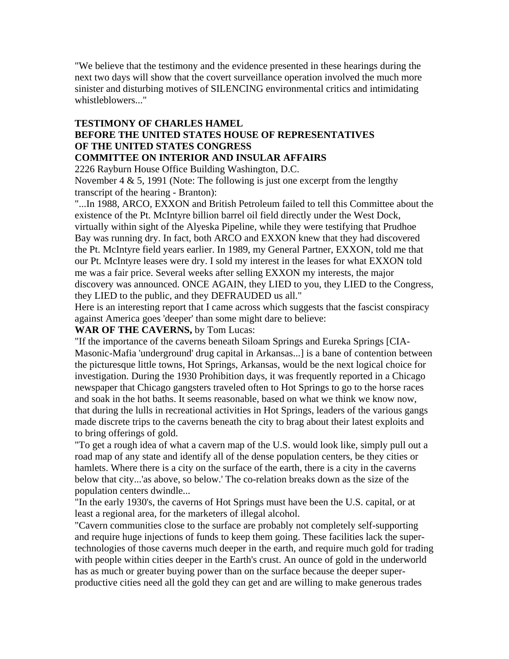"We believe that the testimony and the evidence presented in these hearings during the next two days will show that the covert surveillance operation involved the much more sinister and disturbing motives of SILENCING environmental critics and intimidating whistleblowers..."

#### **TESTIMONY OF CHARLES HAMEL**

# **BEFORE THE UNITED STATES HOUSE OF REPRESENTATIVES OF THE UNITED STATES CONGRESS**

#### **COMMITTEE ON INTERIOR AND INSULAR AFFAIRS**

2226 Rayburn House Office Building Washington, D.C.

November  $4 \& 5$ , 1991 (Note: The following is just one excerpt from the lengthy transcript of the hearing - Branton):

"...In 1988, ARCO, EXXON and British Petroleum failed to tell this Committee about the existence of the Pt. McIntyre billion barrel oil field directly under the West Dock, virtually within sight of the Alyeska Pipeline, while they were testifying that Prudhoe Bay was running dry. In fact, both ARCO and EXXON knew that they had discovered the Pt. McIntyre field years earlier. In 1989, my General Partner, EXXON, told me that our Pt. McIntyre leases were dry. I sold my interest in the leases for what EXXON told me was a fair price. Several weeks after selling EXXON my interests, the major discovery was announced. ONCE AGAIN, they LIED to you, they LIED to the Congress, they LIED to the public, and they DEFRAUDED us all."

Here is an interesting report that I came across which suggests that the fascist conspiracy against America goes 'deeper' than some might dare to believe:

## **WAR OF THE CAVERNS,** by Tom Lucas:

"If the importance of the caverns beneath Siloam Springs and Eureka Springs [CIA-Masonic-Mafia 'underground' drug capital in Arkansas...] is a bane of contention between the picturesque little towns, Hot Springs, Arkansas, would be the next logical choice for investigation. During the 1930 Prohibition days, it was frequently reported in a Chicago newspaper that Chicago gangsters traveled often to Hot Springs to go to the horse races and soak in the hot baths. It seems reasonable, based on what we think we know now, that during the lulls in recreational activities in Hot Springs, leaders of the various gangs made discrete trips to the caverns beneath the city to brag about their latest exploits and to bring offerings of gold.

"To get a rough idea of what a cavern map of the U.S. would look like, simply pull out a road map of any state and identify all of the dense population centers, be they cities or hamlets. Where there is a city on the surface of the earth, there is a city in the caverns below that city...'as above, so below.' The co-relation breaks down as the size of the population centers dwindle...

"In the early 1930's, the caverns of Hot Springs must have been the U.S. capital, or at least a regional area, for the marketers of illegal alcohol.

"Cavern communities close to the surface are probably not completely self-supporting and require huge injections of funds to keep them going. These facilities lack the supertechnologies of those caverns much deeper in the earth, and require much gold for trading with people within cities deeper in the Earth's crust. An ounce of gold in the underworld has as much or greater buying power than on the surface because the deeper superproductive cities need all the gold they can get and are willing to make generous trades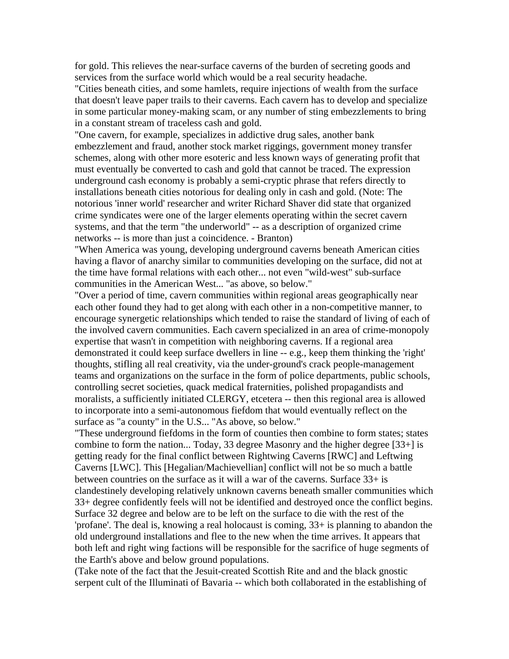for gold. This relieves the near-surface caverns of the burden of secreting goods and services from the surface world which would be a real security headache.

"Cities beneath cities, and some hamlets, require injections of wealth from the surface that doesn't leave paper trails to their caverns. Each cavern has to develop and specialize in some particular money-making scam, or any number of sting embezzlements to bring in a constant stream of traceless cash and gold.

"One cavern, for example, specializes in addictive drug sales, another bank embezzlement and fraud, another stock market riggings, government money transfer schemes, along with other more esoteric and less known ways of generating profit that must eventually be converted to cash and gold that cannot be traced. The expression underground cash economy is probably a semi-cryptic phrase that refers directly to installations beneath cities notorious for dealing only in cash and gold. (Note: The notorious 'inner world' researcher and writer Richard Shaver did state that organized crime syndicates were one of the larger elements operating within the secret cavern systems, and that the term "the underworld" -- as a description of organized crime networks -- is more than just a coincidence. - Branton)

"When America was young, developing underground caverns beneath American cities having a flavor of anarchy similar to communities developing on the surface, did not at the time have formal relations with each other... not even "wild-west" sub-surface communities in the American West... "as above, so below."

"Over a period of time, cavern communities within regional areas geographically near each other found they had to get along with each other in a non-competitive manner, to encourage synergetic relationships which tended to raise the standard of living of each of the involved cavern communities. Each cavern specialized in an area of crime-monopoly expertise that wasn't in competition with neighboring caverns. If a regional area demonstrated it could keep surface dwellers in line -- e.g., keep them thinking the 'right' thoughts, stifling all real creativity, via the under-ground's crack people-management teams and organizations on the surface in the form of police departments, public schools, controlling secret societies, quack medical fraternities, polished propagandists and moralists, a sufficiently initiated CLERGY, etcetera -- then this regional area is allowed to incorporate into a semi-autonomous fiefdom that would eventually reflect on the surface as "a county" in the U.S... "As above, so below."

"These underground fiefdoms in the form of counties then combine to form states; states combine to form the nation... Today, 33 degree Masonry and the higher degree [33+] is getting ready for the final conflict between Rightwing Caverns [RWC] and Leftwing Caverns [LWC]. This [Hegalian/Machievellian] conflict will not be so much a battle between countries on the surface as it will a war of the caverns. Surface 33+ is clandestinely developing relatively unknown caverns beneath smaller communities which 33+ degree confidently feels will not be identified and destroyed once the conflict begins. Surface 32 degree and below are to be left on the surface to die with the rest of the 'profane'. The deal is, knowing a real holocaust is coming, 33+ is planning to abandon the old underground installations and flee to the new when the time arrives. It appears that both left and right wing factions will be responsible for the sacrifice of huge segments of the Earth's above and below ground populations.

(Take note of the fact that the Jesuit-created Scottish Rite and and the black gnostic serpent cult of the Illuminati of Bavaria -- which both collaborated in the establishing of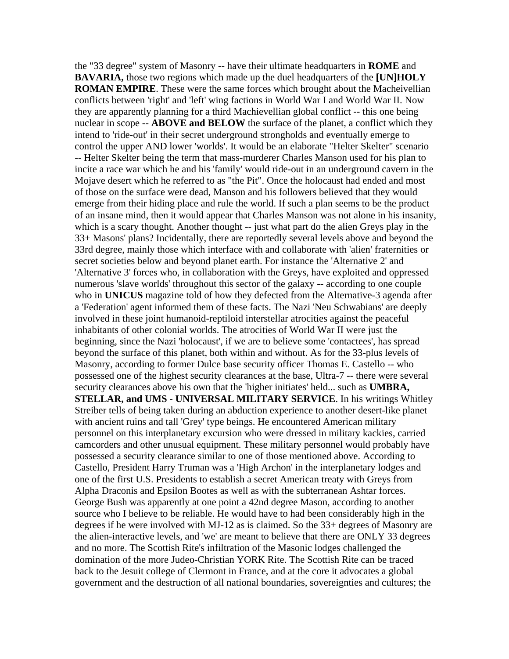the "33 degree" system of Masonry -- have their ultimate headquarters in **ROME** and **BAVARIA,** those two regions which made up the duel headquarters of the **[UN]HOLY ROMAN EMPIRE**. These were the same forces which brought about the Macheivellian conflicts between 'right' and 'left' wing factions in World War I and World War II. Now they are apparently planning for a third Machievellian global conflict -- this one being nuclear in scope -- **ABOVE and BELOW** the surface of the planet, a conflict which they intend to 'ride-out' in their secret underground strongholds and eventually emerge to control the upper AND lower 'worlds'. It would be an elaborate "Helter Skelter" scenario -- Helter Skelter being the term that mass-murderer Charles Manson used for his plan to incite a race war which he and his 'family' would ride-out in an underground cavern in the Mojave desert which he referred to as "the Pit". Once the holocaust had ended and most of those on the surface were dead, Manson and his followers believed that they would emerge from their hiding place and rule the world. If such a plan seems to be the product of an insane mind, then it would appear that Charles Manson was not alone in his insanity, which is a scary thought. Another thought -- just what part do the alien Greys play in the 33+ Masons' plans? Incidentally, there are reportedly several levels above and beyond the 33rd degree, mainly those which interface with and collaborate with 'alien' fraternities or secret societies below and beyond planet earth. For instance the 'Alternative 2' and 'Alternative 3' forces who, in collaboration with the Greys, have exploited and oppressed numerous 'slave worlds' throughout this sector of the galaxy -- according to one couple who in **UNICUS** magazine told of how they defected from the Alternative-3 agenda after a 'Federation' agent informed them of these facts. The Nazi 'Neu Schwabians' are deeply involved in these joint humanoid-reptiloid interstellar atrocities against the peaceful inhabitants of other colonial worlds. The atrocities of World War II were just the beginning, since the Nazi 'holocaust', if we are to believe some 'contactees', has spread beyond the surface of this planet, both within and without. As for the 33-plus levels of Masonry, according to former Dulce base security officer Thomas E. Castello -- who possessed one of the highest security clearances at the base, Ultra-7 -- there were several security clearances above his own that the 'higher initiates' held... such as **UMBRA, STELLAR, and UMS** - **UNIVERSAL MILITARY SERVICE**. In his writings Whitley Streiber tells of being taken during an abduction experience to another desert-like planet with ancient ruins and tall 'Grey' type beings. He encountered American military personnel on this interplanetary excursion who were dressed in military kackies, carried camcorders and other unusual equipment. These military personnel would probably have possessed a security clearance similar to one of those mentioned above. According to Castello, President Harry Truman was a 'High Archon' in the interplanetary lodges and one of the first U.S. Presidents to establish a secret American treaty with Greys from Alpha Draconis and Epsilon Bootes as well as with the subterranean Ashtar forces. George Bush was apparently at one point a 42nd degree Mason, according to another source who I believe to be reliable. He would have to had been considerably high in the degrees if he were involved with MJ-12 as is claimed. So the 33+ degrees of Masonry are the alien-interactive levels, and 'we' are meant to believe that there are ONLY 33 degrees and no more. The Scottish Rite's infiltration of the Masonic lodges challenged the domination of the more Judeo-Christian YORK Rite. The Scottish Rite can be traced back to the Jesuit college of Clermont in France, and at the core it advocates a global government and the destruction of all national boundaries, sovereignties and cultures; the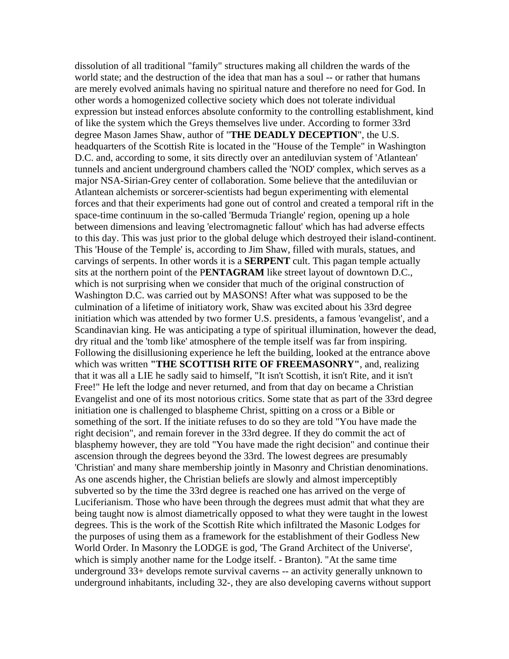dissolution of all traditional "family" structures making all children the wards of the world state; and the destruction of the idea that man has a soul -- or rather that humans are merely evolved animals having no spiritual nature and therefore no need for God. In other words a homogenized collective society which does not tolerate individual expression but instead enforces absolute conformity to the controlling establishment, kind of like the system which the Greys themselves live under. According to former 33rd degree Mason James Shaw, author of "**THE DEADLY DECEPTION**", the U.S. headquarters of the Scottish Rite is located in the "House of the Temple" in Washington D.C. and, according to some, it sits directly over an antediluvian system of 'Atlantean' tunnels and ancient underground chambers called the 'NOD' complex, which serves as a major NSA-Sirian-Grey center of collaboration. Some believe that the antediluvian or Atlantean alchemists or sorcerer-scientists had begun experimenting with elemental forces and that their experiments had gone out of control and created a temporal rift in the space-time continuum in the so-called 'Bermuda Triangle' region, opening up a hole between dimensions and leaving 'electromagnetic fallout' which has had adverse effects to this day. This was just prior to the global deluge which destroyed their island-continent. This 'House of the Temple' is, according to Jim Shaw, filled with murals, statues, and carvings of serpents. In other words it is a **SERPENT** cult. This pagan temple actually sits at the northern point of the P**ENTAGRAM** like street layout of downtown D.C., which is not surprising when we consider that much of the original construction of Washington D.C. was carried out by MASONS! After what was supposed to be the culmination of a lifetime of initiatory work, Shaw was excited about his 33rd degree initiation which was attended by two former U.S. presidents, a famous 'evangelist', and a Scandinavian king. He was anticipating a type of spiritual illumination, however the dead, dry ritual and the 'tomb like' atmosphere of the temple itself was far from inspiring. Following the disillusioning experience he left the building, looked at the entrance above which was written **"THE SCOTTISH RITE OF FREEMASONRY"**, and, realizing that it was all a LIE he sadly said to himself, "It isn't Scottish, it isn't Rite, and it isn't Free!" He left the lodge and never returned, and from that day on became a Christian Evangelist and one of its most notorious critics. Some state that as part of the 33rd degree initiation one is challenged to blaspheme Christ, spitting on a cross or a Bible or something of the sort. If the initiate refuses to do so they are told "You have made the right decision", and remain forever in the 33rd degree. If they do commit the act of blasphemy however, they are told "You have made the right decision" and continue their ascension through the degrees beyond the 33rd. The lowest degrees are presumably 'Christian' and many share membership jointly in Masonry and Christian denominations. As one ascends higher, the Christian beliefs are slowly and almost imperceptibly subverted so by the time the 33rd degree is reached one has arrived on the verge of Luciferianism. Those who have been through the degrees must admit that what they are being taught now is almost diametrically opposed to what they were taught in the lowest degrees. This is the work of the Scottish Rite which infiltrated the Masonic Lodges for the purposes of using them as a framework for the establishment of their Godless New World Order. In Masonry the LODGE is god, 'The Grand Architect of the Universe', which is simply another name for the Lodge itself. - Branton). "At the same time underground 33+ develops remote survival caverns -- an activity generally unknown to underground inhabitants, including 32-, they are also developing caverns without support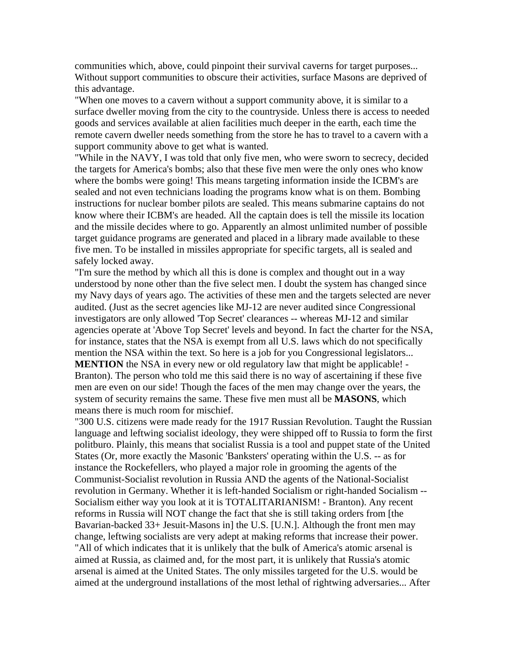communities which, above, could pinpoint their survival caverns for target purposes... Without support communities to obscure their activities, surface Masons are deprived of this advantage.

"When one moves to a cavern without a support community above, it is similar to a surface dweller moving from the city to the countryside. Unless there is access to needed goods and services available at alien facilities much deeper in the earth, each time the remote cavern dweller needs something from the store he has to travel to a cavern with a support community above to get what is wanted.

"While in the NAVY, I was told that only five men, who were sworn to secrecy, decided the targets for America's bombs; also that these five men were the only ones who know where the bombs were going! This means targeting information inside the ICBM's are sealed and not even technicians loading the programs know what is on them. Bombing instructions for nuclear bomber pilots are sealed. This means submarine captains do not know where their ICBM's are headed. All the captain does is tell the missile its location and the missile decides where to go. Apparently an almost unlimited number of possible target guidance programs are generated and placed in a library made available to these five men. To be installed in missiles appropriate for specific targets, all is sealed and safely locked away.

"I'm sure the method by which all this is done is complex and thought out in a way understood by none other than the five select men. I doubt the system has changed since my Navy days of years ago. The activities of these men and the targets selected are never audited. (Just as the secret agencies like MJ-12 are never audited since Congressional investigators are only allowed 'Top Secret' clearances -- whereas MJ-12 and similar agencies operate at 'Above Top Secret' levels and beyond. In fact the charter for the NSA, for instance, states that the NSA is exempt from all U.S. laws which do not specifically mention the NSA within the text. So here is a job for you Congressional legislators... **MENTION** the NSA in every new or old regulatory law that might be applicable! -Branton). The person who told me this said there is no way of ascertaining if these five men are even on our side! Though the faces of the men may change over the years, the system of security remains the same. These five men must all be **MASONS**, which means there is much room for mischief.

"300 U.S. citizens were made ready for the 1917 Russian Revolution. Taught the Russian language and leftwing socialist ideology, they were shipped off to Russia to form the first politburo. Plainly, this means that socialist Russia is a tool and puppet state of the United States (Or, more exactly the Masonic 'Banksters' operating within the U.S. -- as for instance the Rockefellers, who played a major role in grooming the agents of the Communist-Socialist revolution in Russia AND the agents of the National-Socialist revolution in Germany. Whether it is left-handed Socialism or right-handed Socialism -- Socialism either way you look at it is TOTALITARIANISM! - Branton). Any recent reforms in Russia will NOT change the fact that she is still taking orders from [the Bavarian-backed 33+ Jesuit-Masons in] the U.S. [U.N.]. Although the front men may change, leftwing socialists are very adept at making reforms that increase their power. "All of which indicates that it is unlikely that the bulk of America's atomic arsenal is aimed at Russia, as claimed and, for the most part, it is unlikely that Russia's atomic arsenal is aimed at the United States. The only missiles targeted for the U.S. would be aimed at the underground installations of the most lethal of rightwing adversaries... After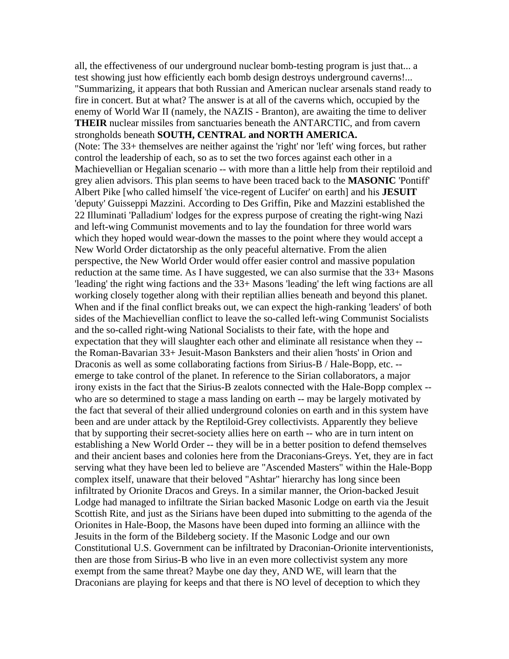all, the effectiveness of our underground nuclear bomb-testing program is just that... a test showing just how efficiently each bomb design destroys underground caverns!... "Summarizing, it appears that both Russian and American nuclear arsenals stand ready to fire in concert. But at what? The answer is at all of the caverns which, occupied by the enemy of World War II (namely, the NAZIS - Branton), are awaiting the time to deliver **THEIR** nuclear missiles from sanctuaries beneath the ANTARCTIC, and from cavern strongholds beneath **SOUTH, CENTRAL and NORTH AMERICA.** (Note: The 33+ themselves are neither against the 'right' nor 'left' wing forces, but rather control the leadership of each, so as to set the two forces against each other in a Machievellian or Hegalian scenario -- with more than a little help from their reptiloid and grey alien advisors. This plan seems to have been traced back to the **MASONIC** 'Pontiff' Albert Pike [who called himself 'the vice-regent of Lucifer' on earth] and his **JESUIT** 'deputy' Guisseppi Mazzini. According to Des Griffin, Pike and Mazzini established the 22 Illuminati 'Palladium' lodges for the express purpose of creating the right-wing Nazi and left-wing Communist movements and to lay the foundation for three world wars which they hoped would wear-down the masses to the point where they would accept a New World Order dictatorship as the only peaceful alternative. From the alien perspective, the New World Order would offer easier control and massive population reduction at the same time. As I have suggested, we can also surmise that the 33+ Masons 'leading' the right wing factions and the 33+ Masons 'leading' the left wing factions are all working closely together along with their reptilian allies beneath and beyond this planet. When and if the final conflict breaks out, we can expect the high-ranking 'leaders' of both sides of the Machievellian conflict to leave the so-called left-wing Communist Socialists and the so-called right-wing National Socialists to their fate, with the hope and expectation that they will slaughter each other and eliminate all resistance when they - the Roman-Bavarian 33+ Jesuit-Mason Banksters and their alien 'hosts' in Orion and Draconis as well as some collaborating factions from Sirius-B / Hale-Bopp, etc. - emerge to take control of the planet. In reference to the Sirian collaborators, a major irony exists in the fact that the Sirius-B zealots connected with the Hale-Bopp complex - who are so determined to stage a mass landing on earth -- may be largely motivated by the fact that several of their allied underground colonies on earth and in this system have been and are under attack by the Reptiloid-Grey collectivists. Apparently they believe that by supporting their secret-society allies here on earth -- who are in turn intent on establishing a New World Order -- they will be in a better position to defend themselves and their ancient bases and colonies here from the Draconians-Greys. Yet, they are in fact serving what they have been led to believe are "Ascended Masters" within the Hale-Bopp complex itself, unaware that their beloved "Ashtar" hierarchy has long since been infiltrated by Orionite Dracos and Greys. In a similar manner, the Orion-backed Jesuit Lodge had managed to infiltrate the Sirian backed Masonic Lodge on earth via the Jesuit Scottish Rite, and just as the Sirians have been duped into submitting to the agenda of the Orionites in Hale-Boop, the Masons have been duped into forming an alliince with the Jesuits in the form of the Bildeberg society. If the Masonic Lodge and our own Constitutional U.S. Government can be infiltrated by Draconian-Orionite interventionists, then are those from Sirius-B who live in an even more collectivist system any more exempt from the same threat? Maybe one day they, AND WE, will learn that the Draconians are playing for keeps and that there is NO level of deception to which they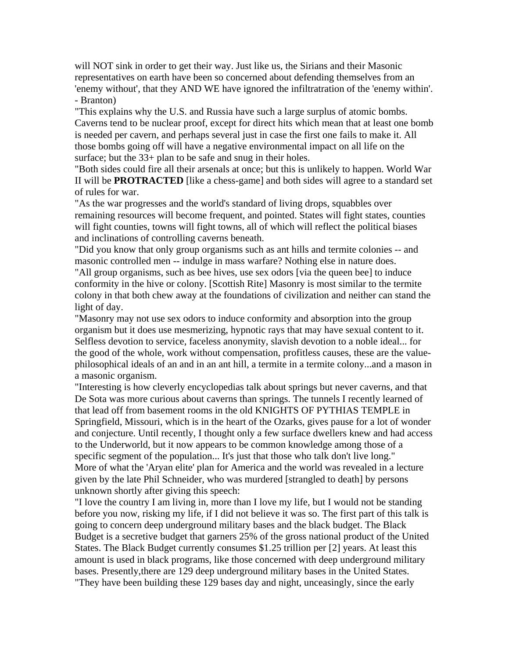will NOT sink in order to get their way. Just like us, the Sirians and their Masonic representatives on earth have been so concerned about defending themselves from an 'enemy without', that they AND WE have ignored the infiltratration of the 'enemy within'. - Branton)

"This explains why the U.S. and Russia have such a large surplus of atomic bombs. Caverns tend to be nuclear proof, except for direct hits which mean that at least one bomb is needed per cavern, and perhaps several just in case the first one fails to make it. All those bombs going off will have a negative environmental impact on all life on the surface; but the 33+ plan to be safe and snug in their holes.

"Both sides could fire all their arsenals at once; but this is unlikely to happen. World War II will be **PROTRACTED** [like a chess-game] and both sides will agree to a standard set of rules for war.

"As the war progresses and the world's standard of living drops, squabbles over remaining resources will become frequent, and pointed. States will fight states, counties will fight counties, towns will fight towns, all of which will reflect the political biases and inclinations of controlling caverns beneath.

"Did you know that only group organisms such as ant hills and termite colonies -- and masonic controlled men -- indulge in mass warfare? Nothing else in nature does.

"All group organisms, such as bee hives, use sex odors [via the queen bee] to induce conformity in the hive or colony. [Scottish Rite] Masonry is most similar to the termite colony in that both chew away at the foundations of civilization and neither can stand the light of day.

"Masonry may not use sex odors to induce conformity and absorption into the group organism but it does use mesmerizing, hypnotic rays that may have sexual content to it. Selfless devotion to service, faceless anonymity, slavish devotion to a noble ideal... for the good of the whole, work without compensation, profitless causes, these are the valuephilosophical ideals of an and in an ant hill, a termite in a termite colony...and a mason in a masonic organism.

"Interesting is how cleverly encyclopedias talk about springs but never caverns, and that De Sota was more curious about caverns than springs. The tunnels I recently learned of that lead off from basement rooms in the old KNIGHTS OF PYTHIAS TEMPLE in Springfield, Missouri, which is in the heart of the Ozarks, gives pause for a lot of wonder and conjecture. Until recently, I thought only a few surface dwellers knew and had access to the Underworld, but it now appears to be common knowledge among those of a specific segment of the population... It's just that those who talk don't live long." More of what the 'Aryan elite' plan for America and the world was revealed in a lecture given by the late Phil Schneider, who was murdered [strangled to death] by persons unknown shortly after giving this speech:

"I love the country I am living in, more than I love my life, but I would not be standing before you now, risking my life, if I did not believe it was so. The first part of this talk is going to concern deep underground military bases and the black budget. The Black Budget is a secretive budget that garners 25% of the gross national product of the United States. The Black Budget currently consumes \$1.25 trillion per [2] years. At least this amount is used in black programs, like those concerned with deep underground military bases. Presently,there are 129 deep underground military bases in the United States. "They have been building these 129 bases day and night, unceasingly, since the early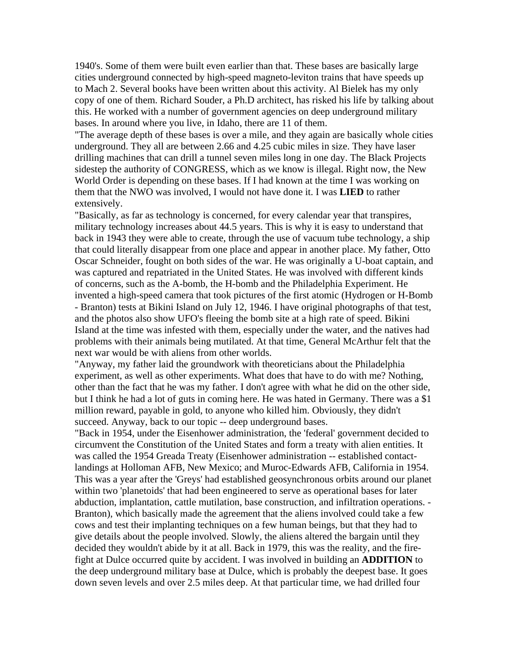1940's. Some of them were built even earlier than that. These bases are basically large cities underground connected by high-speed magneto-leviton trains that have speeds up to Mach 2. Several books have been written about this activity. Al Bielek has my only copy of one of them. Richard Souder, a Ph.D architect, has risked his life by talking about this. He worked with a number of government agencies on deep underground military bases. In around where you live, in Idaho, there are 11 of them.

"The average depth of these bases is over a mile, and they again are basically whole cities underground. They all are between 2.66 and 4.25 cubic miles in size. They have laser drilling machines that can drill a tunnel seven miles long in one day. The Black Projects sidestep the authority of CONGRESS, which as we know is illegal. Right now, the New World Order is depending on these bases. If I had known at the time I was working on them that the NWO was involved, I would not have done it. I was **LIED** to rather extensively.

"Basically, as far as technology is concerned, for every calendar year that transpires, military technology increases about 44.5 years. This is why it is easy to understand that back in 1943 they were able to create, through the use of vacuum tube technology, a ship that could literally disappear from one place and appear in another place. My father, Otto Oscar Schneider, fought on both sides of the war. He was originally a U-boat captain, and was captured and repatriated in the United States. He was involved with different kinds of concerns, such as the A-bomb, the H-bomb and the Philadelphia Experiment. He invented a high-speed camera that took pictures of the first atomic (Hydrogen or H-Bomb - Branton) tests at Bikini Island on July 12, 1946. I have original photographs of that test, and the photos also show UFO's fleeing the bomb site at a high rate of speed. Bikini Island at the time was infested with them, especially under the water, and the natives had problems with their animals being mutilated. At that time, General McArthur felt that the next war would be with aliens from other worlds.

"Anyway, my father laid the groundwork with theoreticians about the Philadelphia experiment, as well as other experiments. What does that have to do with me? Nothing, other than the fact that he was my father. I don't agree with what he did on the other side, but I think he had a lot of guts in coming here. He was hated in Germany. There was a \$1 million reward, payable in gold, to anyone who killed him. Obviously, they didn't succeed. Anyway, back to our topic -- deep underground bases.

"Back in 1954, under the Eisenhower administration, the 'federal' government decided to circumvent the Constitution of the United States and form a treaty with alien entities. It was called the 1954 Greada Treaty (Eisenhower administration -- established contactlandings at Holloman AFB, New Mexico; and Muroc-Edwards AFB, California in 1954. This was a year after the 'Greys' had established geosynchronous orbits around our planet within two 'planetoids' that had been engineered to serve as operational bases for later abduction, implantation, cattle mutilation, base construction, and infiltration operations. - Branton), which basically made the agreement that the aliens involved could take a few cows and test their implanting techniques on a few human beings, but that they had to give details about the people involved. Slowly, the aliens altered the bargain until they decided they wouldn't abide by it at all. Back in 1979, this was the reality, and the firefight at Dulce occurred quite by accident. I was involved in building an **ADDITION** to the deep underground military base at Dulce, which is probably the deepest base. It goes down seven levels and over 2.5 miles deep. At that particular time, we had drilled four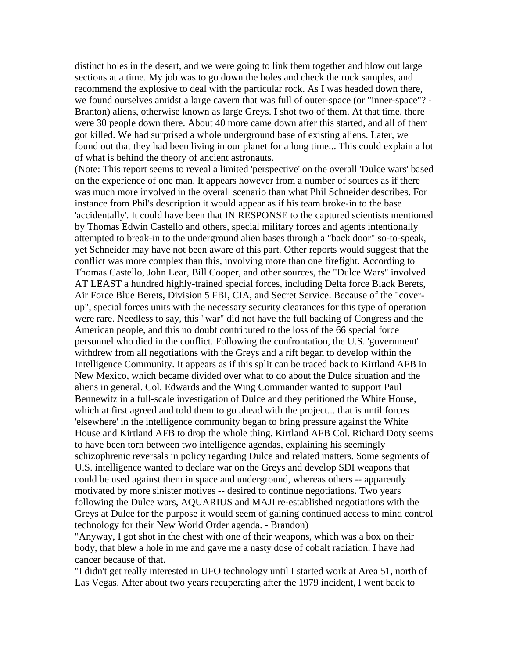distinct holes in the desert, and we were going to link them together and blow out large sections at a time. My job was to go down the holes and check the rock samples, and recommend the explosive to deal with the particular rock. As I was headed down there, we found ourselves amidst a large cavern that was full of outer-space (or "inner-space"? - Branton) aliens, otherwise known as large Greys. I shot two of them. At that time, there were 30 people down there. About 40 more came down after this started, and all of them got killed. We had surprised a whole underground base of existing aliens. Later, we found out that they had been living in our planet for a long time... This could explain a lot of what is behind the theory of ancient astronauts.

(Note: This report seems to reveal a limited 'perspective' on the overall 'Dulce wars' based on the experience of one man. It appears however from a number of sources as if there was much more involved in the overall scenario than what Phil Schneider describes. For instance from Phil's description it would appear as if his team broke-in to the base 'accidentally'. It could have been that IN RESPONSE to the captured scientists mentioned by Thomas Edwin Castello and others, special military forces and agents intentionally attempted to break-in to the underground alien bases through a "back door" so-to-speak, yet Schneider may have not been aware of this part. Other reports would suggest that the conflict was more complex than this, involving more than one firefight. According to Thomas Castello, John Lear, Bill Cooper, and other sources, the "Dulce Wars" involved AT LEAST a hundred highly-trained special forces, including Delta force Black Berets, Air Force Blue Berets, Division 5 FBI, CIA, and Secret Service. Because of the "coverup", special forces units with the necessary security clearances for this type of operation were rare. Needless to say, this "war" did not have the full backing of Congress and the American people, and this no doubt contributed to the loss of the 66 special force personnel who died in the conflict. Following the confrontation, the U.S. 'government' withdrew from all negotiations with the Greys and a rift began to develop within the Intelligence Community. It appears as if this split can be traced back to Kirtland AFB in New Mexico, which became divided over what to do about the Dulce situation and the aliens in general. Col. Edwards and the Wing Commander wanted to support Paul Bennewitz in a full-scale investigation of Dulce and they petitioned the White House, which at first agreed and told them to go ahead with the project... that is until forces 'elsewhere' in the intelligence community began to bring pressure against the White House and Kirtland AFB to drop the whole thing. Kirtland AFB Col. Richard Doty seems to have been torn between two intelligence agendas, explaining his seemingly schizophrenic reversals in policy regarding Dulce and related matters. Some segments of U.S. intelligence wanted to declare war on the Greys and develop SDI weapons that could be used against them in space and underground, whereas others -- apparently motivated by more sinister motives -- desired to continue negotiations. Two years following the Dulce wars, AQUARIUS and MAJI re-established negotiations with the Greys at Dulce for the purpose it would seem of gaining continued access to mind control technology for their New World Order agenda. - Brandon)

"Anyway, I got shot in the chest with one of their weapons, which was a box on their body, that blew a hole in me and gave me a nasty dose of cobalt radiation. I have had cancer because of that.

"I didn't get really interested in UFO technology until I started work at Area 51, north of Las Vegas. After about two years recuperating after the 1979 incident, I went back to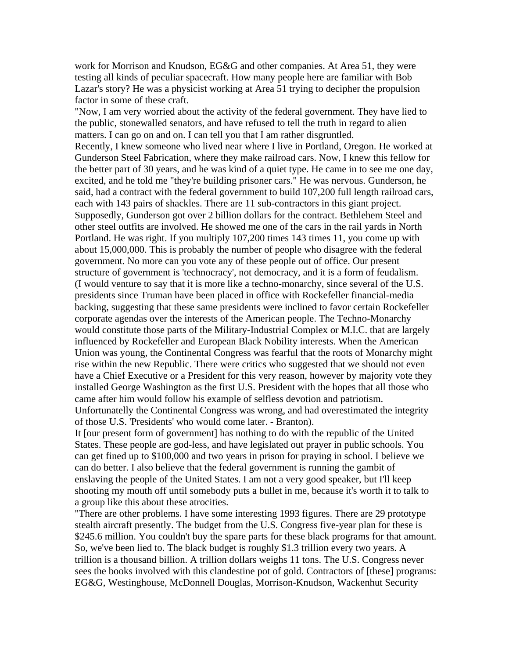work for Morrison and Knudson, EG&G and other companies. At Area 51, they were testing all kinds of peculiar spacecraft. How many people here are familiar with Bob Lazar's story? He was a physicist working at Area 51 trying to decipher the propulsion factor in some of these craft.

"Now, I am very worried about the activity of the federal government. They have lied to the public, stonewalled senators, and have refused to tell the truth in regard to alien matters. I can go on and on. I can tell you that I am rather disgruntled. Recently, I knew someone who lived near where I live in Portland, Oregon. He worked at Gunderson Steel Fabrication, where they make railroad cars. Now, I knew this fellow for the better part of 30 years, and he was kind of a quiet type. He came in to see me one day, excited, and he told me "they're building prisoner cars." He was nervous. Gunderson, he said, had a contract with the federal government to build 107,200 full length railroad cars, each with 143 pairs of shackles. There are 11 sub-contractors in this giant project. Supposedly, Gunderson got over 2 billion dollars for the contract. Bethlehem Steel and other steel outfits are involved. He showed me one of the cars in the rail yards in North Portland. He was right. If you multiply 107,200 times 143 times 11, you come up with about 15,000,000. This is probably the number of people who disagree with the federal government. No more can you vote any of these people out of office. Our present structure of government is 'technocracy', not democracy, and it is a form of feudalism. (I would venture to say that it is more like a techno-monarchy, since several of the U.S. presidents since Truman have been placed in office with Rockefeller financial-media backing, suggesting that these same presidents were inclined to favor certain Rockefeller corporate agendas over the interests of the American people. The Techno-Monarchy would constitute those parts of the Military-Industrial Complex or M.I.C. that are largely influenced by Rockefeller and European Black Nobility interests. When the American Union was young, the Continental Congress was fearful that the roots of Monarchy might rise within the new Republic. There were critics who suggested that we should not even have a Chief Executive or a President for this very reason, however by majority vote they installed George Washington as the first U.S. President with the hopes that all those who came after him would follow his example of selfless devotion and patriotism. Unfortunatelly the Continental Congress was wrong, and had overestimated the integrity of those U.S. 'Presidents' who would come later. - Branton).

It [our present form of government] has nothing to do with the republic of the United States. These people are god-less, and have legislated out prayer in public schools. You can get fined up to \$100,000 and two years in prison for praying in school. I believe we can do better. I also believe that the federal government is running the gambit of enslaving the people of the United States. I am not a very good speaker, but I'll keep shooting my mouth off until somebody puts a bullet in me, because it's worth it to talk to a group like this about these atrocities.

"There are other problems. I have some interesting 1993 figures. There are 29 prototype stealth aircraft presently. The budget from the U.S. Congress five-year plan for these is \$245.6 million. You couldn't buy the spare parts for these black programs for that amount. So, we've been lied to. The black budget is roughly \$1.3 trillion every two years. A trillion is a thousand billion. A trillion dollars weighs 11 tons. The U.S. Congress never sees the books involved with this clandestine pot of gold. Contractors of [these] programs: EG&G, Westinghouse, McDonnell Douglas, Morrison-Knudson, Wackenhut Security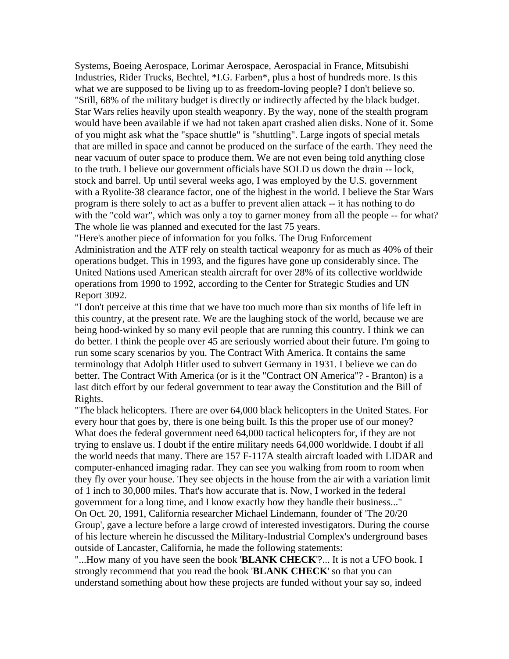Systems, Boeing Aerospace, Lorimar Aerospace, Aerospacial in France, Mitsubishi Industries, Rider Trucks, Bechtel, \*I.G. Farben\*, plus a host of hundreds more. Is this what we are supposed to be living up to as freedom-loving people? I don't believe so. "Still, 68% of the military budget is directly or indirectly affected by the black budget. Star Wars relies heavily upon stealth weaponry. By the way, none of the stealth program would have been available if we had not taken apart crashed alien disks. None of it. Some of you might ask what the "space shuttle" is "shuttling". Large ingots of special metals that are milled in space and cannot be produced on the surface of the earth. They need the near vacuum of outer space to produce them. We are not even being told anything close to the truth. I believe our government officials have SOLD us down the drain -- lock, stock and barrel. Up until several weeks ago, I was employed by the U.S. government with a Ryolite-38 clearance factor, one of the highest in the world. I believe the Star Wars program is there solely to act as a buffer to prevent alien attack -- it has nothing to do with the "cold war", which was only a toy to garner money from all the people -- for what? The whole lie was planned and executed for the last 75 years.

"Here's another piece of information for you folks. The Drug Enforcement Administration and the ATF rely on stealth tactical weaponry for as much as 40% of their operations budget. This in 1993, and the figures have gone up considerably since. The United Nations used American stealth aircraft for over 28% of its collective worldwide operations from 1990 to 1992, according to the Center for Strategic Studies and UN Report 3092.

"I don't perceive at this time that we have too much more than six months of life left in this country, at the present rate. We are the laughing stock of the world, because we are being hood-winked by so many evil people that are running this country. I think we can do better. I think the people over 45 are seriously worried about their future. I'm going to run some scary scenarios by you. The Contract With America. It contains the same terminology that Adolph Hitler used to subvert Germany in 1931. I believe we can do better. The Contract With America (or is it the "Contract ON America"? - Branton) is a last ditch effort by our federal government to tear away the Constitution and the Bill of Rights.

"The black helicopters. There are over 64,000 black helicopters in the United States. For every hour that goes by, there is one being built. Is this the proper use of our money? What does the federal government need 64,000 tactical helicopters for, if they are not trying to enslave us. I doubt if the entire military needs 64,000 worldwide. I doubt if all the world needs that many. There are 157 F-117A stealth aircraft loaded with LIDAR and computer-enhanced imaging radar. They can see you walking from room to room when they fly over your house. They see objects in the house from the air with a variation limit of 1 inch to 30,000 miles. That's how accurate that is. Now, I worked in the federal government for a long time, and I know exactly how they handle their business..." On Oct. 20, 1991, California researcher Michael Lindemann, founder of 'The 20/20 Group', gave a lecture before a large crowd of interested investigators. During the course of his lecture wherein he discussed the Military-Industrial Complex's underground bases outside of Lancaster, California, he made the following statements:

"...How many of you have seen the book '**BLANK CHECK**'?... It is not a UFO book. I strongly recommend that you read the book '**BLANK CHECK**' so that you can understand something about how these projects are funded without your say so, indeed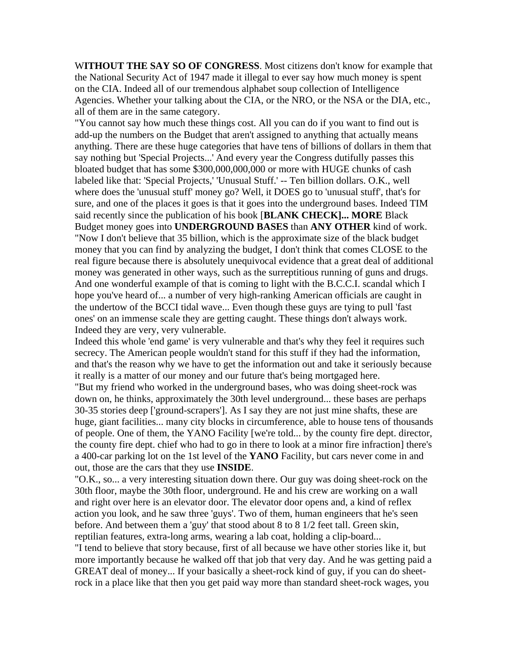W**ITHOUT THE SAY SO OF CONGRESS**. Most citizens don't know for example that the National Security Act of 1947 made it illegal to ever say how much money is spent on the CIA. Indeed all of our tremendous alphabet soup collection of Intelligence Agencies. Whether your talking about the CIA, or the NRO, or the NSA or the DIA, etc., all of them are in the same category.

"You cannot say how much these things cost. All you can do if you want to find out is add-up the numbers on the Budget that aren't assigned to anything that actually means anything. There are these huge categories that have tens of billions of dollars in them that say nothing but 'Special Projects...' And every year the Congress dutifully passes this bloated budget that has some \$300,000,000,000 or more with HUGE chunks of cash labeled like that: 'Special Projects,' 'Unusual Stuff.' -- Ten billion dollars. O.K., well where does the 'unusual stuff' money go? Well, it DOES go to 'unusual stuff', that's for sure, and one of the places it goes is that it goes into the underground bases. Indeed TIM said recently since the publication of his book [**BLANK CHECK]... MORE** Black Budget money goes into **UNDERGROUND BASES** than **ANY OTHER** kind of work. "Now I don't believe that 35 billion, which is the approximate size of the black budget money that you can find by analyzing the budget, I don't think that comes CLOSE to the real figure because there is absolutely unequivocal evidence that a great deal of additional money was generated in other ways, such as the surreptitious running of guns and drugs. And one wonderful example of that is coming to light with the B.C.C.I. scandal which I hope you've heard of... a number of very high-ranking American officials are caught in the undertow of the BCCI tidal wave... Even though these guys are tying to pull 'fast ones' on an immense scale they are getting caught. These things don't always work. Indeed they are very, very vulnerable.

Indeed this whole 'end game' is very vulnerable and that's why they feel it requires such secrecy. The American people wouldn't stand for this stuff if they had the information, and that's the reason why we have to get the information out and take it seriously because it really is a matter of our money and our future that's being mortgaged here.

"But my friend who worked in the underground bases, who was doing sheet-rock was down on, he thinks, approximately the 30th level underground... these bases are perhaps 30-35 stories deep ['ground-scrapers']. As I say they are not just mine shafts, these are huge, giant facilities... many city blocks in circumference, able to house tens of thousands of people. One of them, the YANO Facility [we're told... by the county fire dept. director, the county fire dept. chief who had to go in there to look at a minor fire infraction] there's a 400-car parking lot on the 1st level of the **YANO** Facility, but cars never come in and out, those are the cars that they use **INSIDE**.

"O.K., so... a very interesting situation down there. Our guy was doing sheet-rock on the 30th floor, maybe the 30th floor, underground. He and his crew are working on a wall and right over here is an elevator door. The elevator door opens and, a kind of reflex action you look, and he saw three 'guys'. Two of them, human engineers that he's seen before. And between them a 'guy' that stood about 8 to 8 1/2 feet tall. Green skin, reptilian features, extra-long arms, wearing a lab coat, holding a clip-board...

"I tend to believe that story because, first of all because we have other stories like it, but more importantly because he walked off that job that very day. And he was getting paid a GREAT deal of money... If your basically a sheet-rock kind of guy, if you can do sheetrock in a place like that then you get paid way more than standard sheet-rock wages, you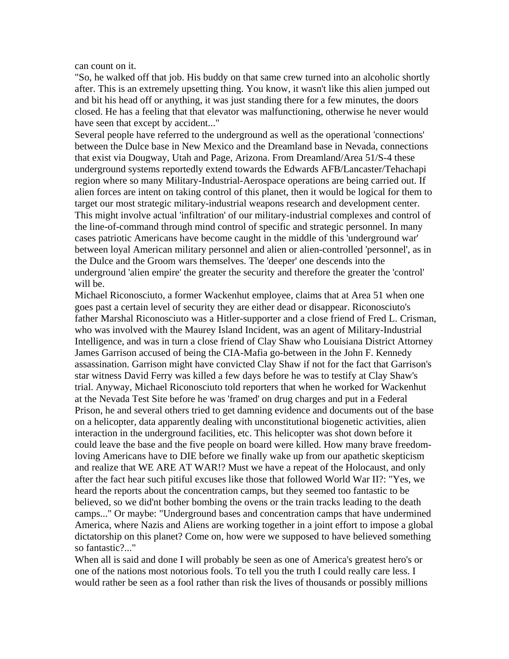can count on it.

"So, he walked off that job. His buddy on that same crew turned into an alcoholic shortly after. This is an extremely upsetting thing. You know, it wasn't like this alien jumped out and bit his head off or anything, it was just standing there for a few minutes, the doors closed. He has a feeling that that elevator was malfunctioning, otherwise he never would have seen that except by accident..."

Several people have referred to the underground as well as the operational 'connections' between the Dulce base in New Mexico and the Dreamland base in Nevada, connections that exist via Dougway, Utah and Page, Arizona. From Dreamland/Area 51/S-4 these underground systems reportedly extend towards the Edwards AFB/Lancaster/Tehachapi region where so many Military-Industrial-Aerospace operations are being carried out. If alien forces are intent on taking control of this planet, then it would be logical for them to target our most strategic military-industrial weapons research and development center. This might involve actual 'infiltration' of our military-industrial complexes and control of the line-of-command through mind control of specific and strategic personnel. In many cases patriotic Americans have become caught in the middle of this 'underground war' between loyal American military personnel and alien or alien-controlled 'personnel', as in the Dulce and the Groom wars themselves. The 'deeper' one descends into the underground 'alien empire' the greater the security and therefore the greater the 'control' will be.

Michael Riconosciuto, a former Wackenhut employee, claims that at Area 51 when one goes past a certain level of security they are either dead or disappear. Riconosciuto's father Marshal Riconosciuto was a Hitler-supporter and a close friend of Fred L. Crisman, who was involved with the Maurey Island Incident, was an agent of Military-Industrial Intelligence, and was in turn a close friend of Clay Shaw who Louisiana District Attorney James Garrison accused of being the CIA-Mafia go-between in the John F. Kennedy assassination. Garrison might have convicted Clay Shaw if not for the fact that Garrison's star witness David Ferry was killed a few days before he was to testify at Clay Shaw's trial. Anyway, Michael Riconosciuto told reporters that when he worked for Wackenhut at the Nevada Test Site before he was 'framed' on drug charges and put in a Federal Prison, he and several others tried to get damning evidence and documents out of the base on a helicopter, data apparently dealing with unconstitutional biogenetic activities, alien interaction in the underground facilities, etc. This helicopter was shot down before it could leave the base and the five people on board were killed. How many brave freedomloving Americans have to DIE before we finally wake up from our apathetic skepticism and realize that WE ARE AT WAR!? Must we have a repeat of the Holocaust, and only after the fact hear such pitiful excuses like those that followed World War II?: "Yes, we heard the reports about the concentration camps, but they seemed too fantastic to be believed, so we did'nt bother bombing the ovens or the train tracks leading to the death camps..." Or maybe: "Underground bases and concentration camps that have undermined America, where Nazis and Aliens are working together in a joint effort to impose a global dictatorship on this planet? Come on, how were we supposed to have believed something so fantastic?..."

When all is said and done I will probably be seen as one of America's greatest hero's or one of the nations most notorious fools. To tell you the truth I could really care less. I would rather be seen as a fool rather than risk the lives of thousands or possibly millions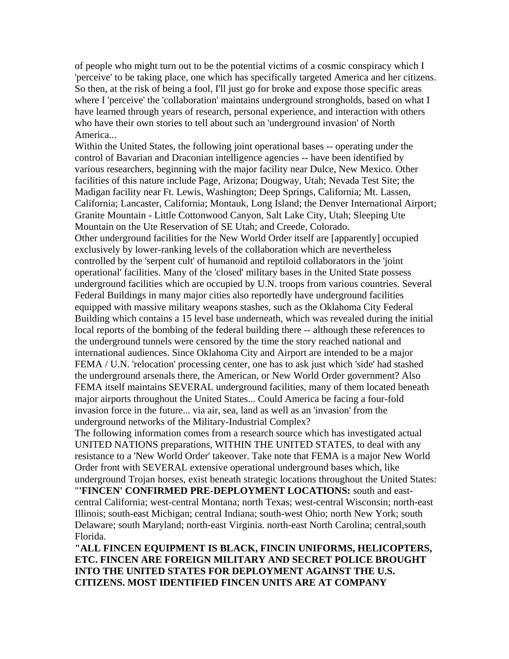of people who might turn out to be the potential victims of a cosmic conspiracy which I 'perceive' to be taking place, one which has specifically targeted America and her citizens. So then, at the risk of being a fool, I'll just go for broke and expose those specific areas where I 'perceive' the 'collaboration' maintains underground strongholds, based on what I have learned through years of research, personal experience, and interaction with others who have their own stories to tell about such an 'underground invasion' of North America...

Within the United States, the following joint operational bases -- operating under the control of Bavarian and Draconian intelligence agencies -- have been identified by various researchers, beginning with the major facility near Dulce, New Mexico. Other facilities of this nature include Page, Arizona; Dougway, Utah; Nevada Test Site; the Madigan facility near Ft. Lewis, Washington; Deep Springs, California; Mt. Lassen, California; Lancaster, California; Montauk, Long Island; the Denver International Airport; Granite Mountain - Little Cottonwood Canyon, Salt Lake City, Utah; Sleeping Ute Mountain on the Ute Reservation of SE Utah; and Creede, Colorado. Other underground facilities for the New World Order itself are [apparently] occupied

exclusively by lower-ranking levels of the collaboration which are nevertheless controlled by the 'serpent cult' of humanoid and reptiloid collaborators in the 'joint operational' facilities. Many of the 'closed' military bases in the United State possess underground facilities which are occupied by U.N. troops from various countries. Several Federal Buildings in many major cities also reportedly have underground facilities equipped with massive military weapons stashes, such as the Oklahoma City Federal Building which contains a 15 level base underneath, which was revealed during the initial local reports of the bombing of the federal building there -- although these references to the underground tunnels were censored by the time the story reached national and international audiences. Since Oklahoma City and Airport are intended to be a major FEMA / U.N. 'relocation' processing center, one has to ask just which 'side' had stashed the underground arsenals there, the American, or New World Order government? Also FEMA itself maintains SEVERAL underground facilities, many of them located beneath major airports throughout the United States... Could America be facing a four-fold invasion force in the future... via air, sea, land as well as an 'invasion' from the underground networks of the Military-Industrial Complex?

The following information comes from a research source which has investigated actual UNITED NATIONS preparations, WITHIN THE UNITED STATES, to deal with any resistance to a 'New World Order' takeover. Take note that FEMA is a major New World Order front with SEVERAL extensive operational underground bases which, like underground Trojan horses, exist beneath strategic locations throughout the United States: "**'FINCEN' CONFIRMED PRE-DEPLOYMENT LOCATIONS:** south and eastcentral California; west-central Montana; north Texas; west-central Wisconsin; north-east Illinois; south-east Michigan; central Indiana; south-west Ohio; north New York; south Delaware; south Maryland; north-east Virginia. north-east North Carolina; central,south Florida.

**"ALL FINCEN EQUIPMENT IS BLACK, FINCIN UNIFORMS, HELICOPTERS, ETC. FINCEN ARE FOREIGN MILITARY AND SECRET POLICE BROUGHT INTO THE UNITED STATES FOR DEPLOYMENT AGAINST THE U.S. CITIZENS. MOST IDENTIFIED FINCEN UNITS ARE AT COMPANY**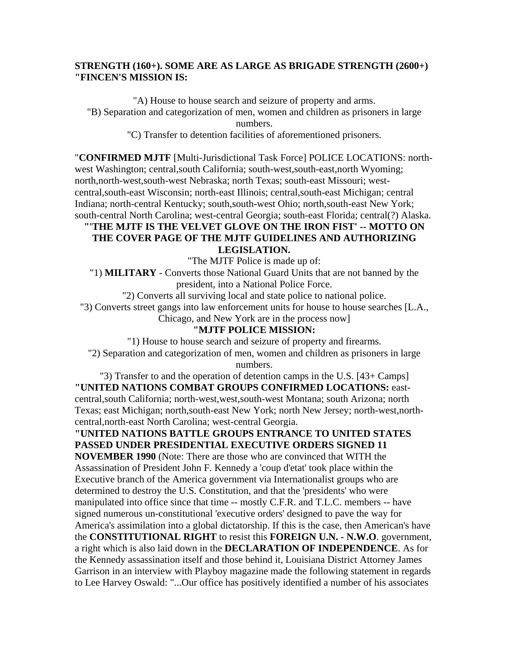## **STRENGTH (160+). SOME ARE AS LARGE AS BRIGADE STRENGTH (2600+) "FINCEN'S MISSION IS:**

"A) House to house search and seizure of property and arms. "B) Separation and categorization of men, women and children as prisoners in large numbers.

"C) Transfer to detention facilities of aforementioned prisoners.

"**CONFIRMED MJTF** [Multi-Jurisdictional Task Force] POLICE LOCATIONS: northwest Washington; central,south California; south-west,south-east,north Wyoming; north,north-west,south-west Nebraska; north Texas; south-east Missouri; westcentral,south-east Wisconsin; north-east Illinois; central,south-east Michigan; central Indiana; north-central Kentucky; south,south-west Ohio; north,south-east New York; south-central North Carolina; west-central Georgia; south-east Florida; central(?) Alaska.

# **"'THE MJTF IS THE VELVET GLOVE ON THE IRON FIST' -- MOTTO ON THE COVER PAGE OF THE MJTF GUIDELINES AND AUTHORIZING LEGISLATION.**

"The MJTF Police is made up of:

"1) **MILITARY** - Converts those National Guard Units that are not banned by the president, into a National Police Force.

"2) Converts all surviving local and state police to national police.

"3) Converts street gangs into law enforcement units for house to house searches [L.A.,

Chicago, and New York are in the process now]

## **"MJTF POLICE MISSION:**

"1) House to house search and seizure of property and firearms. "2) Separation and categorization of men, women and children as prisoners in large numbers.

"3) Transfer to and the operation of detention camps in the U.S. [43+ Camps] **"UNITED NATIONS COMBAT GROUPS CONFIRMED LOCATIONS:** eastcentral,south California; north-west,west,south-west Montana; south Arizona; north Texas; east Michigan; north,south-east New York; north New Jersey; north-west,northcentral,north-east North Carolina; west-central Georgia.

**"UNITED NATIONS BATTLE GROUPS ENTRANCE TO UNITED STATES PASSED UNDER PRESIDENTIAL EXECUTIVE ORDERS SIGNED 11** 

**NOVEMBER 1990** (Note: There are those who are convinced that WITH the Assassination of President John F. Kennedy a 'coup d'etat' took place within the Executive branch of the America government via Internationalist groups who are determined to destroy the U.S. Constitution, and that the 'presidents' who were manipulated into office since that time -- mostly C.F.R. and T.L.C. members -- have signed numerous un-constitutional 'executive orders' designed to pave the way for America's assimilation into a global dictatorship. If this is the case, then American's have the **CONSTITUTIONAL RIGHT** to resist this **FOREIGN U.N. - N.W.O**. government, a right which is also laid down in the **DECLARATION OF INDEPENDENCE**. As for the Kennedy assassination itself and those behind it, Louisiana District Attorney James Garrison in an interview with Playboy magazine made the following statement in regards to Lee Harvey Oswald: "...Our office has positively identified a number of his associates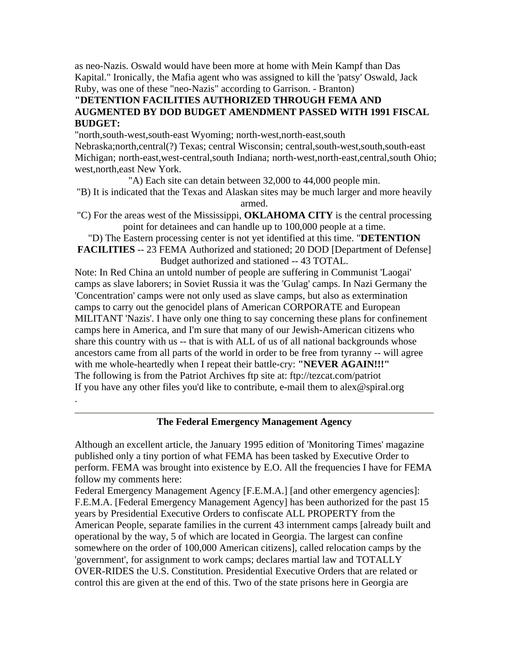as neo-Nazis. Oswald would have been more at home with Mein Kampf than Das Kapital." Ironically, the Mafia agent who was assigned to kill the 'patsy' Oswald, Jack Ruby, was one of these "neo-Nazis" according to Garrison. - Branton)

#### **"DETENTION FACILITIES AUTHORIZED THROUGH FEMA AND AUGMENTED BY DOD BUDGET AMENDMENT PASSED WITH 1991 FISCAL BUDGET:**

"north,south-west,south-east Wyoming; north-west,north-east,south Nebraska;north,central(?) Texas; central Wisconsin; central,south-west,south,south-east Michigan; north-east,west-central,south Indiana; north-west,north-east,central,south Ohio; west,north,east New York.

"A) Each site can detain between 32,000 to 44,000 people min. "B) It is indicated that the Texas and Alaskan sites may be much larger and more heavily armed.

"C) For the areas west of the Mississippi, **OKLAHOMA CITY** is the central processing point for detainees and can handle up to 100,000 people at a time.

"D) The Eastern processing center is not yet identified at this time. "**DETENTION FACILITIES** -- 23 FEMA Authorized and stationed; 20 DOD [Department of Defense] Budget authorized and stationed -- 43 TOTAL.

Note: In Red China an untold number of people are suffering in Communist 'Laogai' camps as slave laborers; in Soviet Russia it was the 'Gulag' camps. In Nazi Germany the 'Concentration' camps were not only used as slave camps, but also as extermination camps to carry out the genocidel plans of American CORPORATE and European MILITANT 'Nazis'. I have only one thing to say concerning these plans for confinement camps here in America, and I'm sure that many of our Jewish-American citizens who share this country with us -- that is with ALL of us of all national backgrounds whose ancestors came from all parts of the world in order to be free from tyranny -- will agree with me whole-heartedly when I repeat their battle-cry: **"NEVER AGAIN!!!"**  The following is from the Patriot Archives ftp site at: ftp://tezcat.com/patriot If you have any other files you'd like to contribute, e-mail them to alex@spiral.org

#### **The Federal Emergency Management Agency**

.

Although an excellent article, the January 1995 edition of 'Monitoring Times' magazine published only a tiny portion of what FEMA has been tasked by Executive Order to perform. FEMA was brought into existence by E.O. All the frequencies I have for FEMA follow my comments here:

Federal Emergency Management Agency [F.E.M.A.] [and other emergency agencies]: F.E.M.A. [Federal Emergency Management Agency] has been authorized for the past 15 years by Presidential Executive Orders to confiscate ALL PROPERTY from the American People, separate families in the current 43 internment camps [already built and operational by the way, 5 of which are located in Georgia. The largest can confine somewhere on the order of 100,000 American citizens], called relocation camps by the 'government', for assignment to work camps; declares martial law and TOTALLY OVER-RIDES the U.S. Constitution. Presidential Executive Orders that are related or control this are given at the end of this. Two of the state prisons here in Georgia are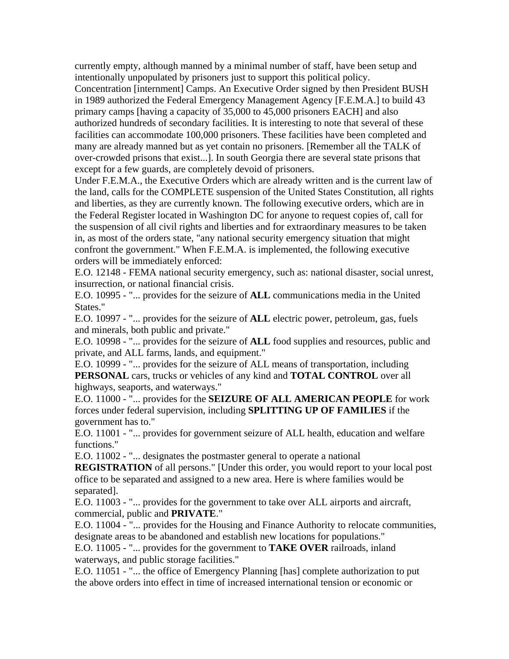currently empty, although manned by a minimal number of staff, have been setup and intentionally unpopulated by prisoners just to support this political policy.

Concentration [internment] Camps. An Executive Order signed by then President BUSH in 1989 authorized the Federal Emergency Management Agency [F.E.M.A.] to build 43 primary camps [having a capacity of 35,000 to 45,000 prisoners EACH] and also authorized hundreds of secondary facilities. It is interesting to note that several of these facilities can accommodate 100,000 prisoners. These facilities have been completed and many are already manned but as yet contain no prisoners. [Remember all the TALK of over-crowded prisons that exist...]. In south Georgia there are several state prisons that except for a few guards, are completely devoid of prisoners.

Under F.E.M.A., the Executive Orders which are already written and is the current law of the land, calls for the COMPLETE suspension of the United States Constitution, all rights and liberties, as they are currently known. The following executive orders, which are in the Federal Register located in Washington DC for anyone to request copies of, call for the suspension of all civil rights and liberties and for extraordinary measures to be taken in, as most of the orders state, "any national security emergency situation that might confront the government." When F.E.M.A. is implemented, the following executive orders will be immediately enforced:

E.O. 12148 - FEMA national security emergency, such as: national disaster, social unrest, insurrection, or national financial crisis.

E.O. 10995 - "... provides for the seizure of **ALL** communications media in the United States."

E.O. 10997 - "... provides for the seizure of **ALL** electric power, petroleum, gas, fuels and minerals, both public and private."

E.O. 10998 - "... provides for the seizure of **ALL** food supplies and resources, public and private, and ALL farms, lands, and equipment."

E.O. 10999 - "... provides for the seizure of ALL means of transportation, including **PERSONAL** cars, trucks or vehicles of any kind and **TOTAL CONTROL** over all highways, seaports, and waterways."

E.O. 11000 - "... provides for the **SEIZURE OF ALL AMERICAN PEOPLE** for work forces under federal supervision, including **SPLITTING UP OF FAMILIES** if the government has to."

E.O. 11001 - "... provides for government seizure of ALL health, education and welfare functions."

E.O. 11002 - "... designates the postmaster general to operate a national

**REGISTRATION** of all persons." [Under this order, you would report to your local post office to be separated and assigned to a new area. Here is where families would be separated].

E.O. 11003 - "... provides for the government to take over ALL airports and aircraft, commercial, public and **PRIVATE**."

E.O. 11004 - "... provides for the Housing and Finance Authority to relocate communities, designate areas to be abandoned and establish new locations for populations."

E.O. 11005 - "... provides for the government to **TAKE OVER** railroads, inland waterways, and public storage facilities."

E.O. 11051 - "... the office of Emergency Planning [has] complete authorization to put the above orders into effect in time of increased international tension or economic or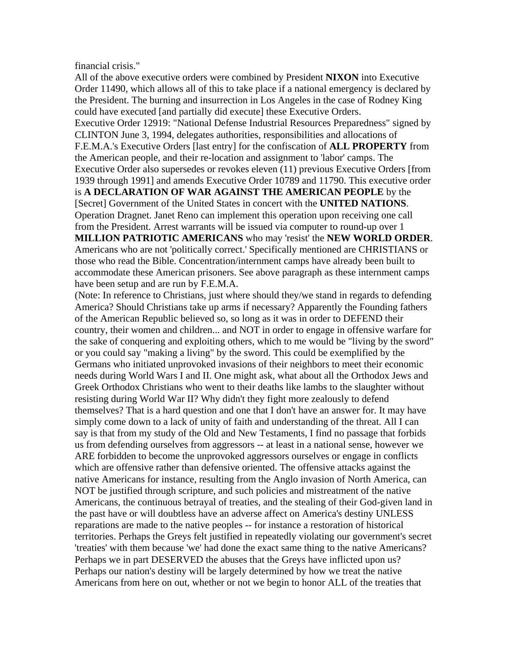financial crisis."

All of the above executive orders were combined by President **NIXON** into Executive Order 11490, which allows all of this to take place if a national emergency is declared by the President. The burning and insurrection in Los Angeles in the case of Rodney King could have executed [and partially did execute] these Executive Orders. Executive Order 12919: "National Defense Industrial Resources Preparedness" signed by CLINTON June 3, 1994, delegates authorities, responsibilities and allocations of F.E.M.A.'s Executive Orders [last entry] for the confiscation of **ALL PROPERTY** from the American people, and their re-location and assignment to 'labor' camps. The Executive Order also supersedes or revokes eleven (11) previous Executive Orders [from 1939 through 1991] and amends Executive Order 10789 and 11790. This executive order is **A DECLARATION OF WAR AGAINST THE AMERICAN PEOPLE** by the [Secret] Government of the United States in concert with the **UNITED NATIONS**. Operation Dragnet. Janet Reno can implement this operation upon receiving one call from the President. Arrest warrants will be issued via computer to round-up over 1 **MILLION PATRIOTIC AMERICANS** who may 'resist' the **NEW WORLD ORDER**. Americans who are not 'politically correct.' Specifically mentioned are CHRISTIANS or those who read the Bible. Concentration/internment camps have already been built to accommodate these American prisoners. See above paragraph as these internment camps have been setup and are run by F.E.M.A.

(Note: In reference to Christians, just where should they/we stand in regards to defending America? Should Christians take up arms if necessary? Apparently the Founding fathers of the American Republic believed so, so long as it was in order to DEFEND their country, their women and children... and NOT in order to engage in offensive warfare for the sake of conquering and exploiting others, which to me would be "living by the sword" or you could say "making a living" by the sword. This could be exemplified by the Germans who initiated unprovoked invasions of their neighbors to meet their economic needs during World Wars I and II. One might ask, what about all the Orthodox Jews and Greek Orthodox Christians who went to their deaths like lambs to the slaughter without resisting during World War II? Why didn't they fight more zealously to defend themselves? That is a hard question and one that I don't have an answer for. It may have simply come down to a lack of unity of faith and understanding of the threat. All I can say is that from my study of the Old and New Testaments, I find no passage that forbids us from defending ourselves from aggressors -- at least in a national sense, however we ARE forbidden to become the unprovoked aggressors ourselves or engage in conflicts which are offensive rather than defensive oriented. The offensive attacks against the native Americans for instance, resulting from the Anglo invasion of North America, can NOT be justified through scripture, and such policies and mistreatment of the native Americans, the continuous betrayal of treaties, and the stealing of their God-given land in the past have or will doubtless have an adverse affect on America's destiny UNLESS reparations are made to the native peoples -- for instance a restoration of historical territories. Perhaps the Greys felt justified in repeatedly violating our government's secret 'treaties' with them because 'we' had done the exact same thing to the native Americans? Perhaps we in part DESERVED the abuses that the Greys have inflicted upon us? Perhaps our nation's destiny will be largely determined by how we treat the native Americans from here on out, whether or not we begin to honor ALL of the treaties that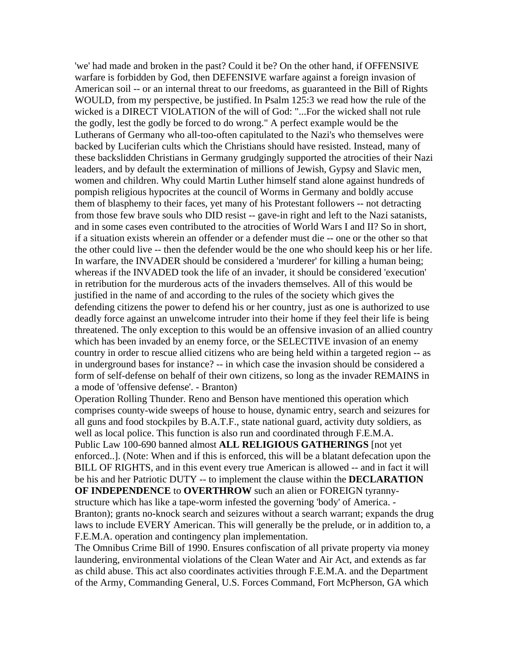'we' had made and broken in the past? Could it be? On the other hand, if OFFENSIVE warfare is forbidden by God, then DEFENSIVE warfare against a foreign invasion of American soil -- or an internal threat to our freedoms, as guaranteed in the Bill of Rights WOULD, from my perspective, be justified. In Psalm 125:3 we read how the rule of the wicked is a DIRECT VIOLATION of the will of God: "...For the wicked shall not rule the godly, lest the godly be forced to do wrong." A perfect example would be the Lutherans of Germany who all-too-often capitulated to the Nazi's who themselves were backed by Luciferian cults which the Christians should have resisted. Instead, many of these backslidden Christians in Germany grudgingly supported the atrocities of their Nazi leaders, and by default the extermination of millions of Jewish, Gypsy and Slavic men, women and children. Why could Martin Luther himself stand alone against hundreds of pompish religious hypocrites at the council of Worms in Germany and boldly accuse them of blasphemy to their faces, yet many of his Protestant followers -- not detracting from those few brave souls who DID resist -- gave-in right and left to the Nazi satanists, and in some cases even contributed to the atrocities of World Wars I and II? So in short, if a situation exists wherein an offender or a defender must die -- one or the other so that the other could live -- then the defender would be the one who should keep his or her life. In warfare, the INVADER should be considered a 'murderer' for killing a human being; whereas if the INVADED took the life of an invader, it should be considered 'execution' in retribution for the murderous acts of the invaders themselves. All of this would be justified in the name of and according to the rules of the society which gives the defending citizens the power to defend his or her country, just as one is authorized to use deadly force against an unwelcome intruder into their home if they feel their life is being threatened. The only exception to this would be an offensive invasion of an allied country which has been invaded by an enemy force, or the SELECTIVE invasion of an enemy country in order to rescue allied citizens who are being held within a targeted region -- as in underground bases for instance? -- in which case the invasion should be considered a form of self-defense on behalf of their own citizens, so long as the invader REMAINS in a mode of 'offensive defense'. - Branton)

Operation Rolling Thunder. Reno and Benson have mentioned this operation which comprises county-wide sweeps of house to house, dynamic entry, search and seizures for all guns and food stockpiles by B.A.T.F., state national guard, activity duty soldiers, as well as local police. This function is also run and coordinated through F.E.M.A. Public Law 100-690 banned almost **ALL RELIGIOUS GATHERINGS** [not yet enforced..]. (Note: When and if this is enforced, this will be a blatant defecation upon the BILL OF RIGHTS, and in this event every true American is allowed -- and in fact it will be his and her Patriotic DUTY -- to implement the clause within the **DECLARATION OF INDEPENDENCE** to **OVERTHROW** such an alien or FOREIGN tyrannystructure which has like a tape-worm infested the governing 'body' of America. - Branton); grants no-knock search and seizures without a search warrant; expands the drug laws to include EVERY American. This will generally be the prelude, or in addition to, a F.E.M.A. operation and contingency plan implementation.

The Omnibus Crime Bill of 1990. Ensures confiscation of all private property via money laundering, environmental violations of the Clean Water and Air Act, and extends as far as child abuse. This act also coordinates activities through F.E.M.A. and the Department of the Army, Commanding General, U.S. Forces Command, Fort McPherson, GA which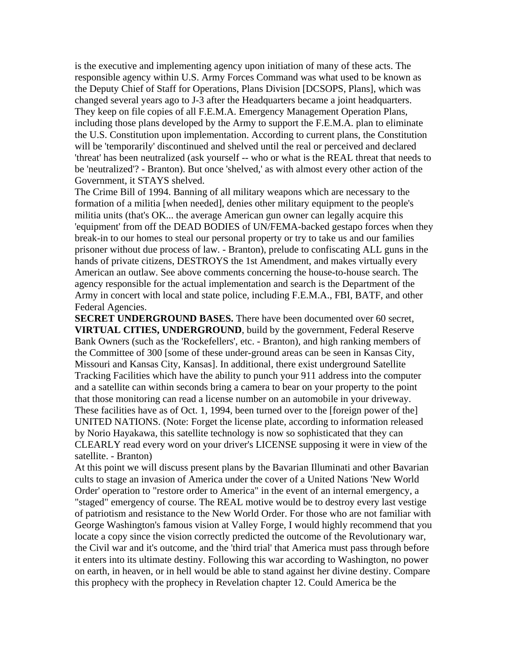is the executive and implementing agency upon initiation of many of these acts. The responsible agency within U.S. Army Forces Command was what used to be known as the Deputy Chief of Staff for Operations, Plans Division [DCSOPS, Plans], which was changed several years ago to J-3 after the Headquarters became a joint headquarters. They keep on file copies of all F.E.M.A. Emergency Management Operation Plans, including those plans developed by the Army to support the F.E.M.A. plan to eliminate the U.S. Constitution upon implementation. According to current plans, the Constitution will be 'temporarily' discontinued and shelved until the real or perceived and declared 'threat' has been neutralized (ask yourself -- who or what is the REAL threat that needs to be 'neutralized'? - Branton). But once 'shelved,' as with almost every other action of the Government, it STAYS shelved.

The Crime Bill of 1994. Banning of all military weapons which are necessary to the formation of a militia [when needed], denies other military equipment to the people's militia units (that's OK... the average American gun owner can legally acquire this 'equipment' from off the DEAD BODIES of UN/FEMA-backed gestapo forces when they break-in to our homes to steal our personal property or try to take us and our families prisoner without due process of law. - Branton), prelude to confiscating ALL guns in the hands of private citizens, DESTROYS the 1st Amendment, and makes virtually every American an outlaw. See above comments concerning the house-to-house search. The agency responsible for the actual implementation and search is the Department of the Army in concert with local and state police, including F.E.M.A., FBI, BATF, and other Federal Agencies.

**SECRET UNDERGROUND BASES.** There have been documented over 60 secret, **VIRTUAL CITIES, UNDERGROUND**, build by the government, Federal Reserve Bank Owners (such as the 'Rockefellers', etc. - Branton), and high ranking members of the Committee of 300 [some of these under-ground areas can be seen in Kansas City, Missouri and Kansas City, Kansas]. In additional, there exist underground Satellite Tracking Facilities which have the ability to punch your 911 address into the computer and a satellite can within seconds bring a camera to bear on your property to the point that those monitoring can read a license number on an automobile in your driveway. These facilities have as of Oct. 1, 1994, been turned over to the [foreign power of the] UNITED NATIONS. (Note: Forget the license plate, according to information released by Norio Hayakawa, this satellite technology is now so sophisticated that they can CLEARLY read every word on your driver's LICENSE supposing it were in view of the satellite. - Branton)

At this point we will discuss present plans by the Bavarian Illuminati and other Bavarian cults to stage an invasion of America under the cover of a United Nations 'New World Order' operation to "restore order to America" in the event of an internal emergency, a "staged" emergency of course. The REAL motive would be to destroy every last vestige of patriotism and resistance to the New World Order. For those who are not familiar with George Washington's famous vision at Valley Forge, I would highly recommend that you locate a copy since the vision correctly predicted the outcome of the Revolutionary war, the Civil war and it's outcome, and the 'third trial' that America must pass through before it enters into its ultimate destiny. Following this war according to Washington, no power on earth, in heaven, or in hell would be able to stand against her divine destiny. Compare this prophecy with the prophecy in Revelation chapter 12. Could America be the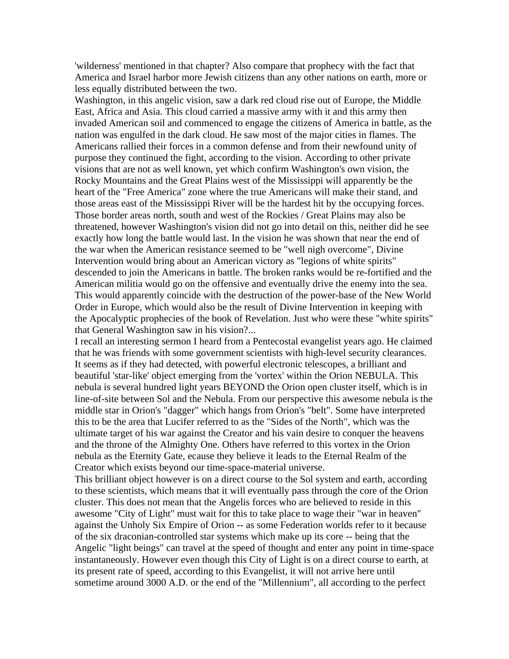'wilderness' mentioned in that chapter? Also compare that prophecy with the fact that America and Israel harbor more Jewish citizens than any other nations on earth, more or less equally distributed between the two.

Washington, in this angelic vision, saw a dark red cloud rise out of Europe, the Middle East, Africa and Asia. This cloud carried a massive army with it and this army then invaded American soil and commenced to engage the citizens of America in battle, as the nation was engulfed in the dark cloud. He saw most of the major cities in flames. The Americans rallied their forces in a common defense and from their newfound unity of purpose they continued the fight, according to the vision. According to other private visions that are not as well known, yet which confirm Washington's own vision, the Rocky Mountains and the Great Plains west of the Mississippi will apparently be the heart of the "Free America" zone where the true Americans will make their stand, and those areas east of the Mississippi River will be the hardest hit by the occupying forces. Those border areas north, south and west of the Rockies / Great Plains may also be threatened, however Washington's vision did not go into detail on this, neither did he see exactly how long the battle would last. In the vision he was shown that near the end of the war when the American resistance seemed to be "well nigh overcome", Divine Intervention would bring about an American victory as "legions of white spirits" descended to join the Americans in battle. The broken ranks would be re-fortified and the American militia would go on the offensive and eventually drive the enemy into the sea. This would apparently coincide with the destruction of the power-base of the New World Order in Europe, which would also be the result of Divine Intervention in keeping with the Apocalyptic prophecies of the book of Revelation. Just who were these "white spirits" that General Washington saw in his vision?...

I recall an interesting sermon I heard from a Pentecostal evangelist years ago. He claimed that he was friends with some government scientists with high-level security clearances. It seems as if they had detected, with powerful electronic telescopes, a brilliant and beautiful 'star-like' object emerging from the 'vortex' within the Orion NEBULA. This nebula is several hundred light years BEYOND the Orion open cluster itself, which is in line-of-site between Sol and the Nebula. From our perspective this awesome nebula is the middle star in Orion's "dagger" which hangs from Orion's "belt". Some have interpreted this to be the area that Lucifer referred to as the "Sides of the North", which was the ultimate target of his war against the Creator and his vain desire to conquer the heavens and the throne of the Almighty One. Others have referred to this vortex in the Orion nebula as the Eternity Gate, ecause they believe it leads to the Eternal Realm of the Creator which exists beyond our time-space-material universe.

This brilliant object however is on a direct course to the Sol system and earth, according to these scientists, which means that it will eventually pass through the core of the Orion cluster. This does not mean that the Angelis forces who are believed to reside in this awesome "City of Light" must wait for this to take place to wage their "war in heaven" against the Unholy Six Empire of Orion -- as some Federation worlds refer to it because of the six draconian-controlled star systems which make up its core -- being that the Angelic "light beings" can travel at the speed of thought and enter any point in time-space instantaneously. However even though this City of Light is on a direct course to earth, at its present rate of speed, according to this Evangelist, it will not arrive here until sometime around 3000 A.D. or the end of the "Millennium", all according to the perfect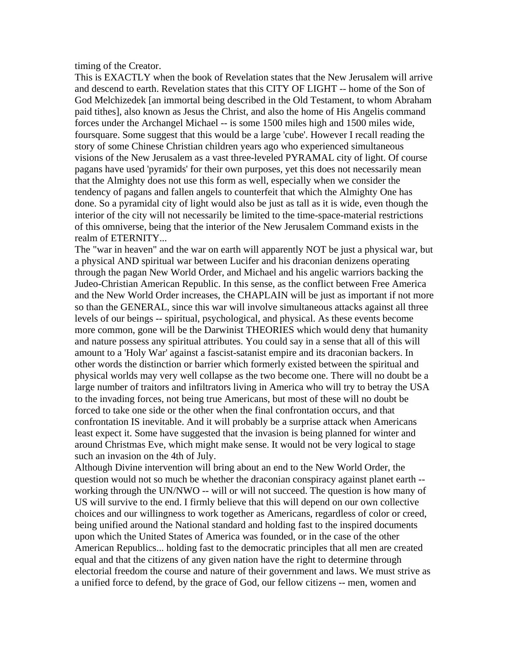timing of the Creator.

This is EXACTLY when the book of Revelation states that the New Jerusalem will arrive and descend to earth. Revelation states that this CITY OF LIGHT -- home of the Son of God Melchizedek [an immortal being described in the Old Testament, to whom Abraham paid tithes], also known as Jesus the Christ, and also the home of His Angelis command forces under the Archangel Michael -- is some 1500 miles high and 1500 miles wide, foursquare. Some suggest that this would be a large 'cube'. However I recall reading the story of some Chinese Christian children years ago who experienced simultaneous visions of the New Jerusalem as a vast three-leveled PYRAMAL city of light. Of course pagans have used 'pyramids' for their own purposes, yet this does not necessarily mean that the Almighty does not use this form as well, especially when we consider the tendency of pagans and fallen angels to counterfeit that which the Almighty One has done. So a pyramidal city of light would also be just as tall as it is wide, even though the interior of the city will not necessarily be limited to the time-space-material restrictions of this omniverse, being that the interior of the New Jerusalem Command exists in the realm of ETERNITY...

The "war in heaven" and the war on earth will apparently NOT be just a physical war, but a physical AND spiritual war between Lucifer and his draconian denizens operating through the pagan New World Order, and Michael and his angelic warriors backing the Judeo-Christian American Republic. In this sense, as the conflict between Free America and the New World Order increases, the CHAPLAIN will be just as important if not more so than the GENERAL, since this war will involve simultaneous attacks against all three levels of our beings -- spiritual, psychological, and physical. As these events become more common, gone will be the Darwinist THEORIES which would deny that humanity and nature possess any spiritual attributes. You could say in a sense that all of this will amount to a 'Holy War' against a fascist-satanist empire and its draconian backers. In other words the distinction or barrier which formerly existed between the spiritual and physical worlds may very well collapse as the two become one. There will no doubt be a large number of traitors and infiltrators living in America who will try to betray the USA to the invading forces, not being true Americans, but most of these will no doubt be forced to take one side or the other when the final confrontation occurs, and that confrontation IS inevitable. And it will probably be a surprise attack when Americans least expect it. Some have suggested that the invasion is being planned for winter and around Christmas Eve, which might make sense. It would not be very logical to stage such an invasion on the 4th of July.

Although Divine intervention will bring about an end to the New World Order, the question would not so much be whether the draconian conspiracy against planet earth - working through the UN/NWO -- will or will not succeed. The question is how many of US will survive to the end. I firmly believe that this will depend on our own collective choices and our willingness to work together as Americans, regardless of color or creed, being unified around the National standard and holding fast to the inspired documents upon which the United States of America was founded, or in the case of the other American Republics... holding fast to the democratic principles that all men are created equal and that the citizens of any given nation have the right to determine through electorial freedom the course and nature of their government and laws. We must strive as a unified force to defend, by the grace of God, our fellow citizens -- men, women and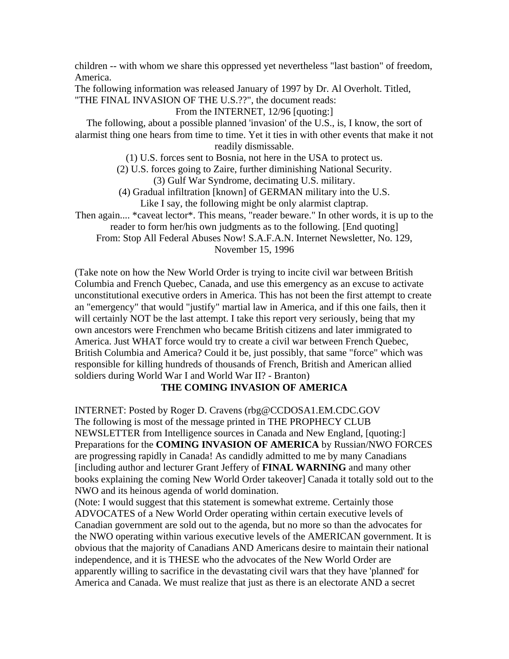children -- with whom we share this oppressed yet nevertheless "last bastion" of freedom, America.

The following information was released January of 1997 by Dr. Al Overholt. Titled, "THE FINAL INVASION OF THE U.S.??", the document reads:

From the INTERNET, 12/96 [quoting:]

The following, about a possible planned 'invasion' of the U.S., is, I know, the sort of alarmist thing one hears from time to time. Yet it ties in with other events that make it not readily dismissable.

(1) U.S. forces sent to Bosnia, not here in the USA to protect us.

(2) U.S. forces going to Zaire, further diminishing National Security.

(3) Gulf War Syndrome, decimating U.S. military.

(4) Gradual infiltration [known] of GERMAN military into the U.S. Like I say, the following might be only alarmist claptrap.

Then again.... \*caveat lector\*. This means, "reader beware." In other words, it is up to the reader to form her/his own judgments as to the following. [End quoting]

From: Stop All Federal Abuses Now! S.A.F.A.N. Internet Newsletter, No. 129, November 15, 1996

(Take note on how the New World Order is trying to incite civil war between British Columbia and French Quebec, Canada, and use this emergency as an excuse to activate unconstitutional executive orders in America. This has not been the first attempt to create an "emergency" that would "justify" martial law in America, and if this one fails, then it will certainly NOT be the last attempt. I take this report very seriously, being that my own ancestors were Frenchmen who became British citizens and later immigrated to America. Just WHAT force would try to create a civil war between French Quebec, British Columbia and America? Could it be, just possibly, that same "force" which was responsible for killing hundreds of thousands of French, British and American allied soldiers during World War I and World War II? - Branton)

#### **THE COMING INVASION OF AMERICA**

INTERNET: Posted by Roger D. Cravens (rbg@CCDOSA1.EM.CDC.GOV The following is most of the message printed in THE PROPHECY CLUB NEWSLETTER from Intelligence sources in Canada and New England, [quoting:] Preparations for the **COMING INVASION OF AMERICA** by Russian/NWO FORCES are progressing rapidly in Canada! As candidly admitted to me by many Canadians [including author and lecturer Grant Jeffery of **FINAL WARNING** and many other books explaining the coming New World Order takeover] Canada it totally sold out to the NWO and its heinous agenda of world domination.

(Note: I would suggest that this statement is somewhat extreme. Certainly those ADVOCATES of a New World Order operating within certain executive levels of Canadian government are sold out to the agenda, but no more so than the advocates for the NWO operating within various executive levels of the AMERICAN government. It is obvious that the majority of Canadians AND Americans desire to maintain their national independence, and it is THESE who the advocates of the New World Order are apparently willing to sacrifice in the devastating civil wars that they have 'planned' for America and Canada. We must realize that just as there is an electorate AND a secret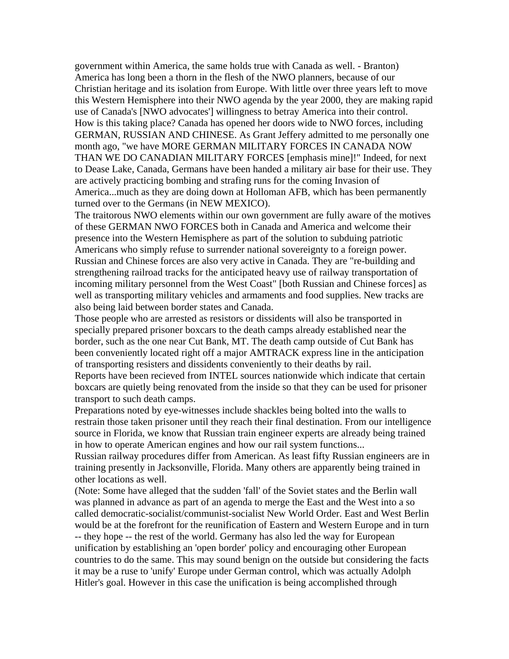government within America, the same holds true with Canada as well. - Branton) America has long been a thorn in the flesh of the NWO planners, because of our Christian heritage and its isolation from Europe. With little over three years left to move this Western Hemisphere into their NWO agenda by the year 2000, they are making rapid use of Canada's [NWO advocates'] willingness to betray America into their control. How is this taking place? Canada has opened her doors wide to NWO forces, including GERMAN, RUSSIAN AND CHINESE. As Grant Jeffery admitted to me personally one month ago, "we have MORE GERMAN MILITARY FORCES IN CANADA NOW THAN WE DO CANADIAN MILITARY FORCES [emphasis mine]!" Indeed, for next to Dease Lake, Canada, Germans have been handed a military air base for their use. They are actively practicing bombing and strafing runs for the coming Invasion of America...much as they are doing down at Holloman AFB, which has been permanently turned over to the Germans (in NEW MEXICO).

The traitorous NWO elements within our own government are fully aware of the motives of these GERMAN NWO FORCES both in Canada and America and welcome their presence into the Western Hemisphere as part of the solution to subduing patriotic Americans who simply refuse to surrender national sovereignty to a foreign power. Russian and Chinese forces are also very active in Canada. They are "re-building and strengthening railroad tracks for the anticipated heavy use of railway transportation of incoming military personnel from the West Coast" [both Russian and Chinese forces] as well as transporting military vehicles and armaments and food supplies. New tracks are also being laid between border states and Canada.

Those people who are arrested as resistors or dissidents will also be transported in specially prepared prisoner boxcars to the death camps already established near the border, such as the one near Cut Bank, MT. The death camp outside of Cut Bank has been conveniently located right off a major AMTRACK express line in the anticipation of transporting resisters and dissidents conveniently to their deaths by rail.

Reports have been recieved from INTEL sources nationwide which indicate that certain boxcars are quietly being renovated from the inside so that they can be used for prisoner transport to such death camps.

Preparations noted by eye-witnesses include shackles being bolted into the walls to restrain those taken prisoner until they reach their final destination. From our intelligence source in Florida, we know that Russian train engineer experts are already being trained in how to operate American engines and how our rail system functions...

Russian railway procedures differ from American. As least fifty Russian engineers are in training presently in Jacksonville, Florida. Many others are apparently being trained in other locations as well.

(Note: Some have alleged that the sudden 'fall' of the Soviet states and the Berlin wall was planned in advance as part of an agenda to merge the East and the West into a so called democratic-socialist/communist-socialist New World Order. East and West Berlin would be at the forefront for the reunification of Eastern and Western Europe and in turn -- they hope -- the rest of the world. Germany has also led the way for European unification by establishing an 'open border' policy and encouraging other European countries to do the same. This may sound benign on the outside but considering the facts it may be a ruse to 'unify' Europe under German control, which was actually Adolph Hitler's goal. However in this case the unification is being accomplished through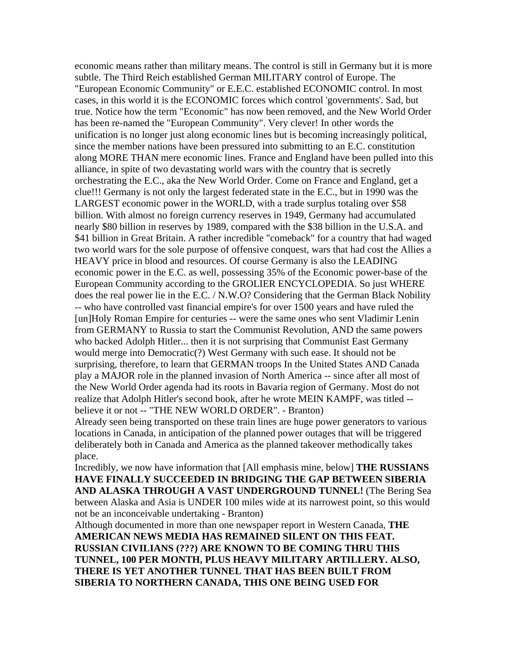economic means rather than military means. The control is still in Germany but it is more subtle. The Third Reich established German MILITARY control of Europe. The "European Economic Community" or E.E.C. established ECONOMIC control. In most cases, in this world it is the ECONOMIC forces which control 'governments'. Sad, but true. Notice how the term "Economic" has now been removed, and the New World Order has been re-named the "European Community". Very clever! In other words the unification is no longer just along economic lines but is becoming increasingly political, since the member nations have been pressured into submitting to an E.C. constitution along MORE THAN mere economic lines. France and England have been pulled into this alliance, in spite of two devastating world wars with the country that is secretly orchestrating the E.C., aka the New World Order. Come on France and England, get a clue!!! Germany is not only the largest federated state in the E.C., but in 1990 was the LARGEST economic power in the WORLD, with a trade surplus totaling over \$58 billion. With almost no foreign currency reserves in 1949, Germany had accumulated nearly \$80 billion in reserves by 1989, compared with the \$38 billion in the U.S.A. and \$41 billion in Great Britain. A rather incredible "comeback" for a country that had waged two world wars for the sole purpose of offensive conquest, wars that had cost the Allies a HEAVY price in blood and resources. Of course Germany is also the LEADING economic power in the E.C. as well, possessing 35% of the Economic power-base of the European Community according to the GROLIER ENCYCLOPEDIA. So just WHERE does the real power lie in the E.C. / N.W.O? Considering that the German Black Nobility -- who have controlled vast financial empire's for over 1500 years and have ruled the [un]Holy Roman Empire for centuries -- were the same ones who sent Vladimir Lenin from GERMANY to Russia to start the Communist Revolution, AND the same powers who backed Adolph Hitler... then it is not surprising that Communist East Germany would merge into Democratic(?) West Germany with such ease. It should not be surprising, therefore, to learn that GERMAN troops In the United States AND Canada play a MAJOR role in the planned invasion of North America -- since after all most of the New World Order agenda had its roots in Bavaria region of Germany. Most do not realize that Adolph Hitler's second book, after he wrote MEIN KAMPF, was titled - believe it or not -- "THE NEW WORLD ORDER". - Branton) Already seen being transported on these train lines are huge power generators to various

locations in Canada, in anticipation of the planned power outages that will be triggered deliberately both in Canada and America as the planned takeover methodically takes place.

Incredibly, we now have information that [All emphasis mine, below] **THE RUSSIANS HAVE FINALLY SUCCEEDED IN BRIDGING THE GAP BETWEEN SIBERIA AND ALASKA THROUGH A VAST UNDERGROUND TUNNEL!** (The Bering Sea between Alaska and Asia is UNDER 100 miles wide at its narrowest point, so this would not be an inconceivable undertaking - Branton)

Although documented in more than one newspaper report in Western Canada, **THE AMERICAN NEWS MEDIA HAS REMAINED SILENT ON THIS FEAT. RUSSIAN CIVILIANS (???) ARE KNOWN TO BE COMING THRU THIS TUNNEL, 100 PER MONTH, PLUS HEAVY MILITARY ARTILLERY. ALSO, THERE IS YET ANOTHER TUNNEL THAT HAS BEEN BUILT FROM SIBERIA TO NORTHERN CANADA, THIS ONE BEING USED FOR**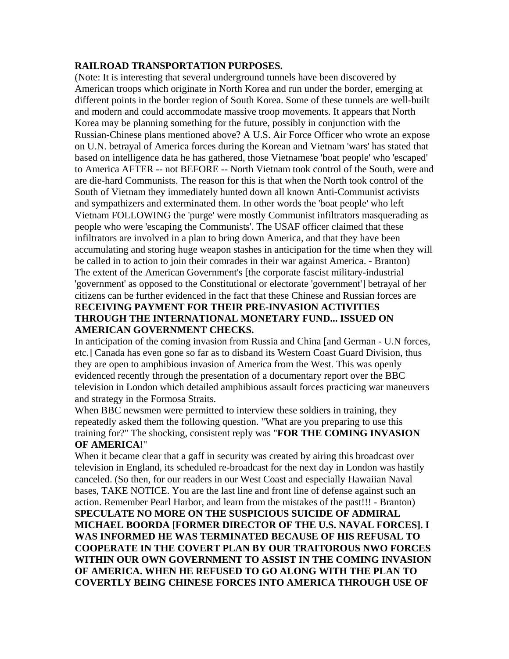## **RAILROAD TRANSPORTATION PURPOSES.**

(Note: It is interesting that several underground tunnels have been discovered by American troops which originate in North Korea and run under the border, emerging at different points in the border region of South Korea. Some of these tunnels are well-built and modern and could accommodate massive troop movements. It appears that North Korea may be planning something for the future, possibly in conjunction with the Russian-Chinese plans mentioned above? A U.S. Air Force Officer who wrote an expose on U.N. betrayal of America forces during the Korean and Vietnam 'wars' has stated that based on intelligence data he has gathered, those Vietnamese 'boat people' who 'escaped' to America AFTER -- not BEFORE -- North Vietnam took control of the South, were and are die-hard Communists. The reason for this is that when the North took control of the South of Vietnam they immediately hunted down all known Anti-Communist activists and sympathizers and exterminated them. In other words the 'boat people' who left Vietnam FOLLOWING the 'purge' were mostly Communist infiltrators masquerading as people who were 'escaping the Communists'. The USAF officer claimed that these infiltrators are involved in a plan to bring down America, and that they have been accumulating and storing huge weapon stashes in anticipation for the time when they will be called in to action to join their comrades in their war against America. - Branton) The extent of the American Government's [the corporate fascist military-industrial 'government' as opposed to the Constitutional or electorate 'government'] betrayal of her citizens can be further evidenced in the fact that these Chinese and Russian forces are R**ECEIVING PAYMENT FOR THEIR PRE-INVASION ACTIVITIES THROUGH THE INTERNATIONAL MONETARY FUND... ISSUED ON AMERICAN GOVERNMENT CHECKS.**

In anticipation of the coming invasion from Russia and China [and German - U.N forces, etc.] Canada has even gone so far as to disband its Western Coast Guard Division, thus they are open to amphibious invasion of America from the West. This was openly evidenced recently through the presentation of a documentary report over the BBC television in London which detailed amphibious assault forces practicing war maneuvers and strategy in the Formosa Straits.

When BBC newsmen were permitted to interview these soldiers in training, they repeatedly asked them the following question. "What are you preparing to use this training for?" The shocking, consistent reply was "**FOR THE COMING INVASION OF AMERICA!**"

When it became clear that a gaff in security was created by airing this broadcast over television in England, its scheduled re-broadcast for the next day in London was hastily canceled. (So then, for our readers in our West Coast and especially Hawaiian Naval bases, TAKE NOTICE. You are the last line and front line of defense against such an action. Remember Pearl Harbor, and learn from the mistakes of the past!!! - Branton) **SPECULATE NO MORE ON THE SUSPICIOUS SUICIDE OF ADMIRAL MICHAEL BOORDA [FORMER DIRECTOR OF THE U.S. NAVAL FORCES]. I WAS INFORMED HE WAS TERMINATED BECAUSE OF HIS REFUSAL TO COOPERATE IN THE COVERT PLAN BY OUR TRAITOROUS NWO FORCES WITHIN OUR OWN GOVERNMENT TO ASSIST IN THE COMING INVASION OF AMERICA. WHEN HE REFUSED TO GO ALONG WITH THE PLAN TO COVERTLY BEING CHINESE FORCES INTO AMERICA THROUGH USE OF**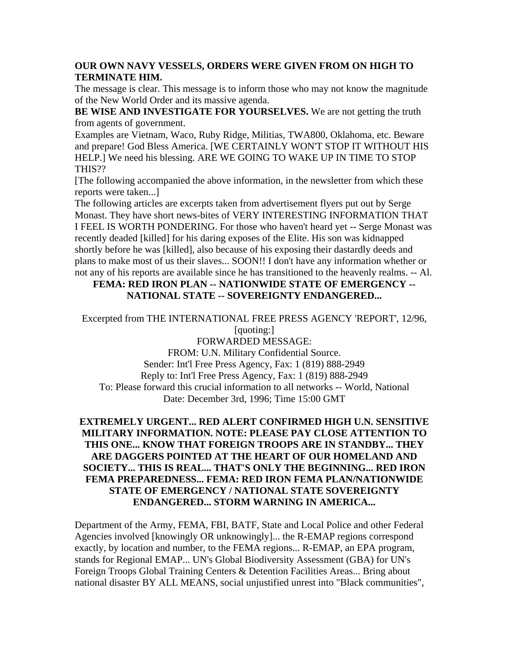## **OUR OWN NAVY VESSELS, ORDERS WERE GIVEN FROM ON HIGH TO TERMINATE HIM.**

The message is clear. This message is to inform those who may not know the magnitude of the New World Order and its massive agenda.

**BE WISE AND INVESTIGATE FOR YOURSELVES.** We are not getting the truth from agents of government.

Examples are Vietnam, Waco, Ruby Ridge, Militias, TWA800, Oklahoma, etc. Beware and prepare! God Bless America. [WE CERTAINLY WON'T STOP IT WITHOUT HIS HELP.] We need his blessing. ARE WE GOING TO WAKE UP IN TIME TO STOP THIS??

[The following accompanied the above information, in the newsletter from which these reports were taken...]

The following articles are excerpts taken from advertisement flyers put out by Serge Monast. They have short news-bites of VERY INTERESTING INFORMATION THAT I FEEL IS WORTH PONDERING. For those who haven't heard yet -- Serge Monast was recently deaded [killed] for his daring exposes of the Elite. His son was kidnapped shortly before he was [killed], also because of his exposing their dastardly deeds and plans to make most of us their slaves... SOON!! I don't have any information whether or not any of his reports are available since he has transitioned to the heavenly realms. -- Al.

# **FEMA: RED IRON PLAN -- NATIONWIDE STATE OF EMERGENCY -- NATIONAL STATE -- SOVEREIGNTY ENDANGERED...**

Excerpted from THE INTERNATIONAL FREE PRESS AGENCY 'REPORT', 12/96, [quoting:]

FORWARDED MESSAGE: FROM: U.N. Military Confidential Source. Sender: Int'l Free Press Agency, Fax: 1 (819) 888-2949 Reply to: Int'l Free Press Agency, Fax: 1 (819) 888-2949 To: Please forward this crucial information to all networks -- World, National Date: December 3rd, 1996; Time 15:00 GMT

# **EXTREMELY URGENT... RED ALERT CONFIRMED HIGH U.N. SENSITIVE MILITARY INFORMATION. NOTE: PLEASE PAY CLOSE ATTENTION TO THIS ONE... KNOW THAT FOREIGN TROOPS ARE IN STANDBY... THEY ARE DAGGERS POINTED AT THE HEART OF OUR HOMELAND AND SOCIETY... THIS IS REAL... THAT'S ONLY THE BEGINNING... RED IRON FEMA PREPAREDNESS... FEMA: RED IRON FEMA PLAN/NATIONWIDE STATE OF EMERGENCY / NATIONAL STATE SOVEREIGNTY ENDANGERED... STORM WARNING IN AMERICA...**

Department of the Army, FEMA, FBI, BATF, State and Local Police and other Federal Agencies involved [knowingly OR unknowingly]... the R-EMAP regions correspond exactly, by location and number, to the FEMA regions... R-EMAP, an EPA program, stands for Regional EMAP... UN's Global Biodiversity Assessment (GBA) for UN's Foreign Troops Global Training Centers & Detention Facilities Areas... Bring about national disaster BY ALL MEANS, social unjustified unrest into "Black communities",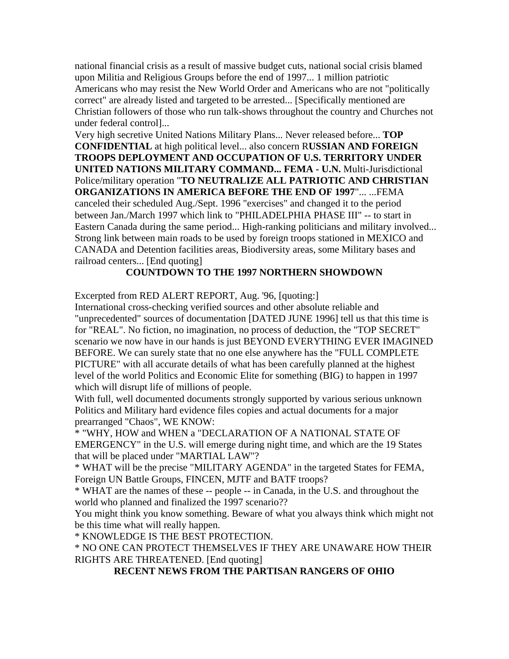national financial crisis as a result of massive budget cuts, national social crisis blamed upon Militia and Religious Groups before the end of 1997... 1 million patriotic Americans who may resist the New World Order and Americans who are not "politically correct" are already listed and targeted to be arrested... [Specifically mentioned are Christian followers of those who run talk-shows throughout the country and Churches not under federal control]...

Very high secretive United Nations Military Plans... Never released before... **TOP CONFIDENTIAL** at high political level... also concern R**USSIAN AND FOREIGN TROOPS DEPLOYMENT AND OCCUPATION OF U.S. TERRITORY UNDER UNITED NATIONS MILITARY COMMAND... FEMA - U.N.** Multi-Jurisdictional Police/military operation "**TO NEUTRALIZE ALL PATRIOTIC AND CHRISTIAN ORGANIZATIONS IN AMERICA BEFORE THE END OF 1997**"... ...FEMA canceled their scheduled Aug./Sept. 1996 "exercises" and changed it to the period between Jan./March 1997 which link to "PHILADELPHIA PHASE III" -- to start in Eastern Canada during the same period... High-ranking politicians and military involved... Strong link between main roads to be used by foreign troops stationed in MEXICO and CANADA and Detention facilities areas, Biodiversity areas, some Military bases and railroad centers... [End quoting]

## **COUNTDOWN TO THE 1997 NORTHERN SHOWDOWN**

Excerpted from RED ALERT REPORT, Aug. '96, [quoting:]

International cross-checking verified sources and other absolute reliable and "unprecedented" sources of documentation [DATED JUNE 1996] tell us that this time is for "REAL". No fiction, no imagination, no process of deduction, the "TOP SECRET" scenario we now have in our hands is just BEYOND EVERYTHING EVER IMAGINED BEFORE. We can surely state that no one else anywhere has the "FULL COMPLETE PICTURE" with all accurate details of what has been carefully planned at the highest level of the world Politics and Economic Elite for something (BIG) to happen in 1997 which will disrupt life of millions of people.

With full, well documented documents strongly supported by various serious unknown Politics and Military hard evidence files copies and actual documents for a major prearranged "Chaos", WE KNOW:

\* "WHY, HOW and WHEN a "DECLARATION OF A NATIONAL STATE OF EMERGENCY" in the U.S. will emerge during night time, and which are the 19 States that will be placed under "MARTIAL LAW"?

\* WHAT will be the precise "MILITARY AGENDA" in the targeted States for FEMA, Foreign UN Battle Groups, FINCEN, MJTF and BATF troops?

\* WHAT are the names of these -- people -- in Canada, in the U.S. and throughout the world who planned and finalized the 1997 scenario??

You might think you know something. Beware of what you always think which might not be this time what will really happen.

\* KNOWLEDGE IS THE BEST PROTECTION.

\* NO ONE CAN PROTECT THEMSELVES IF THEY ARE UNAWARE HOW THEIR RIGHTS ARE THREATENED. [End quoting]

**RECENT NEWS FROM THE PARTISAN RANGERS OF OHIO**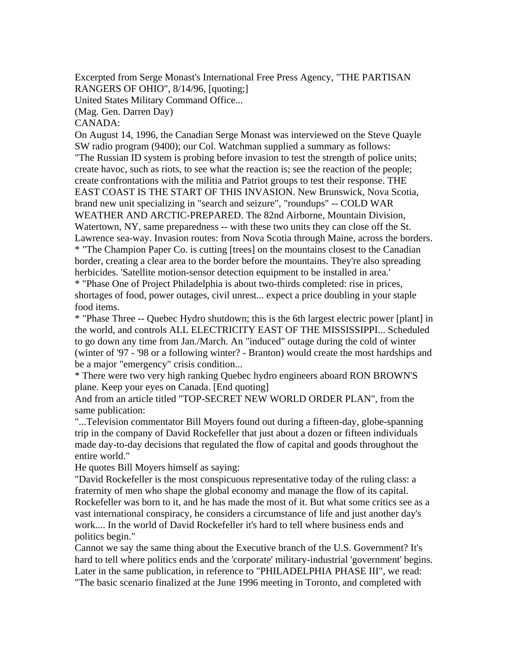Excerpted from Serge Monast's International Free Press Agency, "THE PARTISAN RANGERS OF OHIO", 8/14/96, [quoting;] United States Military Command Office...

(Mag. Gen. Darren Day)

CANADA:

On August 14, 1996, the Canadian Serge Monast was interviewed on the Steve Quayle SW radio program (9400); our Col. Watchman supplied a summary as follows: "The Russian ID system is probing before invasion to test the strength of police units; create havoc, such as riots, to see what the reaction is; see the reaction of the people; create confrontations with the militia and Patriot groups to test their response. THE EAST COAST IS THE START OF THIS INVASION. New Brunswick, Nova Scotia, brand new unit specializing in "search and seizure", "roundups" -- COLD WAR WEATHER AND ARCTIC-PREPARED. The 82nd Airborne, Mountain Division, Watertown, NY, same preparedness -- with these two units they can close off the St. Lawrence sea-way. Invasion routes: from Nova Scotia through Maine, across the borders. \* "The Champion Paper Co. is cutting [trees] on the mountains closest to the Canadian border, creating a clear area to the border before the mountains. They're also spreading herbicides. 'Satellite motion-sensor detection equipment to be installed in area.'

\* "Phase One of Project Philadelphia is about two-thirds completed: rise in prices, shortages of food, power outages, civil unrest... expect a price doubling in your staple food items.

\* "Phase Three -- Quebec Hydro shutdown; this is the 6th largest electric power [plant] in the world, and controls ALL ELECTRICITY EAST OF THE MISSISSIPPI... Scheduled to go down any time from Jan./March. An "induced" outage during the cold of winter (winter of '97 - '98 or a following winter? - Branton) would create the most hardships and be a major "emergency" crisis condition...

\* There were two very high ranking Quebec hydro engineers aboard RON BROWN'S plane. Keep your eyes on Canada. [End quoting]

And from an article titled "TOP-SECRET NEW WORLD ORDER PLAN", from the same publication:

"...Television commentator Bill Moyers found out during a fifteen-day, globe-spanning trip in the company of David Rockefeller that just about a dozen or fifteen individuals made day-to-day decisions that regulated the flow of capital and goods throughout the entire world."

He quotes Bill Moyers himself as saying:

"David Rockefeller is the most conspicuous representative today of the ruling class: a fraternity of men who shape the global economy and manage the flow of its capital. Rockefeller was born to it, and he has made the most of it. But what some critics see as a vast international conspiracy, he considers a circumstance of life and just another day's work.... In the world of David Rockefeller it's hard to tell where business ends and politics begin."

Cannot we say the same thing about the Executive branch of the U.S. Government? It's hard to tell where politics ends and the 'corporate' military-industrial 'government' begins. Later in the same publication, in reference to "PHILADELPHIA PHASE III", we read:

"The basic scenario finalized at the June 1996 meeting in Toronto, and completed with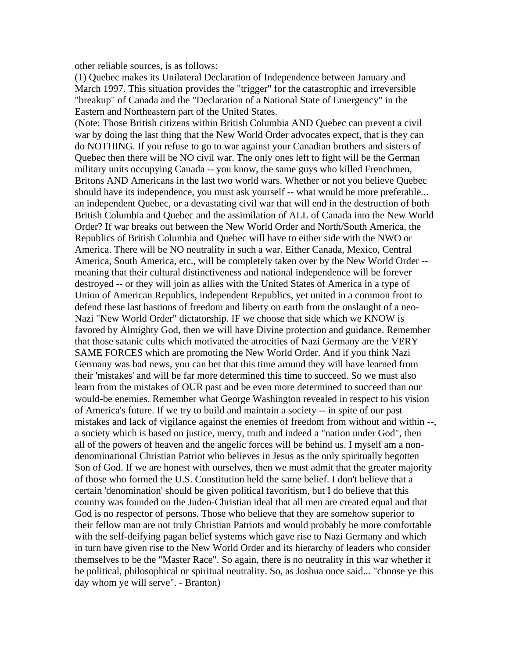other reliable sources, is as follows:

(1) Quebec makes its Unilateral Declaration of Independence between January and March 1997. This situation provides the "trigger" for the catastrophic and irreversible "breakup" of Canada and the "Declaration of a National State of Emergency" in the Eastern and Northeastern part of the United States.

(Note: Those British citizens within British Columbia AND Quebec can prevent a civil war by doing the last thing that the New World Order advocates expect, that is they can do NOTHING. If you refuse to go to war against your Canadian brothers and sisters of Quebec then there will be NO civil war. The only ones left to fight will be the German military units occupying Canada -- you know, the same guys who killed Frenchmen, Britons AND Americans in the last two world wars. Whether or not you believe Quebec should have its independence, you must ask yourself -- what would be more preferable... an independent Quebec, or a devastating civil war that will end in the destruction of both British Columbia and Quebec and the assimilation of ALL of Canada into the New World Order? If war breaks out between the New World Order and North/South America, the Republics of British Columbia and Quebec will have to either side with the NWO or America. There will be NO neutrality in such a war. Either Canada, Mexico, Central America, South America, etc., will be completely taken over by the New World Order - meaning that their cultural distinctiveness and national independence will be forever destroyed -- or they will join as allies with the United States of America in a type of Union of American Republics, independent Republics, yet united in a common front to defend these last bastions of freedom and liberty on earth from the onslaught of a neo-Nazi "New World Order" dictatorship. IF we choose that side which we KNOW is favored by Almighty God, then we will have Divine protection and guidance. Remember that those satanic cults which motivated the atrocities of Nazi Germany are the VERY SAME FORCES which are promoting the New World Order. And if you think Nazi Germany was bad news, you can bet that this time around they will have learned from their 'mistakes' and will be far more determined this time to succeed. So we must also learn from the mistakes of OUR past and be even more determined to succeed than our would-be enemies. Remember what George Washington revealed in respect to his vision of America's future. If we try to build and maintain a society -- in spite of our past mistakes and lack of vigilance against the enemies of freedom from without and within --, a society which is based on justice, mercy, truth and indeed a "nation under God", then all of the powers of heaven and the angelic forces will be behind us. I myself am a nondenominational Christian Patriot who believes in Jesus as the only spiritually begotten Son of God. If we are honest with ourselves, then we must admit that the greater majority of those who formed the U.S. Constitution held the same belief. I don't believe that a certain 'denomination' should be given political favoritism, but I do believe that this country was founded on the Judeo-Christian ideal that all men are created equal and that God is no respector of persons. Those who believe that they are somehow superior to their fellow man are not truly Christian Patriots and would probably be more comfortable with the self-deifying pagan belief systems which gave rise to Nazi Germany and which in turn have given rise to the New World Order and its hierarchy of leaders who consider themselves to be the "Master Race". So again, there is no neutrality in this war whether it be political, philosophical or spiritual neutrality. So, as Joshua once said... "choose ye this day whom ye will serve". - Branton)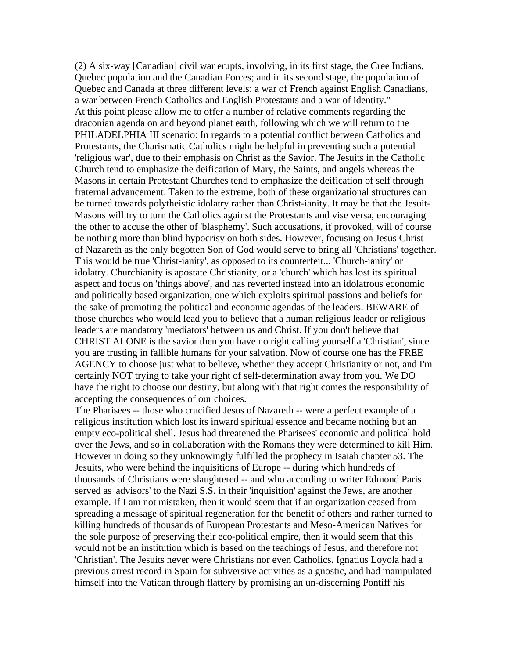(2) A six-way [Canadian] civil war erupts, involving, in its first stage, the Cree Indians, Quebec population and the Canadian Forces; and in its second stage, the population of Quebec and Canada at three different levels: a war of French against English Canadians, a war between French Catholics and English Protestants and a war of identity." At this point please allow me to offer a number of relative comments regarding the draconian agenda on and beyond planet earth, following which we will return to the PHILADELPHIA III scenario: In regards to a potential conflict between Catholics and Protestants, the Charismatic Catholics might be helpful in preventing such a potential 'religious war', due to their emphasis on Christ as the Savior. The Jesuits in the Catholic Church tend to emphasize the deification of Mary, the Saints, and angels whereas the Masons in certain Protestant Churches tend to emphasize the deification of self through fraternal advancement. Taken to the extreme, both of these organizational structures can be turned towards polytheistic idolatry rather than Christ-ianity. It may be that the Jesuit-Masons will try to turn the Catholics against the Protestants and vise versa, encouraging the other to accuse the other of 'blasphemy'. Such accusations, if provoked, will of course be nothing more than blind hypocrisy on both sides. However, focusing on Jesus Christ of Nazareth as the only begotten Son of God would serve to bring all 'Christians' together. This would be true 'Christ-ianity', as opposed to its counterfeit... 'Church-ianity' or idolatry. Churchianity is apostate Christianity, or a 'church' which has lost its spiritual aspect and focus on 'things above', and has reverted instead into an idolatrous economic and politically based organization, one which exploits spiritual passions and beliefs for the sake of promoting the political and economic agendas of the leaders. BEWARE of those churches who would lead you to believe that a human religious leader or religious leaders are mandatory 'mediators' between us and Christ. If you don't believe that CHRIST ALONE is the savior then you have no right calling yourself a 'Christian', since you are trusting in fallible humans for your salvation. Now of course one has the FREE AGENCY to choose just what to believe, whether they accept Christianity or not, and I'm certainly NOT trying to take your right of self-determination away from you. We DO have the right to choose our destiny, but along with that right comes the responsibility of accepting the consequences of our choices.

The Pharisees -- those who crucified Jesus of Nazareth -- were a perfect example of a religious institution which lost its inward spiritual essence and became nothing but an empty eco-political shell. Jesus had threatened the Pharisees' economic and political hold over the Jews, and so in collaboration with the Romans they were determined to kill Him. However in doing so they unknowingly fulfilled the prophecy in Isaiah chapter 53. The Jesuits, who were behind the inquisitions of Europe -- during which hundreds of thousands of Christians were slaughtered -- and who according to writer Edmond Paris served as 'advisors' to the Nazi S.S. in their 'inquisition' against the Jews, are another example. If I am not mistaken, then it would seem that if an organization ceased from spreading a message of spiritual regeneration for the benefit of others and rather turned to killing hundreds of thousands of European Protestants and Meso-American Natives for the sole purpose of preserving their eco-political empire, then it would seem that this would not be an institution which is based on the teachings of Jesus, and therefore not 'Christian'. The Jesuits never were Christians nor even Catholics. Ignatius Loyola had a previous arrest record in Spain for subversive activities as a gnostic, and had manipulated himself into the Vatican through flattery by promising an un-discerning Pontiff his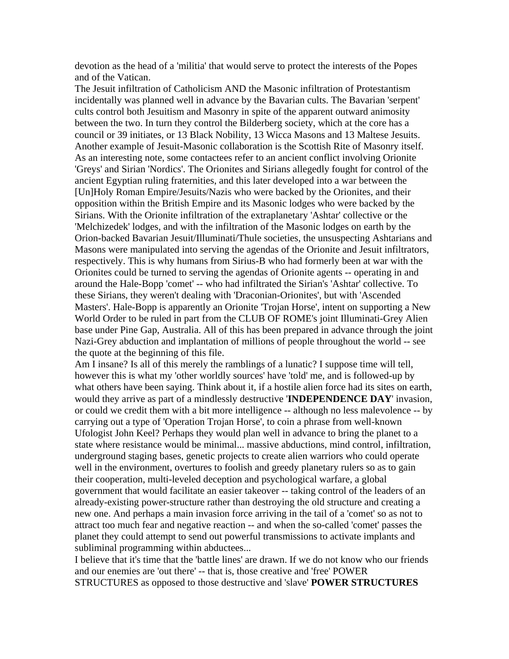devotion as the head of a 'militia' that would serve to protect the interests of the Popes and of the Vatican.

The Jesuit infiltration of Catholicism AND the Masonic infiltration of Protestantism incidentally was planned well in advance by the Bavarian cults. The Bavarian 'serpent' cults control both Jesuitism and Masonry in spite of the apparent outward animosity between the two. In turn they control the Bilderberg society, which at the core has a council or 39 initiates, or 13 Black Nobility, 13 Wicca Masons and 13 Maltese Jesuits. Another example of Jesuit-Masonic collaboration is the Scottish Rite of Masonry itself. As an interesting note, some contactees refer to an ancient conflict involving Orionite 'Greys' and Sirian 'Nordics'. The Orionites and Sirians allegedly fought for control of the ancient Egyptian ruling fraternities, and this later developed into a war between the [Un]Holy Roman Empire/Jesuits/Nazis who were backed by the Orionites, and their opposition within the British Empire and its Masonic lodges who were backed by the Sirians. With the Orionite infiltration of the extraplanetary 'Ashtar' collective or the 'Melchizedek' lodges, and with the infiltration of the Masonic lodges on earth by the Orion-backed Bavarian Jesuit/Illuminati/Thule societies, the unsuspecting Ashtarians and Masons were manipulated into serving the agendas of the Orionite and Jesuit infiltrators, respectively. This is why humans from Sirius-B who had formerly been at war with the Orionites could be turned to serving the agendas of Orionite agents -- operating in and around the Hale-Bopp 'comet' -- who had infiltrated the Sirian's 'Ashtar' collective. To these Sirians, they weren't dealing with 'Draconian-Orionites', but with 'Ascended Masters'. Hale-Bopp is apparently an Orionite 'Trojan Horse', intent on supporting a New World Order to be ruled in part from the CLUB OF ROME's joint Illuminati-Grey Alien base under Pine Gap, Australia. All of this has been prepared in advance through the joint Nazi-Grey abduction and implantation of millions of people throughout the world -- see the quote at the beginning of this file.

Am I insane? Is all of this merely the ramblings of a lunatic? I suppose time will tell, however this is what my 'other worldly sources' have 'told' me, and is followed-up by what others have been saying. Think about it, if a hostile alien force had its sites on earth, would they arrive as part of a mindlessly destructive '**INDEPENDENCE DAY**' invasion, or could we credit them with a bit more intelligence -- although no less malevolence -- by carrying out a type of 'Operation Trojan Horse', to coin a phrase from well-known Ufologist John Keel? Perhaps they would plan well in advance to bring the planet to a state where resistance would be minimal... massive abductions, mind control, infiltration, underground staging bases, genetic projects to create alien warriors who could operate well in the environment, overtures to foolish and greedy planetary rulers so as to gain their cooperation, multi-leveled deception and psychological warfare, a global government that would facilitate an easier takeover -- taking control of the leaders of an already-existing power-structure rather than destroying the old structure and creating a new one. And perhaps a main invasion force arriving in the tail of a 'comet' so as not to attract too much fear and negative reaction -- and when the so-called 'comet' passes the planet they could attempt to send out powerful transmissions to activate implants and subliminal programming within abductees...

I believe that it's time that the 'battle lines' are drawn. If we do not know who our friends and our enemies are 'out there' -- that is, those creative and 'free' POWER STRUCTURES as opposed to those destructive and 'slave' **POWER STRUCTURES**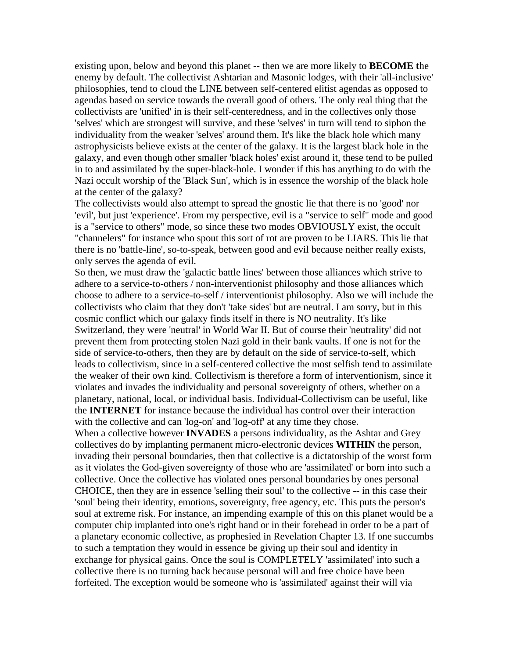existing upon, below and beyond this planet -- then we are more likely to **BECOME t**he enemy by default. The collectivist Ashtarian and Masonic lodges, with their 'all-inclusive' philosophies, tend to cloud the LINE between self-centered elitist agendas as opposed to agendas based on service towards the overall good of others. The only real thing that the collectivists are 'unified' in is their self-centeredness, and in the collectives only those 'selves' which are strongest will survive, and these 'selves' in turn will tend to siphon the individuality from the weaker 'selves' around them. It's like the black hole which many astrophysicists believe exists at the center of the galaxy. It is the largest black hole in the galaxy, and even though other smaller 'black holes' exist around it, these tend to be pulled in to and assimilated by the super-black-hole. I wonder if this has anything to do with the Nazi occult worship of the 'Black Sun', which is in essence the worship of the black hole at the center of the galaxy?

The collectivists would also attempt to spread the gnostic lie that there is no 'good' nor 'evil', but just 'experience'. From my perspective, evil is a "service to self" mode and good is a "service to others" mode, so since these two modes OBVIOUSLY exist, the occult "channelers" for instance who spout this sort of rot are proven to be LIARS. This lie that there is no 'battle-line', so-to-speak, between good and evil because neither really exists, only serves the agenda of evil.

So then, we must draw the 'galactic battle lines' between those alliances which strive to adhere to a service-to-others / non-interventionist philosophy and those alliances which choose to adhere to a service-to-self / interventionist philosophy. Also we will include the collectivists who claim that they don't 'take sides' but are neutral. I am sorry, but in this cosmic conflict which our galaxy finds itself in there is NO neutrality. It's like Switzerland, they were 'neutral' in World War II. But of course their 'neutrality' did not prevent them from protecting stolen Nazi gold in their bank vaults. If one is not for the side of service-to-others, then they are by default on the side of service-to-self, which leads to collectivism, since in a self-centered collective the most selfish tend to assimilate the weaker of their own kind. Collectivism is therefore a form of interventionism, since it violates and invades the individuality and personal sovereignty of others, whether on a planetary, national, local, or individual basis. Individual-Collectivism can be useful, like the **INTERNET** for instance because the individual has control over their interaction with the collective and can 'log-on' and 'log-off' at any time they chose.

When a collective however **INVADES** a persons individuality, as the Ashtar and Grey collectives do by implanting permanent micro-electronic devices **WITHIN** the person, invading their personal boundaries, then that collective is a dictatorship of the worst form as it violates the God-given sovereignty of those who are 'assimilated' or born into such a collective. Once the collective has violated ones personal boundaries by ones personal CHOICE, then they are in essence 'selling their soul' to the collective -- in this case their 'soul' being their identity, emotions, sovereignty, free agency, etc. This puts the person's soul at extreme risk. For instance, an impending example of this on this planet would be a computer chip implanted into one's right hand or in their forehead in order to be a part of a planetary economic collective, as prophesied in Revelation Chapter 13. If one succumbs to such a temptation they would in essence be giving up their soul and identity in exchange for physical gains. Once the soul is COMPLETELY 'assimilated' into such a collective there is no turning back because personal will and free choice have been forfeited. The exception would be someone who is 'assimilated' against their will via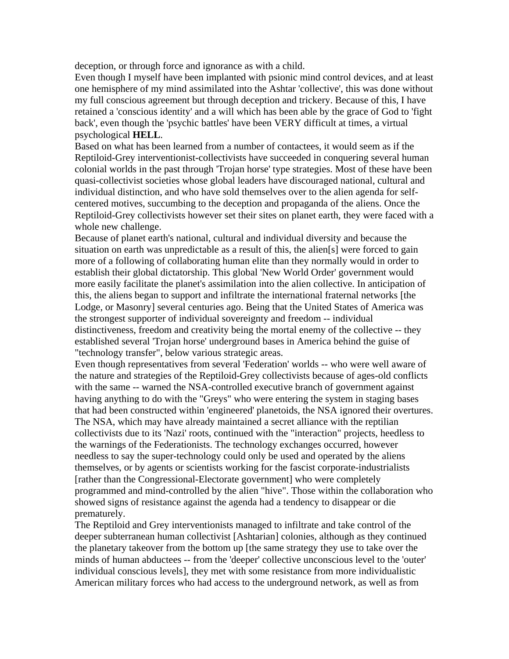deception, or through force and ignorance as with a child.

Even though I myself have been implanted with psionic mind control devices, and at least one hemisphere of my mind assimilated into the Ashtar 'collective', this was done without my full conscious agreement but through deception and trickery. Because of this, I have retained a 'conscious identity' and a will which has been able by the grace of God to 'fight back', even though the 'psychic battles' have been VERY difficult at times, a virtual psychological **HELL**.

Based on what has been learned from a number of contactees, it would seem as if the Reptiloid-Grey interventionist-collectivists have succeeded in conquering several human colonial worlds in the past through 'Trojan horse' type strategies. Most of these have been quasi-collectivist societies whose global leaders have discouraged national, cultural and individual distinction, and who have sold themselves over to the alien agenda for selfcentered motives, succumbing to the deception and propaganda of the aliens. Once the Reptiloid-Grey collectivists however set their sites on planet earth, they were faced with a whole new challenge.

Because of planet earth's national, cultural and individual diversity and because the situation on earth was unpredictable as a result of this, the alien[s] were forced to gain more of a following of collaborating human elite than they normally would in order to establish their global dictatorship. This global 'New World Order' government would more easily facilitate the planet's assimilation into the alien collective. In anticipation of this, the aliens began to support and infiltrate the international fraternal networks [the Lodge, or Masonry] several centuries ago. Being that the United States of America was the strongest supporter of individual sovereignty and freedom -- individual distinctiveness, freedom and creativity being the mortal enemy of the collective -- they established several 'Trojan horse' underground bases in America behind the guise of "technology transfer", below various strategic areas.

Even though representatives from several 'Federation' worlds -- who were well aware of the nature and strategies of the Reptiloid-Grey collectivists because of ages-old conflicts with the same -- warned the NSA-controlled executive branch of government against having anything to do with the "Greys" who were entering the system in staging bases that had been constructed within 'engineered' planetoids, the NSA ignored their overtures. The NSA, which may have already maintained a secret alliance with the reptilian collectivists due to its 'Nazi' roots, continued with the "interaction" projects, heedless to the warnings of the Federationists. The technology exchanges occurred, however needless to say the super-technology could only be used and operated by the aliens themselves, or by agents or scientists working for the fascist corporate-industrialists [rather than the Congressional-Electorate government] who were completely programmed and mind-controlled by the alien "hive". Those within the collaboration who showed signs of resistance against the agenda had a tendency to disappear or die prematurely.

The Reptiloid and Grey interventionists managed to infiltrate and take control of the deeper subterranean human collectivist [Ashtarian] colonies, although as they continued the planetary takeover from the bottom up [the same strategy they use to take over the minds of human abductees -- from the 'deeper' collective unconscious level to the 'outer' individual conscious levels], they met with some resistance from more individualistic American military forces who had access to the underground network, as well as from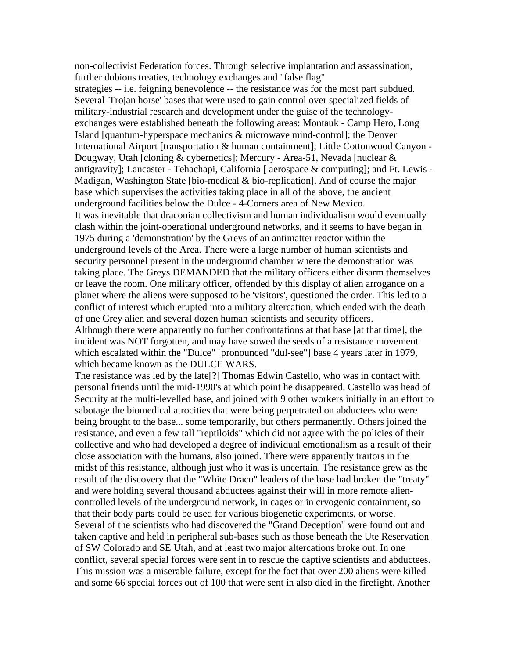non-collectivist Federation forces. Through selective implantation and assassination, further dubious treaties, technology exchanges and "false flag" strategies -- i.e. feigning benevolence -- the resistance was for the most part subdued. Several 'Trojan horse' bases that were used to gain control over specialized fields of military-industrial research and development under the guise of the technologyexchanges were established beneath the following areas: Montauk - Camp Hero, Long Island [quantum-hyperspace mechanics & microwave mind-control]; the Denver International Airport [transportation & human containment]; Little Cottonwood Canyon - Dougway, Utah [cloning & cybernetics]; Mercury - Area-51, Nevada [nuclear & antigravity]; Lancaster - Tehachapi, California [ aerospace & computing]; and Ft. Lewis - Madigan, Washington State [bio-medical & bio-replication]. And of course the major base which supervises the activities taking place in all of the above, the ancient underground facilities below the Dulce - 4-Corners area of New Mexico. It was inevitable that draconian collectivism and human individualism would eventually clash within the joint-operational underground networks, and it seems to have began in 1975 during a 'demonstration' by the Greys of an antimatter reactor within the underground levels of the Area. There were a large number of human scientists and security personnel present in the underground chamber where the demonstration was taking place. The Greys DEMANDED that the military officers either disarm themselves or leave the room. One military officer, offended by this display of alien arrogance on a planet where the aliens were supposed to be 'visitors', questioned the order. This led to a conflict of interest which erupted into a military altercation, which ended with the death of one Grey alien and several dozen human scientists and security officers. Although there were apparently no further confrontations at that base [at that time], the incident was NOT forgotten, and may have sowed the seeds of a resistance movement which escalated within the "Dulce" [pronounced "dul-see"] base 4 years later in 1979, which became known as the DULCE WARS.

The resistance was led by the late[?] Thomas Edwin Castello, who was in contact with personal friends until the mid-1990's at which point he disappeared. Castello was head of Security at the multi-levelled base, and joined with 9 other workers initially in an effort to sabotage the biomedical atrocities that were being perpetrated on abductees who were being brought to the base... some temporarily, but others permanently. Others joined the resistance, and even a few tall "reptiloids" which did not agree with the policies of their collective and who had developed a degree of individual emotionalism as a result of their close association with the humans, also joined. There were apparently traitors in the midst of this resistance, although just who it was is uncertain. The resistance grew as the result of the discovery that the "White Draco" leaders of the base had broken the "treaty" and were holding several thousand abductees against their will in more remote aliencontrolled levels of the underground network, in cages or in cryogenic containment, so that their body parts could be used for various biogenetic experiments, or worse. Several of the scientists who had discovered the "Grand Deception" were found out and taken captive and held in peripheral sub-bases such as those beneath the Ute Reservation of SW Colorado and SE Utah, and at least two major altercations broke out. In one conflict, several special forces were sent in to rescue the captive scientists and abductees. This mission was a miserable failure, except for the fact that over 200 aliens were killed and some 66 special forces out of 100 that were sent in also died in the firefight. Another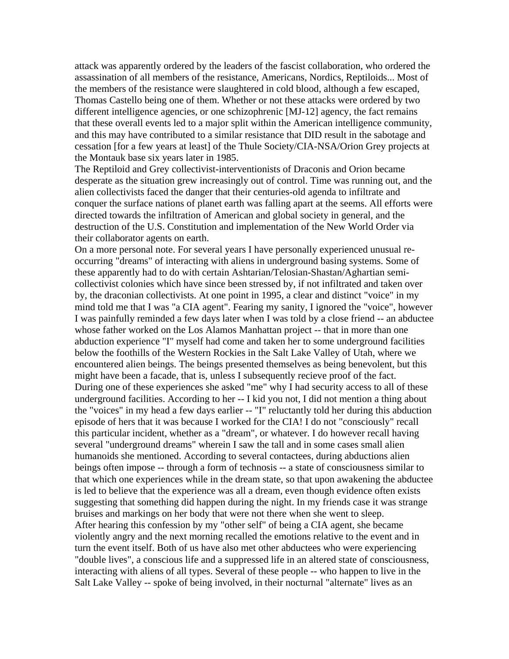attack was apparently ordered by the leaders of the fascist collaboration, who ordered the assassination of all members of the resistance, Americans, Nordics, Reptiloids... Most of the members of the resistance were slaughtered in cold blood, although a few escaped, Thomas Castello being one of them. Whether or not these attacks were ordered by two different intelligence agencies, or one schizophrenic [MJ-12] agency, the fact remains that these overall events led to a major split within the American intelligence community, and this may have contributed to a similar resistance that DID result in the sabotage and cessation [for a few years at least] of the Thule Society/CIA-NSA/Orion Grey projects at the Montauk base six years later in 1985.

The Reptiloid and Grey collectivist-interventionists of Draconis and Orion became desperate as the situation grew increasingly out of control. Time was running out, and the alien collectivists faced the danger that their centuries-old agenda to infiltrate and conquer the surface nations of planet earth was falling apart at the seems. All efforts were directed towards the infiltration of American and global society in general, and the destruction of the U.S. Constitution and implementation of the New World Order via their collaborator agents on earth.

On a more personal note. For several years I have personally experienced unusual reoccurring "dreams" of interacting with aliens in underground basing systems. Some of these apparently had to do with certain Ashtarian/Telosian-Shastan/Aghartian semicollectivist colonies which have since been stressed by, if not infiltrated and taken over by, the draconian collectivists. At one point in 1995, a clear and distinct "voice" in my mind told me that I was "a CIA agent". Fearing my sanity, I ignored the "voice", however I was painfully reminded a few days later when I was told by a close friend -- an abductee whose father worked on the Los Alamos Manhattan project -- that in more than one abduction experience "I" myself had come and taken her to some underground facilities below the foothills of the Western Rockies in the Salt Lake Valley of Utah, where we encountered alien beings. The beings presented themselves as being benevolent, but this might have been a facade, that is, unless I subsequently recieve proof of the fact. During one of these experiences she asked "me" why I had security access to all of these underground facilities. According to her -- I kid you not, I did not mention a thing about the "voices" in my head a few days earlier -- "I" reluctantly told her during this abduction episode of hers that it was because I worked for the CIA! I do not "consciously" recall this particular incident, whether as a "dream", or whatever. I do however recall having several "underground dreams" wherein I saw the tall and in some cases small alien humanoids she mentioned. According to several contactees, during abductions alien beings often impose -- through a form of technosis -- a state of consciousness similar to that which one experiences while in the dream state, so that upon awakening the abductee is led to believe that the experience was all a dream, even though evidence often exists suggesting that something did happen during the night. In my friends case it was strange bruises and markings on her body that were not there when she went to sleep. After hearing this confession by my "other self" of being a CIA agent, she became violently angry and the next morning recalled the emotions relative to the event and in turn the event itself. Both of us have also met other abductees who were experiencing "double lives", a conscious life and a suppressed life in an altered state of consciousness, interacting with aliens of all types. Several of these people -- who happen to live in the Salt Lake Valley -- spoke of being involved, in their nocturnal "alternate" lives as an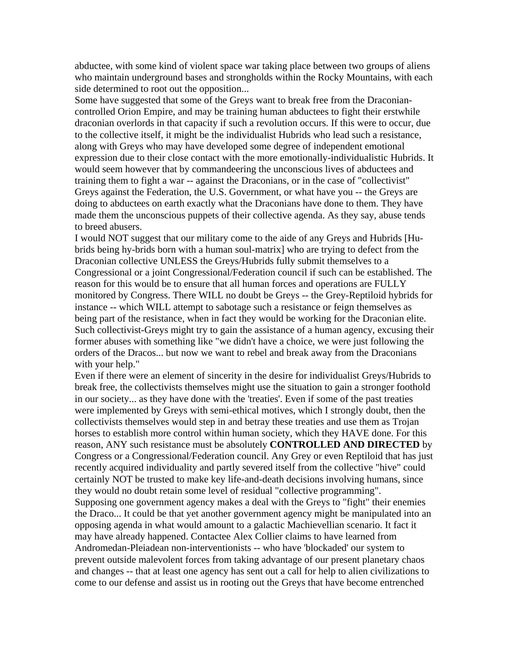abductee, with some kind of violent space war taking place between two groups of aliens who maintain underground bases and strongholds within the Rocky Mountains, with each side determined to root out the opposition...

Some have suggested that some of the Greys want to break free from the Draconiancontrolled Orion Empire, and may be training human abductees to fight their erstwhile draconian overlords in that capacity if such a revolution occurs. If this were to occur, due to the collective itself, it might be the individualist Hubrids who lead such a resistance, along with Greys who may have developed some degree of independent emotional expression due to their close contact with the more emotionally-individualistic Hubrids. It would seem however that by commandeering the unconscious lives of abductees and training them to fight a war -- against the Draconians, or in the case of "collectivist" Greys against the Federation, the U.S. Government, or what have you -- the Greys are doing to abductees on earth exactly what the Draconians have done to them. They have made them the unconscious puppets of their collective agenda. As they say, abuse tends to breed abusers.

I would NOT suggest that our military come to the aide of any Greys and Hubrids [Hubrids being hy-brids born with a human soul-matrix] who are trying to defect from the Draconian collective UNLESS the Greys/Hubrids fully submit themselves to a Congressional or a joint Congressional/Federation council if such can be established. The reason for this would be to ensure that all human forces and operations are FULLY monitored by Congress. There WILL no doubt be Greys -- the Grey-Reptiloid hybrids for instance -- which WILL attempt to sabotage such a resistance or feign themselves as being part of the resistance, when in fact they would be working for the Draconian elite. Such collectivist-Greys might try to gain the assistance of a human agency, excusing their former abuses with something like "we didn't have a choice, we were just following the orders of the Dracos... but now we want to rebel and break away from the Draconians with your help."

Even if there were an element of sincerity in the desire for individualist Greys/Hubrids to break free, the collectivists themselves might use the situation to gain a stronger foothold in our society... as they have done with the 'treaties'. Even if some of the past treaties were implemented by Greys with semi-ethical motives, which I strongly doubt, then the collectivists themselves would step in and betray these treaties and use them as Trojan horses to establish more control within human society, which they HAVE done. For this reason, ANY such resistance must be absolutely **CONTROLLED AND DIRECTED** by Congress or a Congressional/Federation council. Any Grey or even Reptiloid that has just recently acquired individuality and partly severed itself from the collective "hive" could certainly NOT be trusted to make key life-and-death decisions involving humans, since they would no doubt retain some level of residual "collective programming". Supposing one government agency makes a deal with the Greys to "fight" their enemies the Draco... It could be that yet another government agency might be manipulated into an opposing agenda in what would amount to a galactic Machievellian scenario. It fact it may have already happened. Contactee Alex Collier claims to have learned from Andromedan-Pleiadean non-interventionists -- who have 'blockaded' our system to prevent outside malevolent forces from taking advantage of our present planetary chaos and changes -- that at least one agency has sent out a call for help to alien civilizations to come to our defense and assist us in rooting out the Greys that have become entrenched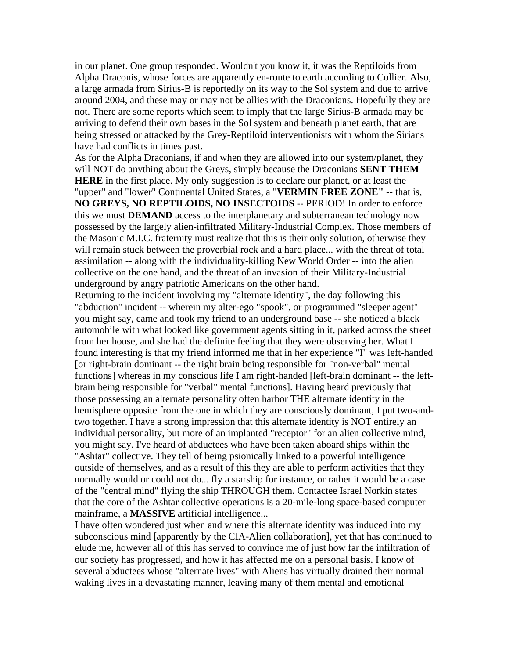in our planet. One group responded. Wouldn't you know it, it was the Reptiloids from Alpha Draconis, whose forces are apparently en-route to earth according to Collier. Also, a large armada from Sirius-B is reportedly on its way to the Sol system and due to arrive around 2004, and these may or may not be allies with the Draconians. Hopefully they are not. There are some reports which seem to imply that the large Sirius-B armada may be arriving to defend their own bases in the Sol system and beneath planet earth, that are being stressed or attacked by the Grey-Reptiloid interventionists with whom the Sirians have had conflicts in times past.

As for the Alpha Draconians, if and when they are allowed into our system/planet, they will NOT do anything about the Greys, simply because the Draconians **SENT THEM HERE** in the first place. My only suggestion is to declare our planet, or at least the "upper" and "lower" Continental United States, a "**VERMIN FREE ZONE"** -- that is, **NO GREYS, NO REPTILOIDS, NO INSECTOIDS** -- PERIOD! In order to enforce this we must **DEMAND** access to the interplanetary and subterranean technology now possessed by the largely alien-infiltrated Military-Industrial Complex. Those members of the Masonic M.I.C. fraternity must realize that this is their only solution, otherwise they will remain stuck between the proverbial rock and a hard place... with the threat of total assimilation -- along with the individuality-killing New World Order -- into the alien collective on the one hand, and the threat of an invasion of their Military-Industrial underground by angry patriotic Americans on the other hand.

Returning to the incident involving my "alternate identity", the day following this "abduction" incident -- wherein my alter-ego "spook", or programmed "sleeper agent" you might say, came and took my friend to an underground base -- she noticed a black automobile with what looked like government agents sitting in it, parked across the street from her house, and she had the definite feeling that they were observing her. What I found interesting is that my friend informed me that in her experience "I" was left-handed [or right-brain dominant -- the right brain being responsible for "non-verbal" mental functions] whereas in my conscious life I am right-handed [left-brain dominant -- the leftbrain being responsible for "verbal" mental functions]. Having heard previously that those possessing an alternate personality often harbor THE alternate identity in the hemisphere opposite from the one in which they are consciously dominant, I put two-andtwo together. I have a strong impression that this alternate identity is NOT entirely an individual personality, but more of an implanted "receptor" for an alien collective mind, you might say. I've heard of abductees who have been taken aboard ships within the "Ashtar" collective. They tell of being psionically linked to a powerful intelligence outside of themselves, and as a result of this they are able to perform activities that they normally would or could not do... fly a starship for instance, or rather it would be a case of the "central mind" flying the ship THROUGH them. Contactee Israel Norkin states that the core of the Ashtar collective operations is a 20-mile-long space-based computer mainframe, a **MASSIVE** artificial intelligence...

I have often wondered just when and where this alternate identity was induced into my subconscious mind [apparently by the CIA-Alien collaboration], yet that has continued to elude me, however all of this has served to convince me of just how far the infiltration of our society has progressed, and how it has affected me on a personal basis. I know of several abductees whose "alternate lives" with Aliens has virtually drained their normal waking lives in a devastating manner, leaving many of them mental and emotional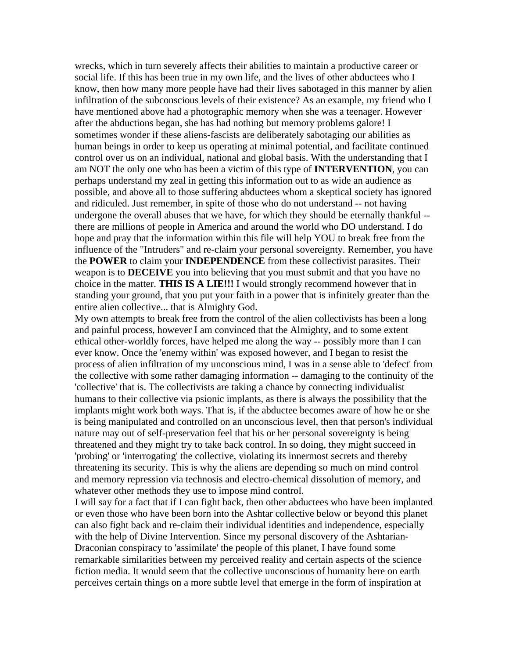wrecks, which in turn severely affects their abilities to maintain a productive career or social life. If this has been true in my own life, and the lives of other abductees who I know, then how many more people have had their lives sabotaged in this manner by alien infiltration of the subconscious levels of their existence? As an example, my friend who I have mentioned above had a photographic memory when she was a teenager. However after the abductions began, she has had nothing but memory problems galore! I sometimes wonder if these aliens-fascists are deliberately sabotaging our abilities as human beings in order to keep us operating at minimal potential, and facilitate continued control over us on an individual, national and global basis. With the understanding that I am NOT the only one who has been a victim of this type of **INTERVENTION**, you can perhaps understand my zeal in getting this information out to as wide an audience as possible, and above all to those suffering abductees whom a skeptical society has ignored and ridiculed. Just remember, in spite of those who do not understand -- not having undergone the overall abuses that we have, for which they should be eternally thankful - there are millions of people in America and around the world who DO understand. I do hope and pray that the information within this file will help YOU to break free from the influence of the "Intruders" and re-claim your personal sovereignty. Remember, you have the **POWER** to claim your **INDEPENDENCE** from these collectivist parasites. Their weapon is to **DECEIVE** you into believing that you must submit and that you have no choice in the matter. **THIS IS A LIE!!!** I would strongly recommend however that in standing your ground, that you put your faith in a power that is infinitely greater than the entire alien collective... that is Almighty God.

My own attempts to break free from the control of the alien collectivists has been a long and painful process, however I am convinced that the Almighty, and to some extent ethical other-worldly forces, have helped me along the way -- possibly more than I can ever know. Once the 'enemy within' was exposed however, and I began to resist the process of alien infiltration of my unconscious mind, I was in a sense able to 'defect' from the collective with some rather damaging information -- damaging to the continuity of the 'collective' that is. The collectivists are taking a chance by connecting individualist humans to their collective via psionic implants, as there is always the possibility that the implants might work both ways. That is, if the abductee becomes aware of how he or she is being manipulated and controlled on an unconscious level, then that person's individual nature may out of self-preservation feel that his or her personal sovereignty is being threatened and they might try to take back control. In so doing, they might succeed in 'probing' or 'interrogating' the collective, violating its innermost secrets and thereby threatening its security. This is why the aliens are depending so much on mind control and memory repression via technosis and electro-chemical dissolution of memory, and whatever other methods they use to impose mind control.

I will say for a fact that if I can fight back, then other abductees who have been implanted or even those who have been born into the Ashtar collective below or beyond this planet can also fight back and re-claim their individual identities and independence, especially with the help of Divine Intervention. Since my personal discovery of the Ashtarian-Draconian conspiracy to 'assimilate' the people of this planet, I have found some remarkable similarities between my perceived reality and certain aspects of the science fiction media. It would seem that the collective unconscious of humanity here on earth perceives certain things on a more subtle level that emerge in the form of inspiration at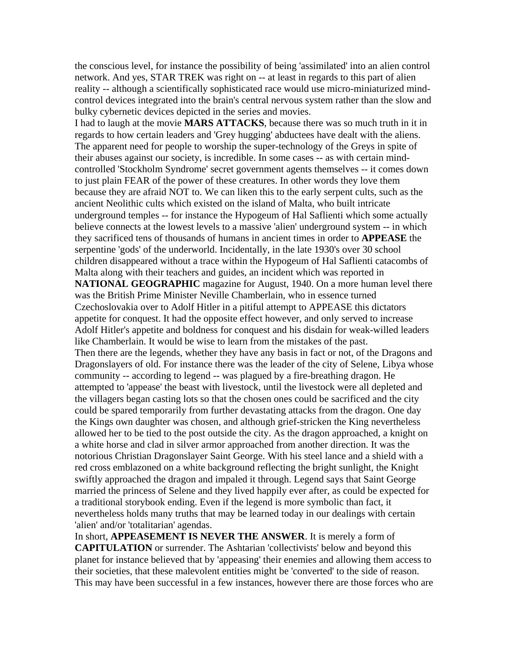the conscious level, for instance the possibility of being 'assimilated' into an alien control network. And yes, STAR TREK was right on -- at least in regards to this part of alien reality -- although a scientifically sophisticated race would use micro-miniaturized mindcontrol devices integrated into the brain's central nervous system rather than the slow and bulky cybernetic devices depicted in the series and movies.

I had to laugh at the movie **MARS ATTACKS**, because there was so much truth in it in regards to how certain leaders and 'Grey hugging' abductees have dealt with the aliens. The apparent need for people to worship the super-technology of the Greys in spite of their abuses against our society, is incredible. In some cases -- as with certain mindcontrolled 'Stockholm Syndrome' secret government agents themselves -- it comes down to just plain FEAR of the power of these creatures. In other words they love them because they are afraid NOT to. We can liken this to the early serpent cults, such as the ancient Neolithic cults which existed on the island of Malta, who built intricate underground temples -- for instance the Hypogeum of Hal Saflienti which some actually believe connects at the lowest levels to a massive 'alien' underground system -- in which they sacrificed tens of thousands of humans in ancient times in order to **APPEASE** the serpentine 'gods' of the underworld. Incidentally, in the late 1930's over 30 school children disappeared without a trace within the Hypogeum of Hal Saflienti catacombs of Malta along with their teachers and guides, an incident which was reported in **NATIONAL GEOGRAPHIC** magazine for August, 1940. On a more human level there was the British Prime Minister Neville Chamberlain, who in essence turned Czechoslovakia over to Adolf Hitler in a pitiful attempt to APPEASE this dictators appetite for conquest. It had the opposite effect however, and only served to increase Adolf Hitler's appetite and boldness for conquest and his disdain for weak-willed leaders like Chamberlain. It would be wise to learn from the mistakes of the past. Then there are the legends, whether they have any basis in fact or not, of the Dragons and Dragonslayers of old. For instance there was the leader of the city of Selene, Libya whose community -- according to legend -- was plagued by a fire-breathing dragon. He attempted to 'appease' the beast with livestock, until the livestock were all depleted and the villagers began casting lots so that the chosen ones could be sacrificed and the city could be spared temporarily from further devastating attacks from the dragon. One day the Kings own daughter was chosen, and although grief-stricken the King nevertheless allowed her to be tied to the post outside the city. As the dragon approached, a knight on a white horse and clad in silver armor approached from another direction. It was the notorious Christian Dragonslayer Saint George. With his steel lance and a shield with a red cross emblazoned on a white background reflecting the bright sunlight, the Knight swiftly approached the dragon and impaled it through. Legend says that Saint George married the princess of Selene and they lived happily ever after, as could be expected for a traditional storybook ending. Even if the legend is more symbolic than fact, it nevertheless holds many truths that may be learned today in our dealings with certain 'alien' and/or 'totalitarian' agendas.

In short, **APPEASEMENT IS NEVER THE ANSWER**. It is merely a form of **CAPITULATION** or surrender. The Ashtarian 'collectivists' below and beyond this planet for instance believed that by 'appeasing' their enemies and allowing them access to their societies, that these malevolent entities might be 'converted' to the side of reason. This may have been successful in a few instances, however there are those forces who are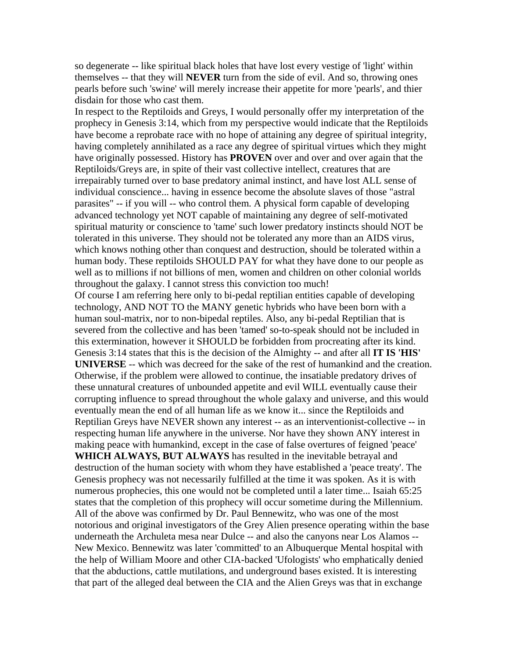so degenerate -- like spiritual black holes that have lost every vestige of 'light' within themselves -- that they will **NEVER** turn from the side of evil. And so, throwing ones pearls before such 'swine' will merely increase their appetite for more 'pearls', and thier disdain for those who cast them.

In respect to the Reptiloids and Greys, I would personally offer my interpretation of the prophecy in Genesis 3:14, which from my perspective would indicate that the Reptiloids have become a reprobate race with no hope of attaining any degree of spiritual integrity, having completely annihilated as a race any degree of spiritual virtues which they might have originally possessed. History has **PROVEN** over and over and over again that the Reptiloids/Greys are, in spite of their vast collective intellect, creatures that are irrepairably turned over to base predatory animal instinct, and have lost ALL sense of individual conscience... having in essence become the absolute slaves of those "astral parasites" -- if you will -- who control them. A physical form capable of developing advanced technology yet NOT capable of maintaining any degree of self-motivated spiritual maturity or conscience to 'tame' such lower predatory instincts should NOT be tolerated in this universe. They should not be tolerated any more than an AIDS virus, which knows nothing other than conquest and destruction, should be tolerated within a human body. These reptiloids SHOULD PAY for what they have done to our people as well as to millions if not billions of men, women and children on other colonial worlds throughout the galaxy. I cannot stress this conviction too much!

Of course I am referring here only to bi-pedal reptilian entities capable of developing technology, AND NOT TO the MANY genetic hybrids who have been born with a human soul-matrix, nor to non-bipedal reptiles. Also, any bi-pedal Reptilian that is severed from the collective and has been 'tamed' so-to-speak should not be included in this extermination, however it SHOULD be forbidden from procreating after its kind. Genesis 3:14 states that this is the decision of the Almighty -- and after all **IT IS 'HIS' UNIVERSE** -- which was decreed for the sake of the rest of humankind and the creation. Otherwise, if the problem were allowed to continue, the insatiable predatory drives of these unnatural creatures of unbounded appetite and evil WILL eventually cause their corrupting influence to spread throughout the whole galaxy and universe, and this would eventually mean the end of all human life as we know it... since the Reptiloids and Reptilian Greys have NEVER shown any interest -- as an interventionist-collective -- in respecting human life anywhere in the universe. Nor have they shown ANY interest in making peace with humankind, except in the case of false overtures of feigned 'peace' **WHICH ALWAYS, BUT ALWAYS** has resulted in the inevitable betrayal and destruction of the human society with whom they have established a 'peace treaty'. The Genesis prophecy was not necessarily fulfilled at the time it was spoken. As it is with numerous prophecies, this one would not be completed until a later time... Isaiah 65:25 states that the completion of this prophecy will occur sometime during the Millennium. All of the above was confirmed by Dr. Paul Bennewitz, who was one of the most notorious and original investigators of the Grey Alien presence operating within the base underneath the Archuleta mesa near Dulce -- and also the canyons near Los Alamos -- New Mexico. Bennewitz was later 'committed' to an Albuquerque Mental hospital with the help of William Moore and other CIA-backed 'Ufologists' who emphatically denied that the abductions, cattle mutilations, and underground bases existed. It is interesting that part of the alleged deal between the CIA and the Alien Greys was that in exchange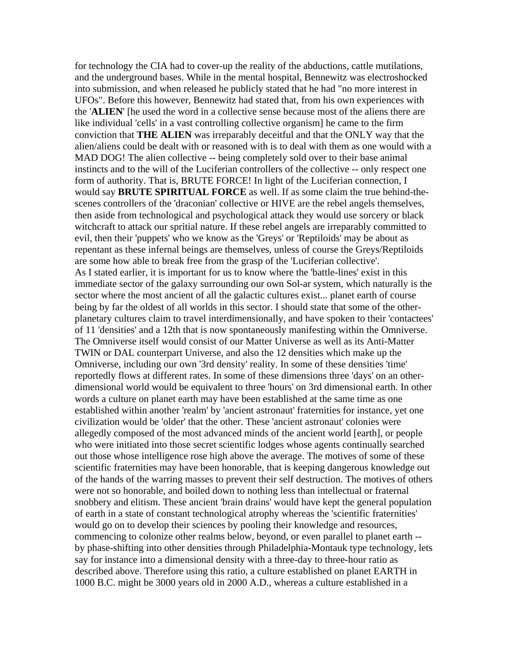for technology the CIA had to cover-up the reality of the abductions, cattle mutilations, and the underground bases. While in the mental hospital, Bennewitz was electroshocked into submission, and when released he publicly stated that he had "no more interest in UFOs". Before this however, Bennewitz had stated that, from his own experiences with the '**ALIEN**' [he used the word in a collective sense because most of the aliens there are like individual 'cells' in a vast controlling collective organism] he came to the firm conviction that **THE ALIEN** was irreparably deceitful and that the ONLY way that the alien/aliens could be dealt with or reasoned with is to deal with them as one would with a MAD DOG! The alien collective -- being completely sold over to their base animal instincts and to the will of the Luciferian controllers of the collective -- only respect one form of authority. That is, BRUTE FORCE! In light of the Luciferian connection, I would say **BRUTE SPIRITUAL FORCE** as well. If as some claim the true behind-thescenes controllers of the 'draconian' collective or HIVE are the rebel angels themselves, then aside from technological and psychological attack they would use sorcery or black witchcraft to attack our spritial nature. If these rebel angels are irreparably committed to evil, then their 'puppets' who we know as the 'Greys' or 'Reptiloids' may be about as repentant as these infernal beings are themselves, unless of course the Greys/Reptiloids are some how able to break free from the grasp of the 'Luciferian collective'. As I stated earlier, it is important for us to know where the 'battle-lines' exist in this immediate sector of the galaxy surrounding our own Sol-ar system, which naturally is the sector where the most ancient of all the galactic cultures exist... planet earth of course being by far the oldest of all worlds in this sector. I should state that some of the otherplanetary cultures claim to travel interdimensionally, and have spoken to their 'contactees' of 11 'densities' and a 12th that is now spontaneously manifesting within the Omniverse. The Omniverse itself would consist of our Matter Universe as well as its Anti-Matter TWIN or DAL counterpart Universe, and also the 12 densities which make up the Omniverse, including our own '3rd density' reality. In some of these densities 'time' reportedly flows at different rates. In some of these dimensions three 'days' on an otherdimensional world would be equivalent to three 'hours' on 3rd dimensional earth. In other words a culture on planet earth may have been established at the same time as one established within another 'realm' by 'ancient astronaut' fraternities for instance, yet one civilization would be 'older' that the other. These 'ancient astronaut' colonies were allegedly composed of the most advanced minds of the ancient world [earth], or people who were initiated into those secret scientific lodges whose agents continually searched out those whose intelligence rose high above the average. The motives of some of these scientific fraternities may have been honorable, that is keeping dangerous knowledge out of the hands of the warring masses to prevent their self destruction. The motives of others were not so honorable, and boiled down to nothing less than intellectual or fraternal snobbery and elitism. These ancient 'brain drains' would have kept the general population of earth in a state of constant technological atrophy whereas the 'scientific fraternities' would go on to develop their sciences by pooling their knowledge and resources, commencing to colonize other realms below, beyond, or even parallel to planet earth - by phase-shifting into other densities through Philadelphia-Montauk type technology, lets say for instance into a dimensional density with a three-day to three-hour ratio as described above. Therefore using this ratio, a culture established on planet EARTH in 1000 B.C. might be 3000 years old in 2000 A.D., whereas a culture established in a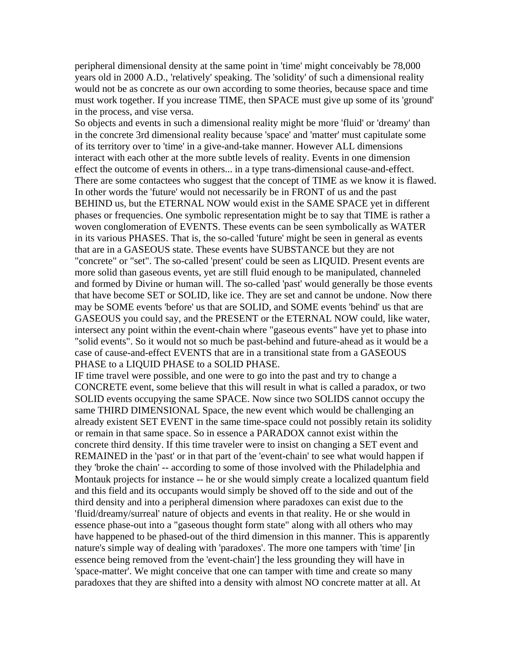peripheral dimensional density at the same point in 'time' might conceivably be 78,000 years old in 2000 A.D., 'relatively' speaking. The 'solidity' of such a dimensional reality would not be as concrete as our own according to some theories, because space and time must work together. If you increase TIME, then SPACE must give up some of its 'ground' in the process, and vise versa.

So objects and events in such a dimensional reality might be more 'fluid' or 'dreamy' than in the concrete 3rd dimensional reality because 'space' and 'matter' must capitulate some of its territory over to 'time' in a give-and-take manner. However ALL dimensions interact with each other at the more subtle levels of reality. Events in one dimension effect the outcome of events in others... in a type trans-dimensional cause-and-effect. There are some contactees who suggest that the concept of TIME as we know it is flawed. In other words the 'future' would not necessarily be in FRONT of us and the past BEHIND us, but the ETERNAL NOW would exist in the SAME SPACE yet in different phases or frequencies. One symbolic representation might be to say that TIME is rather a woven conglomeration of EVENTS. These events can be seen symbolically as WATER in its various PHASES. That is, the so-called 'future' might be seen in general as events that are in a GASEOUS state. These events have SUBSTANCE but they are not "concrete" or "set". The so-called 'present' could be seen as LIQUID. Present events are more solid than gaseous events, yet are still fluid enough to be manipulated, channeled and formed by Divine or human will. The so-called 'past' would generally be those events that have become SET or SOLID, like ice. They are set and cannot be undone. Now there may be SOME events 'before' us that are SOLID, and SOME events 'behind' us that are GASEOUS you could say, and the PRESENT or the ETERNAL NOW could, like water, intersect any point within the event-chain where "gaseous events" have yet to phase into "solid events". So it would not so much be past-behind and future-ahead as it would be a case of cause-and-effect EVENTS that are in a transitional state from a GASEOUS PHASE to a LIQUID PHASE to a SOLID PHASE.

IF time travel were possible, and one were to go into the past and try to change a CONCRETE event, some believe that this will result in what is called a paradox, or two SOLID events occupying the same SPACE. Now since two SOLIDS cannot occupy the same THIRD DIMENSIONAL Space, the new event which would be challenging an already existent SET EVENT in the same time-space could not possibly retain its solidity or remain in that same space. So in essence a PARADOX cannot exist within the concrete third density. If this time traveler were to insist on changing a SET event and REMAINED in the 'past' or in that part of the 'event-chain' to see what would happen if they 'broke the chain' -- according to some of those involved with the Philadelphia and Montauk projects for instance -- he or she would simply create a localized quantum field and this field and its occupants would simply be shoved off to the side and out of the third density and into a peripheral dimension where paradoxes can exist due to the 'fluid/dreamy/surreal' nature of objects and events in that reality. He or she would in essence phase-out into a "gaseous thought form state" along with all others who may have happened to be phased-out of the third dimension in this manner. This is apparently nature's simple way of dealing with 'paradoxes'. The more one tampers with 'time' [in essence being removed from the 'event-chain'] the less grounding they will have in 'space-matter'. We might conceive that one can tamper with time and create so many paradoxes that they are shifted into a density with almost NO concrete matter at all. At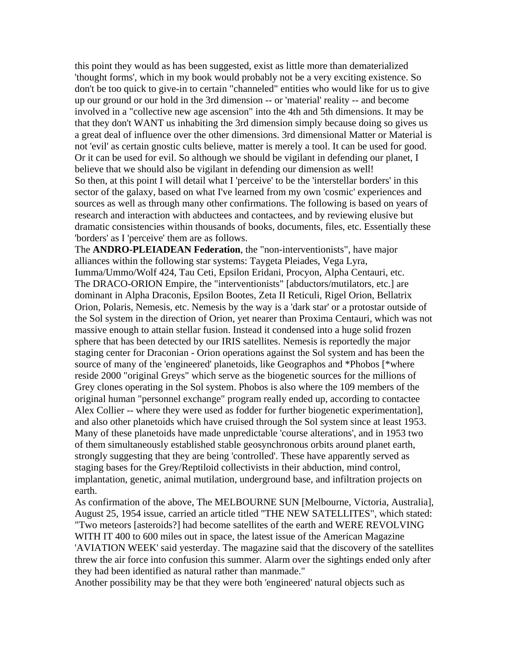this point they would as has been suggested, exist as little more than dematerialized 'thought forms', which in my book would probably not be a very exciting existence. So don't be too quick to give-in to certain "channeled" entities who would like for us to give up our ground or our hold in the 3rd dimension -- or 'material' reality -- and become involved in a "collective new age ascension" into the 4th and 5th dimensions. It may be that they don't WANT us inhabiting the 3rd dimension simply because doing so gives us a great deal of influence over the other dimensions. 3rd dimensional Matter or Material is not 'evil' as certain gnostic cults believe, matter is merely a tool. It can be used for good. Or it can be used for evil. So although we should be vigilant in defending our planet, I believe that we should also be vigilant in defending our dimension as well! So then, at this point I will detail what I 'perceive' to be the 'interstellar borders' in this sector of the galaxy, based on what I've learned from my own 'cosmic' experiences and sources as well as through many other confirmations. The following is based on years of research and interaction with abductees and contactees, and by reviewing elusive but dramatic consistencies within thousands of books, documents, files, etc. Essentially these 'borders' as I 'perceive' them are as follows.

The **ANDRO-PLEIADEAN Federation**, the "non-interventionists", have major alliances within the following star systems: Taygeta Pleiades, Vega Lyra, Iumma/Ummo/Wolf 424, Tau Ceti, Epsilon Eridani, Procyon, Alpha Centauri, etc. The DRACO-ORION Empire, the "interventionists" [abductors/mutilators, etc.] are dominant in Alpha Draconis, Epsilon Bootes, Zeta II Reticuli, Rigel Orion, Bellatrix Orion, Polaris, Nemesis, etc. Nemesis by the way is a 'dark star' or a protostar outside of the Sol system in the direction of Orion, yet nearer than Proxima Centauri, which was not massive enough to attain stellar fusion. Instead it condensed into a huge solid frozen sphere that has been detected by our IRIS satellites. Nemesis is reportedly the major staging center for Draconian - Orion operations against the Sol system and has been the source of many of the 'engineered' planetoids, like Geographos and \*Phobos [\*where reside 2000 "original Greys" which serve as the biogenetic sources for the millions of Grey clones operating in the Sol system. Phobos is also where the 109 members of the original human "personnel exchange" program really ended up, according to contactee Alex Collier -- where they were used as fodder for further biogenetic experimentation], and also other planetoids which have cruised through the Sol system since at least 1953. Many of these planetoids have made unpredictable 'course alterations', and in 1953 two of them simultaneously established stable geosynchronous orbits around planet earth, strongly suggesting that they are being 'controlled'. These have apparently served as staging bases for the Grey/Reptiloid collectivists in their abduction, mind control, implantation, genetic, animal mutilation, underground base, and infiltration projects on earth.

As confirmation of the above, The MELBOURNE SUN [Melbourne, Victoria, Australia], August 25, 1954 issue, carried an article titled "THE NEW SATELLITES", which stated: "Two meteors [asteroids?] had become satellites of the earth and WERE REVOLVING WITH IT 400 to 600 miles out in space, the latest issue of the American Magazine 'AVIATION WEEK' said yesterday. The magazine said that the discovery of the satellites threw the air force into confusion this summer. Alarm over the sightings ended only after they had been identified as natural rather than manmade."

Another possibility may be that they were both 'engineered' natural objects such as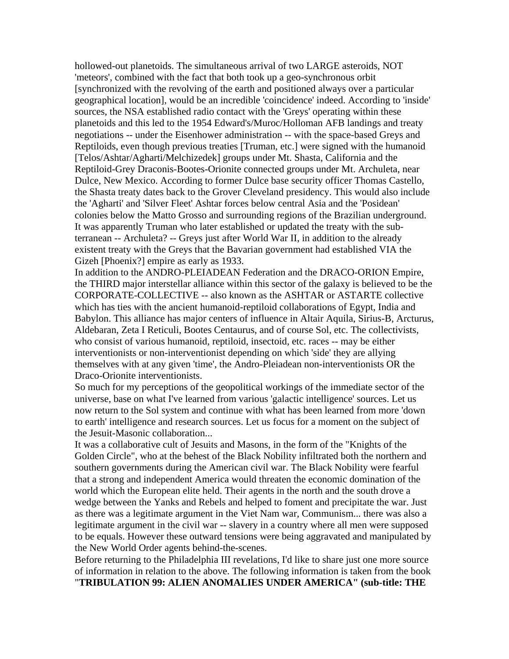hollowed-out planetoids. The simultaneous arrival of two LARGE asteroids, NOT 'meteors', combined with the fact that both took up a geo-synchronous orbit [synchronized with the revolving of the earth and positioned always over a particular geographical location], would be an incredible 'coincidence' indeed. According to 'inside' sources, the NSA established radio contact with the 'Greys' operating within these planetoids and this led to the 1954 Edward's/Muroc/Holloman AFB landings and treaty negotiations -- under the Eisenhower administration -- with the space-based Greys and Reptiloids, even though previous treaties [Truman, etc.] were signed with the humanoid [Telos/Ashtar/Agharti/Melchizedek] groups under Mt. Shasta, California and the Reptiloid-Grey Draconis-Bootes-Orionite connected groups under Mt. Archuleta, near Dulce, New Mexico. According to former Dulce base security officer Thomas Castello, the Shasta treaty dates back to the Grover Cleveland presidency. This would also include the 'Agharti' and 'Silver Fleet' Ashtar forces below central Asia and the 'Posidean' colonies below the Matto Grosso and surrounding regions of the Brazilian underground. It was apparently Truman who later established or updated the treaty with the subterranean -- Archuleta? -- Greys just after World War II, in addition to the already existent treaty with the Greys that the Bavarian government had established VIA the Gizeh [Phoenix?] empire as early as 1933.

In addition to the ANDRO-PLEIADEAN Federation and the DRACO-ORION Empire, the THIRD major interstellar alliance within this sector of the galaxy is believed to be the CORPORATE-COLLECTIVE -- also known as the ASHTAR or ASTARTE collective which has ties with the ancient humanoid-reptiloid collaborations of Egypt, India and Babylon. This alliance has major centers of influence in Altair Aquila, Sirius-B, Arcturus, Aldebaran, Zeta I Reticuli, Bootes Centaurus, and of course Sol, etc. The collectivists, who consist of various humanoid, reptiloid, insectoid, etc. races -- may be either interventionists or non-interventionist depending on which 'side' they are allying themselves with at any given 'time', the Andro-Pleiadean non-interventionists OR the Draco-Orionite interventionists.

So much for my perceptions of the geopolitical workings of the immediate sector of the universe, base on what I've learned from various 'galactic intelligence' sources. Let us now return to the Sol system and continue with what has been learned from more 'down to earth' intelligence and research sources. Let us focus for a moment on the subject of the Jesuit-Masonic collaboration...

It was a collaborative cult of Jesuits and Masons, in the form of the "Knights of the Golden Circle", who at the behest of the Black Nobility infiltrated both the northern and southern governments during the American civil war. The Black Nobility were fearful that a strong and independent America would threaten the economic domination of the world which the European elite held. Their agents in the north and the south drove a wedge between the Yanks and Rebels and helped to foment and precipitate the war. Just as there was a legitimate argument in the Viet Nam war, Communism... there was also a legitimate argument in the civil war -- slavery in a country where all men were supposed to be equals. However these outward tensions were being aggravated and manipulated by the New World Order agents behind-the-scenes.

Before returning to the Philadelphia III revelations, I'd like to share just one more source of information in relation to the above. The following information is taken from the book "**TRIBULATION 99: ALIEN ANOMALIES UNDER AMERICA" (sub-title: THE**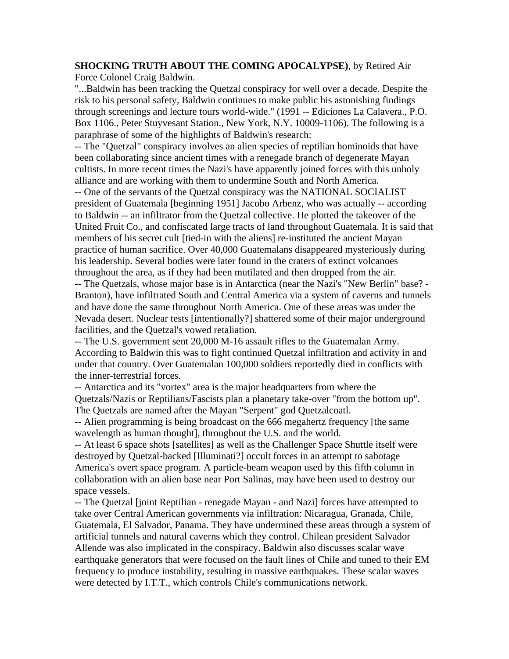## **SHOCKING TRUTH ABOUT THE COMING APOCALYPSE)**, by Retired Air Force Colonel Craig Baldwin.

"...Baldwin has been tracking the Quetzal conspiracy for well over a decade. Despite the risk to his personal safety, Baldwin continues to make public his astonishing findings through screenings and lecture tours world-wide." (1991 -- Ediciones La Calavera., P.O. Box 1106., Peter Stuyvesant Station., New York, N.Y. 10009-1106). The following is a paraphrase of some of the highlights of Baldwin's research:

-- The "Quetzal" conspiracy involves an alien species of reptilian hominoids that have been collaborating since ancient times with a renegade branch of degenerate Mayan cultists. In more recent times the Nazi's have apparently joined forces with this unholy alliance and are working with them to undermine South and North America.

-- One of the servants of the Quetzal conspiracy was the NATIONAL SOCIALIST president of Guatemala [beginning 1951] Jacobo Arbenz, who was actually -- according to Baldwin -- an infiltrator from the Quetzal collective. He plotted the takeover of the United Fruit Co., and confiscated large tracts of land throughout Guatemala. It is said that members of his secret cult [tied-in with the aliens] re-instituted the ancient Mayan practice of human sacrifice. Over 40,000 Guatemalans disappeared mysteriously during his leadership. Several bodies were later found in the craters of extinct volcanoes throughout the area, as if they had been mutilated and then dropped from the air.

-- The Quetzals, whose major base is in Antarctica (near the Nazi's "New Berlin" base? - Branton), have infiltrated South and Central America via a system of caverns and tunnels and have done the same throughout North America. One of these areas was under the Nevada desert. Nuclear tests [intentionally?] shattered some of their major underground facilities, and the Quetzal's vowed retaliation.

-- The U.S. government sent 20,000 M-16 assault rifles to the Guatemalan Army. According to Baldwin this was to fight continued Quetzal infiltration and activity in and under that country. Over Guatemalan 100,000 soldiers reportedly died in conflicts with the inner-terrestrial forces.

-- Antarctica and its "vortex" area is the major headquarters from where the Quetzals/Nazis or Reptilians/Fascists plan a planetary take-over "from the bottom up". The Quetzals are named after the Mayan "Serpent" god Quetzalcoatl.

-- Alien programming is being broadcast on the 666 megahertz frequency [the same wavelength as human thought], throughout the U.S. and the world.

-- At least 6 space shots [satellites] as well as the Challenger Space Shuttle itself were destroyed by Quetzal-backed [Illuminati?] occult forces in an attempt to sabotage America's overt space program. A particle-beam weapon used by this fifth column in collaboration with an alien base near Port Salinas, may have been used to destroy our space vessels.

-- The Quetzal [joint Reptilian - renegade Mayan - and Nazi] forces have attempted to take over Central American governments via infiltration: Nicaragua, Granada, Chile, Guatemala, El Salvador, Panama. They have undermined these areas through a system of artificial tunnels and natural caverns which they control. Chilean president Salvador Allende was also implicated in the conspiracy. Baldwin also discusses scalar wave earthquake generators that were focused on the fault lines of Chile and tuned to their EM frequency to produce instability, resulting in massive earthquakes. These scalar waves were detected by I.T.T., which controls Chile's communications network.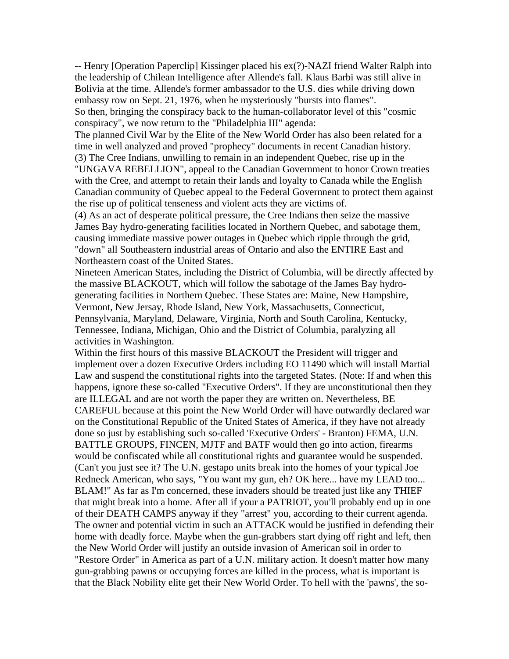-- Henry [Operation Paperclip] Kissinger placed his ex(?)-NAZI friend Walter Ralph into the leadership of Chilean Intelligence after Allende's fall. Klaus Barbi was still alive in Bolivia at the time. Allende's former ambassador to the U.S. dies while driving down embassy row on Sept. 21, 1976, when he mysteriously "bursts into flames". So then, bringing the conspiracy back to the human-collaborator level of this "cosmic conspiracy", we now return to the "Philadelphia III" agenda:

The planned Civil War by the Elite of the New World Order has also been related for a time in well analyzed and proved "prophecy" documents in recent Canadian history.

(3) The Cree Indians, unwilling to remain in an independent Quebec, rise up in the "UNGAVA REBELLION", appeal to the Canadian Government to honor Crown treaties with the Cree, and attempt to retain their lands and loyalty to Canada while the English Canadian community of Quebec appeal to the Federal Governnent to protect them against the rise up of political tenseness and violent acts they are victims of.

(4) As an act of desperate political pressure, the Cree Indians then seize the massive James Bay hydro-generating facilities located in Northern Quebec, and sabotage them, causing immediate massive power outages in Quebec which ripple through the grid, "down" all Southeastern industrial areas of Ontario and also the ENTIRE East and Northeastern coast of the United States.

Nineteen American States, including the District of Columbia, will be directly affected by the massive BLACKOUT, which will follow the sabotage of the James Bay hydrogenerating facilities in Northern Quebec. These States are: Maine, New Hampshire, Vermont, New Jersay, Rhode Island, New York, Massachusetts, Connecticut, Pennsylvania, Maryland, Delaware, Virginia, North and South Carolina, Kentucky, Tennessee, Indiana, Michigan, Ohio and the District of Columbia, paralyzing all activities in Washington.

Within the first hours of this massive BLACKOUT the President will trigger and implement over a dozen Executive Orders including EO 11490 which will install Martial Law and suspend the constitutional rights into the targeted States. (Note: If and when this happens, ignore these so-called "Executive Orders". If they are unconstitutional then they are ILLEGAL and are not worth the paper they are written on. Nevertheless, BE CAREFUL because at this point the New World Order will have outwardly declared war on the Constitutional Republic of the United States of America, if they have not already done so just by establishing such so-called 'Executive Orders' - Branton) FEMA, U.N. BATTLE GROUPS, FINCEN, MJTF and BATF would then go into action, firearms would be confiscated while all constitutional rights and guarantee would be suspended. (Can't you just see it? The U.N. gestapo units break into the homes of your typical Joe Redneck American, who says, "You want my gun, eh? OK here... have my LEAD too... BLAM!" As far as I'm concerned, these invaders should be treated just like any THIEF that might break into a home. After all if your a PATRIOT, you'll probably end up in one of their DEATH CAMPS anyway if they "arrest" you, according to their current agenda. The owner and potential victim in such an ATTACK would be justified in defending their home with deadly force. Maybe when the gun-grabbers start dying off right and left, then the New World Order will justify an outside invasion of American soil in order to "Restore Order" in America as part of a U.N. military action. It doesn't matter how many gun-grabbing pawns or occupying forces are killed in the process, what is important is that the Black Nobility elite get their New World Order. To hell with the 'pawns', the so-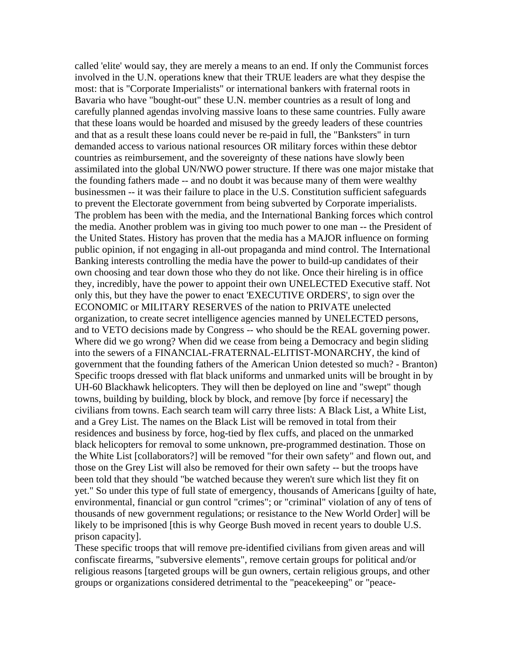called 'elite' would say, they are merely a means to an end. If only the Communist forces involved in the U.N. operations knew that their TRUE leaders are what they despise the most: that is "Corporate Imperialists" or international bankers with fraternal roots in Bavaria who have "bought-out" these U.N. member countries as a result of long and carefully planned agendas involving massive loans to these same countries. Fully aware that these loans would be hoarded and misused by the greedy leaders of these countries and that as a result these loans could never be re-paid in full, the "Banksters" in turn demanded access to various national resources OR military forces within these debtor countries as reimbursement, and the sovereignty of these nations have slowly been assimilated into the global UN/NWO power structure. If there was one major mistake that the founding fathers made -- and no doubt it was because many of them were wealthy businessmen -- it was their failure to place in the U.S. Constitution sufficient safeguards to prevent the Electorate government from being subverted by Corporate imperialists. The problem has been with the media, and the International Banking forces which control the media. Another problem was in giving too much power to one man -- the President of the United States. History has proven that the media has a MAJOR influence on forming public opinion, if not engaging in all-out propaganda and mind control. The International Banking interests controlling the media have the power to build-up candidates of their own choosing and tear down those who they do not like. Once their hireling is in office they, incredibly, have the power to appoint their own UNELECTED Executive staff. Not only this, but they have the power to enact 'EXECUTIVE ORDERS', to sign over the ECONOMIC or MILITARY RESERVES of the nation to PRIVATE unelected organization, to create secret intelligence agencies manned by UNELECTED persons, and to VETO decisions made by Congress -- who should be the REAL governing power. Where did we go wrong? When did we cease from being a Democracy and begin sliding into the sewers of a FINANCIAL-FRATERNAL-ELITIST-MONARCHY, the kind of government that the founding fathers of the American Union detested so much? - Branton) Specific troops dressed with flat black uniforms and unmarked units will be brought in by UH-60 Blackhawk helicopters. They will then be deployed on line and "swept" though towns, building by building, block by block, and remove [by force if necessary] the civilians from towns. Each search team will carry three lists: A Black List, a White List, and a Grey List. The names on the Black List will be removed in total from their residences and business by force, hog-tied by flex cuffs, and placed on the unmarked black helicopters for removal to some unknown, pre-programmed destination. Those on the White List [collaborators?] will be removed "for their own safety" and flown out, and those on the Grey List will also be removed for their own safety -- but the troops have been told that they should "be watched because they weren't sure which list they fit on yet." So under this type of full state of emergency, thousands of Americans [guilty of hate, environmental, financial or gun control "crimes"; or "criminal" violation of any of tens of thousands of new government regulations; or resistance to the New World Order] will be likely to be imprisoned [this is why George Bush moved in recent years to double U.S. prison capacity].

These specific troops that will remove pre-identified civilians from given areas and will confiscate firearms, "subversive elements", remove certain groups for political and/or religious reasons [targeted groups will be gun owners, certain religious groups, and other groups or organizations considered detrimental to the "peacekeeping" or "peace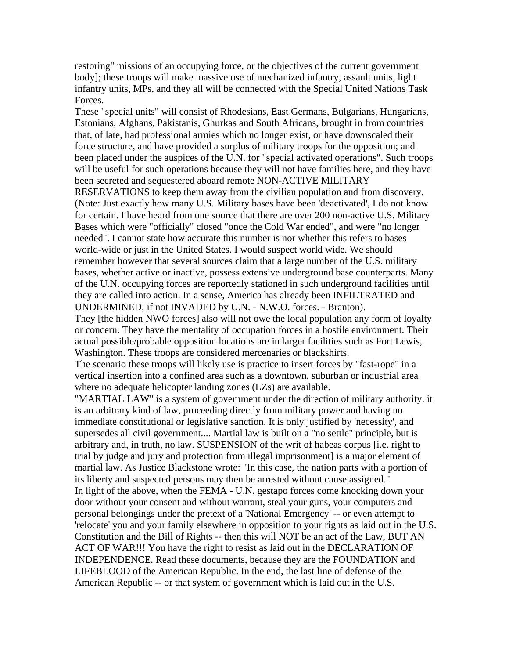restoring" missions of an occupying force, or the objectives of the current government body]; these troops will make massive use of mechanized infantry, assault units, light infantry units, MPs, and they all will be connected with the Special United Nations Task Forces.

These "special units" will consist of Rhodesians, East Germans, Bulgarians, Hungarians, Estonians, Afghans, Pakistanis, Ghurkas and South Africans, brought in from countries that, of late, had professional armies which no longer exist, or have downscaled their force structure, and have provided a surplus of military troops for the opposition; and been placed under the auspices of the U.N. for "special activated operations". Such troops will be useful for such operations because they will not have families here, and they have been secreted and sequestered aboard remote NON-ACTIVE MILITARY RESERVATIONS to keep them away from the civilian population and from discovery. (Note: Just exactly how many U.S. Military bases have been 'deactivated', I do not know for certain. I have heard from one source that there are over 200 non-active U.S. Military Bases which were "officially" closed "once the Cold War ended", and were "no longer needed". I cannot state how accurate this number is nor whether this refers to bases world-wide or just in the United States. I would suspect world wide. We should remember however that several sources claim that a large number of the U.S. military bases, whether active or inactive, possess extensive underground base counterparts. Many of the U.N. occupying forces are reportedly stationed in such underground facilities until they are called into action. In a sense, America has already been INFILTRATED and UNDERMINED, if not INVADED by U.N. - N.W.O. forces. - Branton).

They [the hidden NWO forces] also will not owe the local population any form of loyalty or concern. They have the mentality of occupation forces in a hostile environment. Their actual possible/probable opposition locations are in larger facilities such as Fort Lewis, Washington. These troops are considered mercenaries or blackshirts.

The scenario these troops will likely use is practice to insert forces by "fast-rope" in a vertical insertion into a confined area such as a downtown, suburban or industrial area where no adequate helicopter landing zones (LZs) are available.

"MARTIAL LAW" is a system of government under the direction of military authority. it is an arbitrary kind of law, proceeding directly from military power and having no immediate constitutional or legislative sanction. It is only justified by 'necessity', and supersedes all civil government.... Martial law is built on a "no settle" principle, but is arbitrary and, in truth, no law. SUSPENSION of the writ of habeas corpus [i.e. right to trial by judge and jury and protection from illegal imprisonment] is a major element of martial law. As Justice Blackstone wrote: "In this case, the nation parts with a portion of its liberty and suspected persons may then be arrested without cause assigned." In light of the above, when the FEMA - U.N. gestapo forces come knocking down your door without your consent and without warrant, steal your guns, your computers and personal belongings under the pretext of a 'National Emergency' -- or even attempt to 'relocate' you and your family elsewhere in opposition to your rights as laid out in the U.S. Constitution and the Bill of Rights -- then this will NOT be an act of the Law, BUT AN ACT OF WAR!!! You have the right to resist as laid out in the DECLARATION OF INDEPENDENCE. Read these documents, because they are the FOUNDATION and LIFEBLOOD of the American Republic. In the end, the last line of defense of the American Republic -- or that system of government which is laid out in the U.S.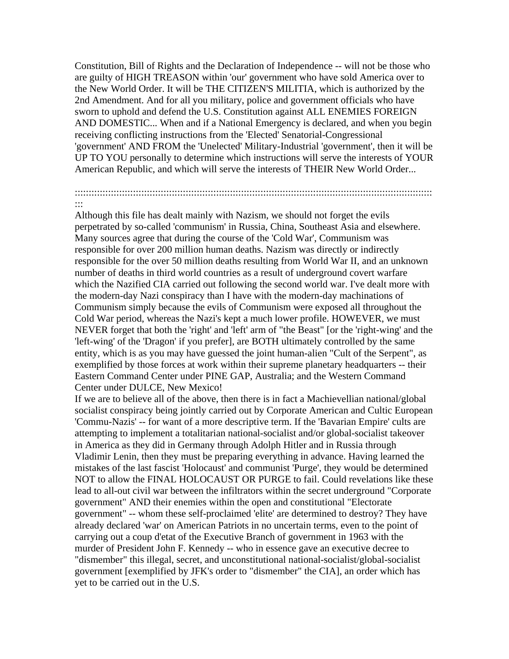Constitution, Bill of Rights and the Declaration of Independence -- will not be those who are guilty of HIGH TREASON within 'our' government who have sold America over to the New World Order. It will be THE CITIZEN'S MILITIA, which is authorized by the 2nd Amendment. And for all you military, police and government officials who have sworn to uphold and defend the U.S. Constitution against ALL ENEMIES FOREIGN AND DOMESTIC... When and if a National Emergency is declared, and when you begin receiving conflicting instructions from the 'Elected' Senatorial-Congressional 'government' AND FROM the 'Unelected' Military-Industrial 'government', then it will be UP TO YOU personally to determine which instructions will serve the interests of YOUR American Republic, and which will serve the interests of THEIR New World Order...

## :::::::::::::::::::::::::::::::::::::::::::::::::::::::::::::::::::::::::::::::::::::::::::::::::::::::::::::::::::::::::::::::::

## :::

Although this file has dealt mainly with Nazism, we should not forget the evils perpetrated by so-called 'communism' in Russia, China, Southeast Asia and elsewhere. Many sources agree that during the course of the 'Cold War', Communism was responsible for over 200 million human deaths. Nazism was directly or indirectly responsible for the over 50 million deaths resulting from World War II, and an unknown number of deaths in third world countries as a result of underground covert warfare which the Nazified CIA carried out following the second world war. I've dealt more with the modern-day Nazi conspiracy than I have with the modern-day machinations of Communism simply because the evils of Communism were exposed all throughout the Cold War period, whereas the Nazi's kept a much lower profile. HOWEVER, we must NEVER forget that both the 'right' and 'left' arm of "the Beast" [or the 'right-wing' and the 'left-wing' of the 'Dragon' if you prefer], are BOTH ultimately controlled by the same entity, which is as you may have guessed the joint human-alien "Cult of the Serpent", as exemplified by those forces at work within their supreme planetary headquarters -- their Eastern Command Center under PINE GAP, Australia; and the Western Command Center under DULCE, New Mexico!

If we are to believe all of the above, then there is in fact a Machievellian national/global socialist conspiracy being jointly carried out by Corporate American and Cultic European 'Commu-Nazis' -- for want of a more descriptive term. If the 'Bavarian Empire' cults are attempting to implement a totalitarian national-socialist and/or global-socialist takeover in America as they did in Germany through Adolph Hitler and in Russia through Vladimir Lenin, then they must be preparing everything in advance. Having learned the mistakes of the last fascist 'Holocaust' and communist 'Purge', they would be determined NOT to allow the FINAL HOLOCAUST OR PURGE to fail. Could revelations like these lead to all-out civil war between the infiltrators within the secret underground "Corporate government" AND their enemies within the open and constitutional "Electorate government" -- whom these self-proclaimed 'elite' are determined to destroy? They have already declared 'war' on American Patriots in no uncertain terms, even to the point of carrying out a coup d'etat of the Executive Branch of government in 1963 with the murder of President John F. Kennedy -- who in essence gave an executive decree to "dismember" this illegal, secret, and unconstitutional national-socialist/global-socialist government [exemplified by JFK's order to "dismember" the CIA], an order which has yet to be carried out in the U.S.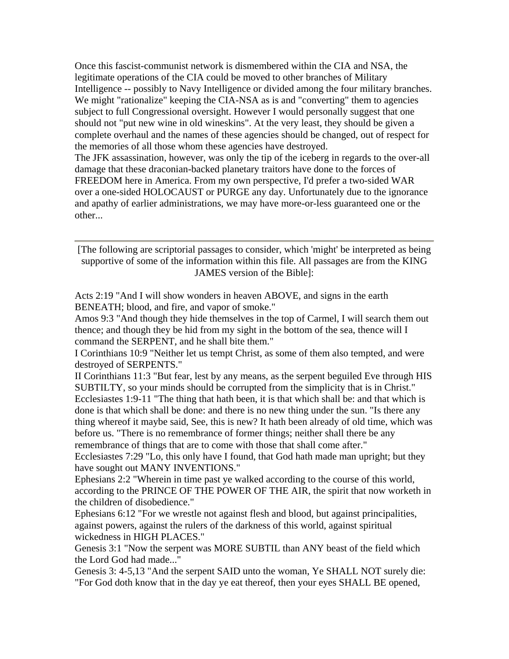Once this fascist-communist network is dismembered within the CIA and NSA, the legitimate operations of the CIA could be moved to other branches of Military Intelligence -- possibly to Navy Intelligence or divided among the four military branches. We might "rationalize" keeping the CIA-NSA as is and "converting" them to agencies subject to full Congressional oversight. However I would personally suggest that one should not "put new wine in old wineskins". At the very least, they should be given a complete overhaul and the names of these agencies should be changed, out of respect for the memories of all those whom these agencies have destroyed.

The JFK assassination, however, was only the tip of the iceberg in regards to the over-all damage that these draconian-backed planetary traitors have done to the forces of FREEDOM here in America. From my own perspective, I'd prefer a two-sided WAR over a one-sided HOLOCAUST or PURGE any day. Unfortunately due to the ignorance and apathy of earlier administrations, we may have more-or-less guaranteed one or the other...

[The following are scriptorial passages to consider, which 'might' be interpreted as being supportive of some of the information within this file. All passages are from the KING JAMES version of the Bible]:

Acts 2:19 "And I will show wonders in heaven ABOVE, and signs in the earth BENEATH; blood, and fire, and vapor of smoke."

Amos 9:3 "And though they hide themselves in the top of Carmel, I will search them out thence; and though they be hid from my sight in the bottom of the sea, thence will I command the SERPENT, and he shall bite them."

I Corinthians 10:9 "Neither let us tempt Christ, as some of them also tempted, and were destroyed of SERPENTS."

II Corinthians 11:3 "But fear, lest by any means, as the serpent beguiled Eve through HIS SUBTILTY, so your minds should be corrupted from the simplicity that is in Christ." Ecclesiastes 1:9-11 "The thing that hath been, it is that which shall be: and that which is done is that which shall be done: and there is no new thing under the sun. "Is there any thing whereof it maybe said, See, this is new? It hath been already of old time, which was before us. "There is no remembrance of former things; neither shall there be any remembrance of things that are to come with those that shall come after."

Ecclesiastes 7:29 "Lo, this only have I found, that God hath made man upright; but they have sought out MANY INVENTIONS."

Ephesians 2:2 "Wherein in time past ye walked according to the course of this world, according to the PRINCE OF THE POWER OF THE AIR, the spirit that now worketh in the children of disobedience."

Ephesians 6:12 "For we wrestle not against flesh and blood, but against principalities, against powers, against the rulers of the darkness of this world, against spiritual wickedness in HIGH PLACES."

Genesis 3:1 "Now the serpent was MORE SUBTIL than ANY beast of the field which the Lord God had made..."

Genesis 3: 4-5,13 "And the serpent SAID unto the woman, Ye SHALL NOT surely die: "For God doth know that in the day ye eat thereof, then your eyes SHALL BE opened,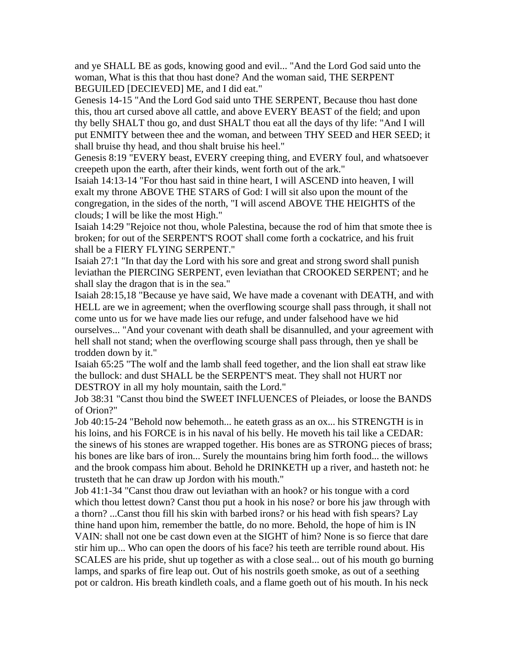and ye SHALL BE as gods, knowing good and evil... "And the Lord God said unto the woman, What is this that thou hast done? And the woman said, THE SERPENT BEGUILED [DECIEVED] ME, and I did eat."

Genesis 14-15 "And the Lord God said unto THE SERPENT, Because thou hast done this, thou art cursed above all cattle, and above EVERY BEAST of the field; and upon thy belly SHALT thou go, and dust SHALT thou eat all the days of thy life: "And I will put ENMITY between thee and the woman, and between THY SEED and HER SEED; it shall bruise thy head, and thou shalt bruise his heel."

Genesis 8:19 "EVERY beast, EVERY creeping thing, and EVERY foul, and whatsoever creepeth upon the earth, after their kinds, went forth out of the ark."

Isaiah 14:13-14 "For thou hast said in thine heart, I will ASCEND into heaven, I will exalt my throne ABOVE THE STARS of God: I will sit also upon the mount of the congregation, in the sides of the north, "I will ascend ABOVE THE HEIGHTS of the clouds; I will be like the most High."

Isaiah 14:29 "Rejoice not thou, whole Palestina, because the rod of him that smote thee is broken; for out of the SERPENT'S ROOT shall come forth a cockatrice, and his fruit shall be a FIERY FLYING SERPENT."

Isaiah 27:1 "In that day the Lord with his sore and great and strong sword shall punish leviathan the PIERCING SERPENT, even leviathan that CROOKED SERPENT; and he shall slay the dragon that is in the sea."

Isaiah 28:15,18 "Because ye have said, We have made a covenant with DEATH, and with HELL are we in agreement; when the overflowing scourge shall pass through, it shall not come unto us for we have made lies our refuge, and under falsehood have we hid ourselves... "And your covenant with death shall be disannulled, and your agreement with hell shall not stand; when the overflowing scourge shall pass through, then ye shall be trodden down by it."

Isaiah 65:25 "The wolf and the lamb shall feed together, and the lion shall eat straw like the bullock: and dust SHALL be the SERPENT'S meat. They shall not HURT nor DESTROY in all my holy mountain, saith the Lord."

Job 38:31 "Canst thou bind the SWEET INFLUENCES of Pleiades, or loose the BANDS of Orion?"

Job 40:15-24 "Behold now behemoth... he eateth grass as an ox... his STRENGTH is in his loins, and his FORCE is in his naval of his belly. He moveth his tail like a CEDAR: the sinews of his stones are wrapped together. His bones are as STRONG pieces of brass; his bones are like bars of iron... Surely the mountains bring him forth food... the willows and the brook compass him about. Behold he DRINKETH up a river, and hasteth not: he trusteth that he can draw up Jordon with his mouth."

Job 41:1-34 "Canst thou draw out leviathan with an hook? or his tongue with a cord which thou lettest down? Canst thou put a hook in his nose? or bore his jaw through with a thorn? ...Canst thou fill his skin with barbed irons? or his head with fish spears? Lay thine hand upon him, remember the battle, do no more. Behold, the hope of him is IN VAIN: shall not one be cast down even at the SIGHT of him? None is so fierce that dare stir him up... Who can open the doors of his face? his teeth are terrible round about. His SCALES are his pride, shut up together as with a close seal... out of his mouth go burning lamps, and sparks of fire leap out. Out of his nostrils goeth smoke, as out of a seething pot or caldron. His breath kindleth coals, and a flame goeth out of his mouth. In his neck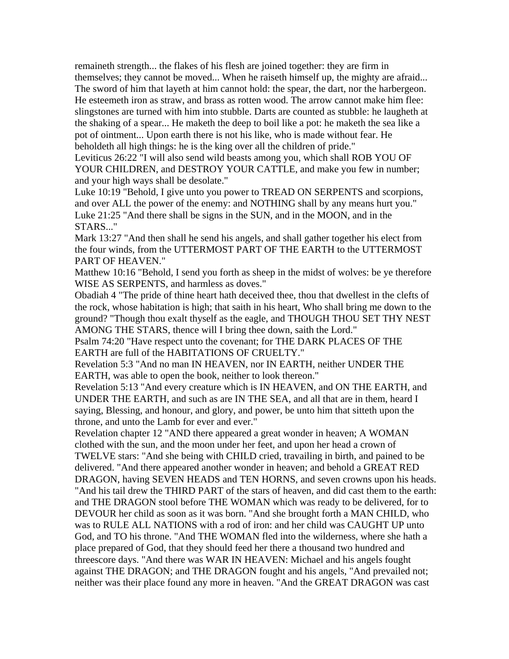remaineth strength... the flakes of his flesh are joined together: they are firm in themselves; they cannot be moved... When he raiseth himself up, the mighty are afraid... The sword of him that layeth at him cannot hold: the spear, the dart, nor the harbergeon. He esteemeth iron as straw, and brass as rotten wood. The arrow cannot make him flee: slingstones are turned with him into stubble. Darts are counted as stubble: he laugheth at the shaking of a spear... He maketh the deep to boil like a pot: he maketh the sea like a pot of ointment... Upon earth there is not his like, who is made without fear. He beholdeth all high things: he is the king over all the children of pride."

Leviticus 26:22 "I will also send wild beasts among you, which shall ROB YOU OF YOUR CHILDREN, and DESTROY YOUR CATTLE, and make you few in number; and your high ways shall be desolate."

Luke 10:19 "Behold, I give unto you power to TREAD ON SERPENTS and scorpions, and over ALL the power of the enemy: and NOTHING shall by any means hurt you." Luke 21:25 "And there shall be signs in the SUN, and in the MOON, and in the STARS..."

Mark 13:27 "And then shall he send his angels, and shall gather together his elect from the four winds, from the UTTERMOST PART OF THE EARTH to the UTTERMOST PART OF HEAVEN."

Matthew 10:16 "Behold, I send you forth as sheep in the midst of wolves: be ye therefore WISE AS SERPENTS, and harmless as doves."

Obadiah 4 "The pride of thine heart hath deceived thee, thou that dwellest in the clefts of the rock, whose habitation is high; that saith in his heart, Who shall bring me down to the ground? "Though thou exalt thyself as the eagle, and THOUGH THOU SET THY NEST AMONG THE STARS, thence will I bring thee down, saith the Lord."

Psalm 74:20 "Have respect unto the covenant; for THE DARK PLACES OF THE EARTH are full of the HABITATIONS OF CRUELTY."

Revelation 5:3 "And no man IN HEAVEN, nor IN EARTH, neither UNDER THE EARTH, was able to open the book, neither to look thereon."

Revelation 5:13 "And every creature which is IN HEAVEN, and ON THE EARTH, and UNDER THE EARTH, and such as are IN THE SEA, and all that are in them, heard I saying, Blessing, and honour, and glory, and power, be unto him that sitteth upon the throne, and unto the Lamb for ever and ever."

Revelation chapter 12 "AND there appeared a great wonder in heaven; A WOMAN clothed with the sun, and the moon under her feet, and upon her head a crown of TWELVE stars: "And she being with CHILD cried, travailing in birth, and pained to be delivered. "And there appeared another wonder in heaven; and behold a GREAT RED DRAGON, having SEVEN HEADS and TEN HORNS, and seven crowns upon his heads. "And his tail drew the THIRD PART of the stars of heaven, and did cast them to the earth: and THE DRAGON stool before THE WOMAN which was ready to be delivered, for to DEVOUR her child as soon as it was born. "And she brought forth a MAN CHILD, who was to RULE ALL NATIONS with a rod of iron: and her child was CAUGHT UP unto God, and TO his throne. "And THE WOMAN fled into the wilderness, where she hath a place prepared of God, that they should feed her there a thousand two hundred and threescore days. "And there was WAR IN HEAVEN: Michael and his angels fought against THE DRAGON; and THE DRAGON fought and his angels, "And prevailed not; neither was their place found any more in heaven. "And the GREAT DRAGON was cast